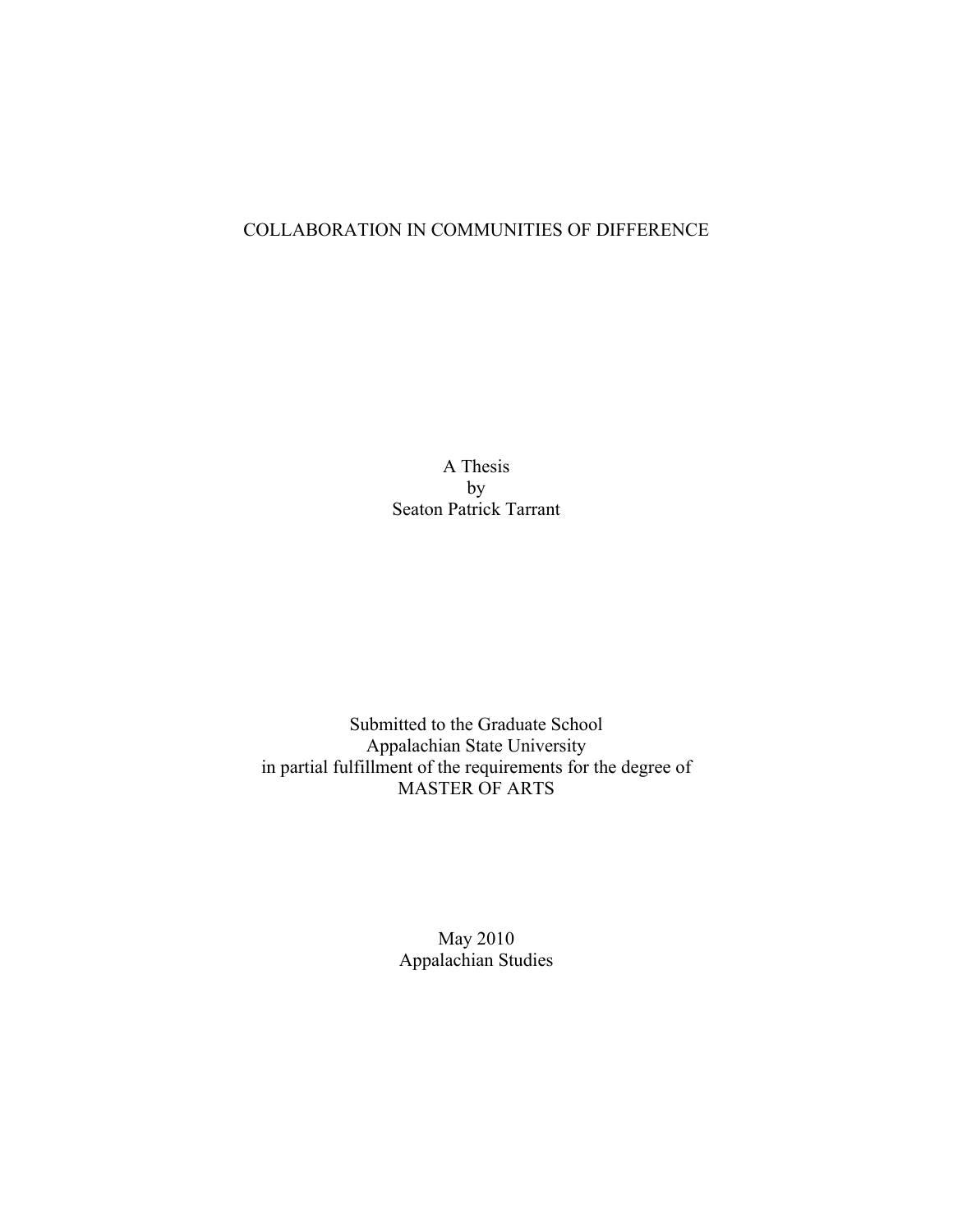# COLLABORATION IN COMMUNITIES OF DIFFERENCE

A Thesis by Seaton Patrick Tarrant

Submitted to the Graduate School Appalachian State University in partial fulfillment of the requirements for the degree of MASTER OF ARTS

> May 2010 Appalachian Studies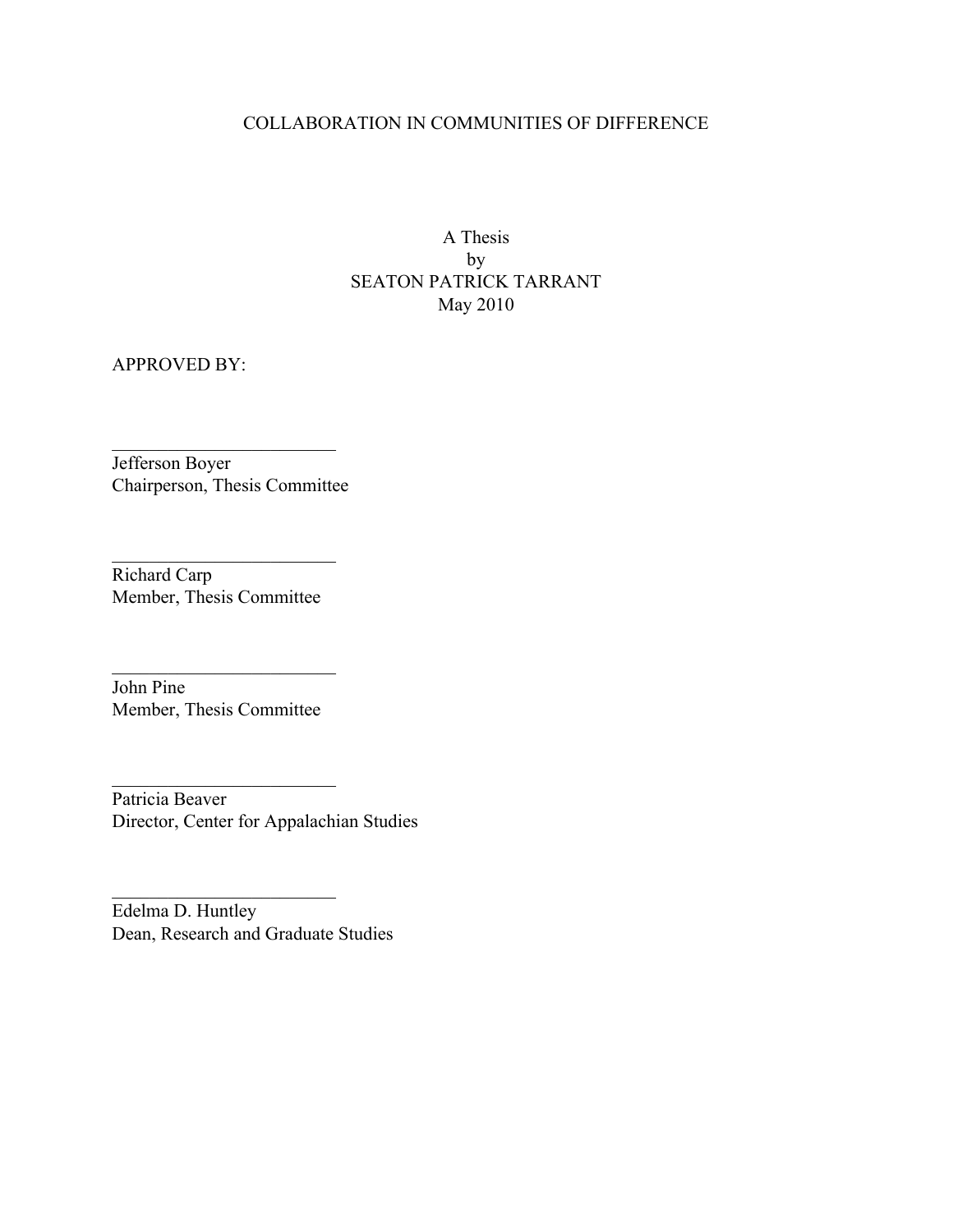## COLLABORATION IN COMMUNITIES OF DIFFERENCE

A Thesis by SEATON PATRICK TARRANT May 2010

APPROVED BY:

Jefferson Boyer Chairperson, Thesis Committee

 $\mathcal{L}_\text{max}$  , where  $\mathcal{L}_\text{max}$  , we have the set of  $\mathcal{L}_\text{max}$ 

Richard Carp Member, Thesis Committee

John Pine Member, Thesis Committee

 $\mathcal{L}_\text{max}$  , where  $\mathcal{L}_\text{max}$  , we have the set of  $\mathcal{L}_\text{max}$ 

 $\mathcal{L}_\text{max}$  , where  $\mathcal{L}_\text{max}$  , we have the set of  $\mathcal{L}_\text{max}$ 

Patricia Beaver Director, Center for Appalachian Studies

 $\mathcal{L}$ 

 $\mathcal{L}_\text{max}$  , where  $\mathcal{L}_\text{max}$ 

Edelma D. Huntley Dean, Research and Graduate Studies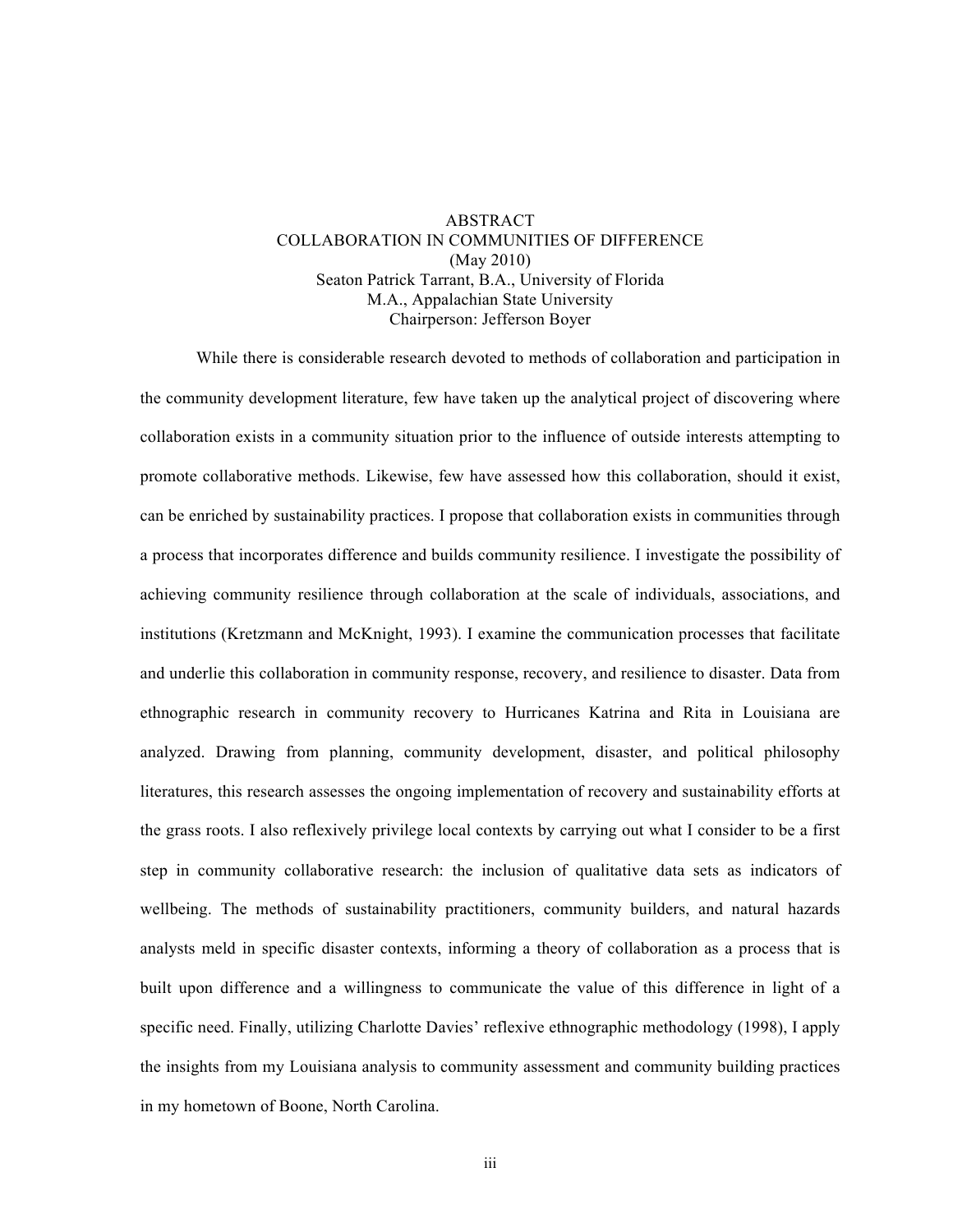## ABSTRACT COLLABORATION IN COMMUNITIES OF DIFFERENCE (May 2010) Seaton Patrick Tarrant, B.A., University of Florida M.A., Appalachian State University Chairperson: Jefferson Boyer

While there is considerable research devoted to methods of collaboration and participation in the community development literature, few have taken up the analytical project of discovering where collaboration exists in a community situation prior to the influence of outside interests attempting to promote collaborative methods. Likewise, few have assessed how this collaboration, should it exist, can be enriched by sustainability practices. I propose that collaboration exists in communities through a process that incorporates difference and builds community resilience. I investigate the possibility of achieving community resilience through collaboration at the scale of individuals, associations, and institutions (Kretzmann and McKnight, 1993). I examine the communication processes that facilitate and underlie this collaboration in community response, recovery, and resilience to disaster. Data from ethnographic research in community recovery to Hurricanes Katrina and Rita in Louisiana are analyzed. Drawing from planning, community development, disaster, and political philosophy literatures, this research assesses the ongoing implementation of recovery and sustainability efforts at the grass roots. I also reflexively privilege local contexts by carrying out what I consider to be a first step in community collaborative research: the inclusion of qualitative data sets as indicators of wellbeing. The methods of sustainability practitioners, community builders, and natural hazards analysts meld in specific disaster contexts, informing a theory of collaboration as a process that is built upon difference and a willingness to communicate the value of this difference in light of a specific need. Finally, utilizing Charlotte Davies' reflexive ethnographic methodology (1998), I apply the insights from my Louisiana analysis to community assessment and community building practices in my hometown of Boone, North Carolina.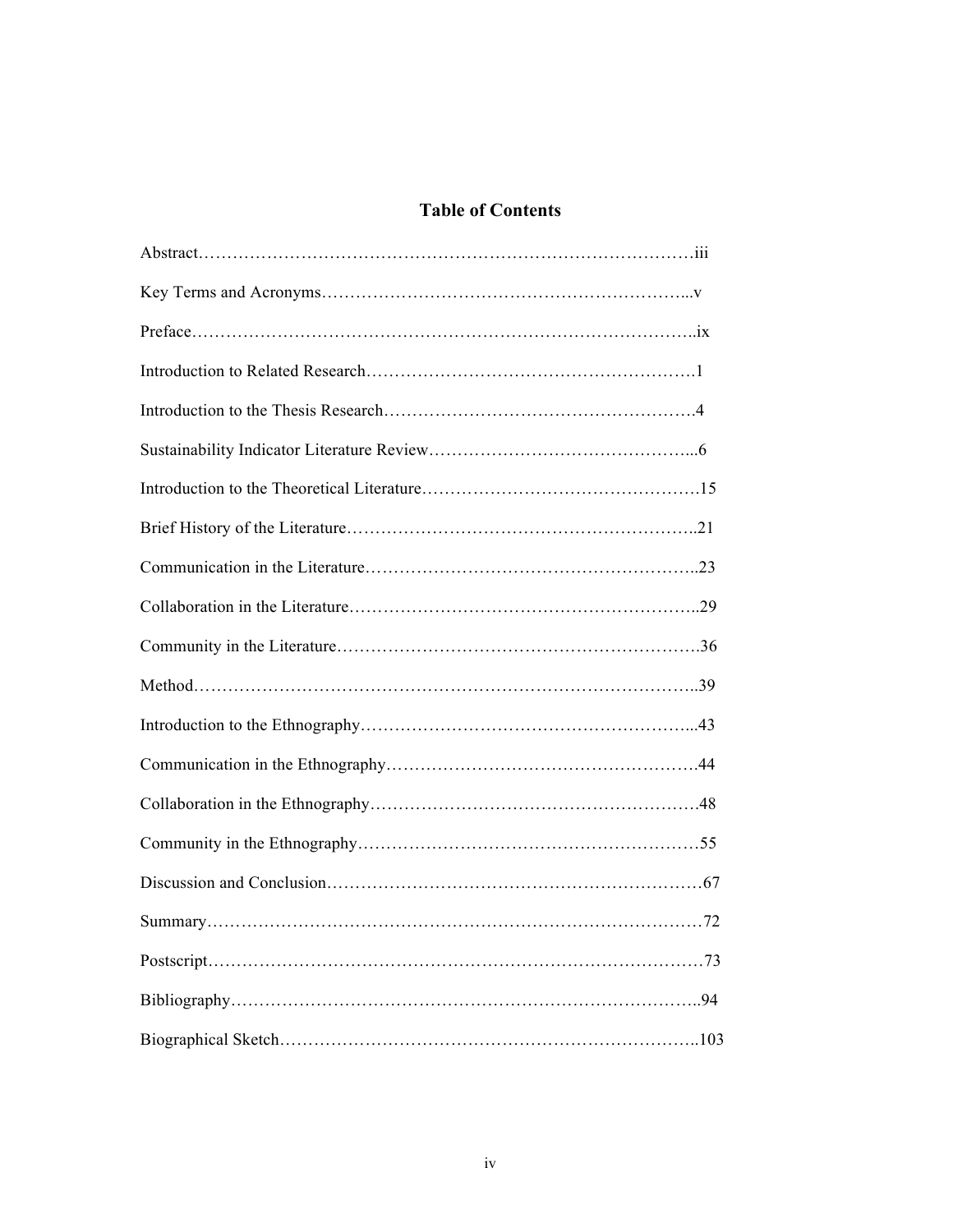# **Table of Contents**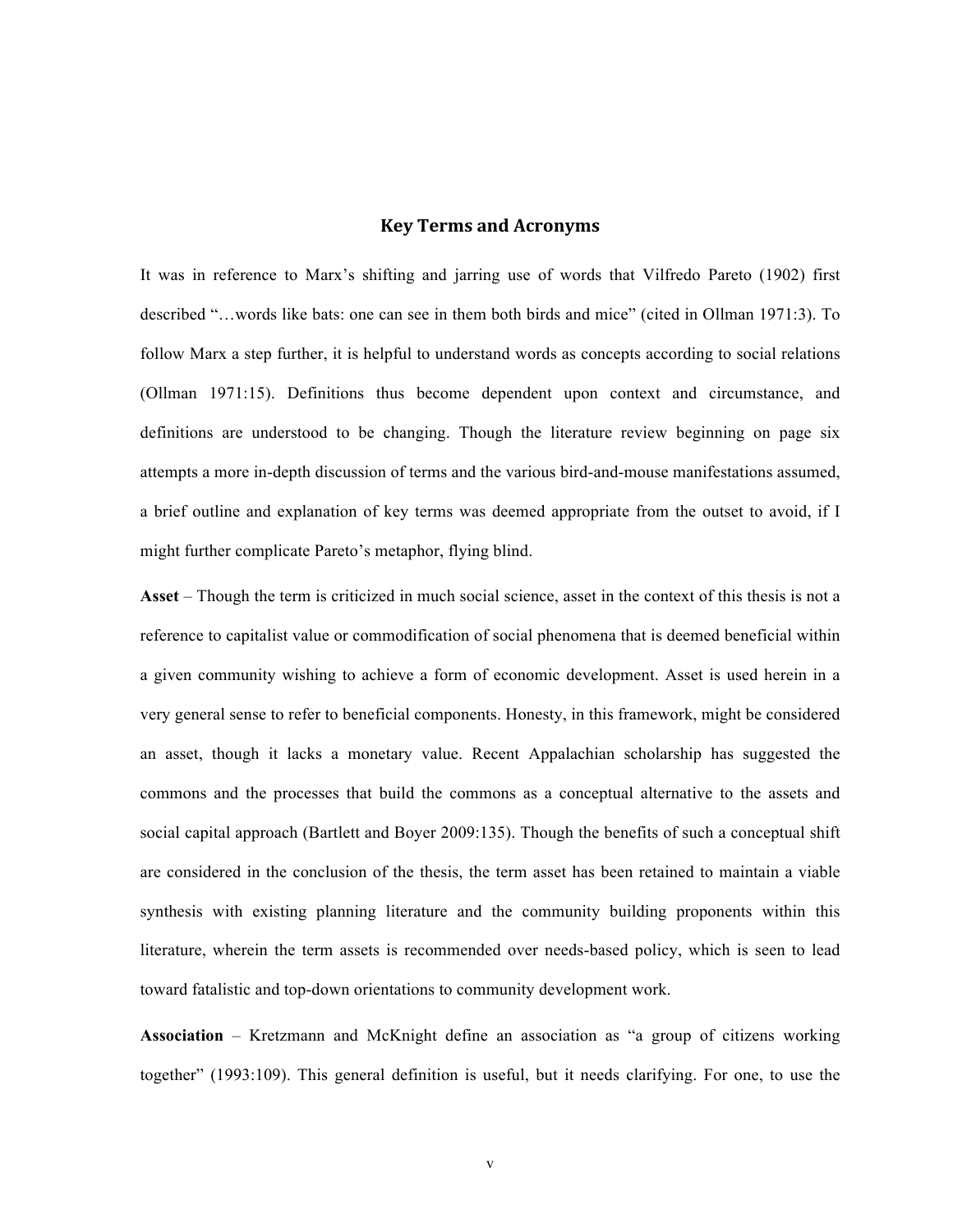### **Key Terms and Acronyms**

It was in reference to Marx's shifting and jarring use of words that Vilfredo Pareto (1902) first described "…words like bats: one can see in them both birds and mice" (cited in Ollman 1971:3). To follow Marx a step further, it is helpful to understand words as concepts according to social relations (Ollman 1971:15). Definitions thus become dependent upon context and circumstance, and definitions are understood to be changing. Though the literature review beginning on page six attempts a more in-depth discussion of terms and the various bird-and-mouse manifestations assumed, a brief outline and explanation of key terms was deemed appropriate from the outset to avoid, if I might further complicate Pareto's metaphor, flying blind.

**Asset** – Though the term is criticized in much social science, asset in the context of this thesis is not a reference to capitalist value or commodification of social phenomena that is deemed beneficial within a given community wishing to achieve a form of economic development. Asset is used herein in a very general sense to refer to beneficial components. Honesty, in this framework, might be considered an asset, though it lacks a monetary value. Recent Appalachian scholarship has suggested the commons and the processes that build the commons as a conceptual alternative to the assets and social capital approach (Bartlett and Boyer 2009:135). Though the benefits of such a conceptual shift are considered in the conclusion of the thesis, the term asset has been retained to maintain a viable synthesis with existing planning literature and the community building proponents within this literature, wherein the term assets is recommended over needs-based policy, which is seen to lead toward fatalistic and top-down orientations to community development work.

**Association** – Kretzmann and McKnight define an association as "a group of citizens working together" (1993:109). This general definition is useful, but it needs clarifying. For one, to use the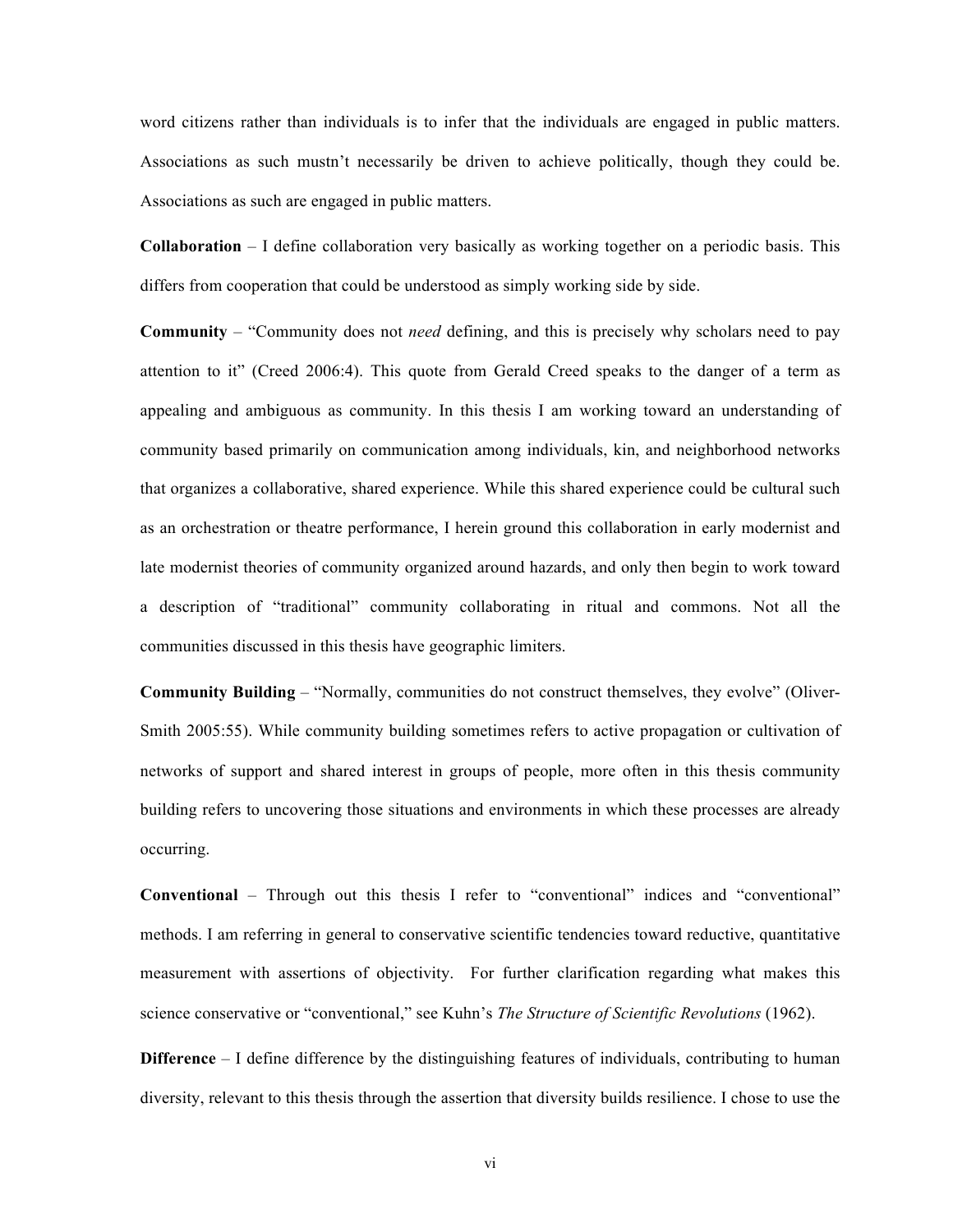word citizens rather than individuals is to infer that the individuals are engaged in public matters. Associations as such mustn't necessarily be driven to achieve politically, though they could be. Associations as such are engaged in public matters.

**Collaboration** – I define collaboration very basically as working together on a periodic basis. This differs from cooperation that could be understood as simply working side by side.

**Community** – "Community does not *need* defining, and this is precisely why scholars need to pay attention to it" (Creed 2006:4). This quote from Gerald Creed speaks to the danger of a term as appealing and ambiguous as community. In this thesis I am working toward an understanding of community based primarily on communication among individuals, kin, and neighborhood networks that organizes a collaborative, shared experience. While this shared experience could be cultural such as an orchestration or theatre performance, I herein ground this collaboration in early modernist and late modernist theories of community organized around hazards, and only then begin to work toward a description of "traditional" community collaborating in ritual and commons. Not all the communities discussed in this thesis have geographic limiters.

**Community Building** – "Normally, communities do not construct themselves, they evolve" (Oliver-Smith 2005:55). While community building sometimes refers to active propagation or cultivation of networks of support and shared interest in groups of people, more often in this thesis community building refers to uncovering those situations and environments in which these processes are already occurring.

**Conventional** – Through out this thesis I refer to "conventional" indices and "conventional" methods. I am referring in general to conservative scientific tendencies toward reductive, quantitative measurement with assertions of objectivity. For further clarification regarding what makes this science conservative or "conventional," see Kuhn's *The Structure of Scientific Revolutions* (1962).

**Difference** – I define difference by the distinguishing features of individuals, contributing to human diversity, relevant to this thesis through the assertion that diversity builds resilience. I chose to use the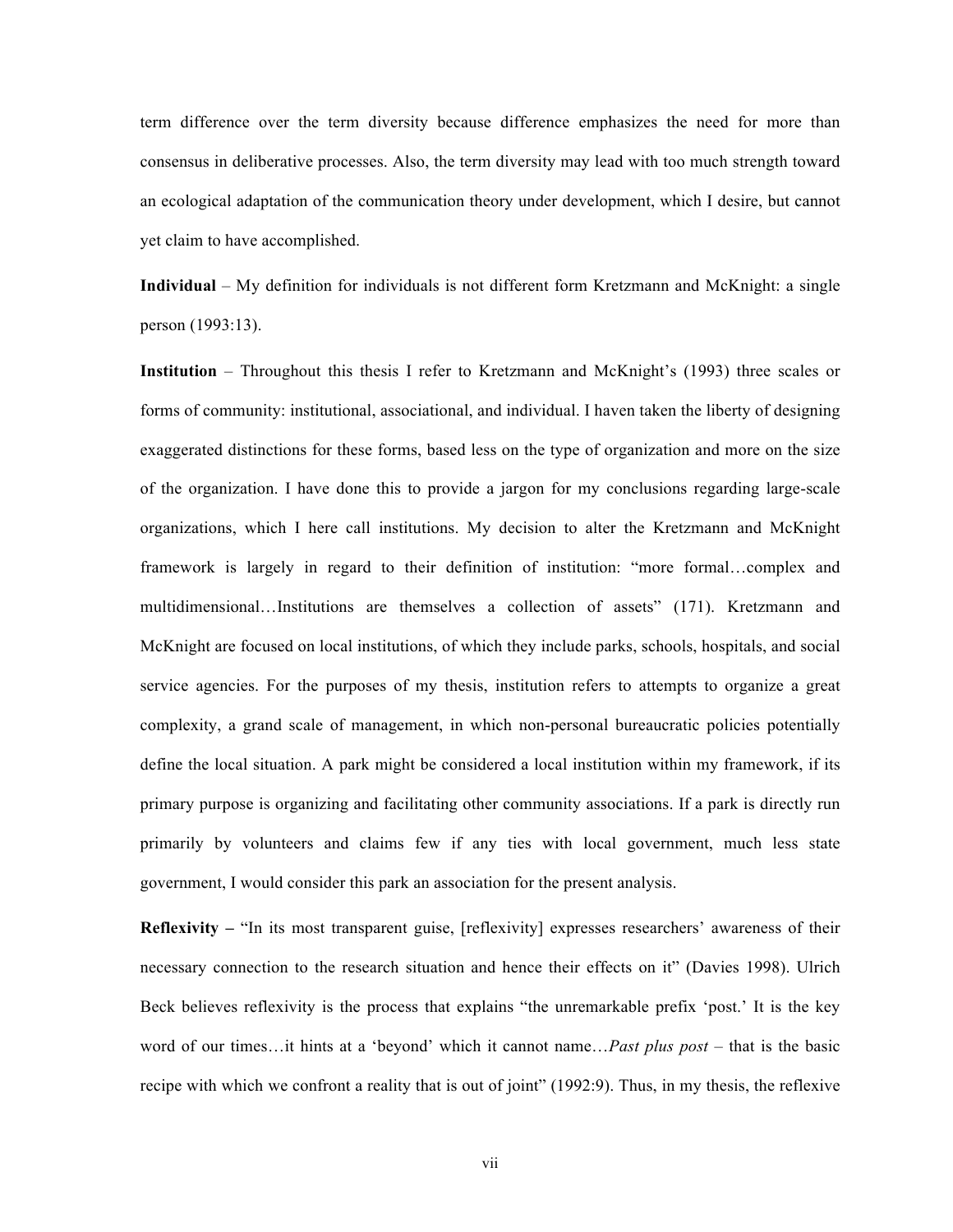term difference over the term diversity because difference emphasizes the need for more than consensus in deliberative processes. Also, the term diversity may lead with too much strength toward an ecological adaptation of the communication theory under development, which I desire, but cannot yet claim to have accomplished.

**Individual** – My definition for individuals is not different form Kretzmann and McKnight: a single person (1993:13).

**Institution** – Throughout this thesis I refer to Kretzmann and McKnight's (1993) three scales or forms of community: institutional, associational, and individual. I haven taken the liberty of designing exaggerated distinctions for these forms, based less on the type of organization and more on the size of the organization. I have done this to provide a jargon for my conclusions regarding large-scale organizations, which I here call institutions. My decision to alter the Kretzmann and McKnight framework is largely in regard to their definition of institution: "more formal…complex and multidimensional…Institutions are themselves a collection of assets" (171). Kretzmann and McKnight are focused on local institutions, of which they include parks, schools, hospitals, and social service agencies. For the purposes of my thesis, institution refers to attempts to organize a great complexity, a grand scale of management, in which non-personal bureaucratic policies potentially define the local situation. A park might be considered a local institution within my framework, if its primary purpose is organizing and facilitating other community associations. If a park is directly run primarily by volunteers and claims few if any ties with local government, much less state government, I would consider this park an association for the present analysis.

**Reflexivity** – "In its most transparent guise, [reflexivity] expresses researchers' awareness of their necessary connection to the research situation and hence their effects on it" (Davies 1998). Ulrich Beck believes reflexivity is the process that explains "the unremarkable prefix 'post.' It is the key word of our times…it hints at a 'beyond' which it cannot name…*Past plus post* – that is the basic recipe with which we confront a reality that is out of joint" (1992:9). Thus, in my thesis, the reflexive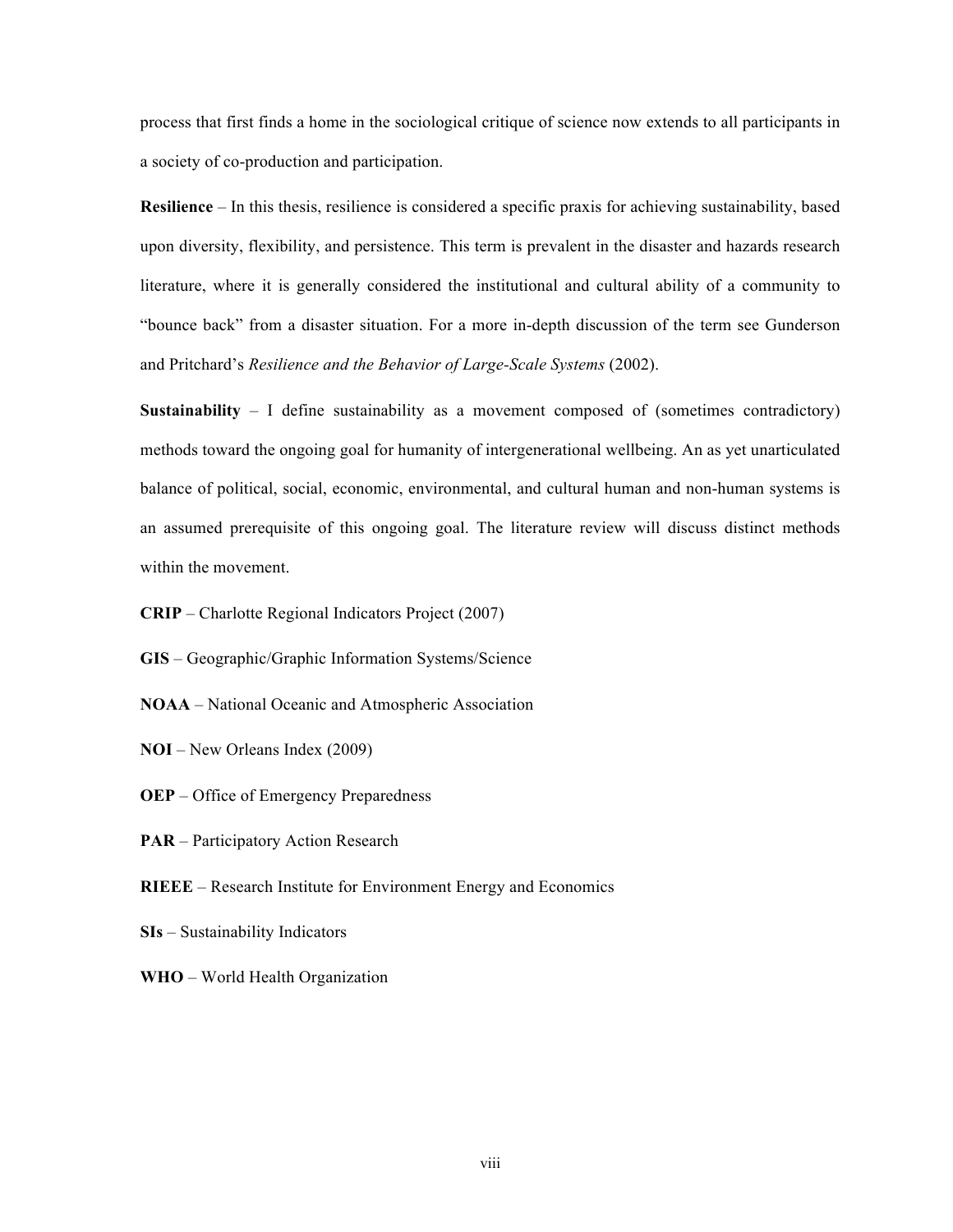process that first finds a home in the sociological critique of science now extends to all participants in a society of co-production and participation.

**Resilience** – In this thesis, resilience is considered a specific praxis for achieving sustainability, based upon diversity, flexibility, and persistence. This term is prevalent in the disaster and hazards research literature, where it is generally considered the institutional and cultural ability of a community to "bounce back" from a disaster situation. For a more in-depth discussion of the term see Gunderson and Pritchard's *Resilience and the Behavior of Large-Scale Systems* (2002).

**Sustainability** – I define sustainability as a movement composed of (sometimes contradictory) methods toward the ongoing goal for humanity of intergenerational wellbeing. An as yet unarticulated balance of political, social, economic, environmental, and cultural human and non-human systems is an assumed prerequisite of this ongoing goal. The literature review will discuss distinct methods within the movement.

- **CRIP** Charlotte Regional Indicators Project (2007)
- **GIS** Geographic/Graphic Information Systems/Science
- **NOAA** National Oceanic and Atmospheric Association
- **NOI** New Orleans Index (2009)
- **OEP** Office of Emergency Preparedness
- **PAR** Participatory Action Research
- **RIEEE** Research Institute for Environment Energy and Economics
- **SIs** Sustainability Indicators
- **WHO** World Health Organization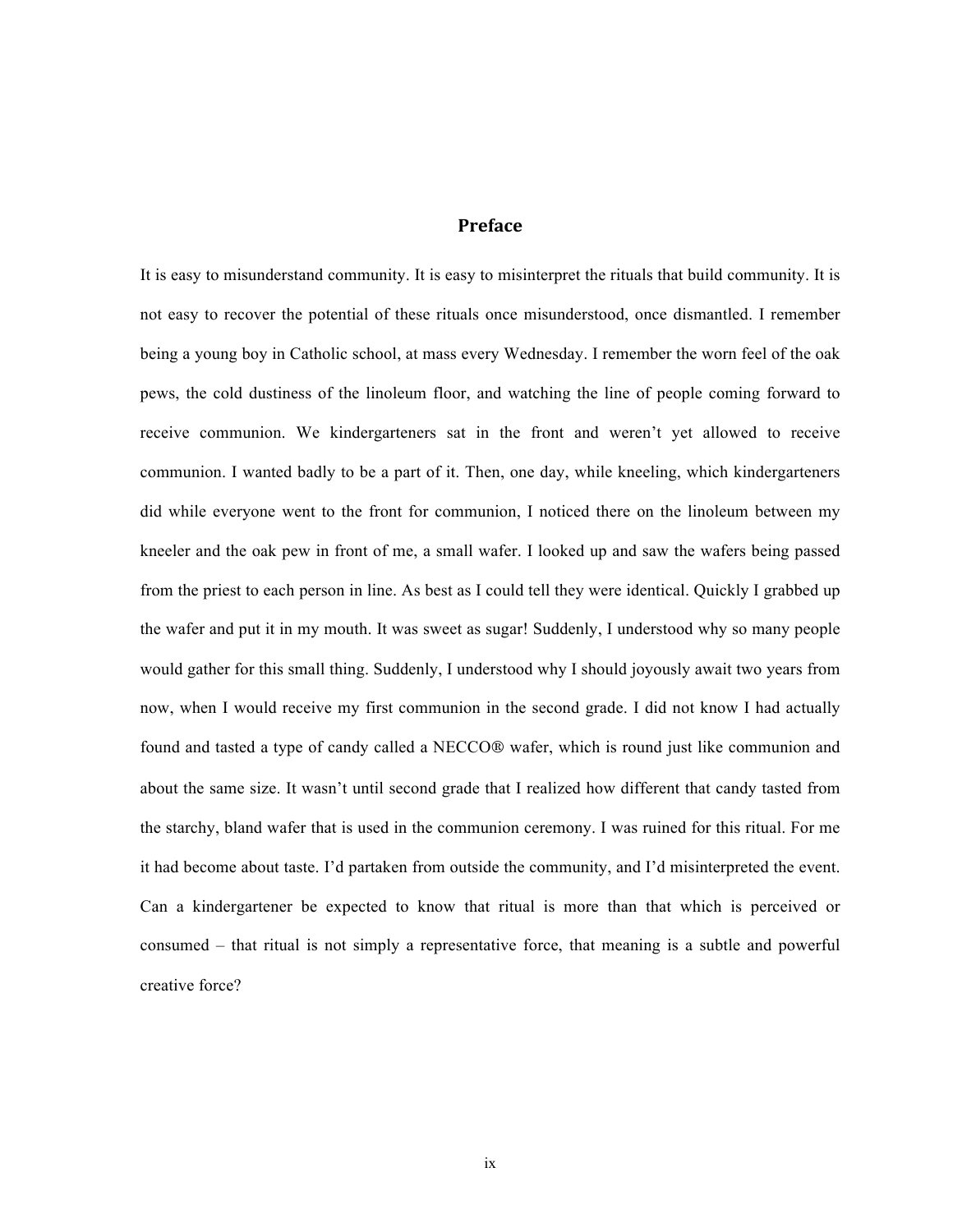### **Preface**

It is easy to misunderstand community. It is easy to misinterpret the rituals that build community. It is not easy to recover the potential of these rituals once misunderstood, once dismantled. I remember being a young boy in Catholic school, at mass every Wednesday. I remember the worn feel of the oak pews, the cold dustiness of the linoleum floor, and watching the line of people coming forward to receive communion. We kindergarteners sat in the front and weren't yet allowed to receive communion. I wanted badly to be a part of it. Then, one day, while kneeling, which kindergarteners did while everyone went to the front for communion, I noticed there on the linoleum between my kneeler and the oak pew in front of me, a small wafer. I looked up and saw the wafers being passed from the priest to each person in line. As best as I could tell they were identical. Quickly I grabbed up the wafer and put it in my mouth. It was sweet as sugar! Suddenly, I understood why so many people would gather for this small thing. Suddenly, I understood why I should joyously await two years from now, when I would receive my first communion in the second grade. I did not know I had actually found and tasted a type of candy called a NECCO® wafer, which is round just like communion and about the same size. It wasn't until second grade that I realized how different that candy tasted from the starchy, bland wafer that is used in the communion ceremony. I was ruined for this ritual. For me it had become about taste. I'd partaken from outside the community, and I'd misinterpreted the event. Can a kindergartener be expected to know that ritual is more than that which is perceived or consumed – that ritual is not simply a representative force, that meaning is a subtle and powerful creative force?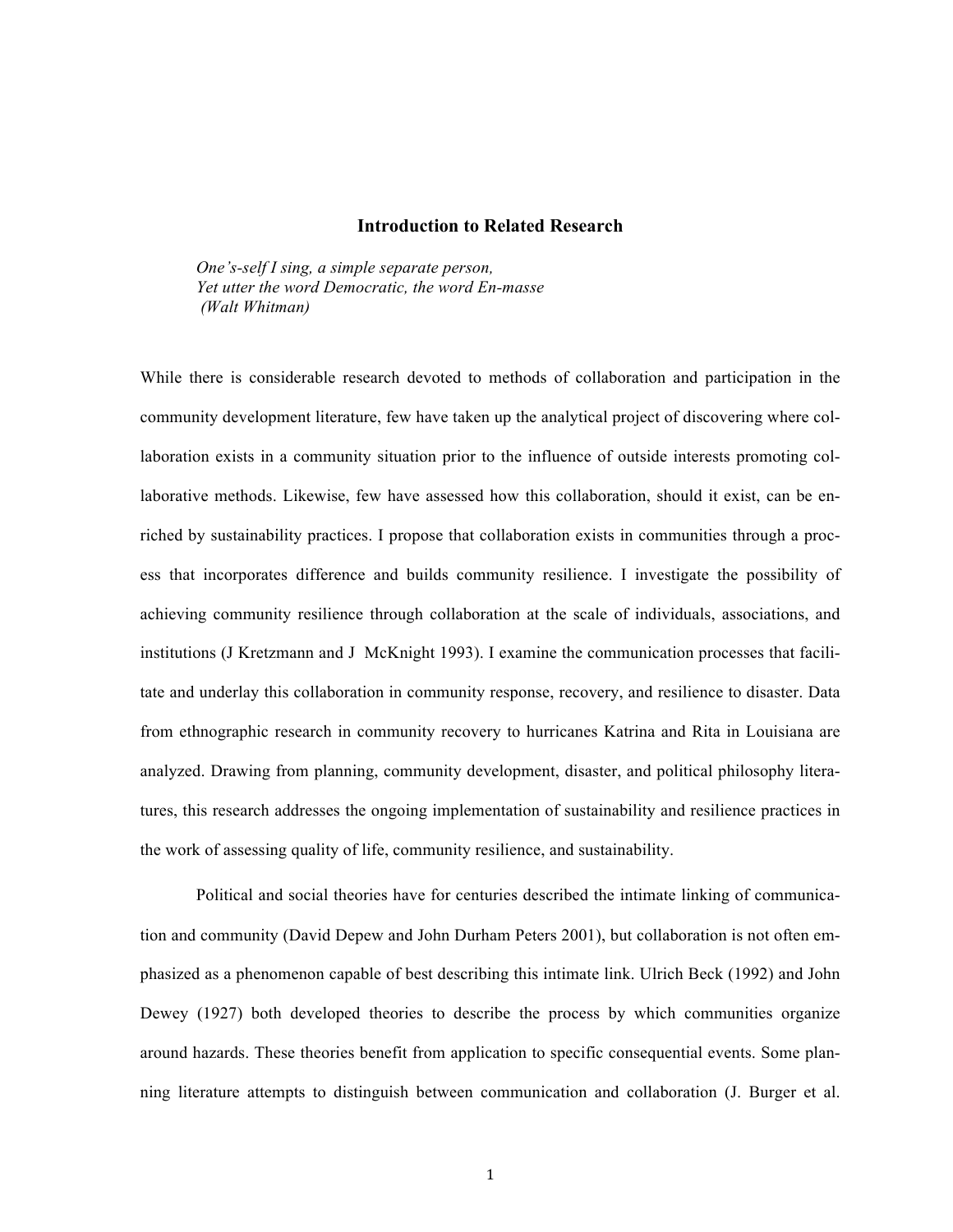#### **Introduction to Related Research**

*One's-self I sing, a simple separate person, Yet utter the word Democratic, the word En-masse (Walt Whitman)*

While there is considerable research devoted to methods of collaboration and participation in the community development literature, few have taken up the analytical project of discovering where collaboration exists in a community situation prior to the influence of outside interests promoting collaborative methods. Likewise, few have assessed how this collaboration, should it exist, can be enriched by sustainability practices. I propose that collaboration exists in communities through a process that incorporates difference and builds community resilience. I investigate the possibility of achieving community resilience through collaboration at the scale of individuals, associations, and institutions (J Kretzmann and J McKnight 1993). I examine the communication processes that facilitate and underlay this collaboration in community response, recovery, and resilience to disaster. Data from ethnographic research in community recovery to hurricanes Katrina and Rita in Louisiana are analyzed. Drawing from planning, community development, disaster, and political philosophy literatures, this research addresses the ongoing implementation of sustainability and resilience practices in the work of assessing quality of life, community resilience, and sustainability.

Political and social theories have for centuries described the intimate linking of communication and community (David Depew and John Durham Peters 2001), but collaboration is not often emphasized as a phenomenon capable of best describing this intimate link. Ulrich Beck (1992) and John Dewey (1927) both developed theories to describe the process by which communities organize around hazards. These theories benefit from application to specific consequential events. Some planning literature attempts to distinguish between communication and collaboration (J. Burger et al.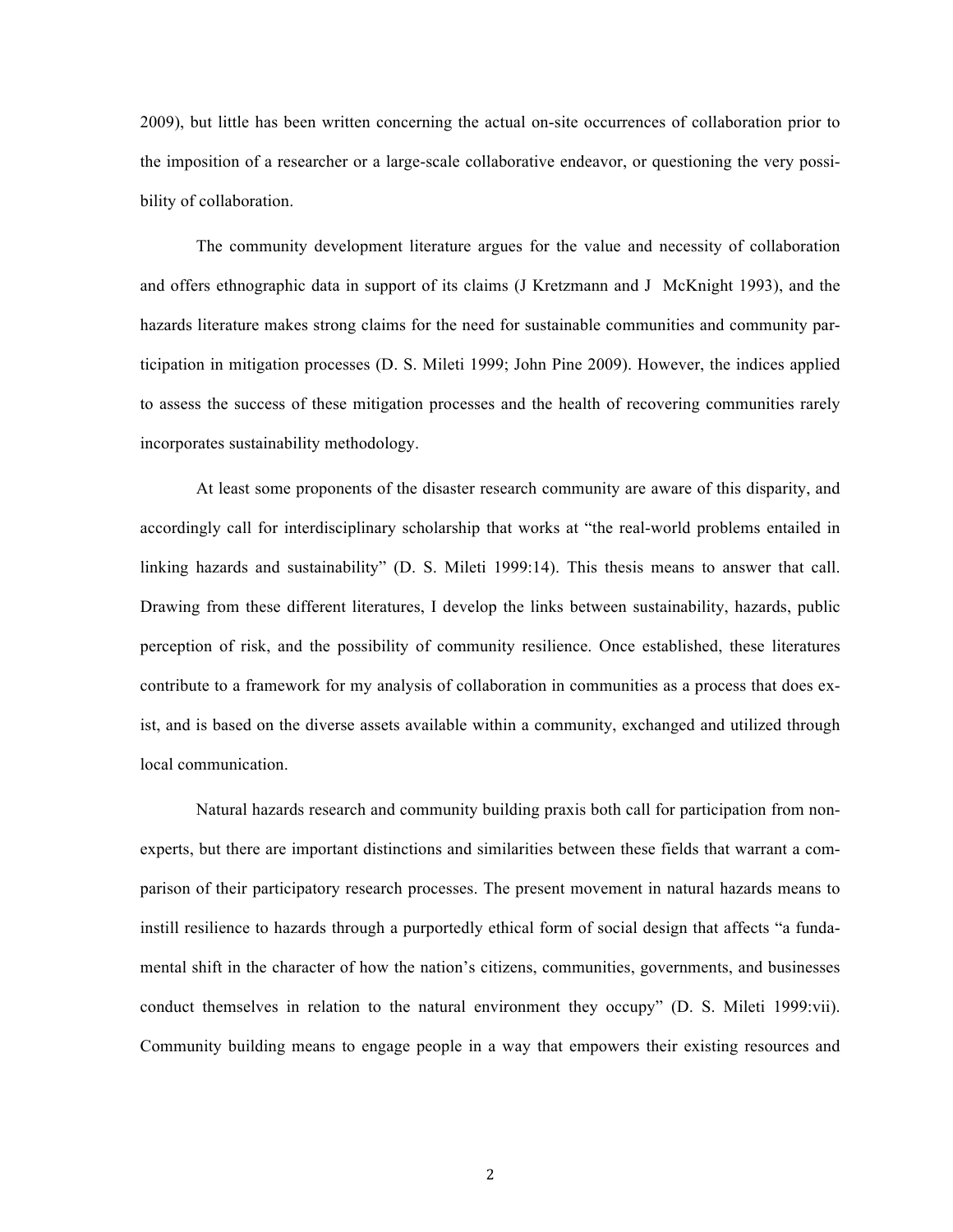2009), but little has been written concerning the actual on-site occurrences of collaboration prior to the imposition of a researcher or a large-scale collaborative endeavor, or questioning the very possibility of collaboration.

The community development literature argues for the value and necessity of collaboration and offers ethnographic data in support of its claims (J Kretzmann and J McKnight 1993), and the hazards literature makes strong claims for the need for sustainable communities and community participation in mitigation processes (D. S. Mileti 1999; John Pine 2009). However, the indices applied to assess the success of these mitigation processes and the health of recovering communities rarely incorporates sustainability methodology.

At least some proponents of the disaster research community are aware of this disparity, and accordingly call for interdisciplinary scholarship that works at "the real-world problems entailed in linking hazards and sustainability" (D. S. Mileti 1999:14). This thesis means to answer that call. Drawing from these different literatures, I develop the links between sustainability, hazards, public perception of risk, and the possibility of community resilience. Once established, these literatures contribute to a framework for my analysis of collaboration in communities as a process that does exist, and is based on the diverse assets available within a community, exchanged and utilized through local communication.

Natural hazards research and community building praxis both call for participation from nonexperts, but there are important distinctions and similarities between these fields that warrant a comparison of their participatory research processes. The present movement in natural hazards means to instill resilience to hazards through a purportedly ethical form of social design that affects "a fundamental shift in the character of how the nation's citizens, communities, governments, and businesses conduct themselves in relation to the natural environment they occupy" (D. S. Mileti 1999:vii). Community building means to engage people in a way that empowers their existing resources and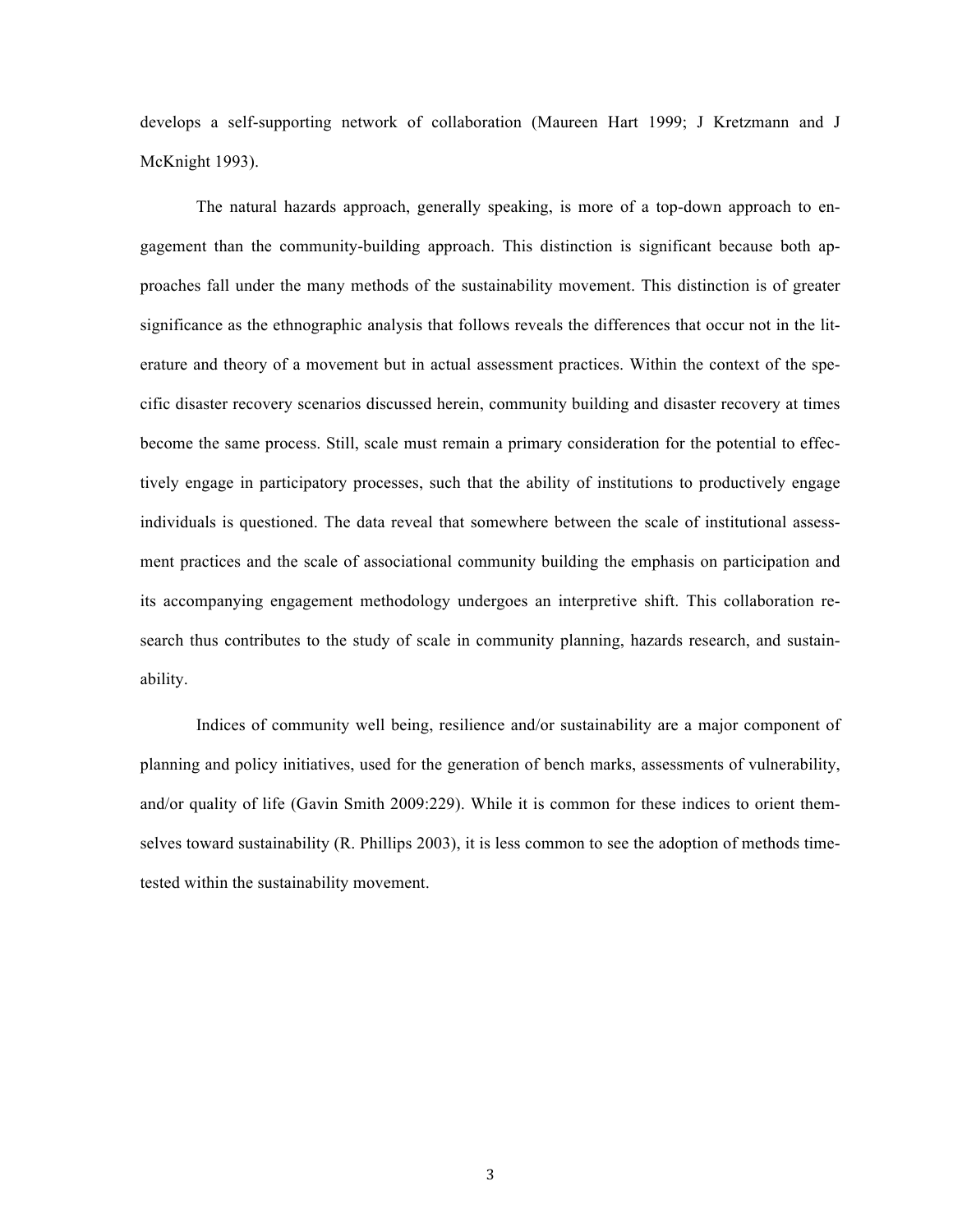develops a self-supporting network of collaboration (Maureen Hart 1999; J Kretzmann and J McKnight 1993).

The natural hazards approach, generally speaking, is more of a top-down approach to engagement than the community-building approach. This distinction is significant because both approaches fall under the many methods of the sustainability movement. This distinction is of greater significance as the ethnographic analysis that follows reveals the differences that occur not in the literature and theory of a movement but in actual assessment practices. Within the context of the specific disaster recovery scenarios discussed herein, community building and disaster recovery at times become the same process. Still, scale must remain a primary consideration for the potential to effectively engage in participatory processes, such that the ability of institutions to productively engage individuals is questioned. The data reveal that somewhere between the scale of institutional assessment practices and the scale of associational community building the emphasis on participation and its accompanying engagement methodology undergoes an interpretive shift. This collaboration research thus contributes to the study of scale in community planning, hazards research, and sustainability.

Indices of community well being, resilience and/or sustainability are a major component of planning and policy initiatives, used for the generation of bench marks, assessments of vulnerability, and/or quality of life (Gavin Smith 2009:229). While it is common for these indices to orient themselves toward sustainability (R. Phillips 2003), it is less common to see the adoption of methods timetested within the sustainability movement.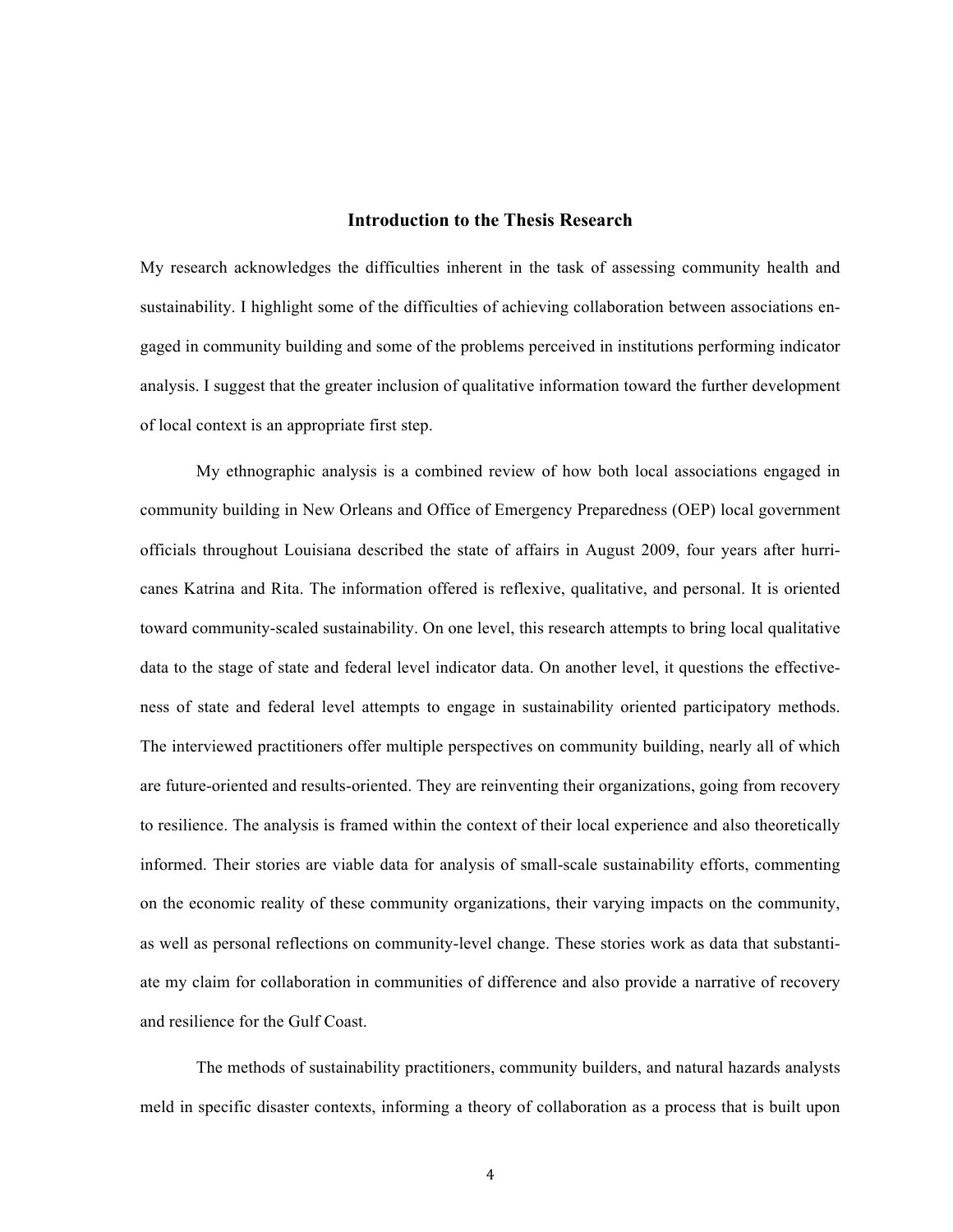#### **Introduction to the Thesis Research**

My research acknowledges the difficulties inherent in the task of assessing community health and sustainability. I highlight some of the difficulties of achieving collaboration between associations engaged in community building and some of the problems perceived in institutions performing indicator analysis. I suggest that the greater inclusion of qualitative information toward the further development of local context is an appropriate first step.

My ethnographic analysis is a combined review of how both local associations engaged in community building in New Orleans and Office of Emergency Preparedness (OEP) local government officials throughout Louisiana described the state of affairs in August 2009, four years after hurricanes Katrina and Rita. The information offered is reflexive, qualitative, and personal. It is oriented toward community-scaled sustainability. On one level, this research attempts to bring local qualitative data to the stage of state and federal level indicator data. On another level, it questions the effectiveness of state and federal level attempts to engage in sustainability oriented participatory methods. The interviewed practitioners offer multiple perspectives on community building, nearly all of which are future-oriented and results-oriented. They are reinventing their organizations, going from recovery to resilience. The analysis is framed within the context of their local experience and also theoretically informed. Their stories are viable data for analysis of small-scale sustainability efforts, commenting on the economic reality of these community organizations, their varying impacts on the community, as well as personal reflections on community-level change. These stories work as data that substantiate my claim for collaboration in communities of difference and also provide a narrative of recovery and resilience for the Gulf Coast.

The methods of sustainability practitioners, community builders, and natural hazards analysts meld in specific disaster contexts, informing a theory of collaboration as a process that is built upon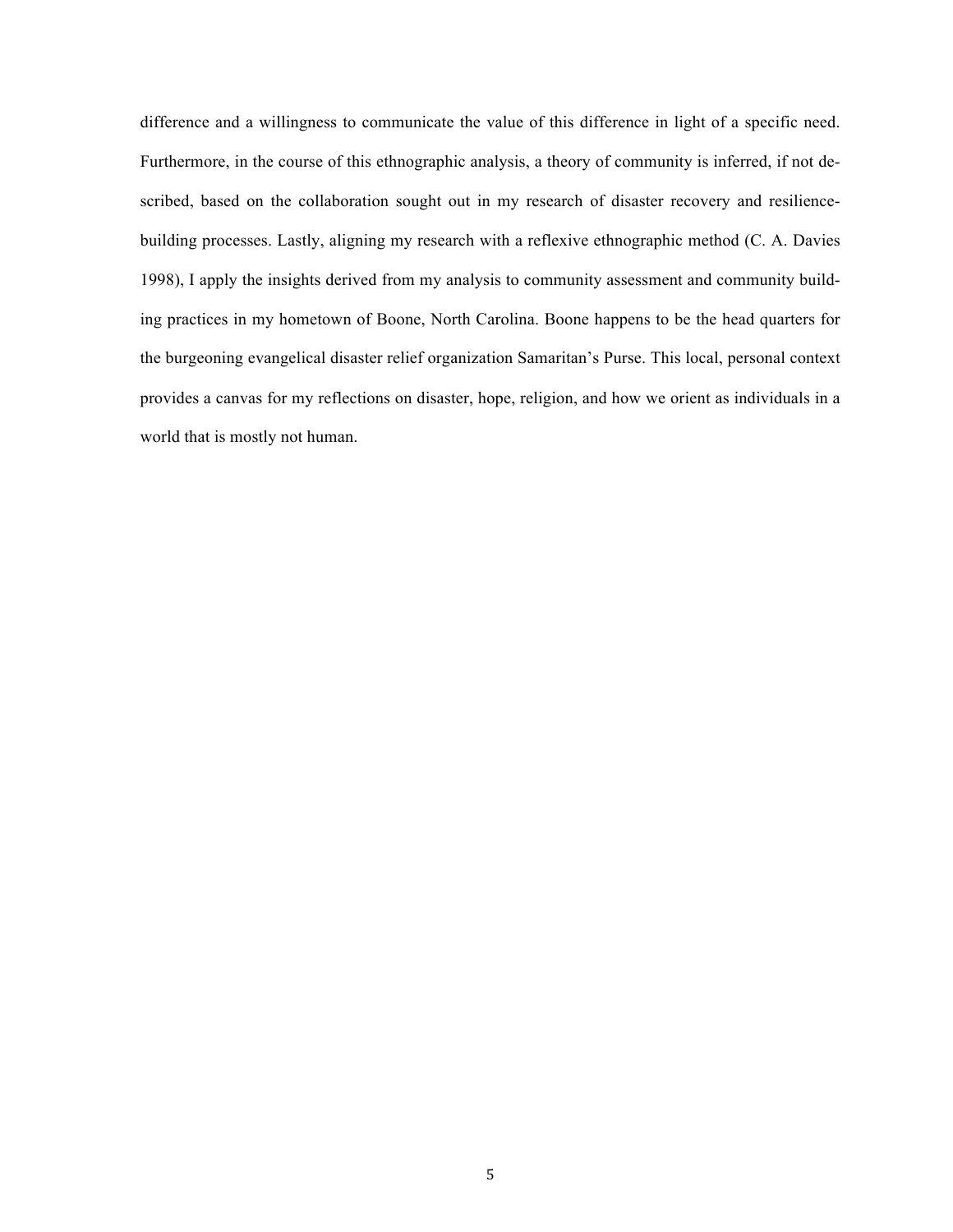difference and a willingness to communicate the value of this difference in light of a specific need. Furthermore, in the course of this ethnographic analysis, a theory of community is inferred, if not described, based on the collaboration sought out in my research of disaster recovery and resiliencebuilding processes. Lastly, aligning my research with a reflexive ethnographic method (C. A. Davies 1998), I apply the insights derived from my analysis to community assessment and community building practices in my hometown of Boone, North Carolina. Boone happens to be the head quarters for the burgeoning evangelical disaster relief organization Samaritan's Purse. This local, personal context provides a canvas for my reflections on disaster, hope, religion, and how we orient as individuals in a world that is mostly not human.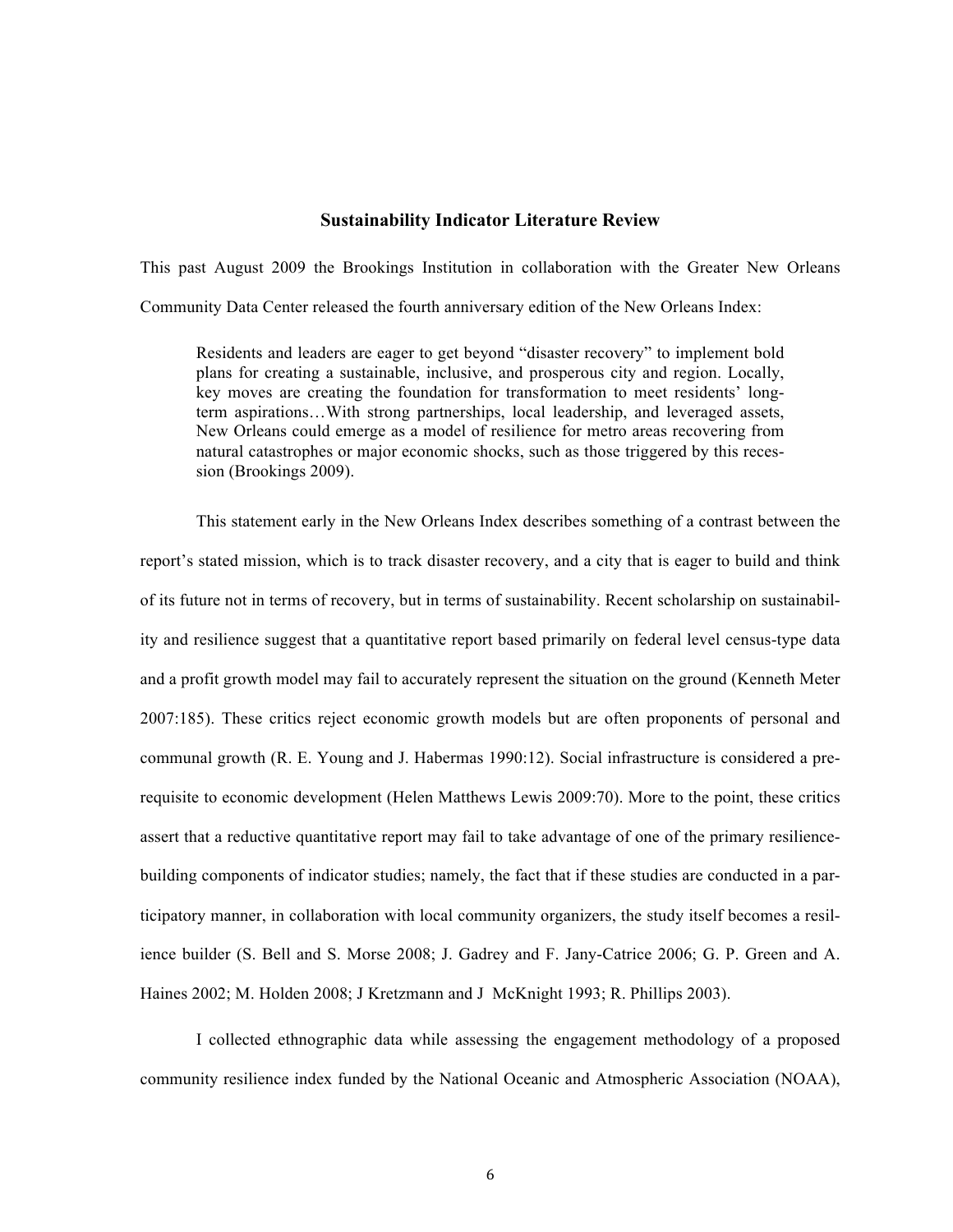#### **Sustainability Indicator Literature Review**

This past August 2009 the Brookings Institution in collaboration with the Greater New Orleans Community Data Center released the fourth anniversary edition of the New Orleans Index:

Residents and leaders are eager to get beyond "disaster recovery" to implement bold plans for creating a sustainable, inclusive, and prosperous city and region. Locally, key moves are creating the foundation for transformation to meet residents' longterm aspirations…With strong partnerships, local leadership, and leveraged assets, New Orleans could emerge as a model of resilience for metro areas recovering from natural catastrophes or major economic shocks, such as those triggered by this recession (Brookings 2009).

This statement early in the New Orleans Index describes something of a contrast between the report's stated mission, which is to track disaster recovery, and a city that is eager to build and think of its future not in terms of recovery, but in terms of sustainability. Recent scholarship on sustainability and resilience suggest that a quantitative report based primarily on federal level census-type data and a profit growth model may fail to accurately represent the situation on the ground (Kenneth Meter 2007:185). These critics reject economic growth models but are often proponents of personal and communal growth (R. E. Young and J. Habermas 1990:12). Social infrastructure is considered a prerequisite to economic development (Helen Matthews Lewis 2009:70). More to the point, these critics assert that a reductive quantitative report may fail to take advantage of one of the primary resiliencebuilding components of indicator studies; namely, the fact that if these studies are conducted in a participatory manner, in collaboration with local community organizers, the study itself becomes a resilience builder (S. Bell and S. Morse 2008; J. Gadrey and F. Jany-Catrice 2006; G. P. Green and A. Haines 2002; M. Holden 2008; J Kretzmann and J McKnight 1993; R. Phillips 2003).

I collected ethnographic data while assessing the engagement methodology of a proposed community resilience index funded by the National Oceanic and Atmospheric Association (NOAA),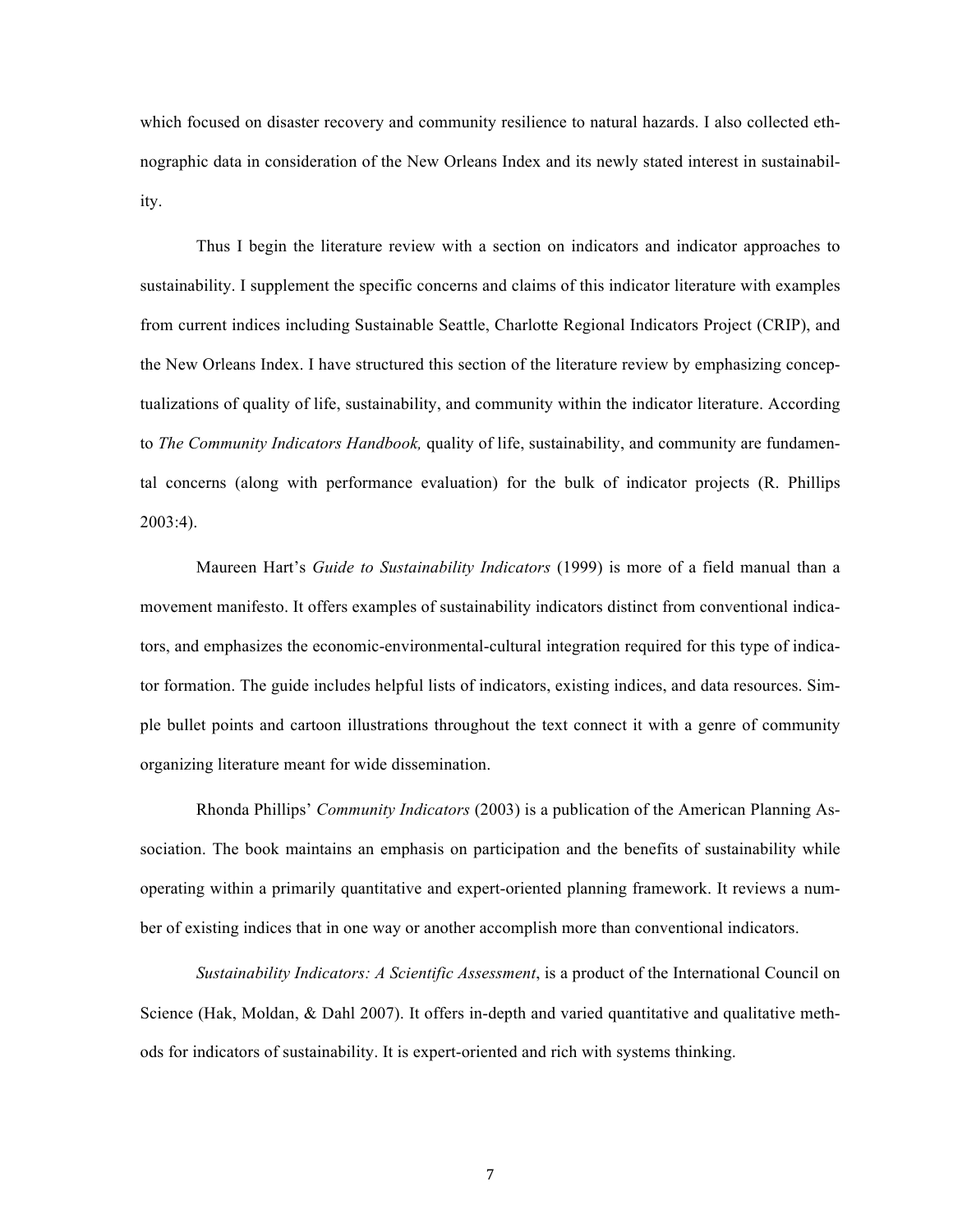which focused on disaster recovery and community resilience to natural hazards. I also collected ethnographic data in consideration of the New Orleans Index and its newly stated interest in sustainability.

Thus I begin the literature review with a section on indicators and indicator approaches to sustainability. I supplement the specific concerns and claims of this indicator literature with examples from current indices including Sustainable Seattle, Charlotte Regional Indicators Project (CRIP), and the New Orleans Index. I have structured this section of the literature review by emphasizing conceptualizations of quality of life, sustainability, and community within the indicator literature. According to *The Community Indicators Handbook,* quality of life, sustainability, and community are fundamental concerns (along with performance evaluation) for the bulk of indicator projects (R. Phillips  $2003:4$ ).

Maureen Hart's *Guide to Sustainability Indicators* (1999) is more of a field manual than a movement manifesto. It offers examples of sustainability indicators distinct from conventional indicators, and emphasizes the economic-environmental-cultural integration required for this type of indicator formation. The guide includes helpful lists of indicators, existing indices, and data resources. Simple bullet points and cartoon illustrations throughout the text connect it with a genre of community organizing literature meant for wide dissemination.

Rhonda Phillips' *Community Indicators* (2003) is a publication of the American Planning Association. The book maintains an emphasis on participation and the benefits of sustainability while operating within a primarily quantitative and expert-oriented planning framework. It reviews a number of existing indices that in one way or another accomplish more than conventional indicators.

*Sustainability Indicators: A Scientific Assessment*, is a product of the International Council on Science (Hak, Moldan, & Dahl 2007). It offers in-depth and varied quantitative and qualitative methods for indicators of sustainability. It is expert-oriented and rich with systems thinking.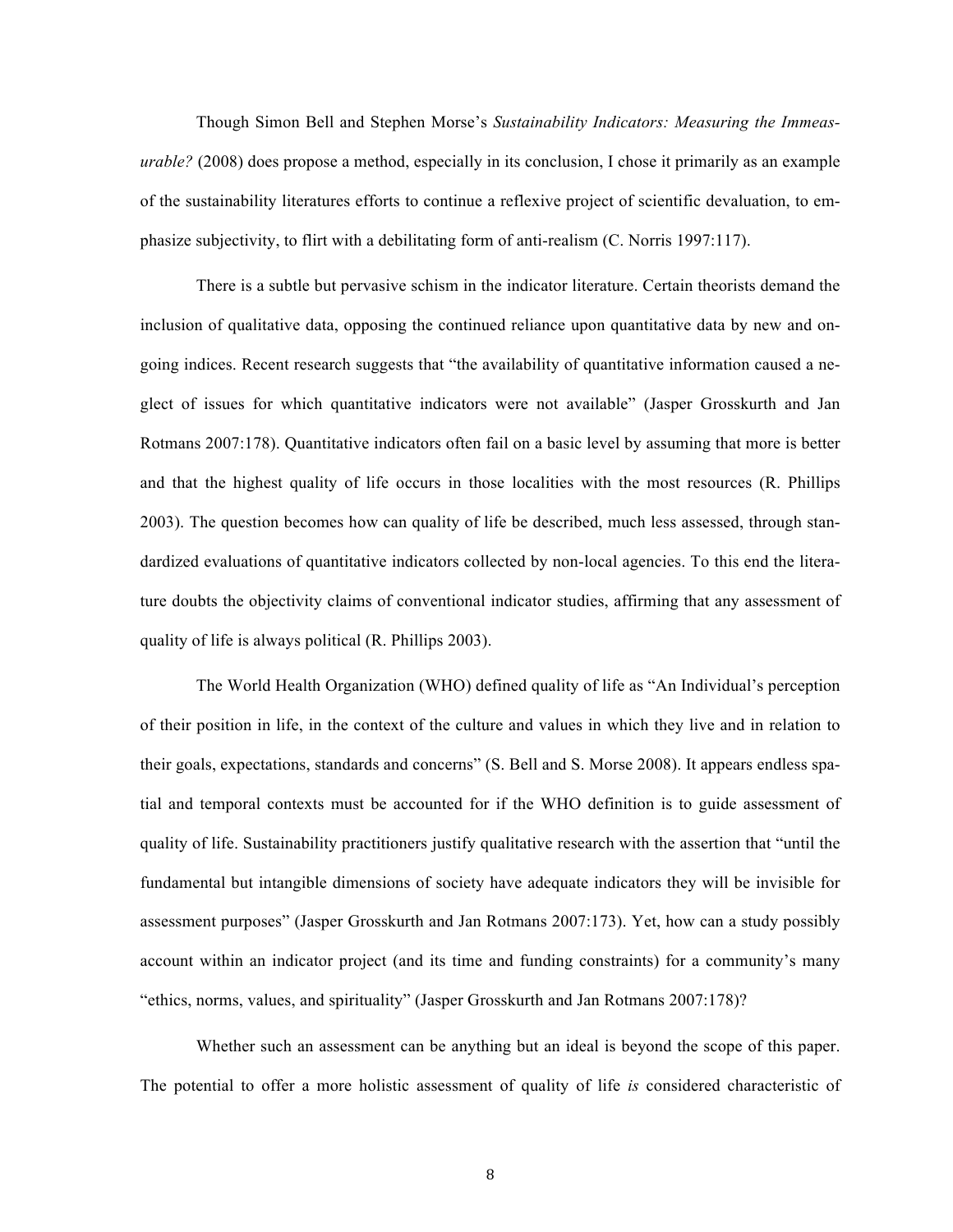Though Simon Bell and Stephen Morse's *Sustainability Indicators: Measuring the Immeasurable?* (2008) does propose a method, especially in its conclusion, I chose it primarily as an example of the sustainability literatures efforts to continue a reflexive project of scientific devaluation, to emphasize subjectivity, to flirt with a debilitating form of anti-realism (C. Norris 1997:117).

There is a subtle but pervasive schism in the indicator literature. Certain theorists demand the inclusion of qualitative data, opposing the continued reliance upon quantitative data by new and ongoing indices. Recent research suggests that "the availability of quantitative information caused a neglect of issues for which quantitative indicators were not available" (Jasper Grosskurth and Jan Rotmans 2007:178). Quantitative indicators often fail on a basic level by assuming that more is better and that the highest quality of life occurs in those localities with the most resources (R. Phillips 2003). The question becomes how can quality of life be described, much less assessed, through standardized evaluations of quantitative indicators collected by non-local agencies. To this end the literature doubts the objectivity claims of conventional indicator studies, affirming that any assessment of quality of life is always political (R. Phillips 2003).

The World Health Organization (WHO) defined quality of life as "An Individual's perception of their position in life, in the context of the culture and values in which they live and in relation to their goals, expectations, standards and concerns" (S. Bell and S. Morse 2008). It appears endless spatial and temporal contexts must be accounted for if the WHO definition is to guide assessment of quality of life. Sustainability practitioners justify qualitative research with the assertion that "until the fundamental but intangible dimensions of society have adequate indicators they will be invisible for assessment purposes" (Jasper Grosskurth and Jan Rotmans 2007:173). Yet, how can a study possibly account within an indicator project (and its time and funding constraints) for a community's many "ethics, norms, values, and spirituality" (Jasper Grosskurth and Jan Rotmans 2007:178)?

Whether such an assessment can be anything but an ideal is beyond the scope of this paper. The potential to offer a more holistic assessment of quality of life *is* considered characteristic of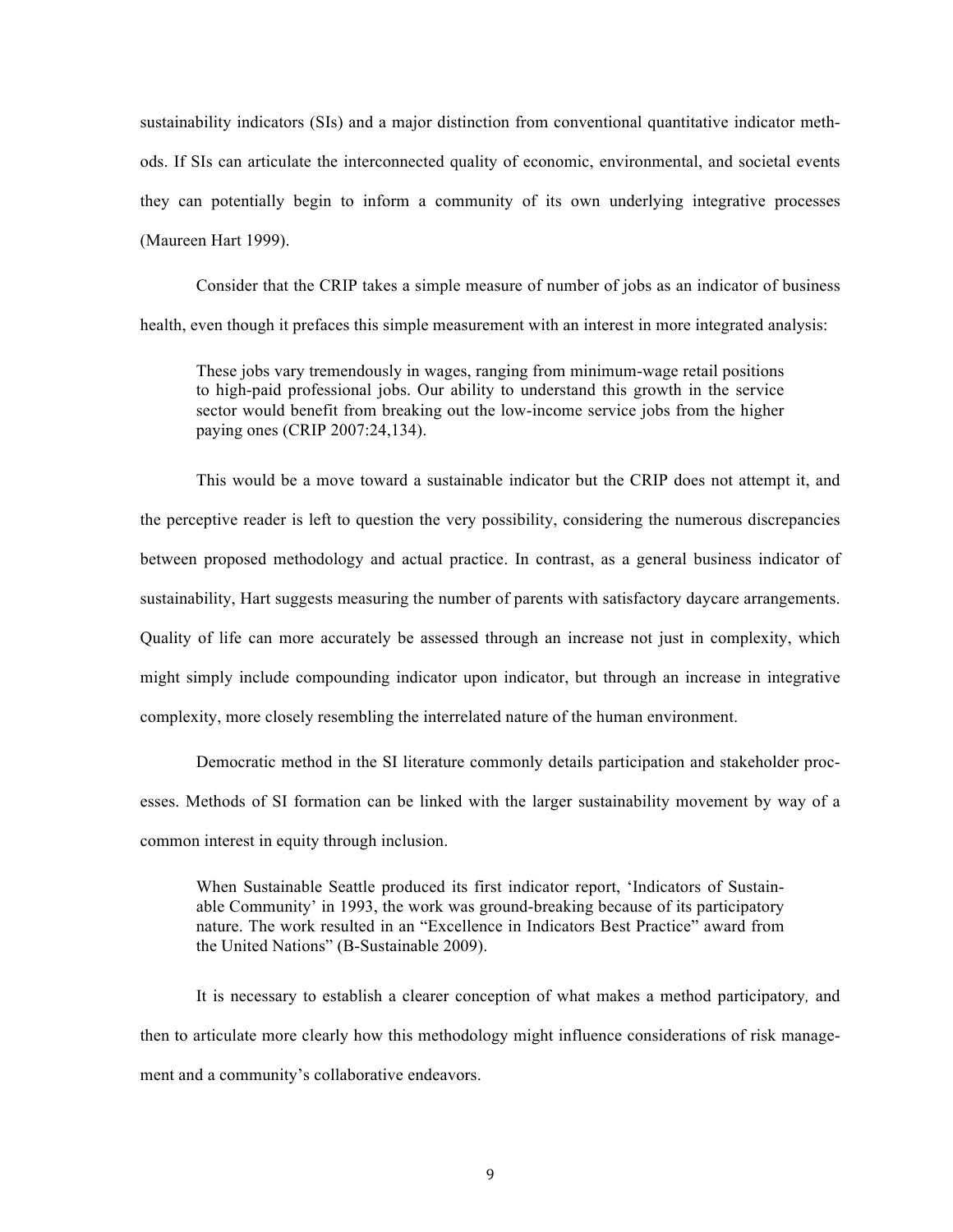sustainability indicators (SIs) and a major distinction from conventional quantitative indicator methods. If SIs can articulate the interconnected quality of economic, environmental, and societal events they can potentially begin to inform a community of its own underlying integrative processes (Maureen Hart 1999).

Consider that the CRIP takes a simple measure of number of jobs as an indicator of business health, even though it prefaces this simple measurement with an interest in more integrated analysis:

These jobs vary tremendously in wages, ranging from minimum-wage retail positions to high-paid professional jobs. Our ability to understand this growth in the service sector would benefit from breaking out the low-income service jobs from the higher paying ones (CRIP 2007:24,134).

This would be a move toward a sustainable indicator but the CRIP does not attempt it, and the perceptive reader is left to question the very possibility, considering the numerous discrepancies between proposed methodology and actual practice. In contrast, as a general business indicator of sustainability, Hart suggests measuring the number of parents with satisfactory daycare arrangements. Quality of life can more accurately be assessed through an increase not just in complexity, which might simply include compounding indicator upon indicator, but through an increase in integrative complexity, more closely resembling the interrelated nature of the human environment.

Democratic method in the SI literature commonly details participation and stakeholder processes. Methods of SI formation can be linked with the larger sustainability movement by way of a common interest in equity through inclusion.

When Sustainable Seattle produced its first indicator report, 'Indicators of Sustainable Community' in 1993, the work was ground-breaking because of its participatory nature. The work resulted in an "Excellence in Indicators Best Practice" award from the United Nations" (B-Sustainable 2009).

It is necessary to establish a clearer conception of what makes a method participatory*,* and then to articulate more clearly how this methodology might influence considerations of risk management and a community's collaborative endeavors.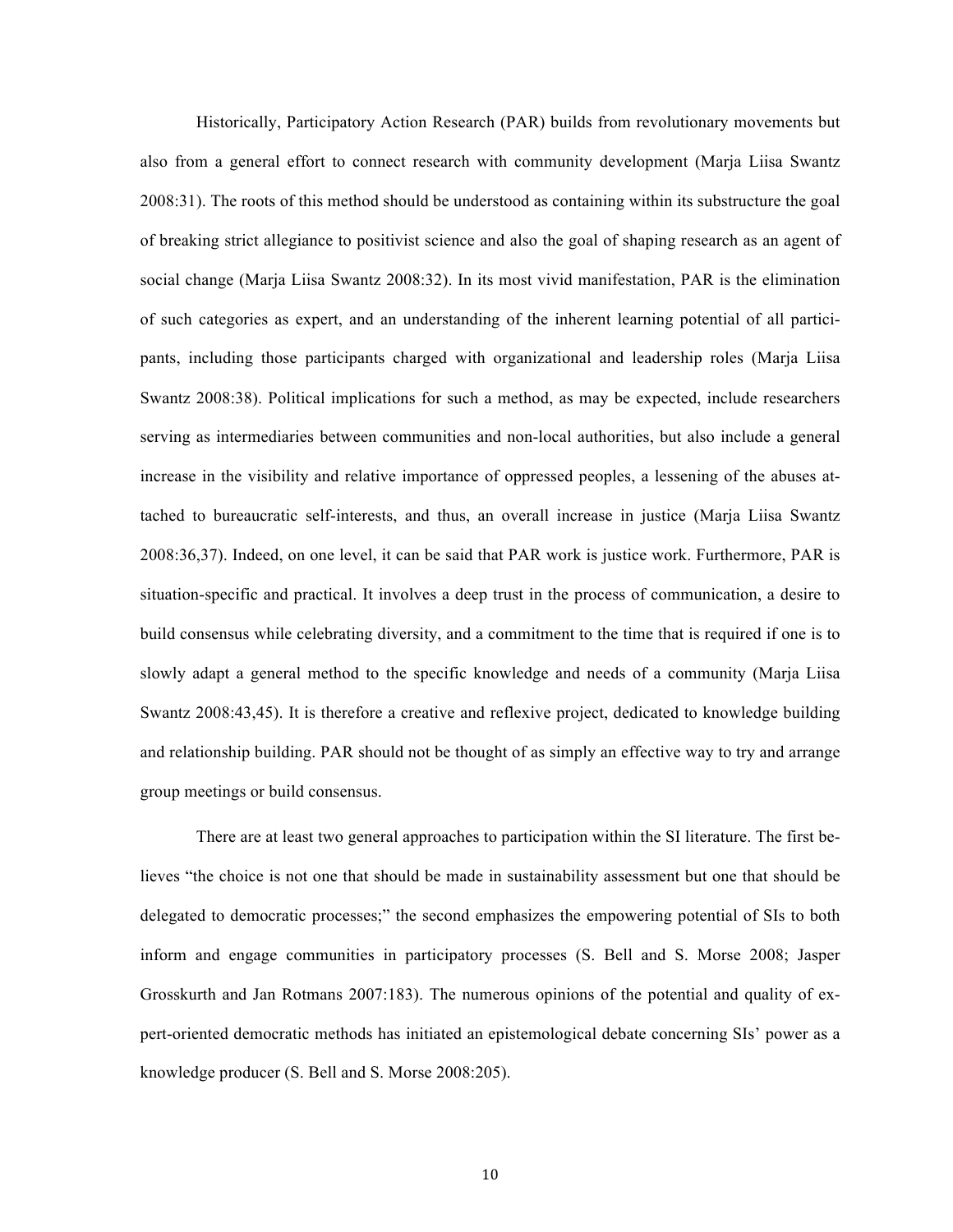Historically, Participatory Action Research (PAR) builds from revolutionary movements but also from a general effort to connect research with community development (Marja Liisa Swantz 2008:31). The roots of this method should be understood as containing within its substructure the goal of breaking strict allegiance to positivist science and also the goal of shaping research as an agent of social change (Marja Liisa Swantz 2008:32). In its most vivid manifestation, PAR is the elimination of such categories as expert, and an understanding of the inherent learning potential of all participants, including those participants charged with organizational and leadership roles (Marja Liisa Swantz 2008:38). Political implications for such a method, as may be expected, include researchers serving as intermediaries between communities and non-local authorities, but also include a general increase in the visibility and relative importance of oppressed peoples, a lessening of the abuses attached to bureaucratic self-interests, and thus, an overall increase in justice (Marja Liisa Swantz 2008:36,37). Indeed, on one level, it can be said that PAR work is justice work. Furthermore, PAR is situation-specific and practical. It involves a deep trust in the process of communication, a desire to build consensus while celebrating diversity, and a commitment to the time that is required if one is to slowly adapt a general method to the specific knowledge and needs of a community (Marja Liisa Swantz 2008:43,45). It is therefore a creative and reflexive project, dedicated to knowledge building and relationship building. PAR should not be thought of as simply an effective way to try and arrange group meetings or build consensus.

There are at least two general approaches to participation within the SI literature. The first believes "the choice is not one that should be made in sustainability assessment but one that should be delegated to democratic processes;" the second emphasizes the empowering potential of SIs to both inform and engage communities in participatory processes (S. Bell and S. Morse 2008; Jasper Grosskurth and Jan Rotmans 2007:183). The numerous opinions of the potential and quality of expert-oriented democratic methods has initiated an epistemological debate concerning SIs' power as a knowledge producer (S. Bell and S. Morse 2008:205).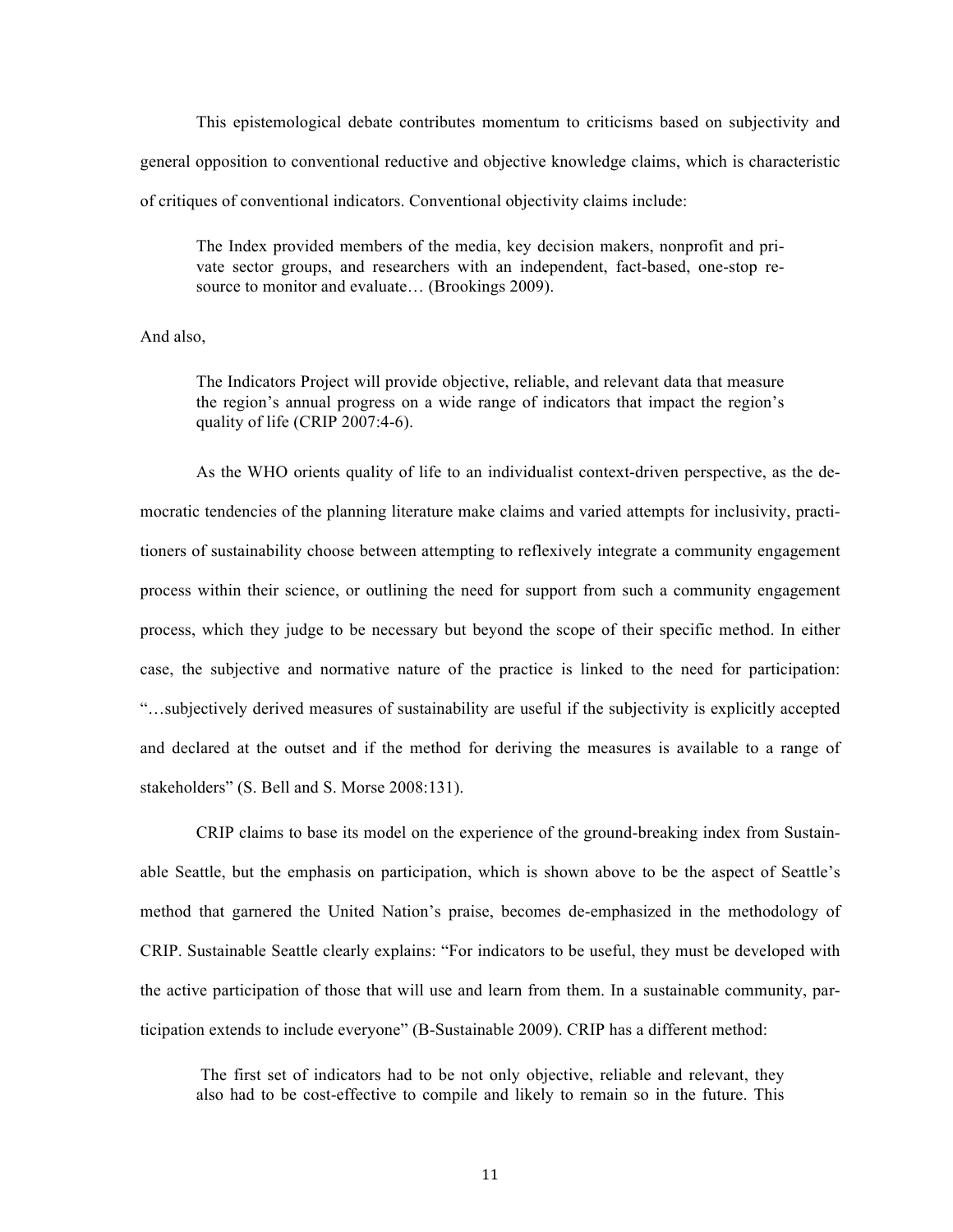This epistemological debate contributes momentum to criticisms based on subjectivity and general opposition to conventional reductive and objective knowledge claims, which is characteristic of critiques of conventional indicators. Conventional objectivity claims include:

The Index provided members of the media, key decision makers, nonprofit and private sector groups, and researchers with an independent, fact-based, one-stop resource to monitor and evaluate... (Brookings 2009).

And also,

The Indicators Project will provide objective, reliable, and relevant data that measure the region's annual progress on a wide range of indicators that impact the region's quality of life (CRIP 2007:4-6).

As the WHO orients quality of life to an individualist context-driven perspective, as the democratic tendencies of the planning literature make claims and varied attempts for inclusivity, practitioners of sustainability choose between attempting to reflexively integrate a community engagement process within their science, or outlining the need for support from such a community engagement process, which they judge to be necessary but beyond the scope of their specific method. In either case, the subjective and normative nature of the practice is linked to the need for participation: "…subjectively derived measures of sustainability are useful if the subjectivity is explicitly accepted and declared at the outset and if the method for deriving the measures is available to a range of stakeholders" (S. Bell and S. Morse 2008:131).

CRIP claims to base its model on the experience of the ground-breaking index from Sustainable Seattle, but the emphasis on participation, which is shown above to be the aspect of Seattle's method that garnered the United Nation's praise, becomes de-emphasized in the methodology of CRIP. Sustainable Seattle clearly explains: "For indicators to be useful, they must be developed with the active participation of those that will use and learn from them. In a sustainable community, participation extends to include everyone" (B-Sustainable 2009). CRIP has a different method:

The first set of indicators had to be not only objective, reliable and relevant, they also had to be cost-effective to compile and likely to remain so in the future. This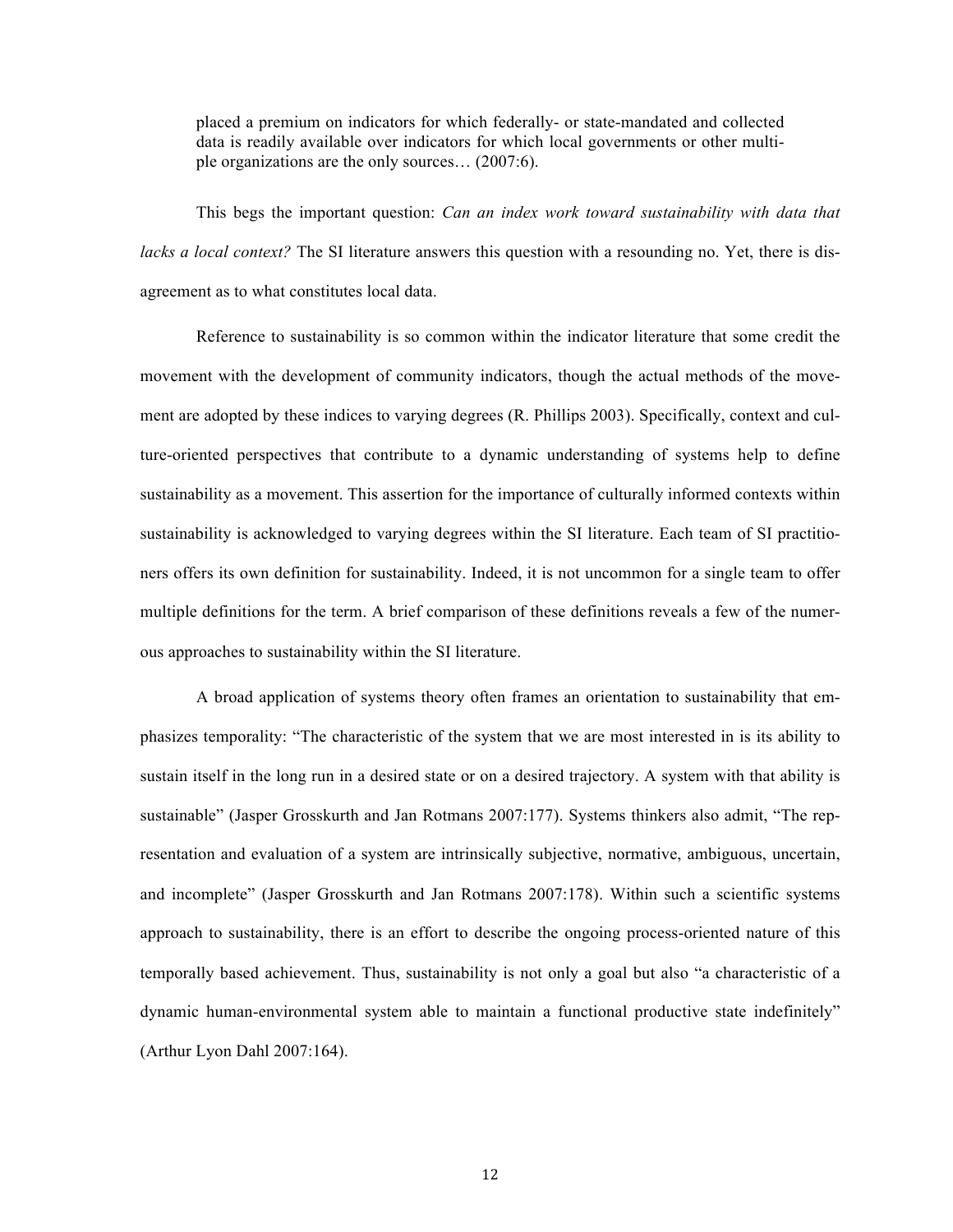placed a premium on indicators for which federally- or state-mandated and collected data is readily available over indicators for which local governments or other multiple organizations are the only sources… (2007:6).

This begs the important question: *Can an index work toward sustainability with data that lacks a local context?* The SI literature answers this question with a resounding no. Yet, there is disagreement as to what constitutes local data.

Reference to sustainability is so common within the indicator literature that some credit the movement with the development of community indicators, though the actual methods of the movement are adopted by these indices to varying degrees (R. Phillips 2003). Specifically, context and culture-oriented perspectives that contribute to a dynamic understanding of systems help to define sustainability as a movement. This assertion for the importance of culturally informed contexts within sustainability is acknowledged to varying degrees within the SI literature. Each team of SI practitioners offers its own definition for sustainability. Indeed, it is not uncommon for a single team to offer multiple definitions for the term. A brief comparison of these definitions reveals a few of the numerous approaches to sustainability within the SI literature.

A broad application of systems theory often frames an orientation to sustainability that emphasizes temporality: "The characteristic of the system that we are most interested in is its ability to sustain itself in the long run in a desired state or on a desired trajectory. A system with that ability is sustainable" (Jasper Grosskurth and Jan Rotmans 2007:177). Systems thinkers also admit, "The representation and evaluation of a system are intrinsically subjective, normative, ambiguous, uncertain, and incomplete" (Jasper Grosskurth and Jan Rotmans 2007:178). Within such a scientific systems approach to sustainability, there is an effort to describe the ongoing process-oriented nature of this temporally based achievement. Thus, sustainability is not only a goal but also "a characteristic of a dynamic human-environmental system able to maintain a functional productive state indefinitely" (Arthur Lyon Dahl 2007:164).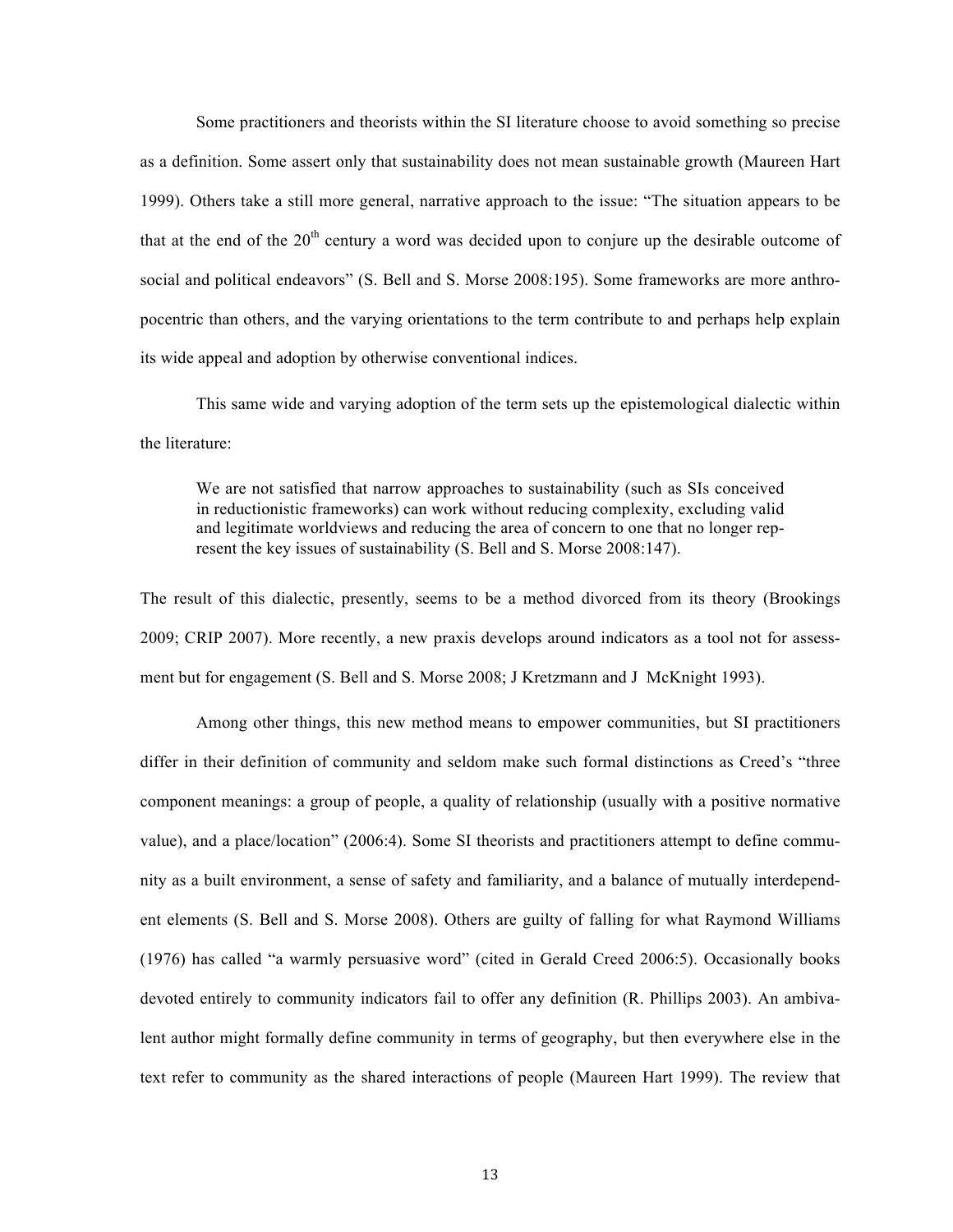Some practitioners and theorists within the SI literature choose to avoid something so precise as a definition. Some assert only that sustainability does not mean sustainable growth (Maureen Hart 1999). Others take a still more general, narrative approach to the issue: "The situation appears to be that at the end of the  $20<sup>th</sup>$  century a word was decided upon to conjure up the desirable outcome of social and political endeavors" (S. Bell and S. Morse 2008:195). Some frameworks are more anthropocentric than others, and the varying orientations to the term contribute to and perhaps help explain its wide appeal and adoption by otherwise conventional indices.

This same wide and varying adoption of the term sets up the epistemological dialectic within the literature:

We are not satisfied that narrow approaches to sustainability (such as SIs conceived in reductionistic frameworks) can work without reducing complexity, excluding valid and legitimate worldviews and reducing the area of concern to one that no longer represent the key issues of sustainability (S. Bell and S. Morse 2008:147).

The result of this dialectic, presently, seems to be a method divorced from its theory (Brookings 2009; CRIP 2007). More recently, a new praxis develops around indicators as a tool not for assessment but for engagement (S. Bell and S. Morse 2008; J Kretzmann and J McKnight 1993).

Among other things, this new method means to empower communities, but SI practitioners differ in their definition of community and seldom make such formal distinctions as Creed's "three component meanings: a group of people, a quality of relationship (usually with a positive normative value), and a place/location" (2006:4). Some SI theorists and practitioners attempt to define community as a built environment, a sense of safety and familiarity, and a balance of mutually interdependent elements (S. Bell and S. Morse 2008). Others are guilty of falling for what Raymond Williams (1976) has called "a warmly persuasive word" (cited in Gerald Creed 2006:5). Occasionally books devoted entirely to community indicators fail to offer any definition (R. Phillips 2003). An ambivalent author might formally define community in terms of geography, but then everywhere else in the text refer to community as the shared interactions of people (Maureen Hart 1999). The review that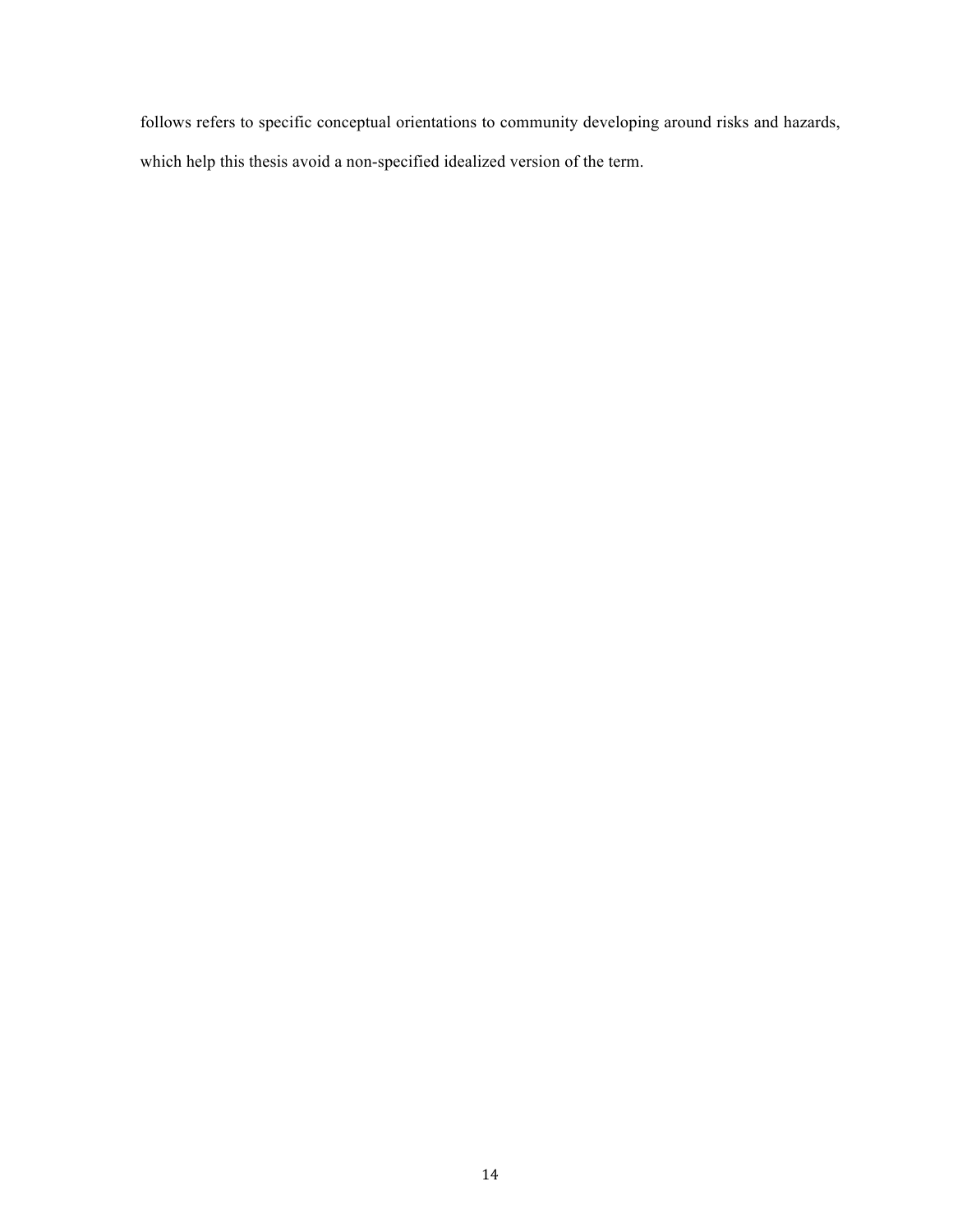follows refers to specific conceptual orientations to community developing around risks and hazards, which help this thesis avoid a non-specified idealized version of the term.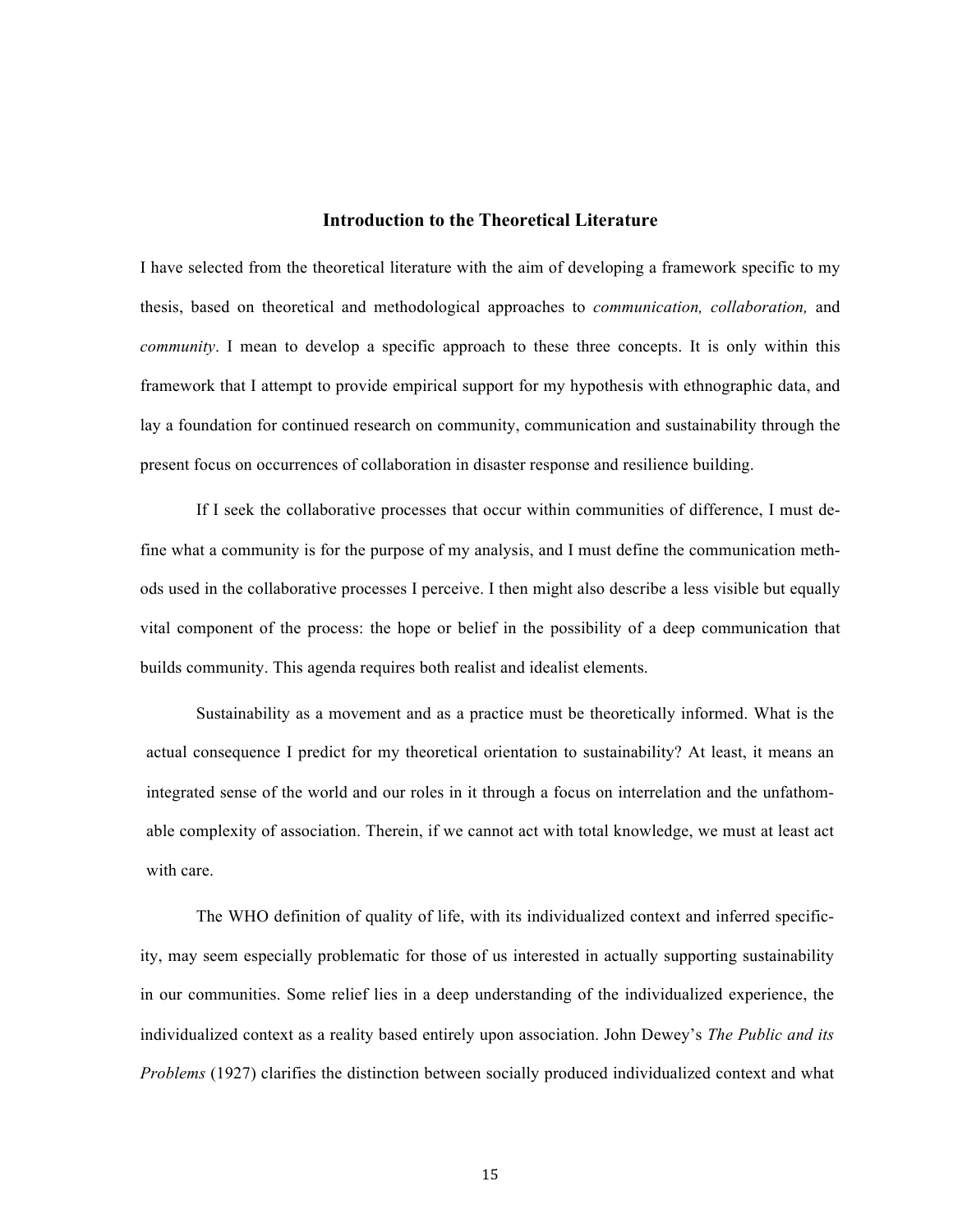#### **Introduction to the Theoretical Literature**

I have selected from the theoretical literature with the aim of developing a framework specific to my thesis, based on theoretical and methodological approaches to *communication, collaboration,* and *community*. I mean to develop a specific approach to these three concepts. It is only within this framework that I attempt to provide empirical support for my hypothesis with ethnographic data, and lay a foundation for continued research on community, communication and sustainability through the present focus on occurrences of collaboration in disaster response and resilience building.

If I seek the collaborative processes that occur within communities of difference, I must define what a community is for the purpose of my analysis, and I must define the communication methods used in the collaborative processes I perceive. I then might also describe a less visible but equally vital component of the process: the hope or belief in the possibility of a deep communication that builds community. This agenda requires both realist and idealist elements.

Sustainability as a movement and as a practice must be theoretically informed. What is the actual consequence I predict for my theoretical orientation to sustainability? At least, it means an integrated sense of the world and our roles in it through a focus on interrelation and the unfathomable complexity of association. Therein, if we cannot act with total knowledge, we must at least act with care.

The WHO definition of quality of life, with its individualized context and inferred specificity, may seem especially problematic for those of us interested in actually supporting sustainability in our communities. Some relief lies in a deep understanding of the individualized experience, the individualized context as a reality based entirely upon association. John Dewey's *The Public and its Problems* (1927) clarifies the distinction between socially produced individualized context and what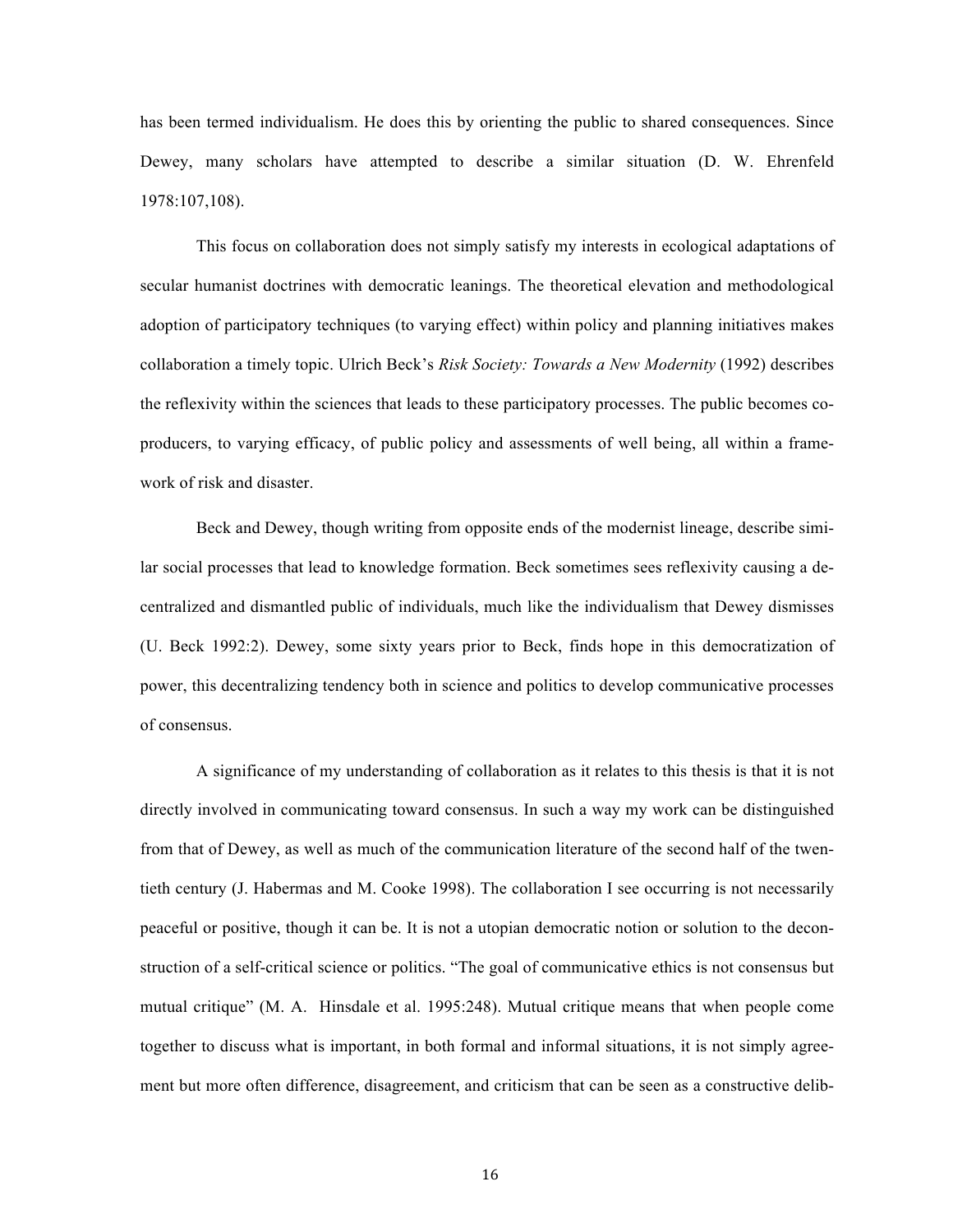has been termed individualism. He does this by orienting the public to shared consequences. Since Dewey, many scholars have attempted to describe a similar situation (D. W. Ehrenfeld 1978:107,108).

This focus on collaboration does not simply satisfy my interests in ecological adaptations of secular humanist doctrines with democratic leanings. The theoretical elevation and methodological adoption of participatory techniques (to varying effect) within policy and planning initiatives makes collaboration a timely topic. Ulrich Beck's *Risk Society: Towards a New Modernity* (1992) describes the reflexivity within the sciences that leads to these participatory processes. The public becomes coproducers, to varying efficacy, of public policy and assessments of well being, all within a framework of risk and disaster.

Beck and Dewey, though writing from opposite ends of the modernist lineage, describe similar social processes that lead to knowledge formation. Beck sometimes sees reflexivity causing a decentralized and dismantled public of individuals, much like the individualism that Dewey dismisses (U. Beck 1992:2). Dewey, some sixty years prior to Beck, finds hope in this democratization of power, this decentralizing tendency both in science and politics to develop communicative processes of consensus.

A significance of my understanding of collaboration as it relates to this thesis is that it is not directly involved in communicating toward consensus. In such a way my work can be distinguished from that of Dewey, as well as much of the communication literature of the second half of the twentieth century (J. Habermas and M. Cooke 1998). The collaboration I see occurring is not necessarily peaceful or positive, though it can be. It is not a utopian democratic notion or solution to the deconstruction of a self-critical science or politics. "The goal of communicative ethics is not consensus but mutual critique" (M. A. Hinsdale et al. 1995:248). Mutual critique means that when people come together to discuss what is important, in both formal and informal situations, it is not simply agreement but more often difference, disagreement, and criticism that can be seen as a constructive delib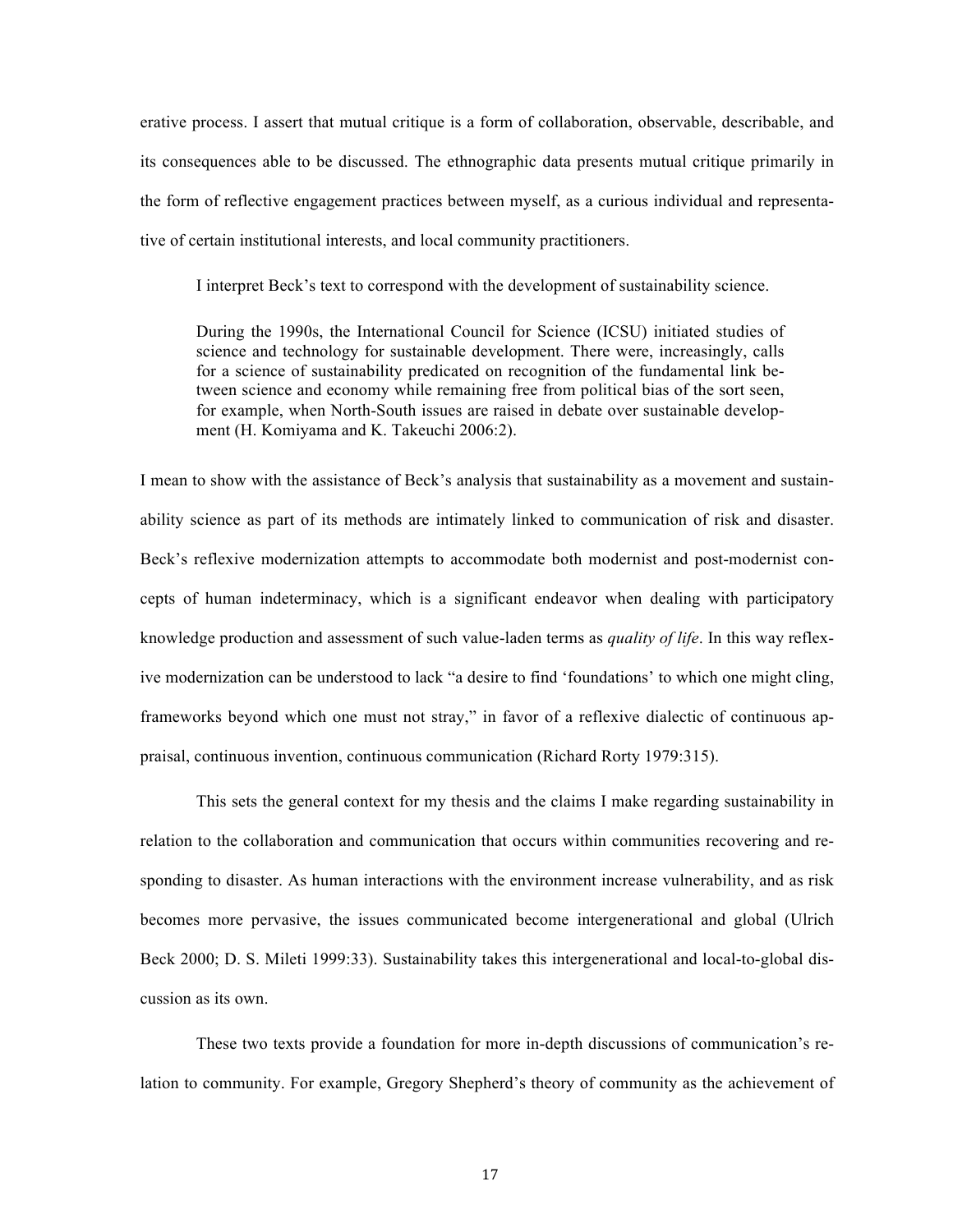erative process. I assert that mutual critique is a form of collaboration, observable, describable, and its consequences able to be discussed. The ethnographic data presents mutual critique primarily in the form of reflective engagement practices between myself, as a curious individual and representative of certain institutional interests, and local community practitioners.

I interpret Beck's text to correspond with the development of sustainability science.

During the 1990s, the International Council for Science (ICSU) initiated studies of science and technology for sustainable development. There were, increasingly, calls for a science of sustainability predicated on recognition of the fundamental link between science and economy while remaining free from political bias of the sort seen, for example, when North-South issues are raised in debate over sustainable development (H. Komiyama and K. Takeuchi 2006:2).

I mean to show with the assistance of Beck's analysis that sustainability as a movement and sustainability science as part of its methods are intimately linked to communication of risk and disaster. Beck's reflexive modernization attempts to accommodate both modernist and post-modernist concepts of human indeterminacy, which is a significant endeavor when dealing with participatory knowledge production and assessment of such value-laden terms as *quality of life*. In this way reflexive modernization can be understood to lack "a desire to find 'foundations' to which one might cling, frameworks beyond which one must not stray," in favor of a reflexive dialectic of continuous appraisal, continuous invention, continuous communication (Richard Rorty 1979:315).

This sets the general context for my thesis and the claims I make regarding sustainability in relation to the collaboration and communication that occurs within communities recovering and responding to disaster. As human interactions with the environment increase vulnerability, and as risk becomes more pervasive, the issues communicated become intergenerational and global (Ulrich Beck 2000; D. S. Mileti 1999:33). Sustainability takes this intergenerational and local-to-global discussion as its own.

These two texts provide a foundation for more in-depth discussions of communication's relation to community. For example, Gregory Shepherd's theory of community as the achievement of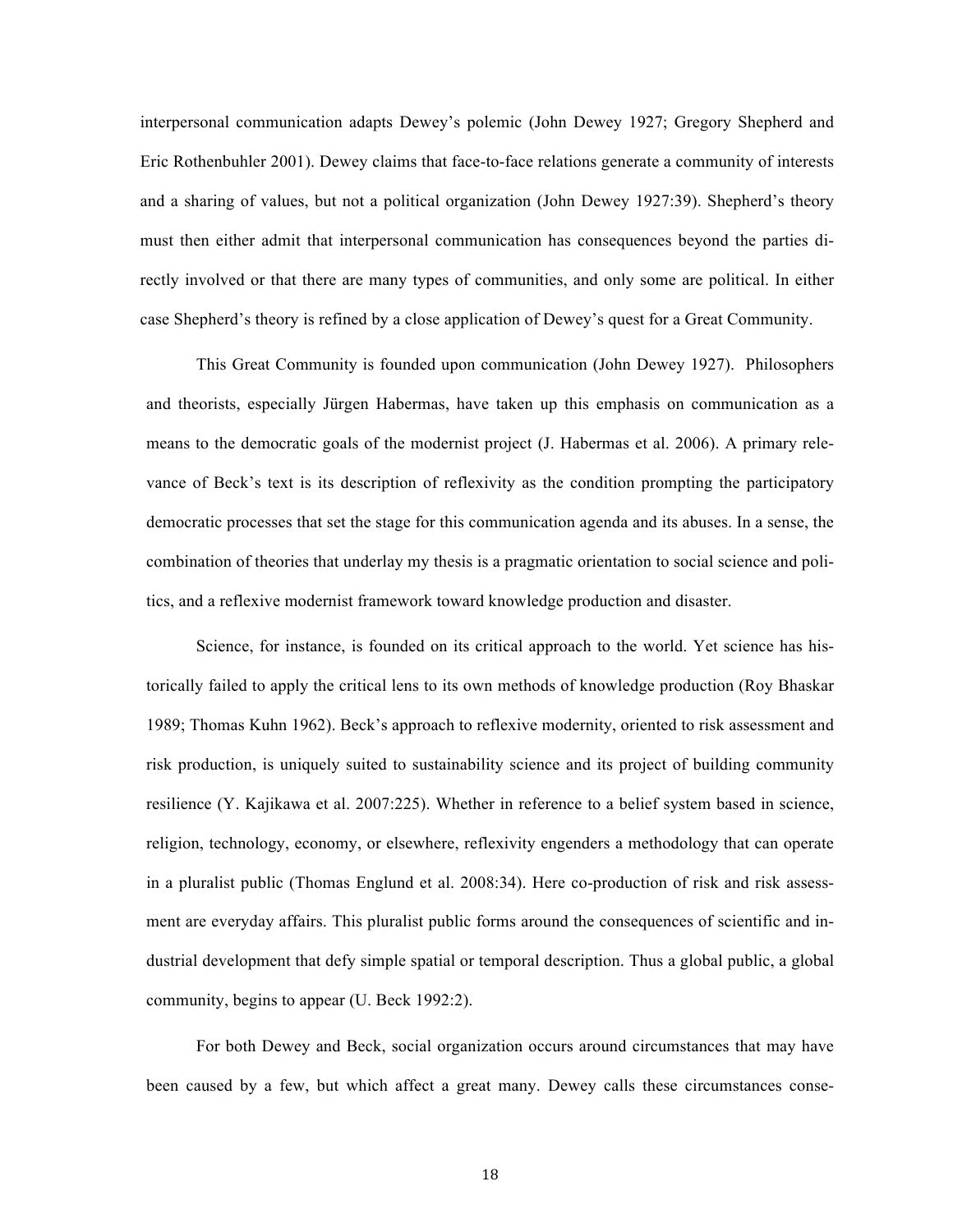interpersonal communication adapts Dewey's polemic (John Dewey 1927; Gregory Shepherd and Eric Rothenbuhler 2001). Dewey claims that face-to-face relations generate a community of interests and a sharing of values, but not a political organization (John Dewey 1927:39). Shepherd's theory must then either admit that interpersonal communication has consequences beyond the parties directly involved or that there are many types of communities, and only some are political. In either case Shepherd's theory is refined by a close application of Dewey's quest for a Great Community.

This Great Community is founded upon communication (John Dewey 1927). Philosophers and theorists, especially Jürgen Habermas, have taken up this emphasis on communication as a means to the democratic goals of the modernist project (J. Habermas et al. 2006). A primary relevance of Beck's text is its description of reflexivity as the condition prompting the participatory democratic processes that set the stage for this communication agenda and its abuses. In a sense, the combination of theories that underlay my thesis is a pragmatic orientation to social science and politics, and a reflexive modernist framework toward knowledge production and disaster.

Science, for instance, is founded on its critical approach to the world. Yet science has historically failed to apply the critical lens to its own methods of knowledge production (Roy Bhaskar 1989; Thomas Kuhn 1962). Beck's approach to reflexive modernity, oriented to risk assessment and risk production, is uniquely suited to sustainability science and its project of building community resilience (Y. Kajikawa et al. 2007:225). Whether in reference to a belief system based in science, religion, technology, economy, or elsewhere, reflexivity engenders a methodology that can operate in a pluralist public (Thomas Englund et al. 2008:34). Here co-production of risk and risk assessment are everyday affairs. This pluralist public forms around the consequences of scientific and industrial development that defy simple spatial or temporal description. Thus a global public, a global community, begins to appear (U. Beck 1992:2).

For both Dewey and Beck, social organization occurs around circumstances that may have been caused by a few, but which affect a great many. Dewey calls these circumstances conse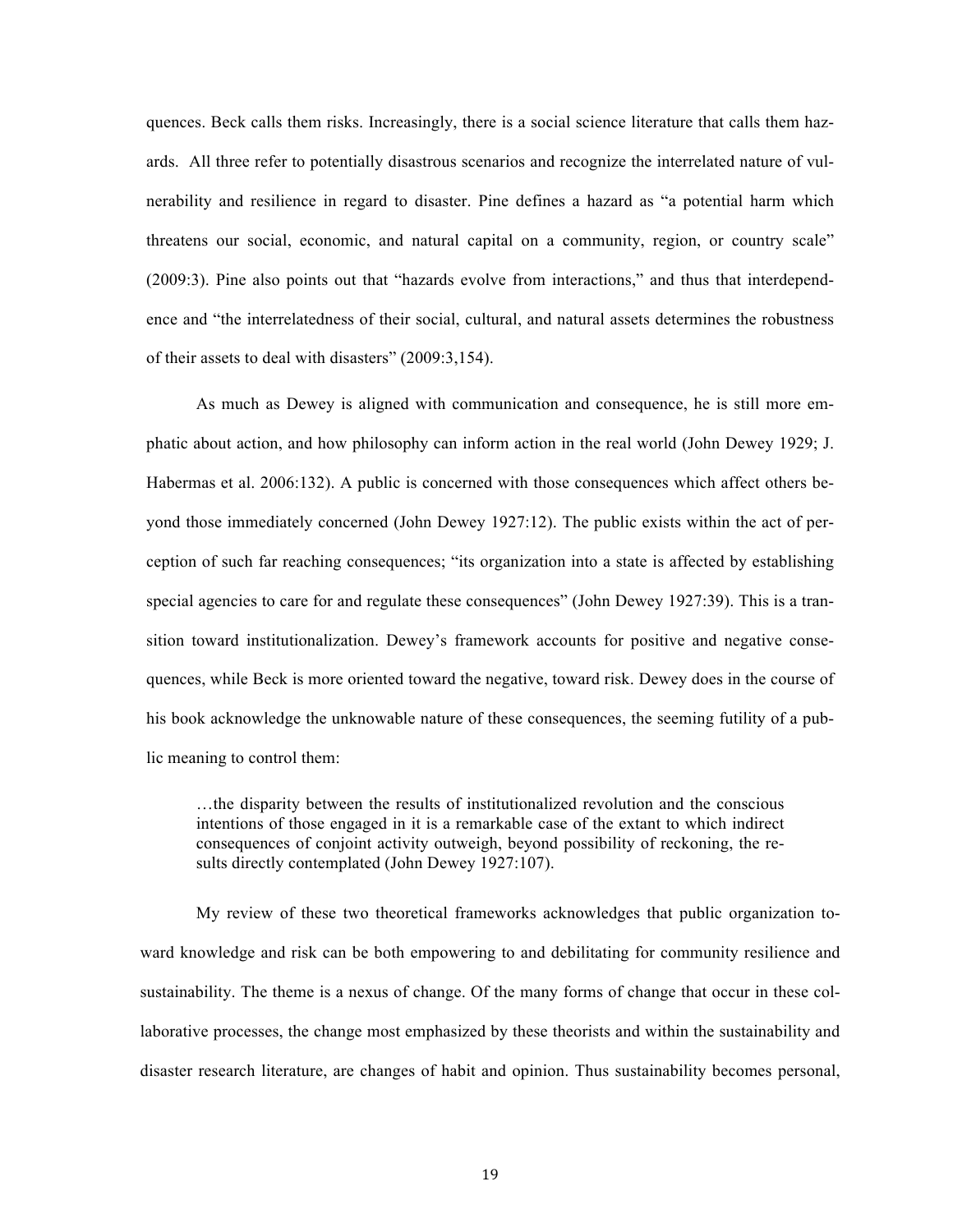quences. Beck calls them risks. Increasingly, there is a social science literature that calls them hazards. All three refer to potentially disastrous scenarios and recognize the interrelated nature of vulnerability and resilience in regard to disaster. Pine defines a hazard as "a potential harm which threatens our social, economic, and natural capital on a community, region, or country scale" (2009:3). Pine also points out that "hazards evolve from interactions," and thus that interdependence and "the interrelatedness of their social, cultural, and natural assets determines the robustness of their assets to deal with disasters" (2009:3,154).

As much as Dewey is aligned with communication and consequence, he is still more emphatic about action, and how philosophy can inform action in the real world (John Dewey 1929; J. Habermas et al. 2006:132). A public is concerned with those consequences which affect others beyond those immediately concerned (John Dewey 1927:12). The public exists within the act of perception of such far reaching consequences; "its organization into a state is affected by establishing special agencies to care for and regulate these consequences" (John Dewey 1927:39). This is a transition toward institutionalization. Dewey's framework accounts for positive and negative consequences, while Beck is more oriented toward the negative, toward risk. Dewey does in the course of his book acknowledge the unknowable nature of these consequences, the seeming futility of a public meaning to control them:

…the disparity between the results of institutionalized revolution and the conscious intentions of those engaged in it is a remarkable case of the extant to which indirect consequences of conjoint activity outweigh, beyond possibility of reckoning, the results directly contemplated (John Dewey 1927:107).

My review of these two theoretical frameworks acknowledges that public organization toward knowledge and risk can be both empowering to and debilitating for community resilience and sustainability. The theme is a nexus of change. Of the many forms of change that occur in these collaborative processes, the change most emphasized by these theorists and within the sustainability and disaster research literature, are changes of habit and opinion. Thus sustainability becomes personal,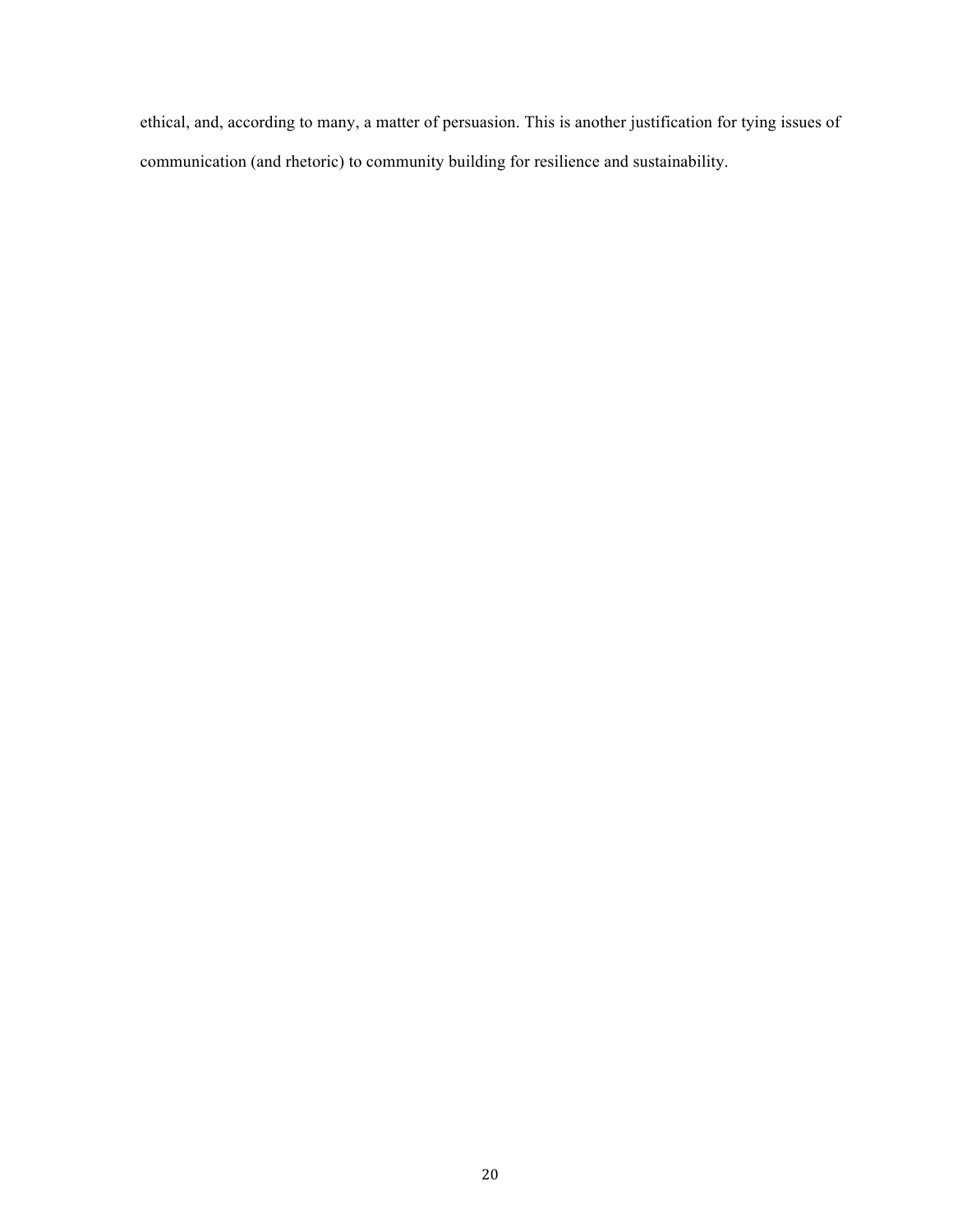ethical, and, according to many, a matter of persuasion. This is another justification for tying issues of communication (and rhetoric) to community building for resilience and sustainability.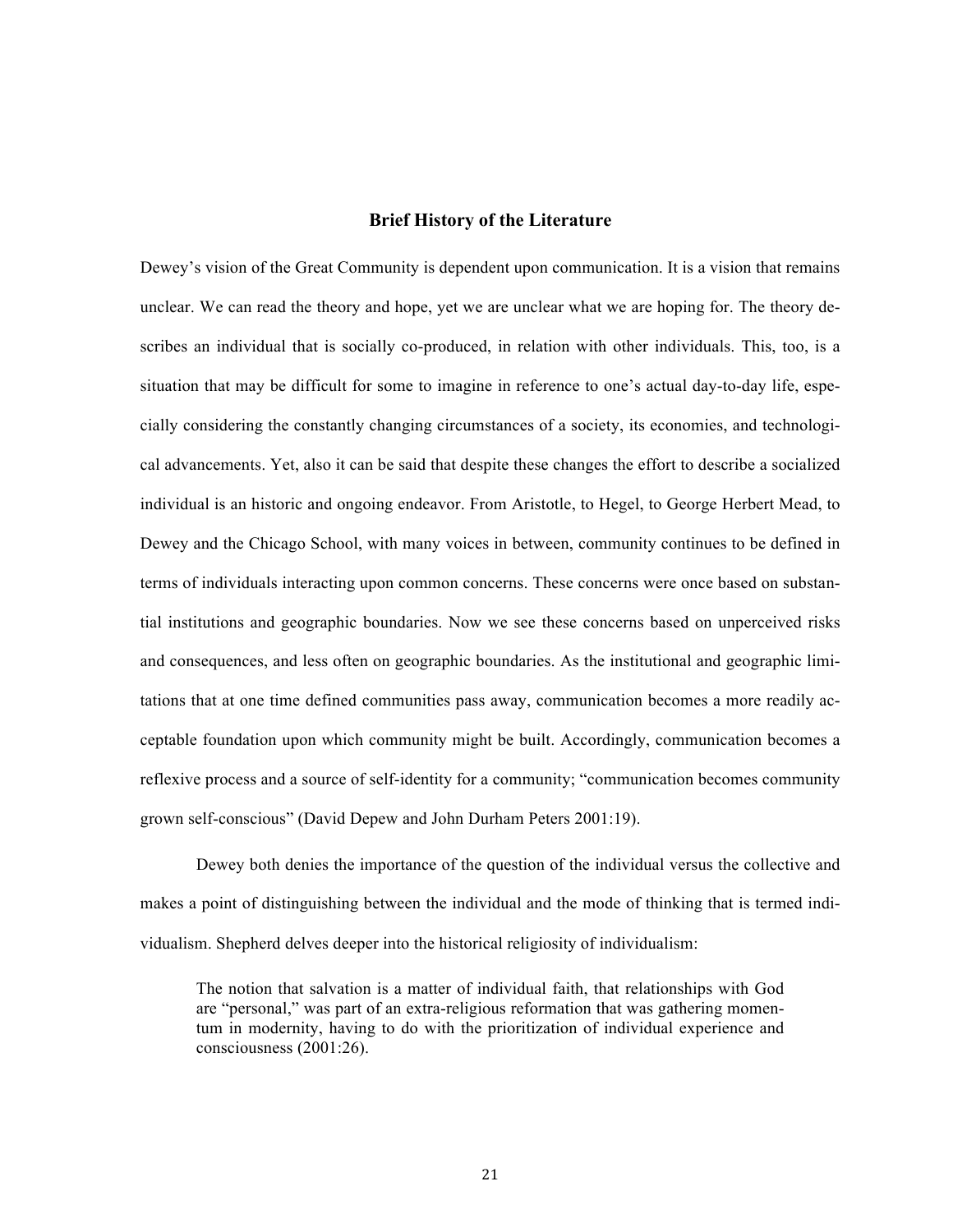#### **Brief History of the Literature**

Dewey's vision of the Great Community is dependent upon communication. It is a vision that remains unclear. We can read the theory and hope, yet we are unclear what we are hoping for. The theory describes an individual that is socially co-produced, in relation with other individuals. This, too, is a situation that may be difficult for some to imagine in reference to one's actual day-to-day life, especially considering the constantly changing circumstances of a society, its economies, and technological advancements. Yet, also it can be said that despite these changes the effort to describe a socialized individual is an historic and ongoing endeavor. From Aristotle, to Hegel, to George Herbert Mead, to Dewey and the Chicago School, with many voices in between, community continues to be defined in terms of individuals interacting upon common concerns. These concerns were once based on substantial institutions and geographic boundaries. Now we see these concerns based on unperceived risks and consequences, and less often on geographic boundaries. As the institutional and geographic limitations that at one time defined communities pass away, communication becomes a more readily acceptable foundation upon which community might be built. Accordingly, communication becomes a reflexive process and a source of self-identity for a community; "communication becomes community grown self-conscious" (David Depew and John Durham Peters 2001:19).

Dewey both denies the importance of the question of the individual versus the collective and makes a point of distinguishing between the individual and the mode of thinking that is termed individualism. Shepherd delves deeper into the historical religiosity of individualism:

The notion that salvation is a matter of individual faith, that relationships with God are "personal," was part of an extra-religious reformation that was gathering momentum in modernity, having to do with the prioritization of individual experience and consciousness (2001:26).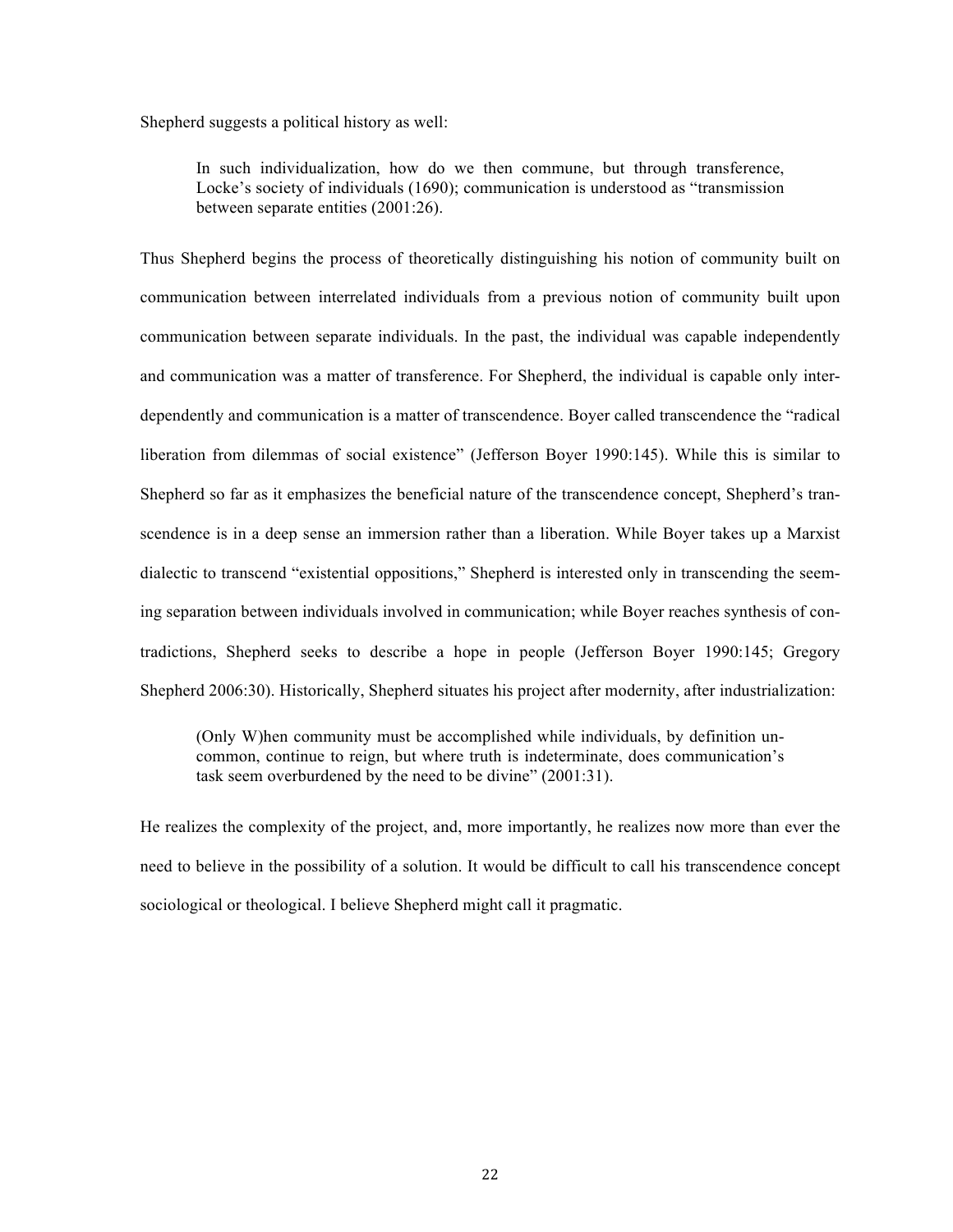Shepherd suggests a political history as well:

In such individualization, how do we then commune, but through transference, Locke's society of individuals (1690); communication is understood as "transmission between separate entities (2001:26).

Thus Shepherd begins the process of theoretically distinguishing his notion of community built on communication between interrelated individuals from a previous notion of community built upon communication between separate individuals. In the past, the individual was capable independently and communication was a matter of transference. For Shepherd, the individual is capable only interdependently and communication is a matter of transcendence. Boyer called transcendence the "radical liberation from dilemmas of social existence" (Jefferson Boyer 1990:145). While this is similar to Shepherd so far as it emphasizes the beneficial nature of the transcendence concept, Shepherd's transcendence is in a deep sense an immersion rather than a liberation. While Boyer takes up a Marxist dialectic to transcend "existential oppositions," Shepherd is interested only in transcending the seeming separation between individuals involved in communication; while Boyer reaches synthesis of contradictions, Shepherd seeks to describe a hope in people (Jefferson Boyer 1990:145; Gregory Shepherd 2006:30). Historically, Shepherd situates his project after modernity, after industrialization:

(Only W)hen community must be accomplished while individuals, by definition uncommon, continue to reign, but where truth is indeterminate, does communication's task seem overburdened by the need to be divine" (2001:31).

He realizes the complexity of the project, and, more importantly, he realizes now more than ever the need to believe in the possibility of a solution. It would be difficult to call his transcendence concept sociological or theological. I believe Shepherd might call it pragmatic.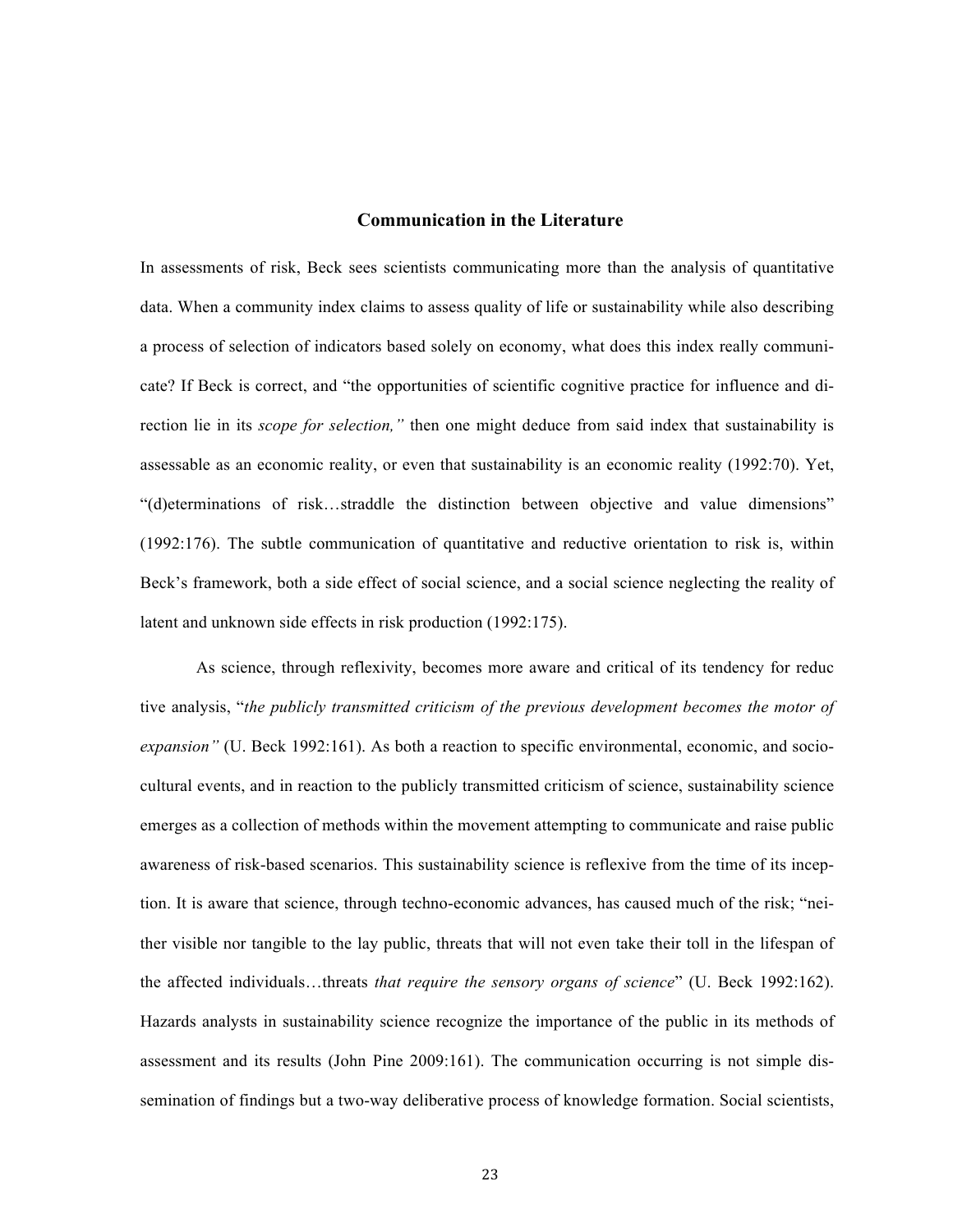#### **Communication in the Literature**

In assessments of risk, Beck sees scientists communicating more than the analysis of quantitative data. When a community index claims to assess quality of life or sustainability while also describing a process of selection of indicators based solely on economy, what does this index really communicate? If Beck is correct, and "the opportunities of scientific cognitive practice for influence and direction lie in its *scope for selection,"* then one might deduce from said index that sustainability is assessable as an economic reality, or even that sustainability is an economic reality (1992:70). Yet, "(d)eterminations of risk…straddle the distinction between objective and value dimensions" (1992:176). The subtle communication of quantitative and reductive orientation to risk is, within Beck's framework, both a side effect of social science, and a social science neglecting the reality of latent and unknown side effects in risk production (1992:175).

As science, through reflexivity, becomes more aware and critical of its tendency for reduc tive analysis, "*the publicly transmitted criticism of the previous development becomes the motor of expansion"* (U. Beck 1992:161). As both a reaction to specific environmental, economic, and sociocultural events, and in reaction to the publicly transmitted criticism of science, sustainability science emerges as a collection of methods within the movement attempting to communicate and raise public awareness of risk-based scenarios. This sustainability science is reflexive from the time of its inception. It is aware that science, through techno-economic advances, has caused much of the risk; "neither visible nor tangible to the lay public, threats that will not even take their toll in the lifespan of the affected individuals…threats *that require the sensory organs of science*" (U. Beck 1992:162). Hazards analysts in sustainability science recognize the importance of the public in its methods of assessment and its results (John Pine 2009:161). The communication occurring is not simple dissemination of findings but a two-way deliberative process of knowledge formation. Social scientists,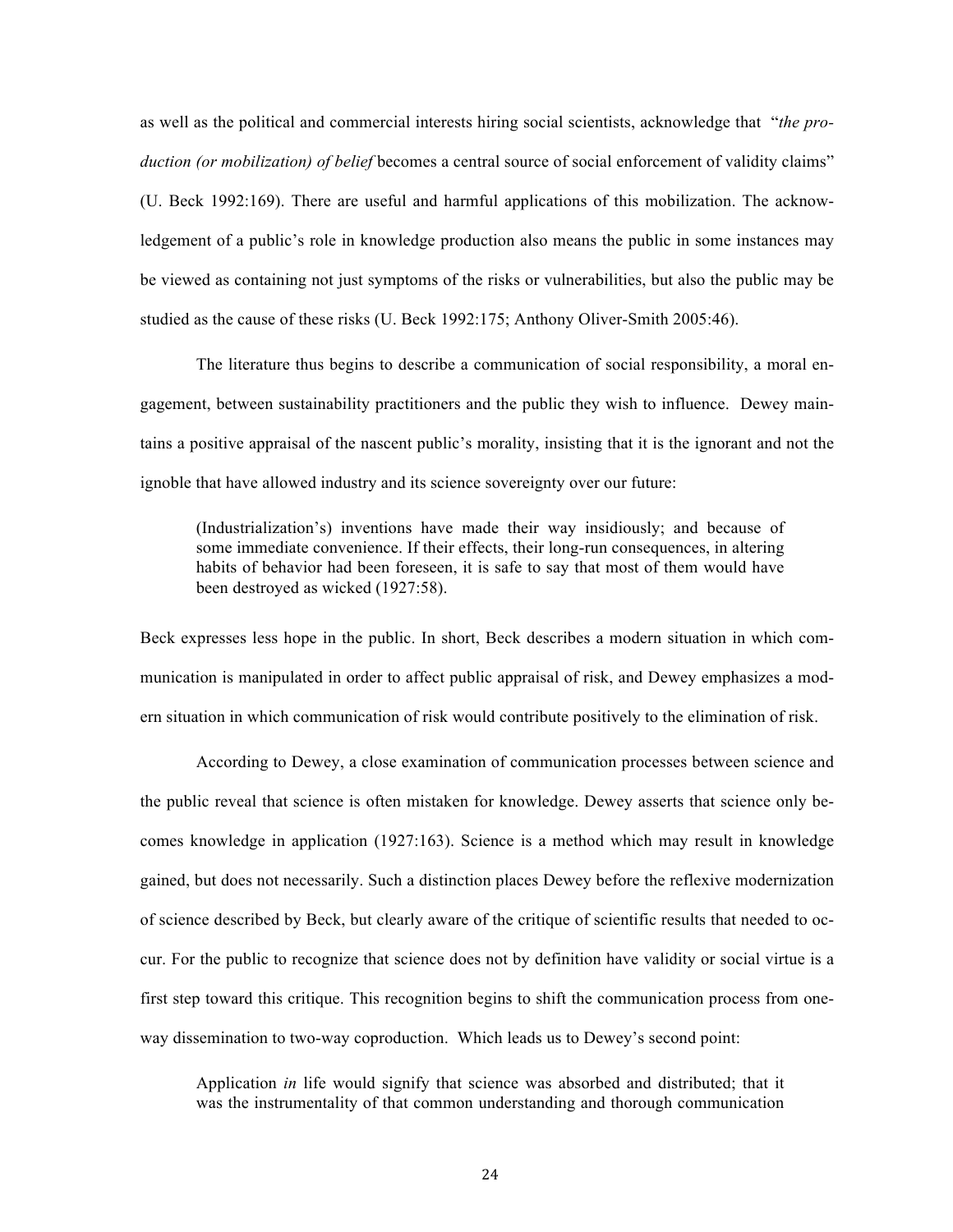as well as the political and commercial interests hiring social scientists, acknowledge that "*the production (or mobilization) of belief* becomes a central source of social enforcement of validity claims"

(U. Beck 1992:169). There are useful and harmful applications of this mobilization. The acknowledgement of a public's role in knowledge production also means the public in some instances may be viewed as containing not just symptoms of the risks or vulnerabilities, but also the public may be studied as the cause of these risks (U. Beck 1992:175; Anthony Oliver-Smith 2005:46).

The literature thus begins to describe a communication of social responsibility, a moral engagement, between sustainability practitioners and the public they wish to influence. Dewey maintains a positive appraisal of the nascent public's morality, insisting that it is the ignorant and not the ignoble that have allowed industry and its science sovereignty over our future:

(Industrialization's) inventions have made their way insidiously; and because of some immediate convenience. If their effects, their long-run consequences, in altering habits of behavior had been foreseen, it is safe to say that most of them would have been destroyed as wicked (1927:58).

Beck expresses less hope in the public. In short, Beck describes a modern situation in which communication is manipulated in order to affect public appraisal of risk, and Dewey emphasizes a modern situation in which communication of risk would contribute positively to the elimination of risk.

According to Dewey, a close examination of communication processes between science and the public reveal that science is often mistaken for knowledge. Dewey asserts that science only becomes knowledge in application (1927:163). Science is a method which may result in knowledge gained, but does not necessarily. Such a distinction places Dewey before the reflexive modernization of science described by Beck, but clearly aware of the critique of scientific results that needed to occur. For the public to recognize that science does not by definition have validity or social virtue is a first step toward this critique. This recognition begins to shift the communication process from oneway dissemination to two-way coproduction. Which leads us to Dewey's second point:

Application *in* life would signify that science was absorbed and distributed; that it was the instrumentality of that common understanding and thorough communication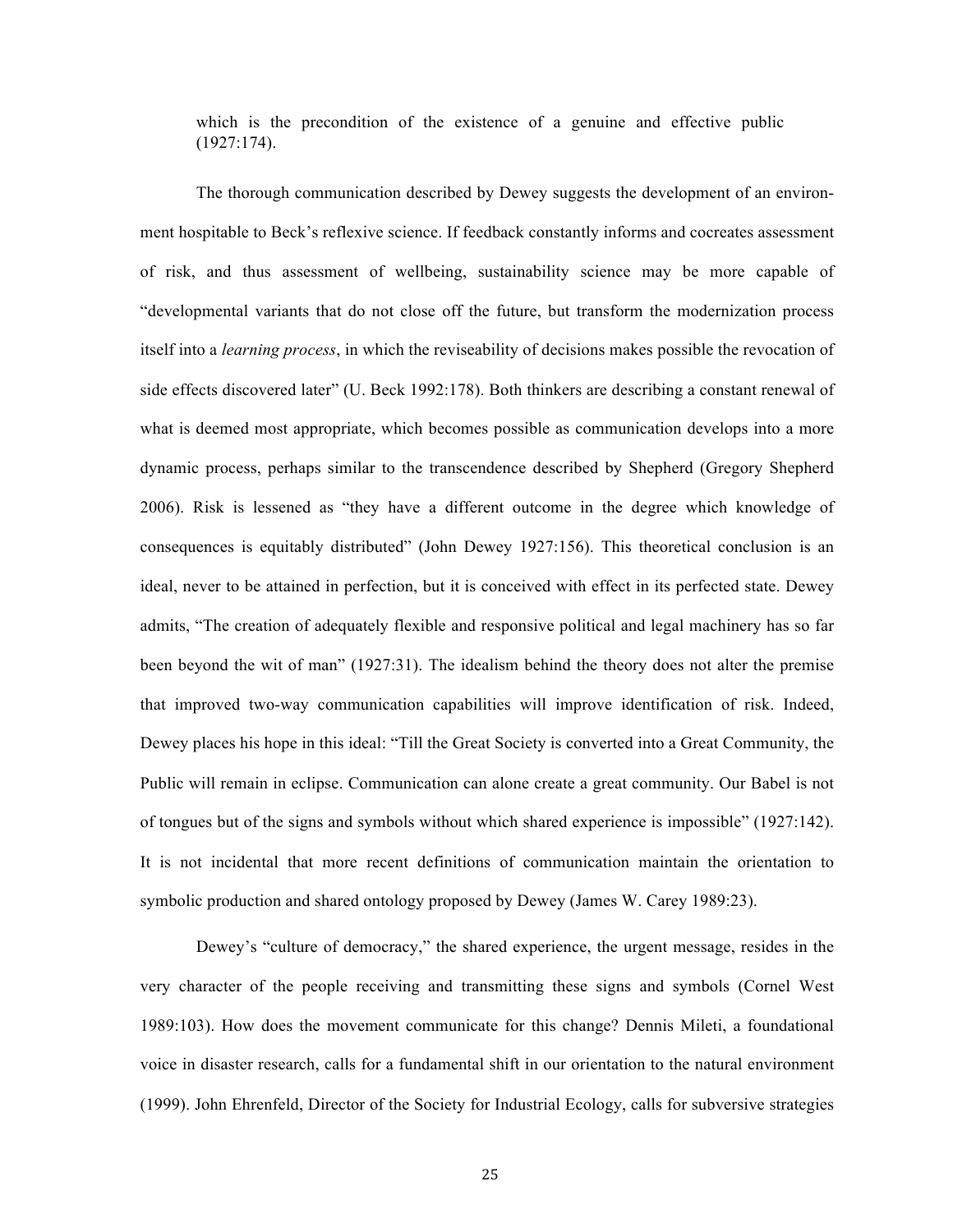which is the precondition of the existence of a genuine and effective public (1927:174).

The thorough communication described by Dewey suggests the development of an environment hospitable to Beck's reflexive science. If feedback constantly informs and cocreates assessment of risk, and thus assessment of wellbeing, sustainability science may be more capable of "developmental variants that do not close off the future, but transform the modernization process itself into a *learning process*, in which the reviseability of decisions makes possible the revocation of side effects discovered later" (U. Beck 1992:178). Both thinkers are describing a constant renewal of what is deemed most appropriate, which becomes possible as communication develops into a more dynamic process, perhaps similar to the transcendence described by Shepherd (Gregory Shepherd 2006). Risk is lessened as "they have a different outcome in the degree which knowledge of consequences is equitably distributed" (John Dewey 1927:156). This theoretical conclusion is an ideal, never to be attained in perfection, but it is conceived with effect in its perfected state. Dewey admits, "The creation of adequately flexible and responsive political and legal machinery has so far been beyond the wit of man" (1927:31). The idealism behind the theory does not alter the premise that improved two-way communication capabilities will improve identification of risk. Indeed, Dewey places his hope in this ideal: "Till the Great Society is converted into a Great Community, the Public will remain in eclipse. Communication can alone create a great community. Our Babel is not of tongues but of the signs and symbols without which shared experience is impossible" (1927:142). It is not incidental that more recent definitions of communication maintain the orientation to symbolic production and shared ontology proposed by Dewey (James W. Carey 1989:23).

Dewey's "culture of democracy," the shared experience, the urgent message, resides in the very character of the people receiving and transmitting these signs and symbols (Cornel West 1989:103). How does the movement communicate for this change? Dennis Mileti, a foundational voice in disaster research, calls for a fundamental shift in our orientation to the natural environment (1999). John Ehrenfeld, Director of the Society for Industrial Ecology, calls for subversive strategies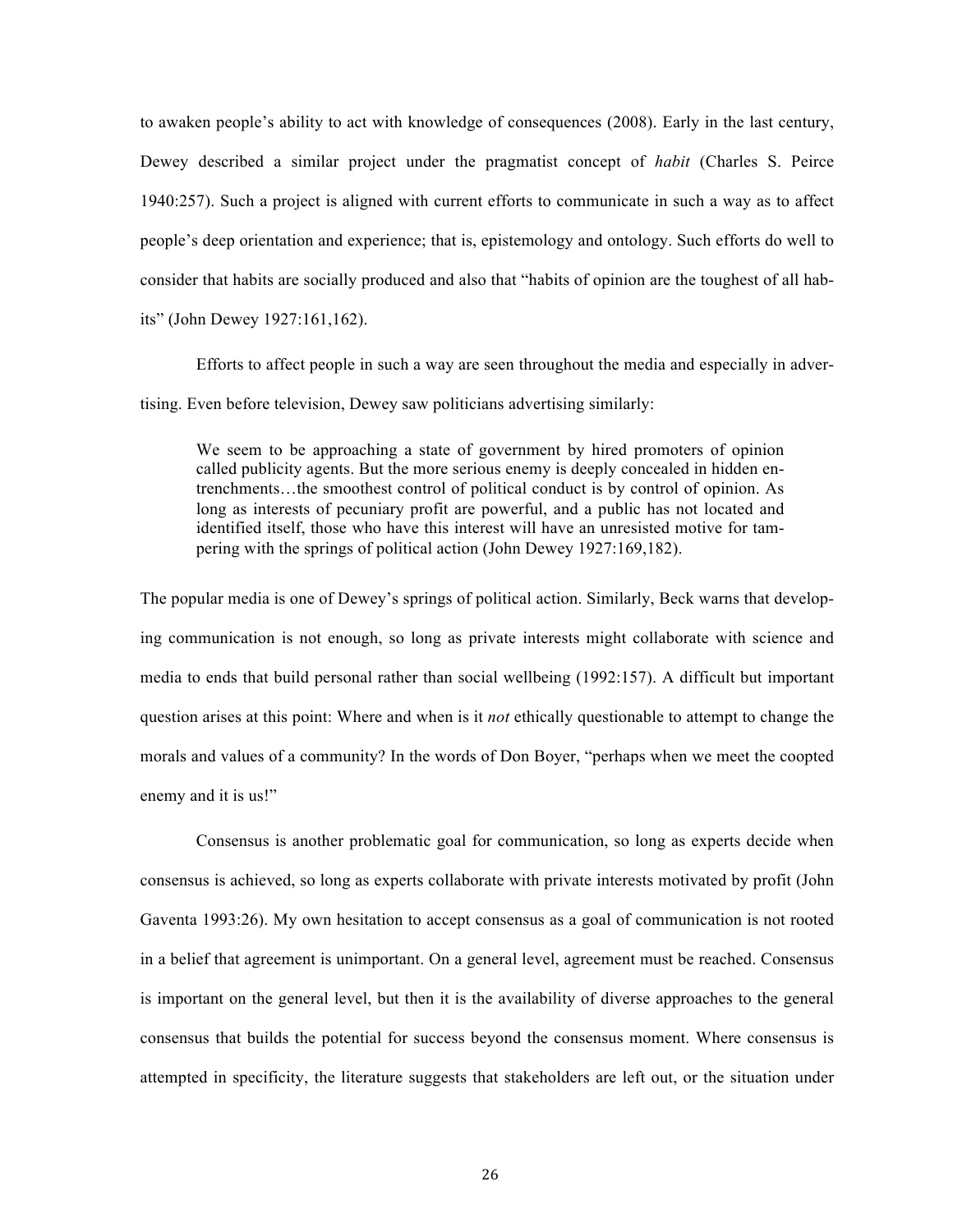to awaken people's ability to act with knowledge of consequences (2008). Early in the last century, Dewey described a similar project under the pragmatist concept of *habit* (Charles S. Peirce 1940:257). Such a project is aligned with current efforts to communicate in such a way as to affect people's deep orientation and experience; that is, epistemology and ontology. Such efforts do well to consider that habits are socially produced and also that "habits of opinion are the toughest of all habits" (John Dewey 1927:161,162).

Efforts to affect people in such a way are seen throughout the media and especially in advertising. Even before television, Dewey saw politicians advertising similarly:

We seem to be approaching a state of government by hired promoters of opinion called publicity agents. But the more serious enemy is deeply concealed in hidden entrenchments…the smoothest control of political conduct is by control of opinion. As long as interests of pecuniary profit are powerful, and a public has not located and identified itself, those who have this interest will have an unresisted motive for tampering with the springs of political action (John Dewey 1927:169,182).

The popular media is one of Dewey's springs of political action. Similarly, Beck warns that developing communication is not enough, so long as private interests might collaborate with science and media to ends that build personal rather than social wellbeing (1992:157). A difficult but important question arises at this point: Where and when is it *not* ethically questionable to attempt to change the morals and values of a community? In the words of Don Boyer, "perhaps when we meet the coopted enemy and it is us!"

Consensus is another problematic goal for communication, so long as experts decide when consensus is achieved, so long as experts collaborate with private interests motivated by profit (John Gaventa 1993:26). My own hesitation to accept consensus as a goal of communication is not rooted in a belief that agreement is unimportant. On a general level, agreement must be reached. Consensus is important on the general level, but then it is the availability of diverse approaches to the general consensus that builds the potential for success beyond the consensus moment. Where consensus is attempted in specificity, the literature suggests that stakeholders are left out, or the situation under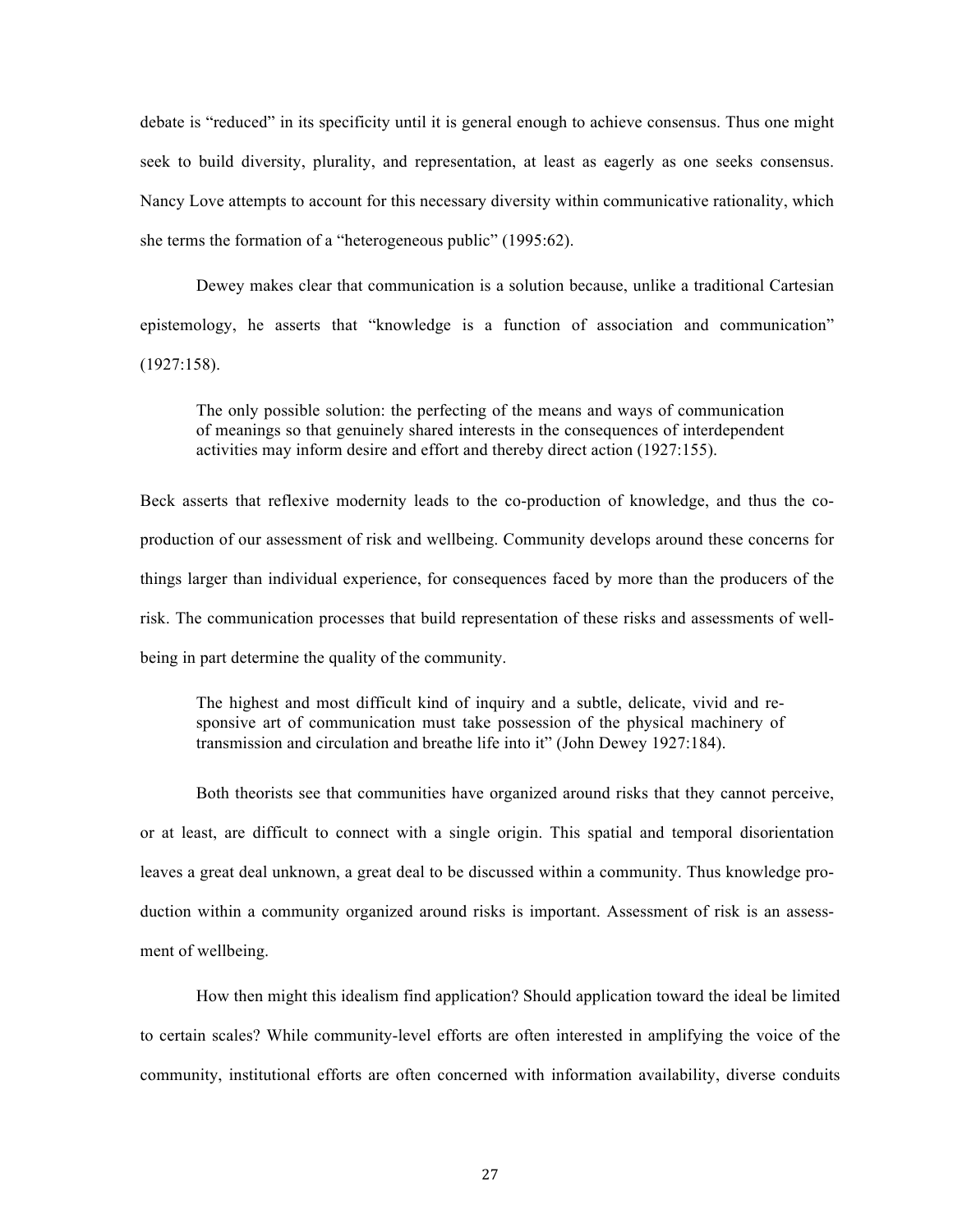debate is "reduced" in its specificity until it is general enough to achieve consensus. Thus one might seek to build diversity, plurality, and representation, at least as eagerly as one seeks consensus. Nancy Love attempts to account for this necessary diversity within communicative rationality, which she terms the formation of a "heterogeneous public" (1995:62).

Dewey makes clear that communication is a solution because, unlike a traditional Cartesian epistemology, he asserts that "knowledge is a function of association and communication" (1927:158).

The only possible solution: the perfecting of the means and ways of communication of meanings so that genuinely shared interests in the consequences of interdependent activities may inform desire and effort and thereby direct action (1927:155).

Beck asserts that reflexive modernity leads to the co-production of knowledge, and thus the coproduction of our assessment of risk and wellbeing. Community develops around these concerns for things larger than individual experience, for consequences faced by more than the producers of the risk. The communication processes that build representation of these risks and assessments of wellbeing in part determine the quality of the community.

The highest and most difficult kind of inquiry and a subtle, delicate, vivid and responsive art of communication must take possession of the physical machinery of transmission and circulation and breathe life into it" (John Dewey 1927:184).

Both theorists see that communities have organized around risks that they cannot perceive, or at least, are difficult to connect with a single origin. This spatial and temporal disorientation leaves a great deal unknown, a great deal to be discussed within a community. Thus knowledge production within a community organized around risks is important. Assessment of risk is an assessment of wellbeing.

How then might this idealism find application? Should application toward the ideal be limited to certain scales? While community-level efforts are often interested in amplifying the voice of the community, institutional efforts are often concerned with information availability, diverse conduits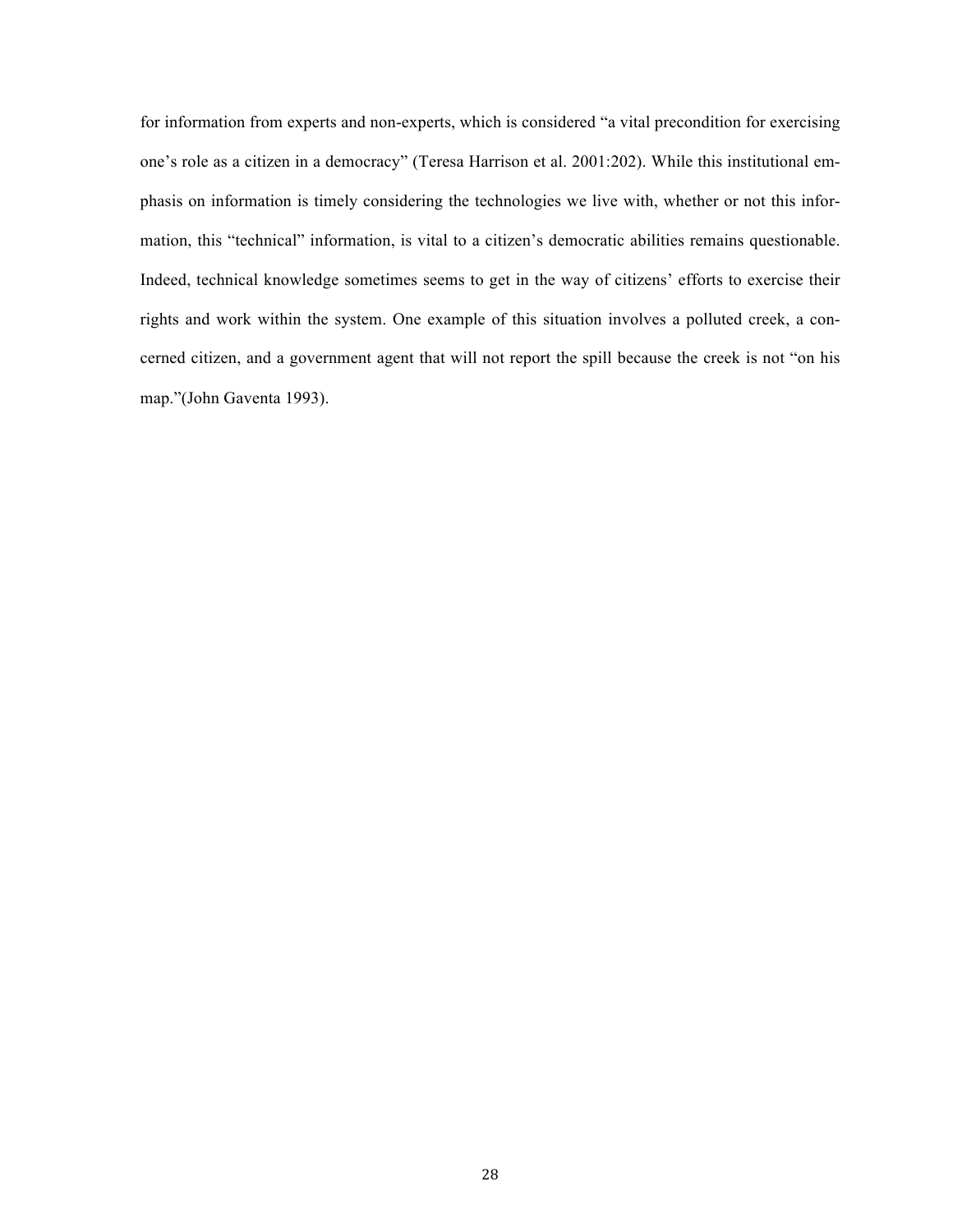for information from experts and non-experts, which is considered "a vital precondition for exercising one's role as a citizen in a democracy" (Teresa Harrison et al. 2001:202). While this institutional emphasis on information is timely considering the technologies we live with, whether or not this information, this "technical" information, is vital to a citizen's democratic abilities remains questionable. Indeed, technical knowledge sometimes seems to get in the way of citizens' efforts to exercise their rights and work within the system. One example of this situation involves a polluted creek, a concerned citizen, and a government agent that will not report the spill because the creek is not "on his map."(John Gaventa 1993).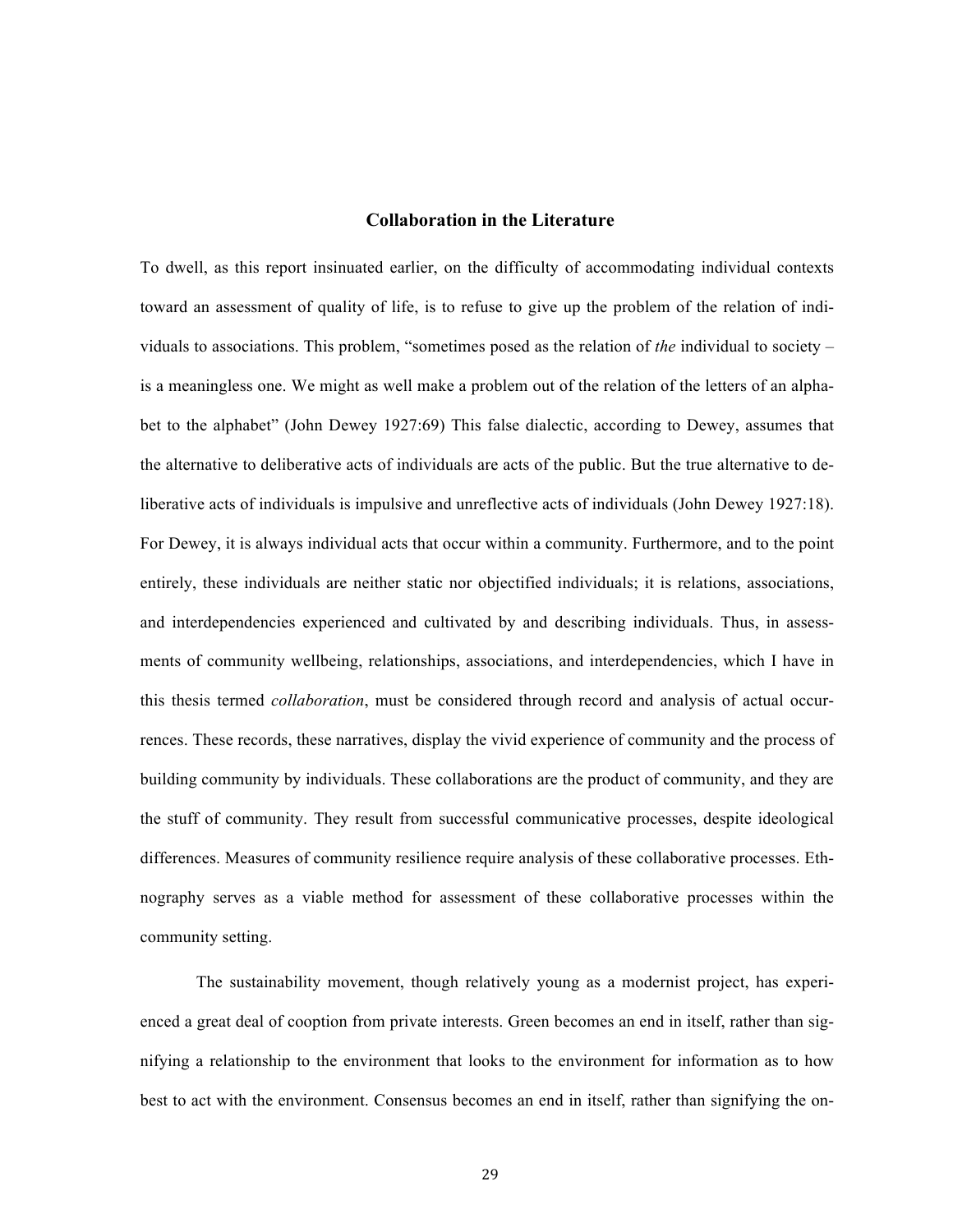### **Collaboration in the Literature**

To dwell, as this report insinuated earlier, on the difficulty of accommodating individual contexts toward an assessment of quality of life, is to refuse to give up the problem of the relation of individuals to associations. This problem, "sometimes posed as the relation of *the* individual to society – is a meaningless one. We might as well make a problem out of the relation of the letters of an alphabet to the alphabet" (John Dewey 1927:69) This false dialectic, according to Dewey, assumes that the alternative to deliberative acts of individuals are acts of the public. But the true alternative to deliberative acts of individuals is impulsive and unreflective acts of individuals (John Dewey 1927:18). For Dewey, it is always individual acts that occur within a community. Furthermore, and to the point entirely, these individuals are neither static nor objectified individuals; it is relations, associations, and interdependencies experienced and cultivated by and describing individuals. Thus, in assessments of community wellbeing, relationships, associations, and interdependencies, which I have in this thesis termed *collaboration*, must be considered through record and analysis of actual occurrences. These records, these narratives, display the vivid experience of community and the process of building community by individuals. These collaborations are the product of community, and they are the stuff of community. They result from successful communicative processes, despite ideological differences. Measures of community resilience require analysis of these collaborative processes. Ethnography serves as a viable method for assessment of these collaborative processes within the community setting.

The sustainability movement, though relatively young as a modernist project, has experienced a great deal of cooption from private interests. Green becomes an end in itself, rather than signifying a relationship to the environment that looks to the environment for information as to how best to act with the environment. Consensus becomes an end in itself, rather than signifying the on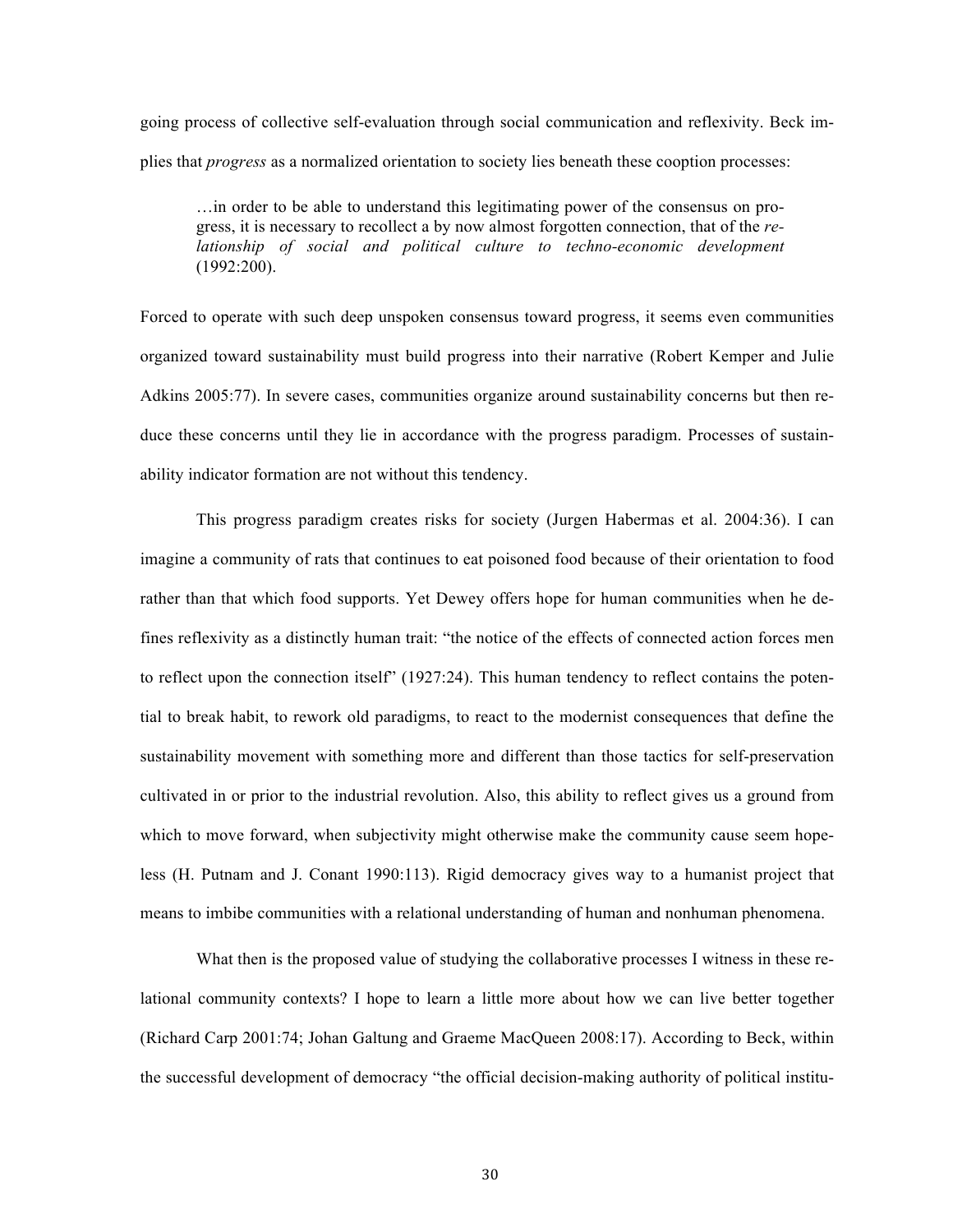going process of collective self-evaluation through social communication and reflexivity. Beck implies that *progress* as a normalized orientation to society lies beneath these cooption processes:

…in order to be able to understand this legitimating power of the consensus on progress, it is necessary to recollect a by now almost forgotten connection, that of the *relationship of social and political culture to techno-economic development* (1992:200).

Forced to operate with such deep unspoken consensus toward progress, it seems even communities organized toward sustainability must build progress into their narrative (Robert Kemper and Julie Adkins 2005:77). In severe cases, communities organize around sustainability concerns but then reduce these concerns until they lie in accordance with the progress paradigm. Processes of sustainability indicator formation are not without this tendency.

This progress paradigm creates risks for society (Jurgen Habermas et al. 2004:36). I can imagine a community of rats that continues to eat poisoned food because of their orientation to food rather than that which food supports. Yet Dewey offers hope for human communities when he defines reflexivity as a distinctly human trait: "the notice of the effects of connected action forces men to reflect upon the connection itself" (1927:24). This human tendency to reflect contains the potential to break habit, to rework old paradigms, to react to the modernist consequences that define the sustainability movement with something more and different than those tactics for self-preservation cultivated in or prior to the industrial revolution. Also, this ability to reflect gives us a ground from which to move forward, when subjectivity might otherwise make the community cause seem hopeless (H. Putnam and J. Conant 1990:113). Rigid democracy gives way to a humanist project that means to imbibe communities with a relational understanding of human and nonhuman phenomena.

What then is the proposed value of studying the collaborative processes I witness in these relational community contexts? I hope to learn a little more about how we can live better together (Richard Carp 2001:74; Johan Galtung and Graeme MacQueen 2008:17). According to Beck, within the successful development of democracy "the official decision-making authority of political institu-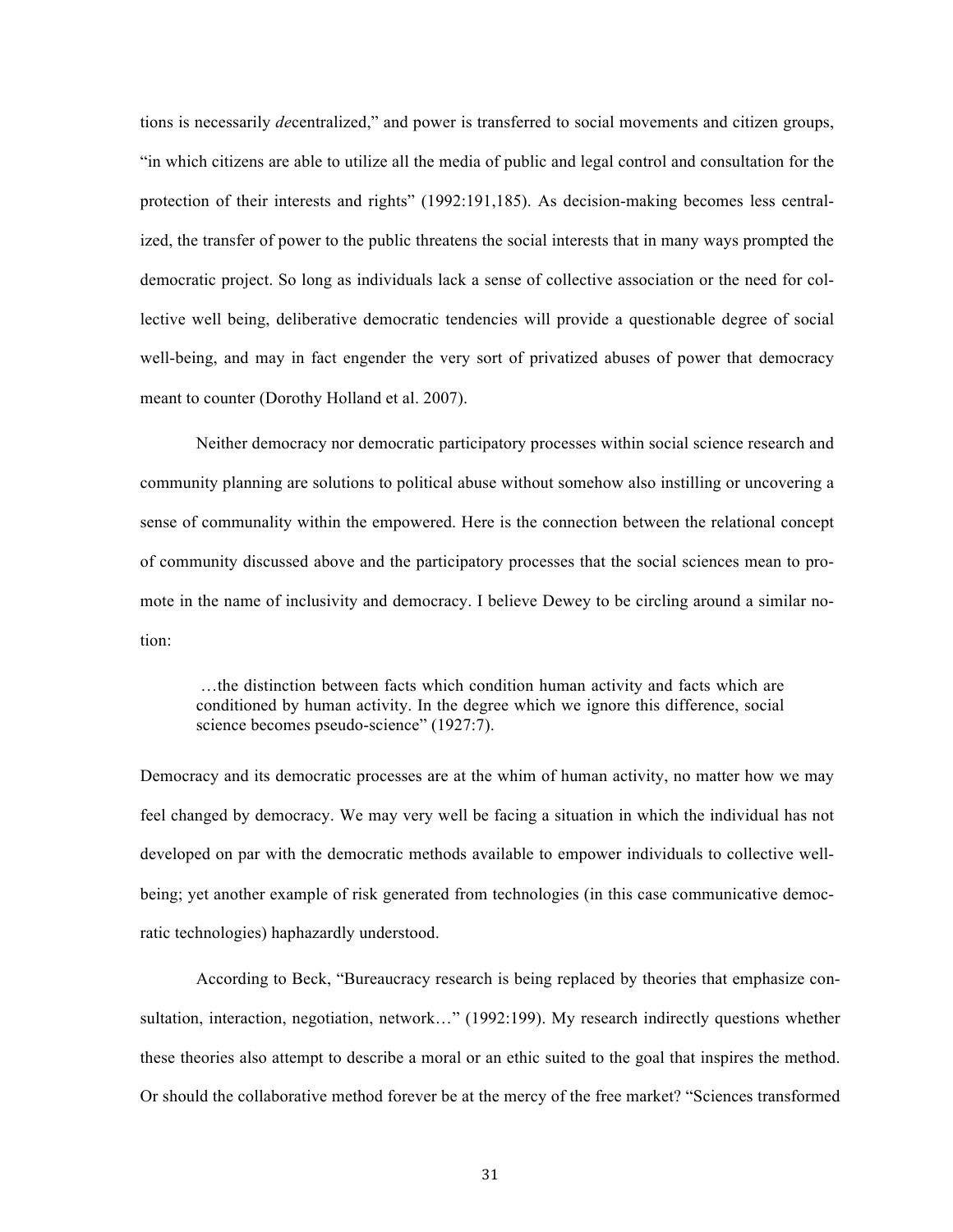tions is necessarily *de*centralized," and power is transferred to social movements and citizen groups, "in which citizens are able to utilize all the media of public and legal control and consultation for the protection of their interests and rights" (1992:191,185). As decision-making becomes less centralized, the transfer of power to the public threatens the social interests that in many ways prompted the democratic project. So long as individuals lack a sense of collective association or the need for collective well being, deliberative democratic tendencies will provide a questionable degree of social well-being, and may in fact engender the very sort of privatized abuses of power that democracy meant to counter (Dorothy Holland et al. 2007).

Neither democracy nor democratic participatory processes within social science research and community planning are solutions to political abuse without somehow also instilling or uncovering a sense of communality within the empowered. Here is the connection between the relational concept of community discussed above and the participatory processes that the social sciences mean to promote in the name of inclusivity and democracy. I believe Dewey to be circling around a similar notion:

…the distinction between facts which condition human activity and facts which are conditioned by human activity. In the degree which we ignore this difference, social science becomes pseudo-science" (1927:7).

Democracy and its democratic processes are at the whim of human activity, no matter how we may feel changed by democracy. We may very well be facing a situation in which the individual has not developed on par with the democratic methods available to empower individuals to collective wellbeing; yet another example of risk generated from technologies (in this case communicative democratic technologies) haphazardly understood.

According to Beck, "Bureaucracy research is being replaced by theories that emphasize consultation, interaction, negotiation, network..." (1992:199). My research indirectly questions whether these theories also attempt to describe a moral or an ethic suited to the goal that inspires the method. Or should the collaborative method forever be at the mercy of the free market? "Sciences transformed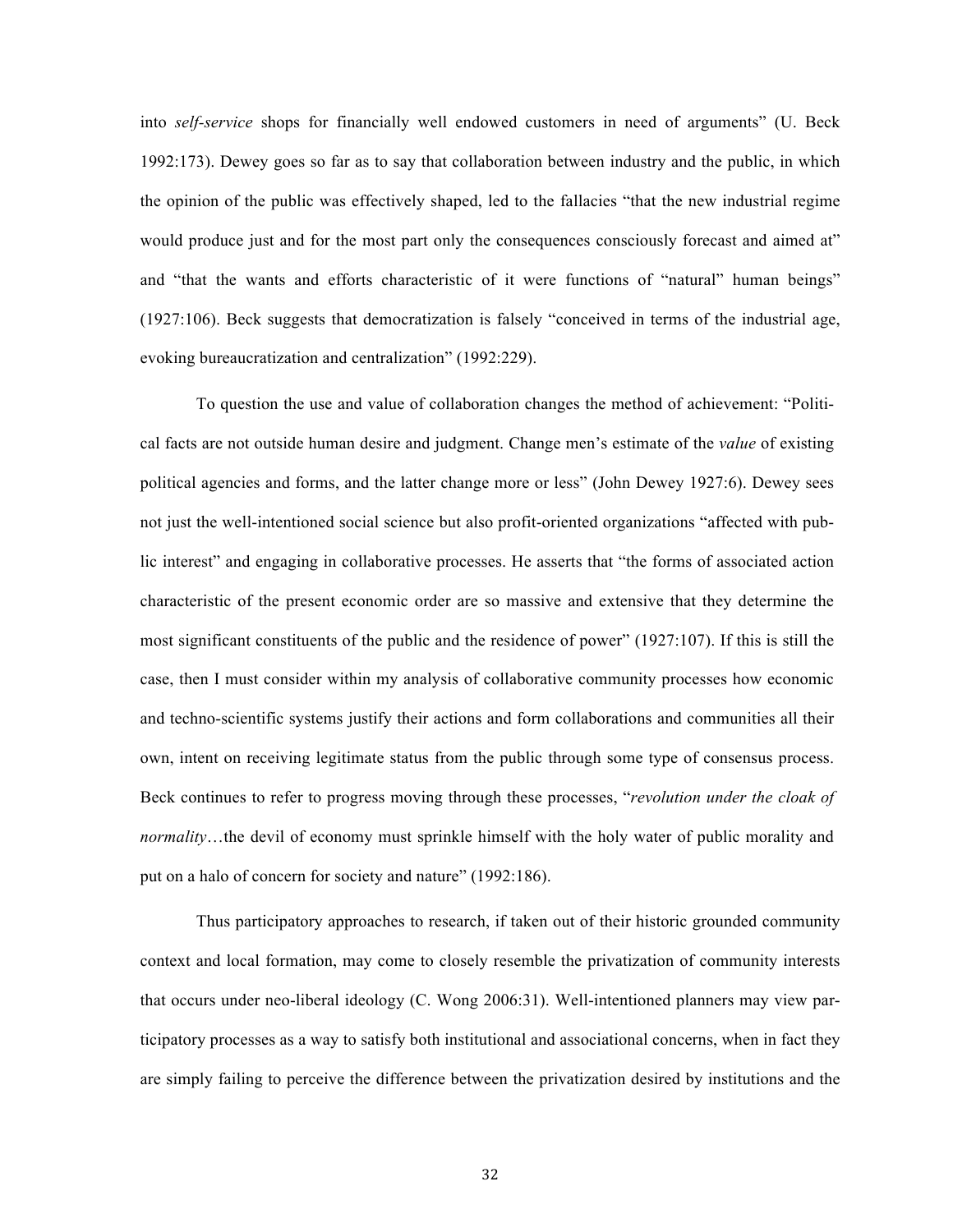into *self-service* shops for financially well endowed customers in need of arguments" (U. Beck 1992:173). Dewey goes so far as to say that collaboration between industry and the public, in which the opinion of the public was effectively shaped, led to the fallacies "that the new industrial regime would produce just and for the most part only the consequences consciously forecast and aimed at" and "that the wants and efforts characteristic of it were functions of "natural" human beings" (1927:106). Beck suggests that democratization is falsely "conceived in terms of the industrial age, evoking bureaucratization and centralization" (1992:229).

To question the use and value of collaboration changes the method of achievement: "Political facts are not outside human desire and judgment. Change men's estimate of the *value* of existing political agencies and forms, and the latter change more or less" (John Dewey 1927:6). Dewey sees not just the well-intentioned social science but also profit-oriented organizations "affected with public interest" and engaging in collaborative processes. He asserts that "the forms of associated action characteristic of the present economic order are so massive and extensive that they determine the most significant constituents of the public and the residence of power" (1927:107). If this is still the case, then I must consider within my analysis of collaborative community processes how economic and techno-scientific systems justify their actions and form collaborations and communities all their own, intent on receiving legitimate status from the public through some type of consensus process. Beck continues to refer to progress moving through these processes, "*revolution under the cloak of normality*…the devil of economy must sprinkle himself with the holy water of public morality and put on a halo of concern for society and nature" (1992:186).

Thus participatory approaches to research, if taken out of their historic grounded community context and local formation, may come to closely resemble the privatization of community interests that occurs under neo-liberal ideology (C. Wong 2006:31). Well-intentioned planners may view participatory processes as a way to satisfy both institutional and associational concerns, when in fact they are simply failing to perceive the difference between the privatization desired by institutions and the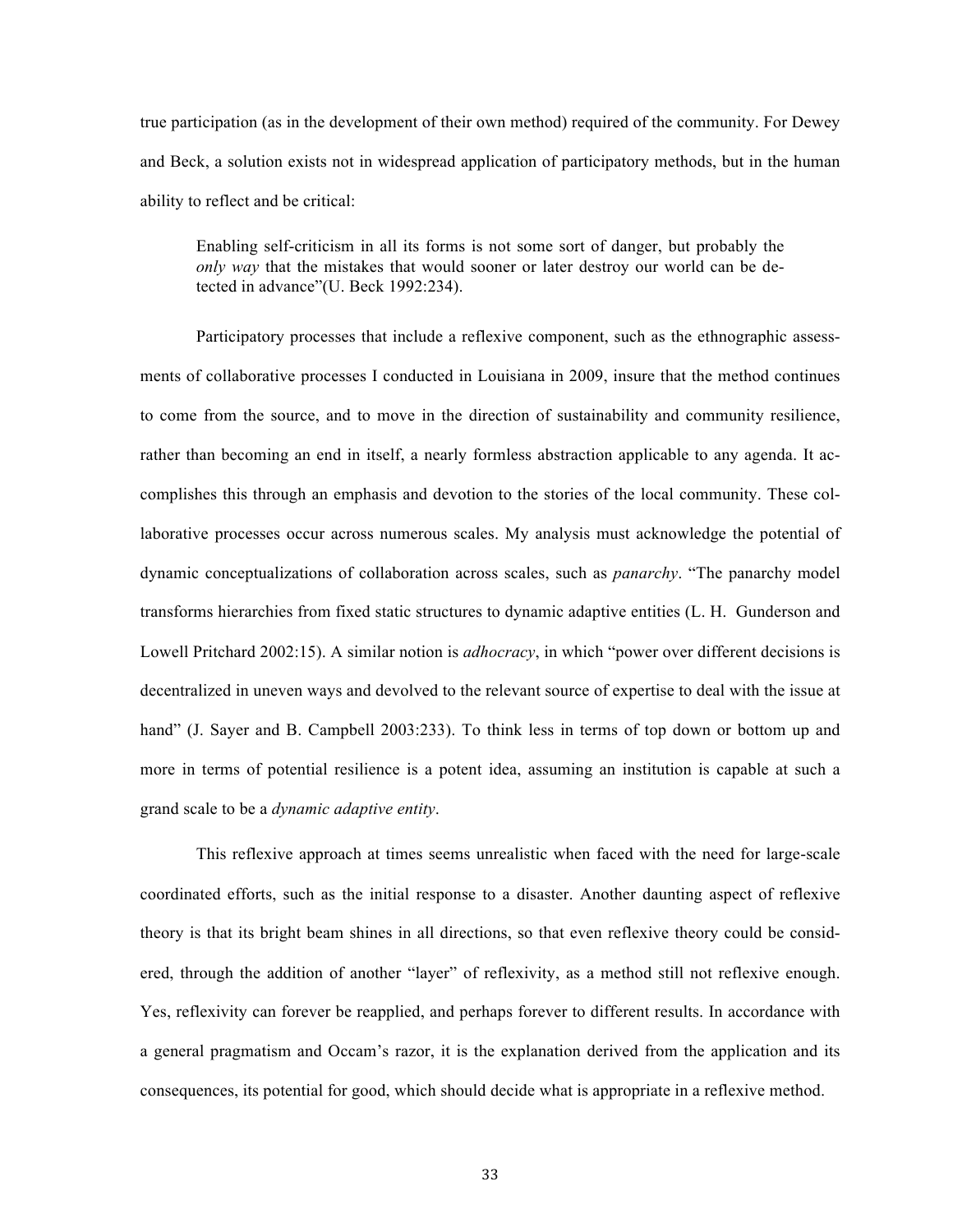true participation (as in the development of their own method) required of the community. For Dewey and Beck, a solution exists not in widespread application of participatory methods, but in the human ability to reflect and be critical:

Enabling self-criticism in all its forms is not some sort of danger, but probably the *only way* that the mistakes that would sooner or later destroy our world can be detected in advance"(U. Beck 1992:234).

Participatory processes that include a reflexive component, such as the ethnographic assessments of collaborative processes I conducted in Louisiana in 2009, insure that the method continues to come from the source, and to move in the direction of sustainability and community resilience, rather than becoming an end in itself, a nearly formless abstraction applicable to any agenda. It accomplishes this through an emphasis and devotion to the stories of the local community. These collaborative processes occur across numerous scales. My analysis must acknowledge the potential of dynamic conceptualizations of collaboration across scales, such as *panarchy*. "The panarchy model transforms hierarchies from fixed static structures to dynamic adaptive entities (L. H. Gunderson and Lowell Pritchard 2002:15). A similar notion is *adhocracy*, in which "power over different decisions is decentralized in uneven ways and devolved to the relevant source of expertise to deal with the issue at hand" (J. Sayer and B. Campbell 2003:233). To think less in terms of top down or bottom up and more in terms of potential resilience is a potent idea, assuming an institution is capable at such a grand scale to be a *dynamic adaptive entity*.

This reflexive approach at times seems unrealistic when faced with the need for large-scale coordinated efforts, such as the initial response to a disaster. Another daunting aspect of reflexive theory is that its bright beam shines in all directions, so that even reflexive theory could be considered, through the addition of another "layer" of reflexivity, as a method still not reflexive enough. Yes, reflexivity can forever be reapplied, and perhaps forever to different results. In accordance with a general pragmatism and Occam's razor, it is the explanation derived from the application and its consequences, its potential for good, which should decide what is appropriate in a reflexive method.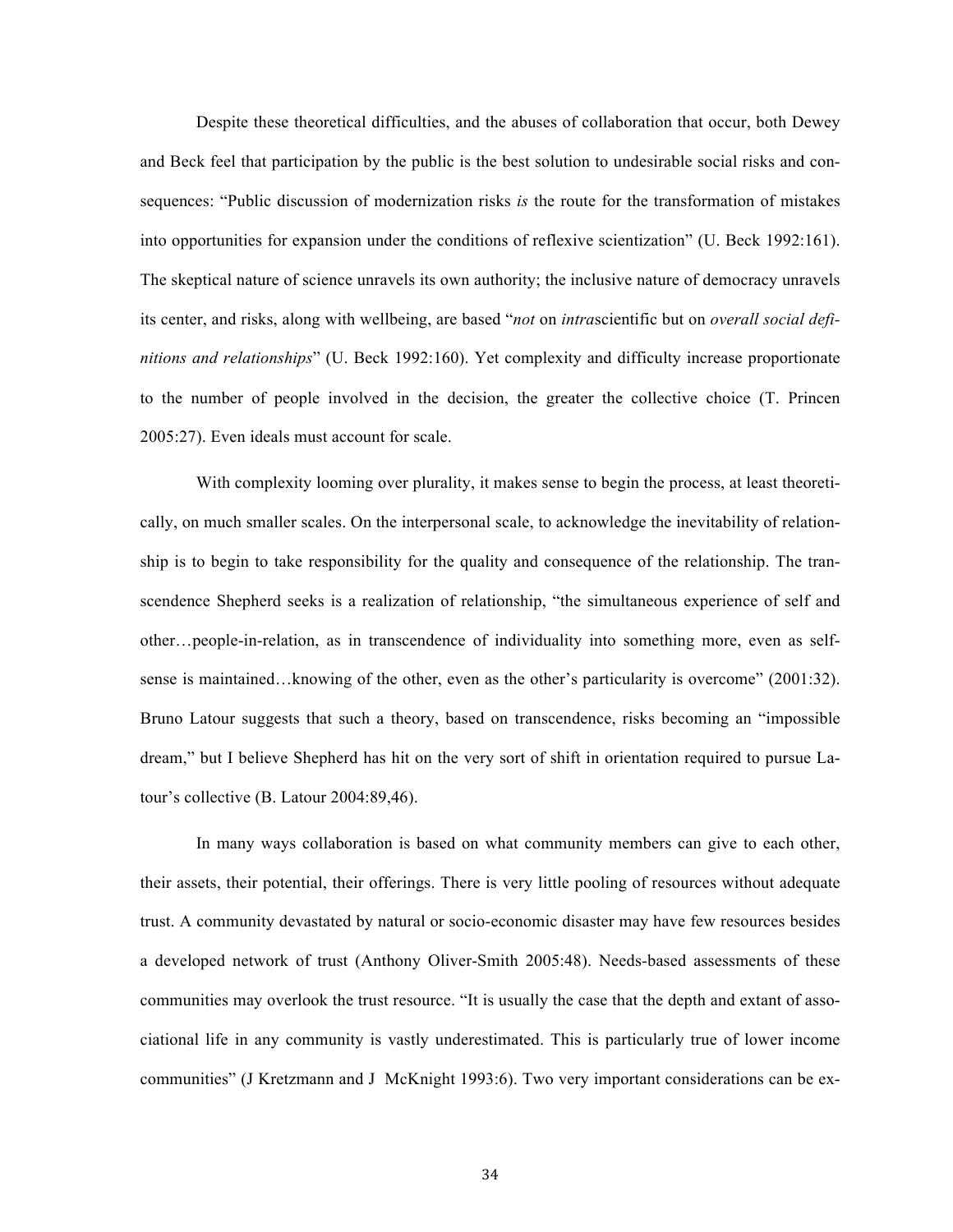Despite these theoretical difficulties, and the abuses of collaboration that occur, both Dewey and Beck feel that participation by the public is the best solution to undesirable social risks and consequences: "Public discussion of modernization risks *is* the route for the transformation of mistakes into opportunities for expansion under the conditions of reflexive scientization" (U. Beck 1992:161). The skeptical nature of science unravels its own authority; the inclusive nature of democracy unravels its center, and risks, along with wellbeing, are based "*not* on *intra*scientific but on *overall social definitions and relationships*" (U. Beck 1992:160). Yet complexity and difficulty increase proportionate to the number of people involved in the decision, the greater the collective choice (T. Princen 2005:27). Even ideals must account for scale.

With complexity looming over plurality, it makes sense to begin the process, at least theoretically, on much smaller scales. On the interpersonal scale, to acknowledge the inevitability of relationship is to begin to take responsibility for the quality and consequence of the relationship. The transcendence Shepherd seeks is a realization of relationship, "the simultaneous experience of self and other…people-in-relation, as in transcendence of individuality into something more, even as selfsense is maintained…knowing of the other, even as the other's particularity is overcome" (2001:32). Bruno Latour suggests that such a theory, based on transcendence, risks becoming an "impossible dream," but I believe Shepherd has hit on the very sort of shift in orientation required to pursue Latour's collective (B. Latour 2004:89,46).

In many ways collaboration is based on what community members can give to each other, their assets, their potential, their offerings. There is very little pooling of resources without adequate trust. A community devastated by natural or socio-economic disaster may have few resources besides a developed network of trust (Anthony Oliver-Smith 2005:48). Needs-based assessments of these communities may overlook the trust resource. "It is usually the case that the depth and extant of associational life in any community is vastly underestimated. This is particularly true of lower income communities" (J Kretzmann and J McKnight 1993:6). Two very important considerations can be ex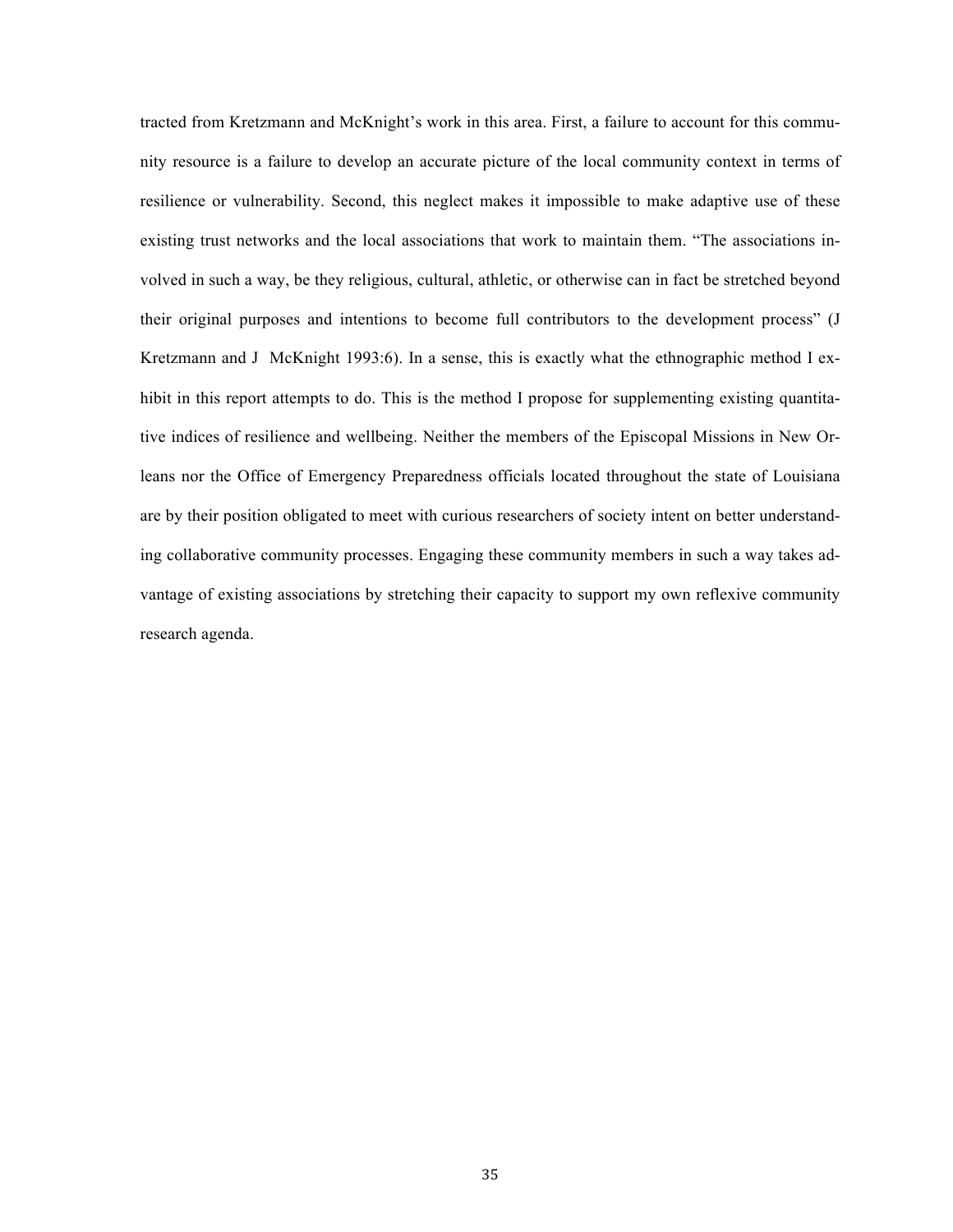tracted from Kretzmann and McKnight's work in this area. First, a failure to account for this community resource is a failure to develop an accurate picture of the local community context in terms of resilience or vulnerability. Second, this neglect makes it impossible to make adaptive use of these existing trust networks and the local associations that work to maintain them. "The associations involved in such a way, be they religious, cultural, athletic, or otherwise can in fact be stretched beyond their original purposes and intentions to become full contributors to the development process" (J Kretzmann and J McKnight 1993:6). In a sense, this is exactly what the ethnographic method I exhibit in this report attempts to do. This is the method I propose for supplementing existing quantitative indices of resilience and wellbeing. Neither the members of the Episcopal Missions in New Orleans nor the Office of Emergency Preparedness officials located throughout the state of Louisiana are by their position obligated to meet with curious researchers of society intent on better understanding collaborative community processes. Engaging these community members in such a way takes advantage of existing associations by stretching their capacity to support my own reflexive community research agenda.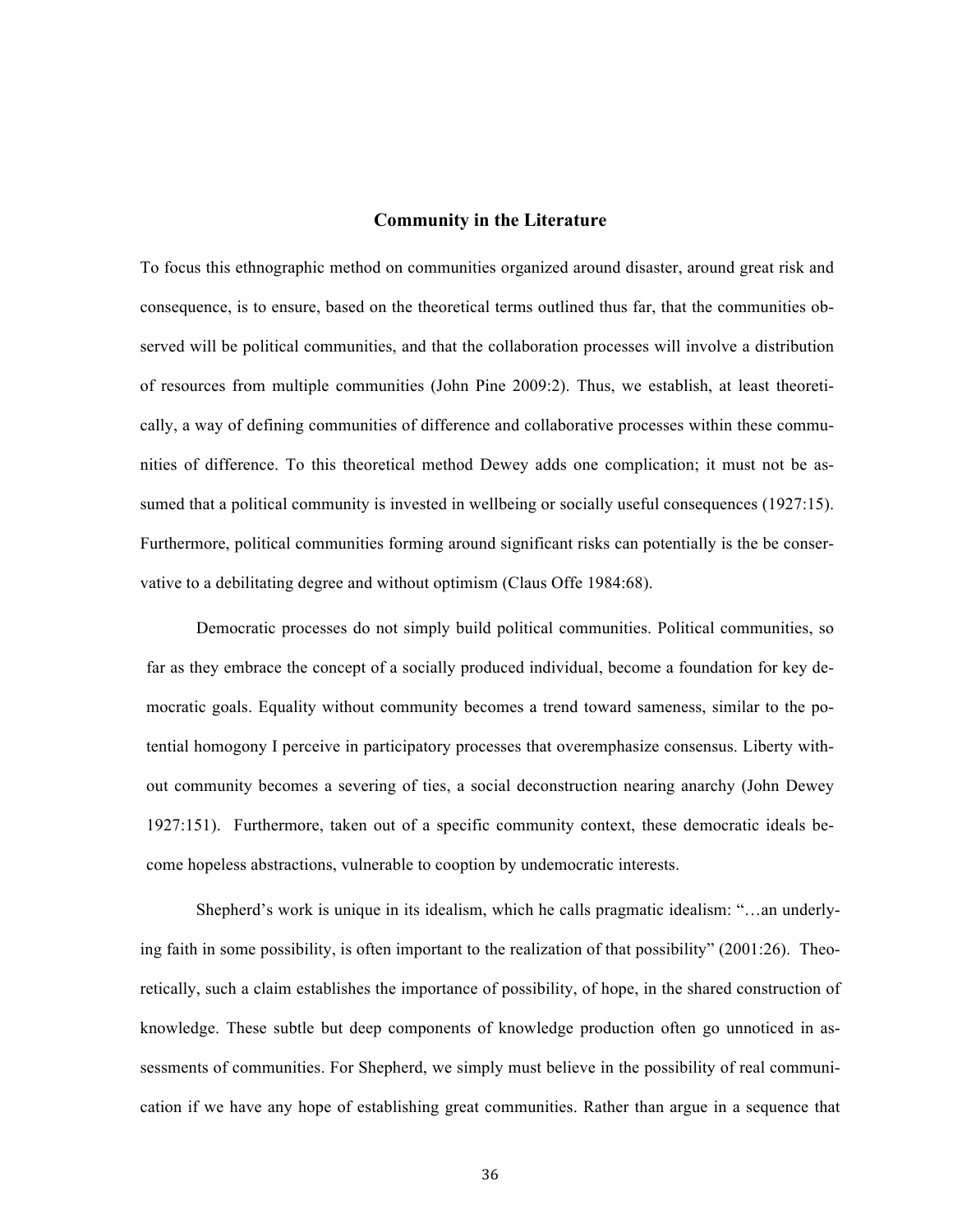### **Community in the Literature**

To focus this ethnographic method on communities organized around disaster, around great risk and consequence, is to ensure, based on the theoretical terms outlined thus far, that the communities observed will be political communities, and that the collaboration processes will involve a distribution of resources from multiple communities (John Pine 2009:2). Thus, we establish, at least theoretically, a way of defining communities of difference and collaborative processes within these communities of difference. To this theoretical method Dewey adds one complication; it must not be assumed that a political community is invested in wellbeing or socially useful consequences (1927:15). Furthermore, political communities forming around significant risks can potentially is the be conservative to a debilitating degree and without optimism (Claus Offe 1984:68).

Democratic processes do not simply build political communities. Political communities, so far as they embrace the concept of a socially produced individual, become a foundation for key democratic goals. Equality without community becomes a trend toward sameness, similar to the potential homogony I perceive in participatory processes that overemphasize consensus. Liberty without community becomes a severing of ties, a social deconstruction nearing anarchy (John Dewey 1927:151). Furthermore, taken out of a specific community context, these democratic ideals become hopeless abstractions, vulnerable to cooption by undemocratic interests.

Shepherd's work is unique in its idealism, which he calls pragmatic idealism: "…an underlying faith in some possibility, is often important to the realization of that possibility" (2001:26). Theoretically, such a claim establishes the importance of possibility, of hope, in the shared construction of knowledge. These subtle but deep components of knowledge production often go unnoticed in assessments of communities. For Shepherd, we simply must believe in the possibility of real communication if we have any hope of establishing great communities. Rather than argue in a sequence that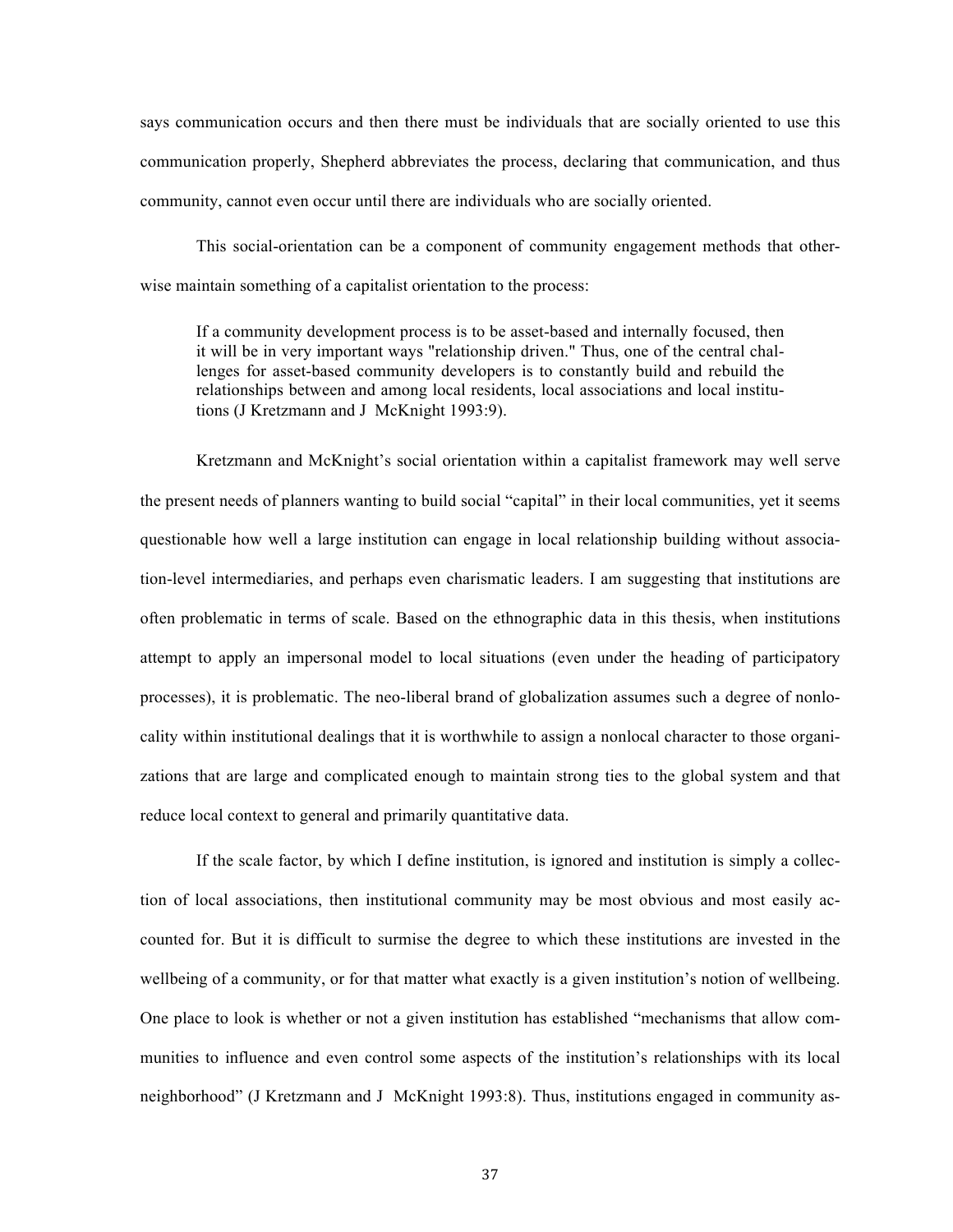says communication occurs and then there must be individuals that are socially oriented to use this communication properly, Shepherd abbreviates the process, declaring that communication, and thus community, cannot even occur until there are individuals who are socially oriented.

This social-orientation can be a component of community engagement methods that otherwise maintain something of a capitalist orientation to the process:

If a community development process is to be asset-based and internally focused, then it will be in very important ways "relationship driven." Thus, one of the central challenges for asset-based community developers is to constantly build and rebuild the relationships between and among local residents, local associations and local institutions (J Kretzmann and J McKnight 1993:9).

Kretzmann and McKnight's social orientation within a capitalist framework may well serve the present needs of planners wanting to build social "capital" in their local communities, yet it seems questionable how well a large institution can engage in local relationship building without association-level intermediaries, and perhaps even charismatic leaders. I am suggesting that institutions are often problematic in terms of scale. Based on the ethnographic data in this thesis, when institutions attempt to apply an impersonal model to local situations (even under the heading of participatory processes), it is problematic. The neo-liberal brand of globalization assumes such a degree of nonlocality within institutional dealings that it is worthwhile to assign a nonlocal character to those organizations that are large and complicated enough to maintain strong ties to the global system and that reduce local context to general and primarily quantitative data.

If the scale factor, by which I define institution, is ignored and institution is simply a collection of local associations, then institutional community may be most obvious and most easily accounted for. But it is difficult to surmise the degree to which these institutions are invested in the wellbeing of a community, or for that matter what exactly is a given institution's notion of wellbeing. One place to look is whether or not a given institution has established "mechanisms that allow communities to influence and even control some aspects of the institution's relationships with its local neighborhood" (J Kretzmann and J McKnight 1993:8). Thus, institutions engaged in community as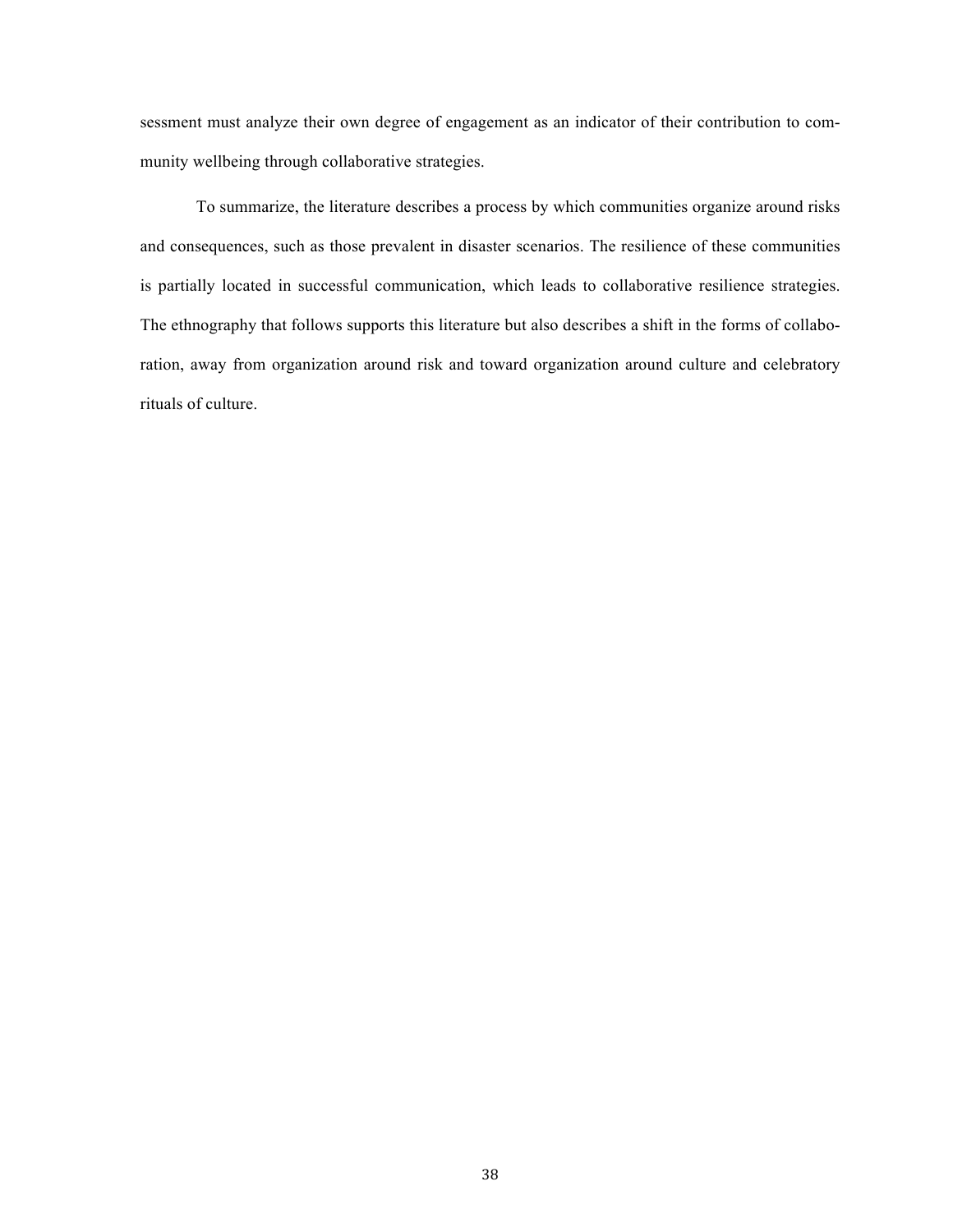sessment must analyze their own degree of engagement as an indicator of their contribution to community wellbeing through collaborative strategies.

To summarize, the literature describes a process by which communities organize around risks and consequences, such as those prevalent in disaster scenarios. The resilience of these communities is partially located in successful communication, which leads to collaborative resilience strategies. The ethnography that follows supports this literature but also describes a shift in the forms of collaboration, away from organization around risk and toward organization around culture and celebratory rituals of culture.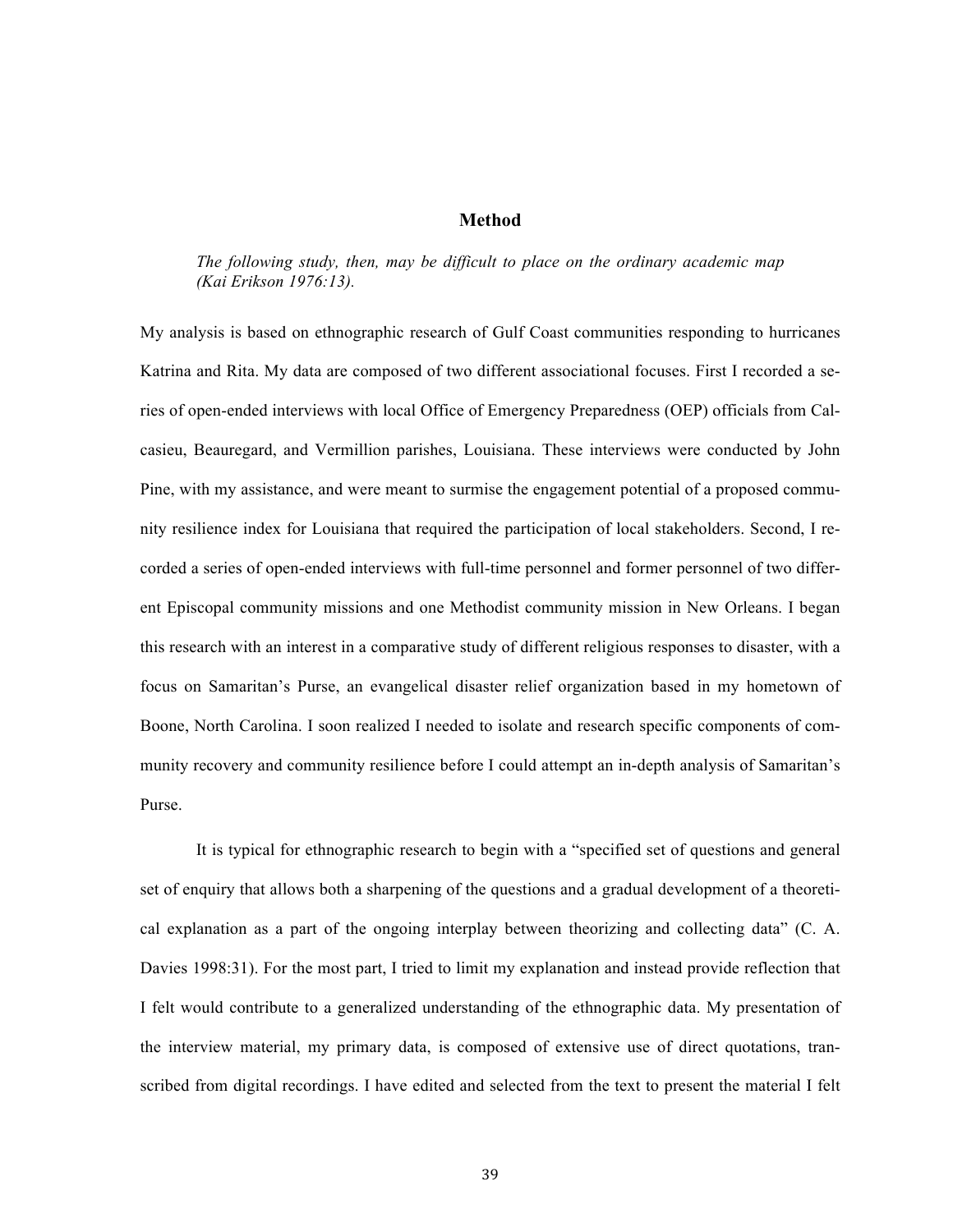### **Method**

*The following study, then, may be difficult to place on the ordinary academic map (Kai Erikson 1976:13).*

My analysis is based on ethnographic research of Gulf Coast communities responding to hurricanes Katrina and Rita. My data are composed of two different associational focuses. First I recorded a series of open-ended interviews with local Office of Emergency Preparedness (OEP) officials from Calcasieu, Beauregard, and Vermillion parishes, Louisiana. These interviews were conducted by John Pine, with my assistance, and were meant to surmise the engagement potential of a proposed community resilience index for Louisiana that required the participation of local stakeholders. Second, I recorded a series of open-ended interviews with full-time personnel and former personnel of two different Episcopal community missions and one Methodist community mission in New Orleans. I began this research with an interest in a comparative study of different religious responses to disaster, with a focus on Samaritan's Purse, an evangelical disaster relief organization based in my hometown of Boone, North Carolina. I soon realized I needed to isolate and research specific components of community recovery and community resilience before I could attempt an in-depth analysis of Samaritan's Purse.

It is typical for ethnographic research to begin with a "specified set of questions and general set of enquiry that allows both a sharpening of the questions and a gradual development of a theoretical explanation as a part of the ongoing interplay between theorizing and collecting data" (C. A. Davies 1998:31). For the most part, I tried to limit my explanation and instead provide reflection that I felt would contribute to a generalized understanding of the ethnographic data. My presentation of the interview material, my primary data, is composed of extensive use of direct quotations, transcribed from digital recordings. I have edited and selected from the text to present the material I felt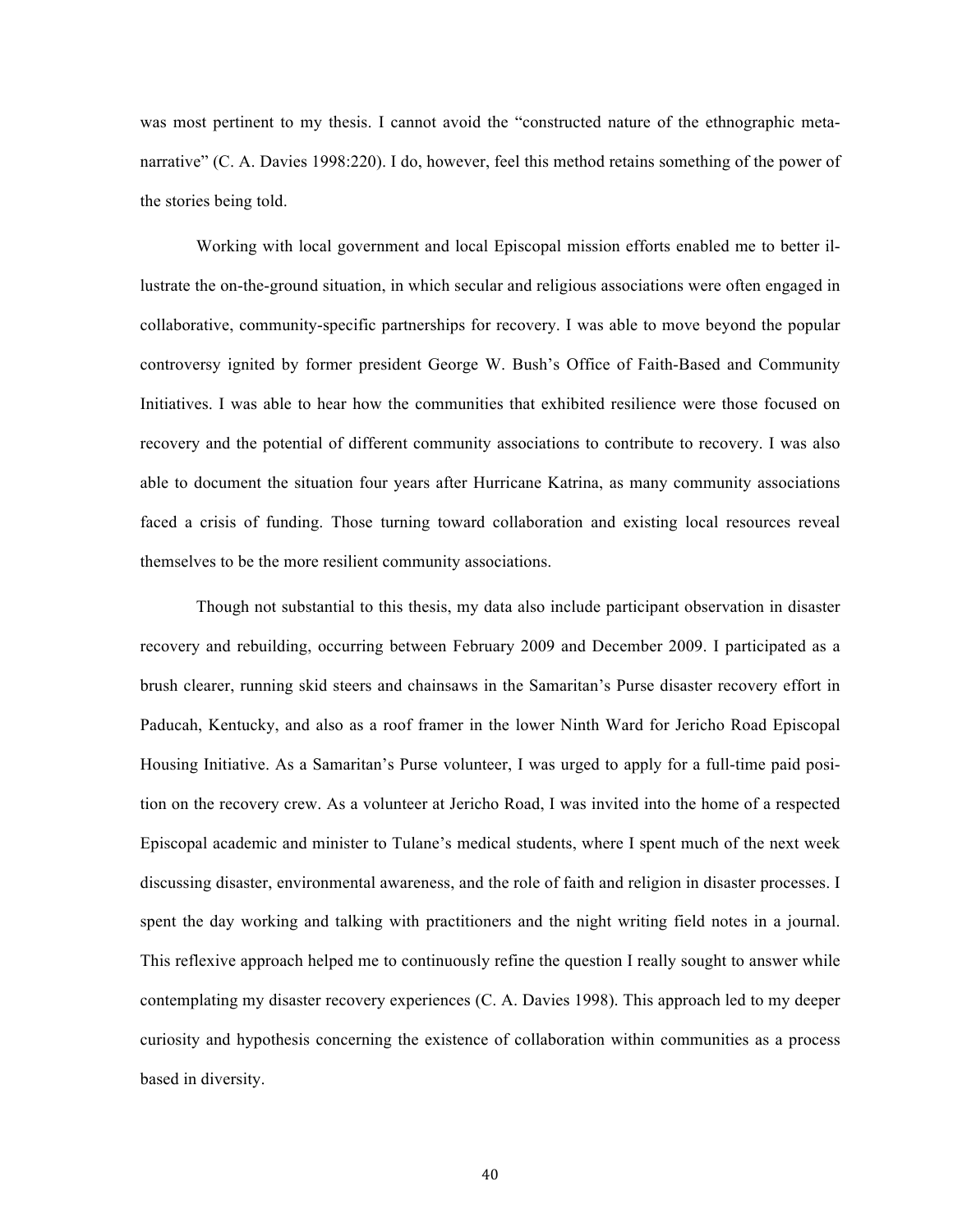was most pertinent to my thesis. I cannot avoid the "constructed nature of the ethnographic metanarrative" (C. A. Davies 1998:220). I do, however, feel this method retains something of the power of the stories being told.

Working with local government and local Episcopal mission efforts enabled me to better illustrate the on-the-ground situation, in which secular and religious associations were often engaged in collaborative, community-specific partnerships for recovery. I was able to move beyond the popular controversy ignited by former president George W. Bush's Office of Faith-Based and Community Initiatives. I was able to hear how the communities that exhibited resilience were those focused on recovery and the potential of different community associations to contribute to recovery. I was also able to document the situation four years after Hurricane Katrina, as many community associations faced a crisis of funding. Those turning toward collaboration and existing local resources reveal themselves to be the more resilient community associations.

Though not substantial to this thesis, my data also include participant observation in disaster recovery and rebuilding, occurring between February 2009 and December 2009. I participated as a brush clearer, running skid steers and chainsaws in the Samaritan's Purse disaster recovery effort in Paducah, Kentucky, and also as a roof framer in the lower Ninth Ward for Jericho Road Episcopal Housing Initiative. As a Samaritan's Purse volunteer, I was urged to apply for a full-time paid position on the recovery crew. As a volunteer at Jericho Road, I was invited into the home of a respected Episcopal academic and minister to Tulane's medical students, where I spent much of the next week discussing disaster, environmental awareness, and the role of faith and religion in disaster processes. I spent the day working and talking with practitioners and the night writing field notes in a journal. This reflexive approach helped me to continuously refine the question I really sought to answer while contemplating my disaster recovery experiences (C. A. Davies 1998). This approach led to my deeper curiosity and hypothesis concerning the existence of collaboration within communities as a process based in diversity.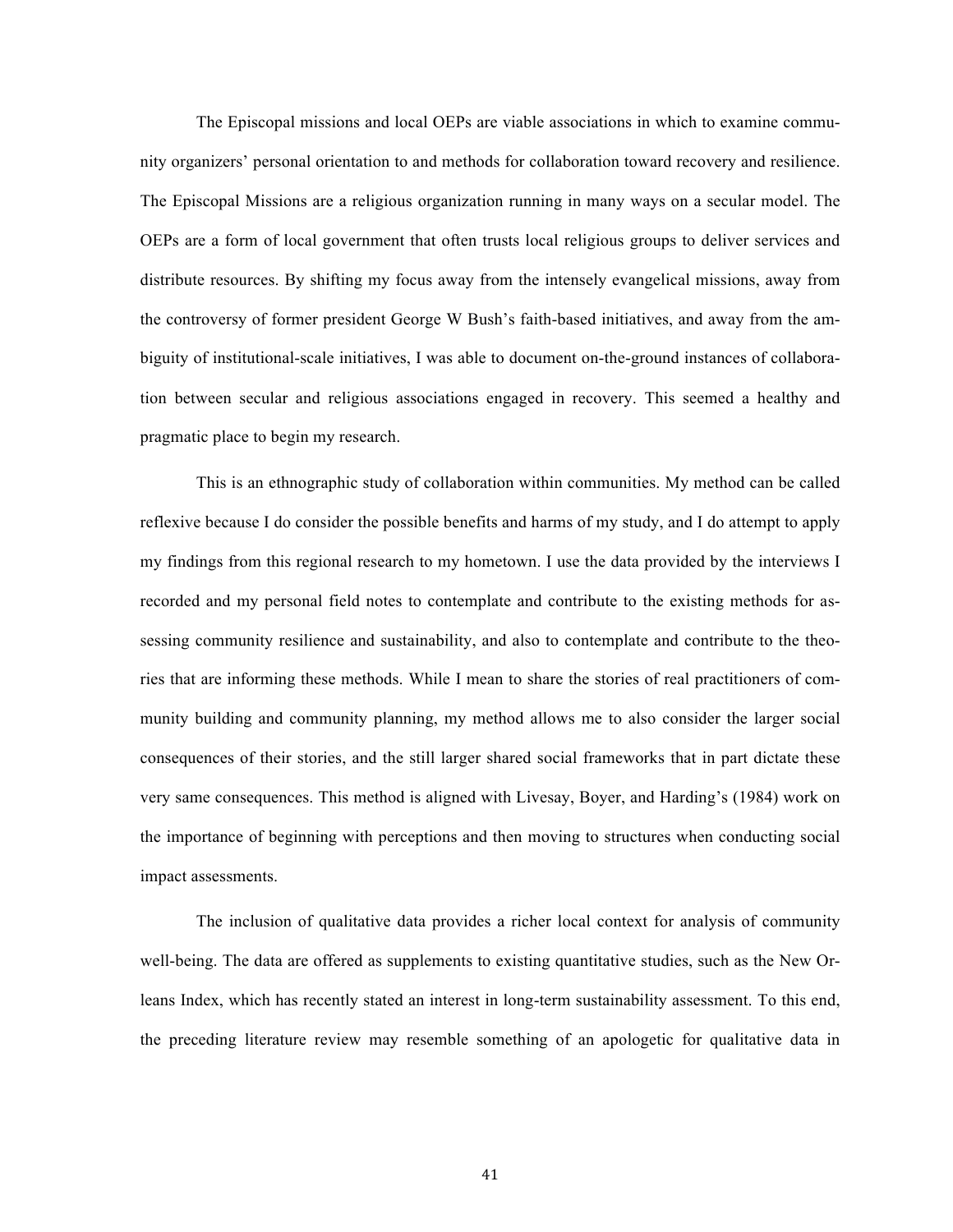The Episcopal missions and local OEPs are viable associations in which to examine community organizers' personal orientation to and methods for collaboration toward recovery and resilience. The Episcopal Missions are a religious organization running in many ways on a secular model. The OEPs are a form of local government that often trusts local religious groups to deliver services and distribute resources. By shifting my focus away from the intensely evangelical missions, away from the controversy of former president George W Bush's faith-based initiatives, and away from the ambiguity of institutional-scale initiatives, I was able to document on-the-ground instances of collaboration between secular and religious associations engaged in recovery. This seemed a healthy and pragmatic place to begin my research.

This is an ethnographic study of collaboration within communities. My method can be called reflexive because I do consider the possible benefits and harms of my study, and I do attempt to apply my findings from this regional research to my hometown. I use the data provided by the interviews I recorded and my personal field notes to contemplate and contribute to the existing methods for assessing community resilience and sustainability, and also to contemplate and contribute to the theories that are informing these methods. While I mean to share the stories of real practitioners of community building and community planning, my method allows me to also consider the larger social consequences of their stories, and the still larger shared social frameworks that in part dictate these very same consequences. This method is aligned with Livesay, Boyer, and Harding's (1984) work on the importance of beginning with perceptions and then moving to structures when conducting social impact assessments.

The inclusion of qualitative data provides a richer local context for analysis of community well-being. The data are offered as supplements to existing quantitative studies, such as the New Orleans Index, which has recently stated an interest in long-term sustainability assessment. To this end, the preceding literature review may resemble something of an apologetic for qualitative data in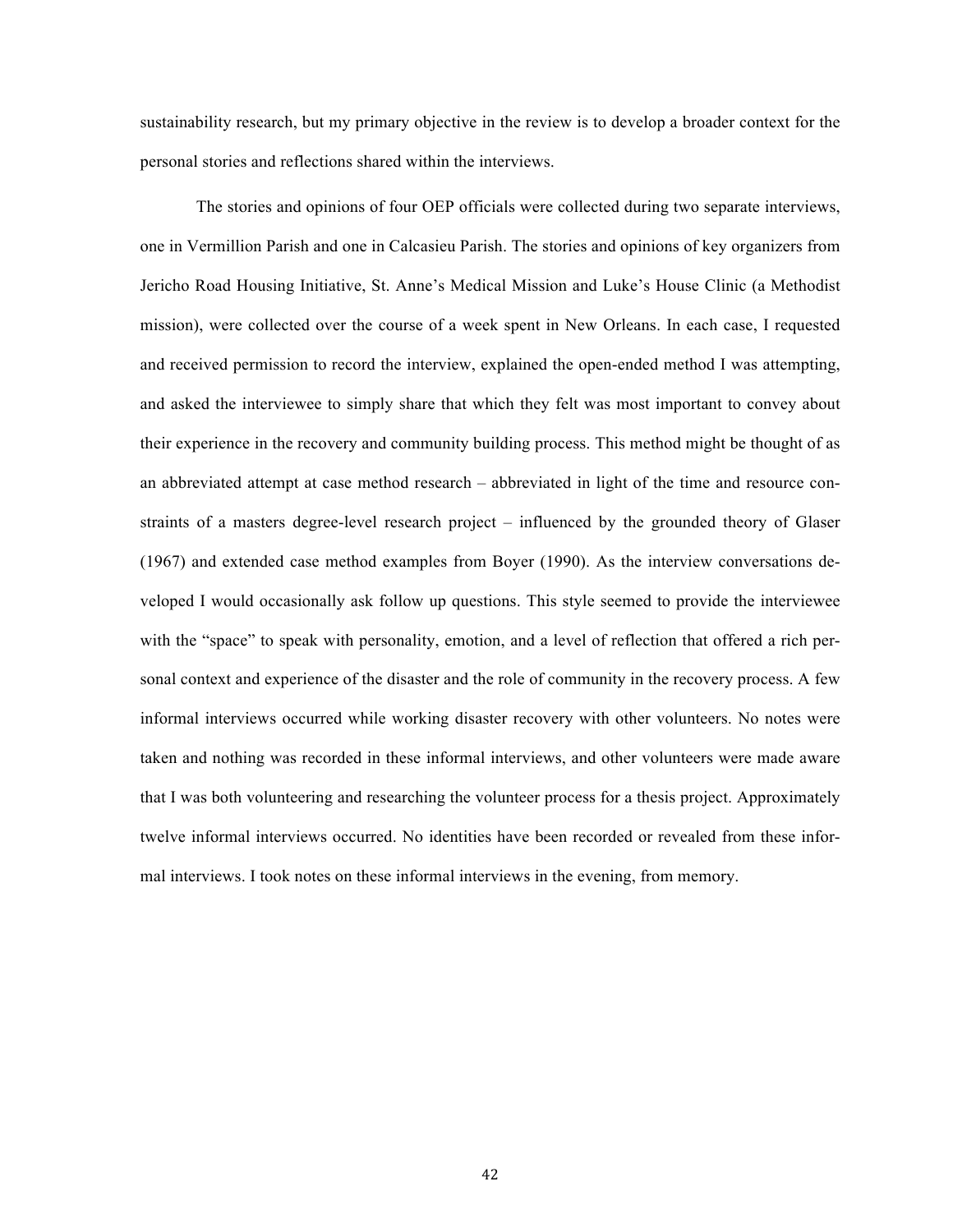sustainability research, but my primary objective in the review is to develop a broader context for the personal stories and reflections shared within the interviews.

The stories and opinions of four OEP officials were collected during two separate interviews, one in Vermillion Parish and one in Calcasieu Parish. The stories and opinions of key organizers from Jericho Road Housing Initiative, St. Anne's Medical Mission and Luke's House Clinic (a Methodist mission), were collected over the course of a week spent in New Orleans. In each case, I requested and received permission to record the interview, explained the open-ended method I was attempting, and asked the interviewee to simply share that which they felt was most important to convey about their experience in the recovery and community building process. This method might be thought of as an abbreviated attempt at case method research – abbreviated in light of the time and resource constraints of a masters degree-level research project – influenced by the grounded theory of Glaser (1967) and extended case method examples from Boyer (1990). As the interview conversations developed I would occasionally ask follow up questions. This style seemed to provide the interviewee with the "space" to speak with personality, emotion, and a level of reflection that offered a rich personal context and experience of the disaster and the role of community in the recovery process. A few informal interviews occurred while working disaster recovery with other volunteers. No notes were taken and nothing was recorded in these informal interviews, and other volunteers were made aware that I was both volunteering and researching the volunteer process for a thesis project. Approximately twelve informal interviews occurred. No identities have been recorded or revealed from these informal interviews. I took notes on these informal interviews in the evening, from memory.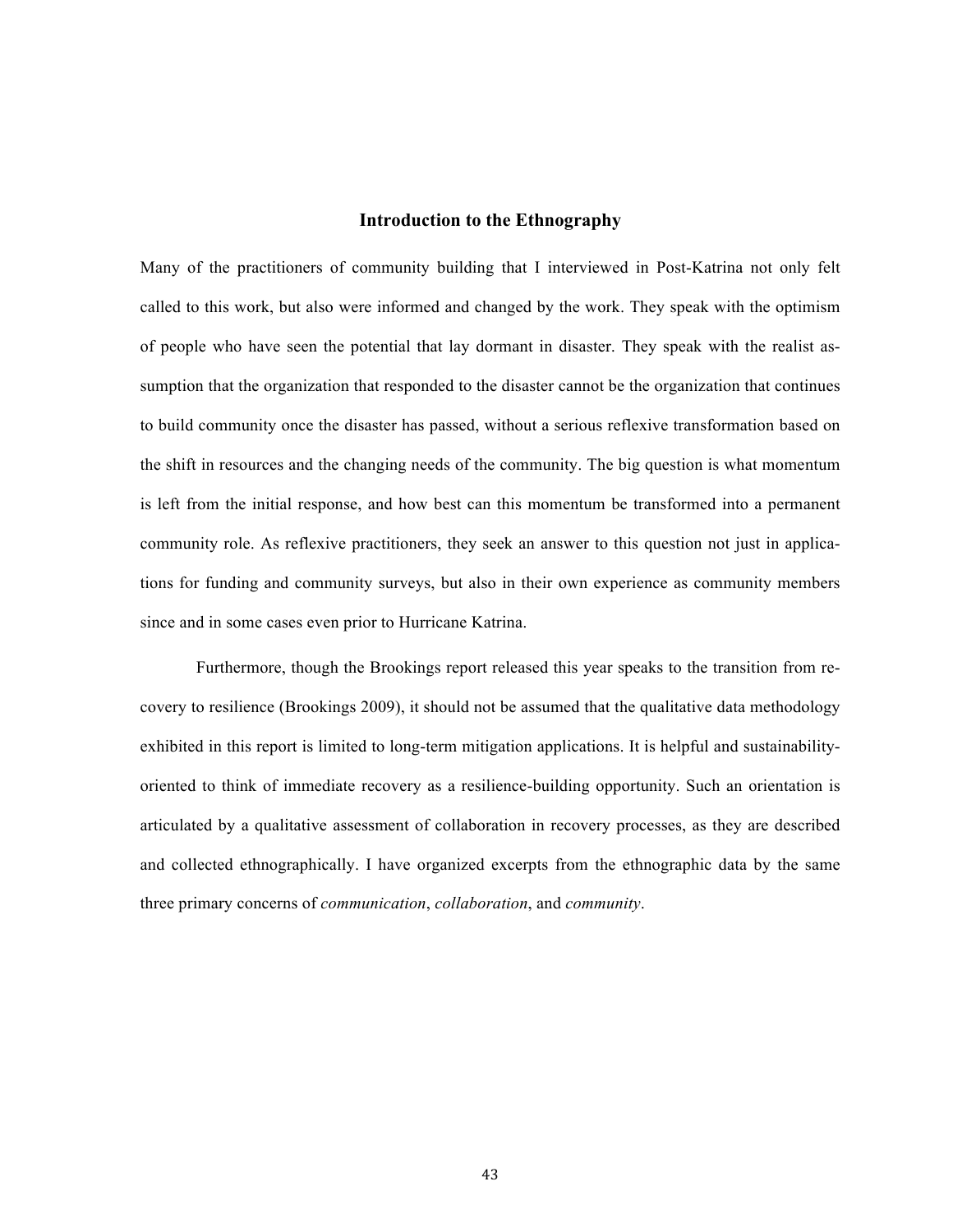### **Introduction to the Ethnography**

Many of the practitioners of community building that I interviewed in Post-Katrina not only felt called to this work, but also were informed and changed by the work. They speak with the optimism of people who have seen the potential that lay dormant in disaster. They speak with the realist assumption that the organization that responded to the disaster cannot be the organization that continues to build community once the disaster has passed, without a serious reflexive transformation based on the shift in resources and the changing needs of the community. The big question is what momentum is left from the initial response, and how best can this momentum be transformed into a permanent community role. As reflexive practitioners, they seek an answer to this question not just in applications for funding and community surveys, but also in their own experience as community members since and in some cases even prior to Hurricane Katrina.

Furthermore, though the Brookings report released this year speaks to the transition from recovery to resilience (Brookings 2009), it should not be assumed that the qualitative data methodology exhibited in this report is limited to long-term mitigation applications. It is helpful and sustainabilityoriented to think of immediate recovery as a resilience-building opportunity. Such an orientation is articulated by a qualitative assessment of collaboration in recovery processes, as they are described and collected ethnographically. I have organized excerpts from the ethnographic data by the same three primary concerns of *communication*, *collaboration*, and *community*.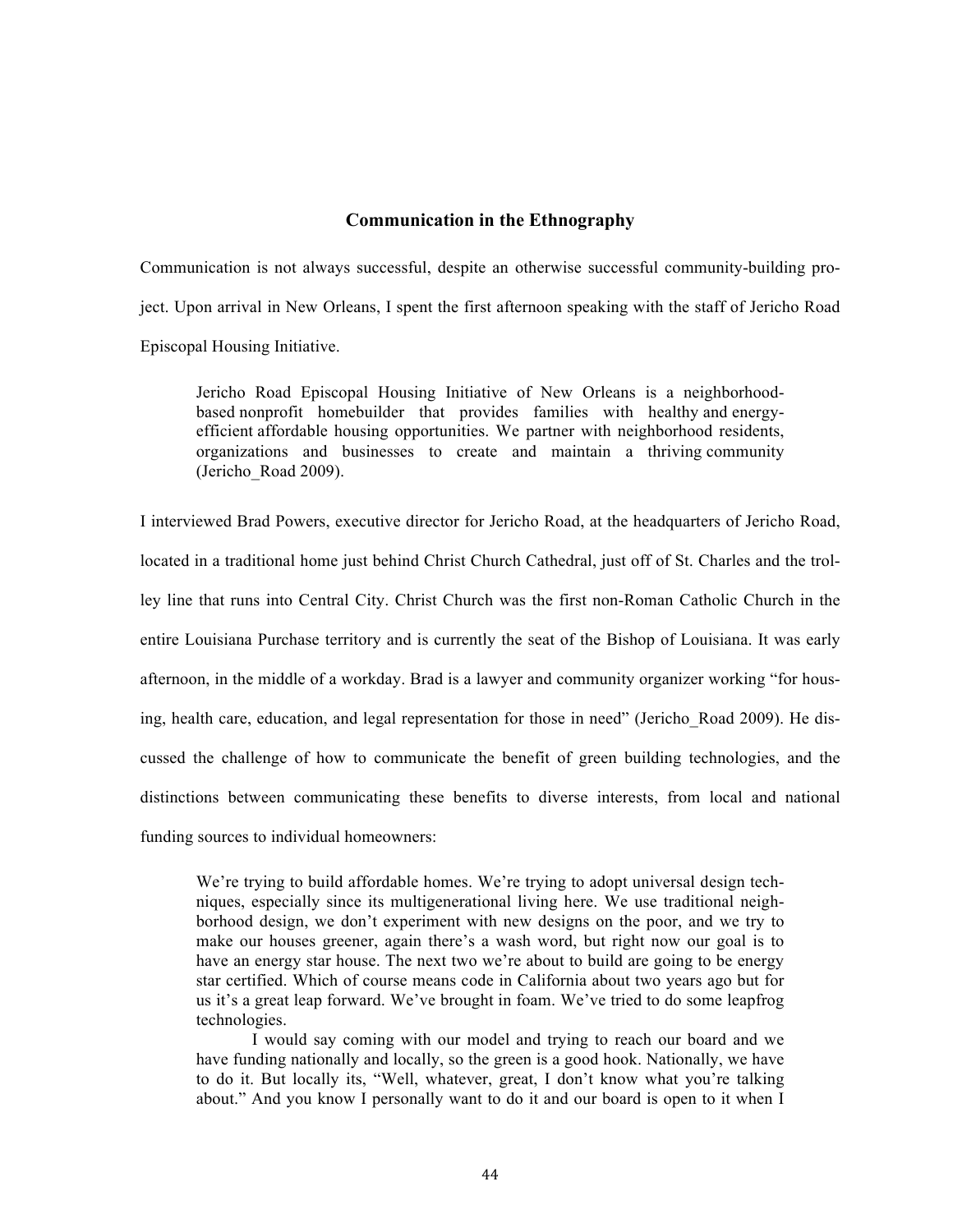## **Communication in the Ethnography**

Communication is not always successful, despite an otherwise successful community-building project. Upon arrival in New Orleans, I spent the first afternoon speaking with the staff of Jericho Road Episcopal Housing Initiative.

Jericho Road Episcopal Housing Initiative of New Orleans is a neighborhoodbased nonprofit homebuilder that provides families with healthy and energyefficient affordable housing opportunities. We partner with neighborhood residents, organizations and businesses to create and maintain a thriving community (Jericho\_Road 2009).

I interviewed Brad Powers, executive director for Jericho Road, at the headquarters of Jericho Road, located in a traditional home just behind Christ Church Cathedral, just off of St. Charles and the trolley line that runs into Central City. Christ Church was the first non-Roman Catholic Church in the entire Louisiana Purchase territory and is currently the seat of the Bishop of Louisiana. It was early afternoon, in the middle of a workday. Brad is a lawyer and community organizer working "for housing, health care, education, and legal representation for those in need" (Jericho\_Road 2009). He discussed the challenge of how to communicate the benefit of green building technologies, and the distinctions between communicating these benefits to diverse interests, from local and national funding sources to individual homeowners:

We're trying to build affordable homes. We're trying to adopt universal design techniques, especially since its multigenerational living here. We use traditional neighborhood design, we don't experiment with new designs on the poor, and we try to make our houses greener, again there's a wash word, but right now our goal is to have an energy star house. The next two we're about to build are going to be energy star certified. Which of course means code in California about two years ago but for us it's a great leap forward. We've brought in foam. We've tried to do some leapfrog technologies.

I would say coming with our model and trying to reach our board and we have funding nationally and locally, so the green is a good hook. Nationally, we have to do it. But locally its, "Well, whatever, great, I don't know what you're talking about." And you know I personally want to do it and our board is open to it when I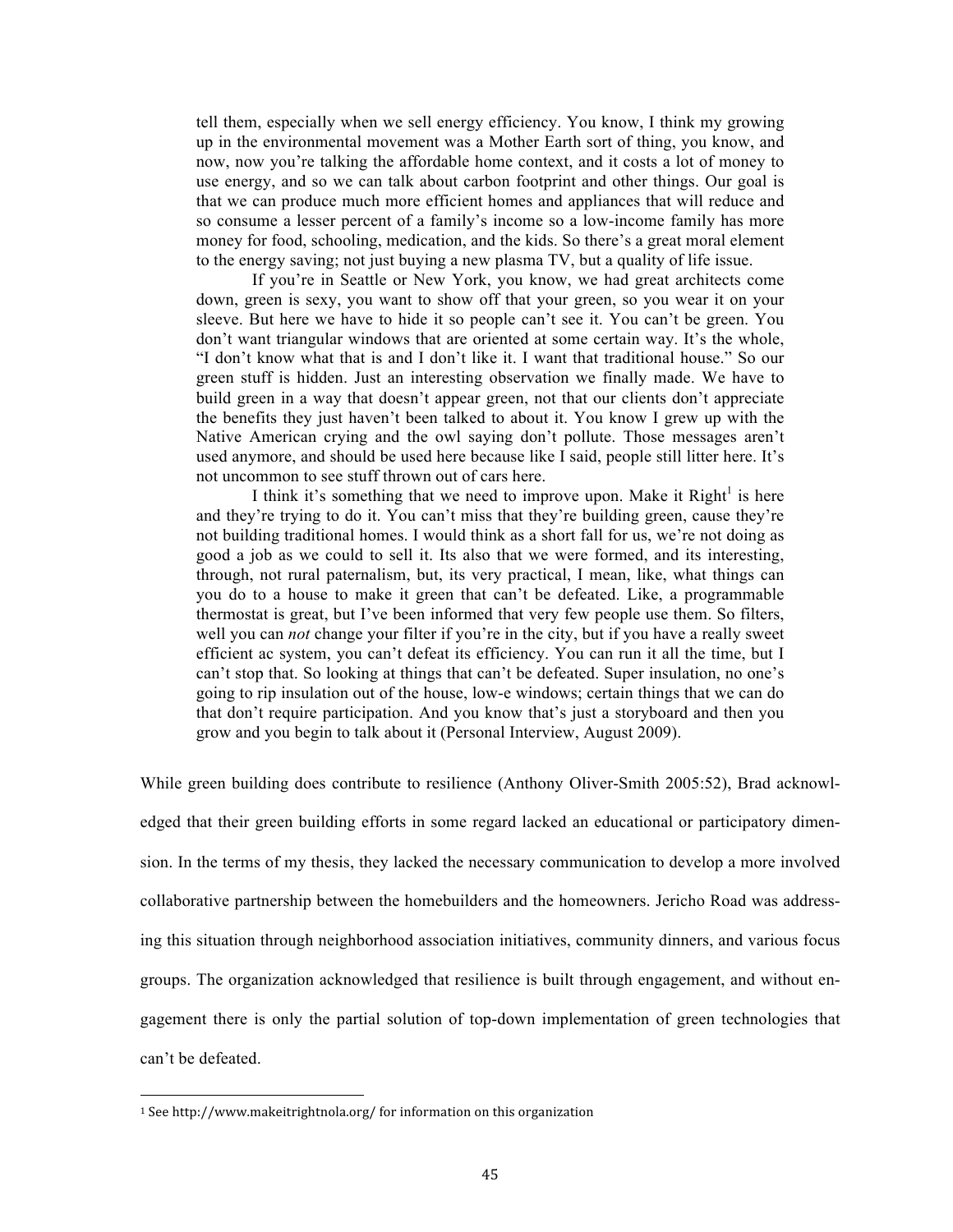tell them, especially when we sell energy efficiency. You know, I think my growing up in the environmental movement was a Mother Earth sort of thing, you know, and now, now you're talking the affordable home context, and it costs a lot of money to use energy, and so we can talk about carbon footprint and other things. Our goal is that we can produce much more efficient homes and appliances that will reduce and so consume a lesser percent of a family's income so a low-income family has more money for food, schooling, medication, and the kids. So there's a great moral element to the energy saving; not just buying a new plasma TV, but a quality of life issue.

If you're in Seattle or New York, you know, we had great architects come down, green is sexy, you want to show off that your green, so you wear it on your sleeve. But here we have to hide it so people can't see it. You can't be green. You don't want triangular windows that are oriented at some certain way. It's the whole, "I don't know what that is and I don't like it. I want that traditional house." So our green stuff is hidden. Just an interesting observation we finally made. We have to build green in a way that doesn't appear green, not that our clients don't appreciate the benefits they just haven't been talked to about it. You know I grew up with the Native American crying and the owl saying don't pollute. Those messages aren't used anymore, and should be used here because like I said, people still litter here. It's not uncommon to see stuff thrown out of cars here.

I think it's something that we need to improve upon. Make it Right<sup>1</sup> is here and they're trying to do it. You can't miss that they're building green, cause they're not building traditional homes. I would think as a short fall for us, we're not doing as good a job as we could to sell it. Its also that we were formed, and its interesting, through, not rural paternalism, but, its very practical, I mean, like, what things can you do to a house to make it green that can't be defeated. Like, a programmable thermostat is great, but I've been informed that very few people use them. So filters, well you can *not* change your filter if you're in the city, but if you have a really sweet efficient ac system, you can't defeat its efficiency. You can run it all the time, but I can't stop that. So looking at things that can't be defeated. Super insulation, no one's going to rip insulation out of the house, low-e windows; certain things that we can do that don't require participation. And you know that's just a storyboard and then you grow and you begin to talk about it (Personal Interview, August 2009).

While green building does contribute to resilience (Anthony Oliver-Smith 2005:52), Brad acknowl-

edged that their green building efforts in some regard lacked an educational or participatory dimension. In the terms of my thesis, they lacked the necessary communication to develop a more involved collaborative partnership between the homebuilders and the homeowners. Jericho Road was addressing this situation through neighborhood association initiatives, community dinners, and various focus groups. The organization acknowledged that resilience is built through engagement, and without engagement there is only the partial solution of top-down implementation of green technologies that can't be defeated.

<sup>1</sup> See http://www.makeitrightnola.org/ for information on this organization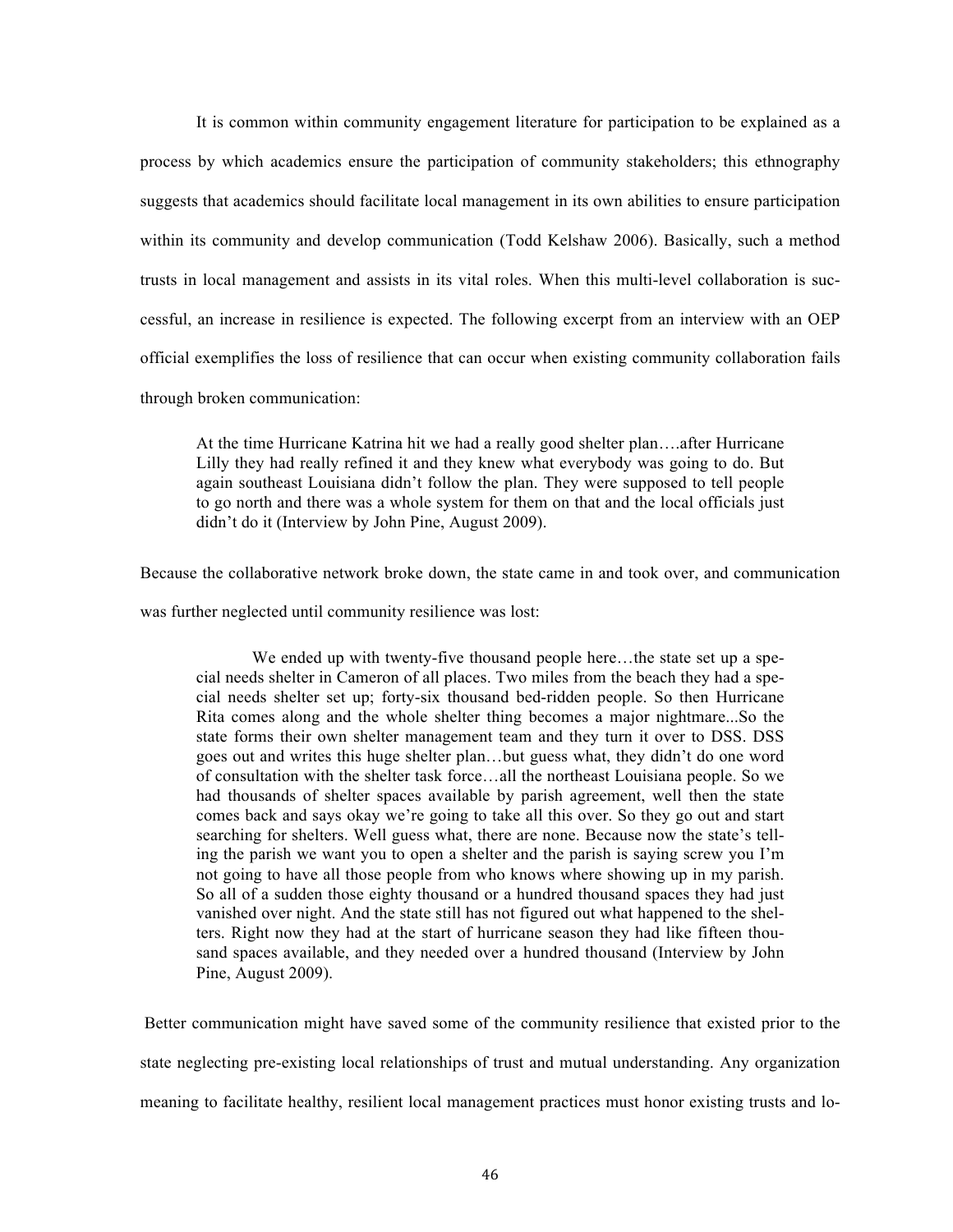It is common within community engagement literature for participation to be explained as a process by which academics ensure the participation of community stakeholders; this ethnography suggests that academics should facilitate local management in its own abilities to ensure participation within its community and develop communication (Todd Kelshaw 2006). Basically, such a method trusts in local management and assists in its vital roles. When this multi-level collaboration is successful, an increase in resilience is expected. The following excerpt from an interview with an OEP official exemplifies the loss of resilience that can occur when existing community collaboration fails through broken communication:

At the time Hurricane Katrina hit we had a really good shelter plan….after Hurricane Lilly they had really refined it and they knew what everybody was going to do. But again southeast Louisiana didn't follow the plan. They were supposed to tell people to go north and there was a whole system for them on that and the local officials just didn't do it (Interview by John Pine, August 2009).

Because the collaborative network broke down, the state came in and took over, and communication was further neglected until community resilience was lost:

We ended up with twenty-five thousand people here...the state set up a special needs shelter in Cameron of all places. Two miles from the beach they had a special needs shelter set up; forty-six thousand bed-ridden people. So then Hurricane Rita comes along and the whole shelter thing becomes a major nightmare...So the state forms their own shelter management team and they turn it over to DSS. DSS goes out and writes this huge shelter plan…but guess what, they didn't do one word of consultation with the shelter task force…all the northeast Louisiana people. So we had thousands of shelter spaces available by parish agreement, well then the state comes back and says okay we're going to take all this over. So they go out and start searching for shelters. Well guess what, there are none. Because now the state's telling the parish we want you to open a shelter and the parish is saying screw you I'm not going to have all those people from who knows where showing up in my parish. So all of a sudden those eighty thousand or a hundred thousand spaces they had just vanished over night. And the state still has not figured out what happened to the shelters. Right now they had at the start of hurricane season they had like fifteen thousand spaces available, and they needed over a hundred thousand (Interview by John Pine, August 2009).

 Better communication might have saved some of the community resilience that existed prior to the state neglecting pre-existing local relationships of trust and mutual understanding. Any organization meaning to facilitate healthy, resilient local management practices must honor existing trusts and lo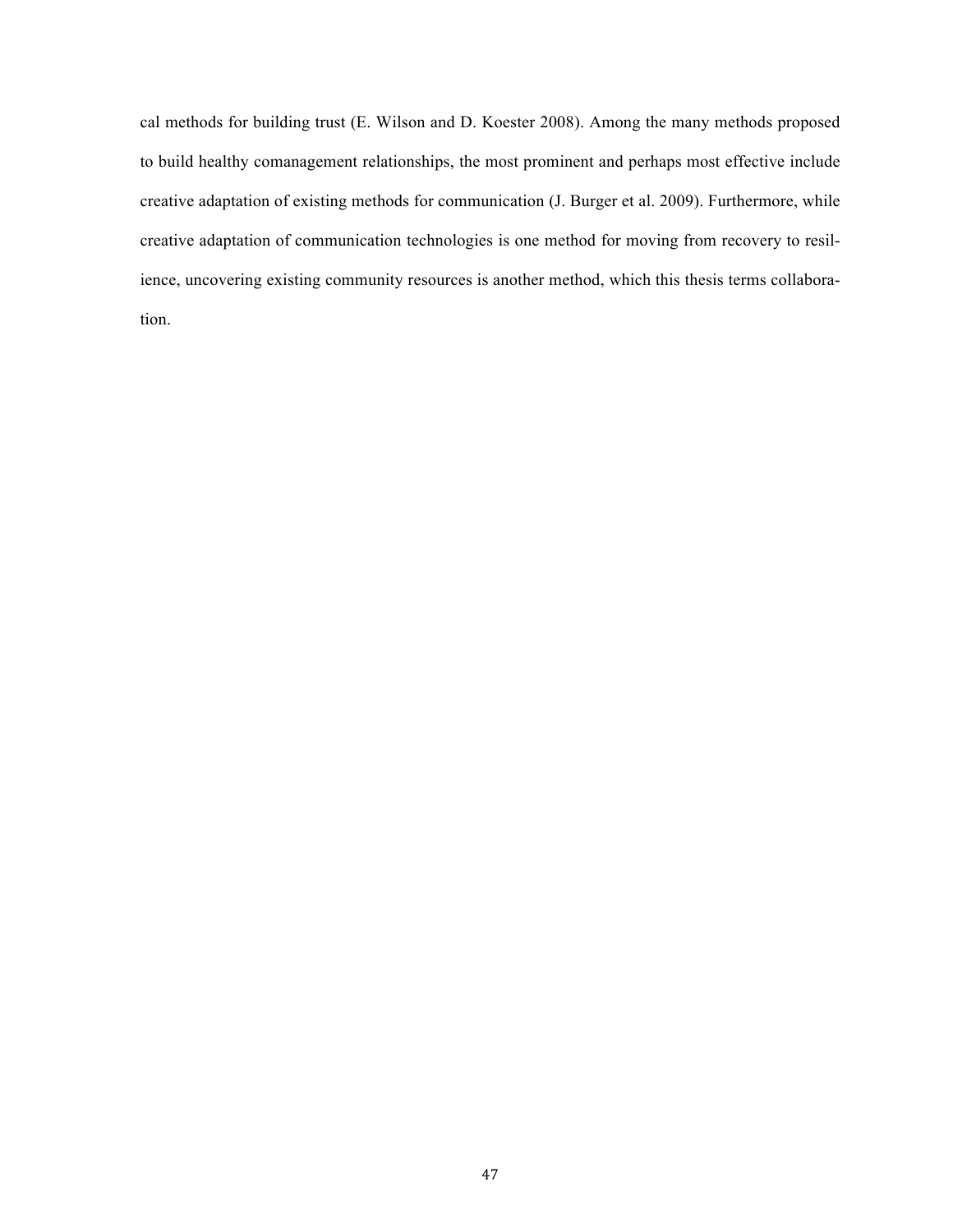cal methods for building trust (E. Wilson and D. Koester 2008). Among the many methods proposed to build healthy comanagement relationships, the most prominent and perhaps most effective include creative adaptation of existing methods for communication (J. Burger et al. 2009). Furthermore, while creative adaptation of communication technologies is one method for moving from recovery to resilience, uncovering existing community resources is another method, which this thesis terms collaboration.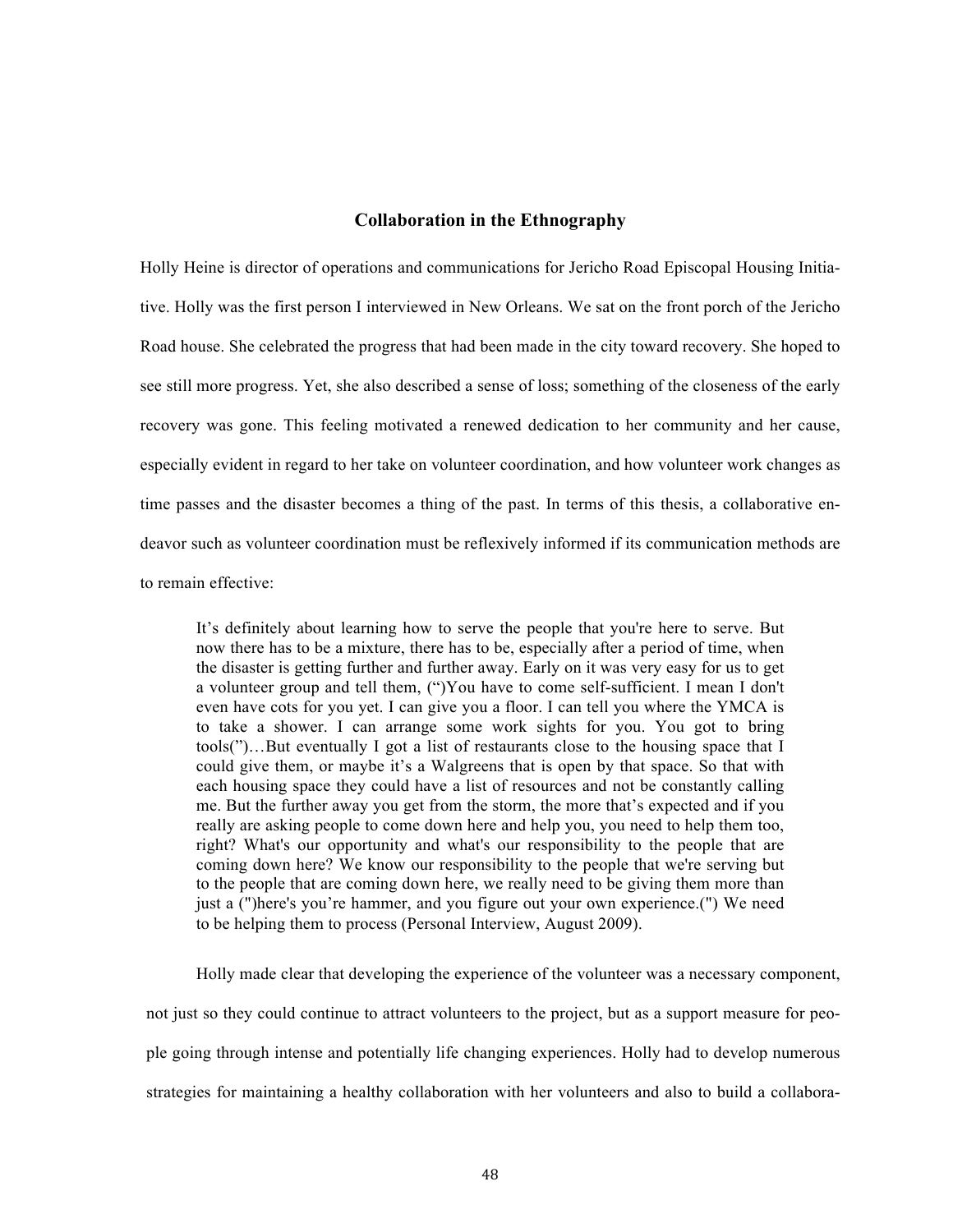### **Collaboration in the Ethnography**

Holly Heine is director of operations and communications for Jericho Road Episcopal Housing Initiative. Holly was the first person I interviewed in New Orleans. We sat on the front porch of the Jericho Road house. She celebrated the progress that had been made in the city toward recovery. She hoped to see still more progress. Yet, she also described a sense of loss; something of the closeness of the early recovery was gone. This feeling motivated a renewed dedication to her community and her cause, especially evident in regard to her take on volunteer coordination, and how volunteer work changes as time passes and the disaster becomes a thing of the past. In terms of this thesis, a collaborative endeavor such as volunteer coordination must be reflexively informed if its communication methods are to remain effective:

It's definitely about learning how to serve the people that you're here to serve. But now there has to be a mixture, there has to be, especially after a period of time, when the disaster is getting further and further away. Early on it was very easy for us to get a volunteer group and tell them, (")You have to come self-sufficient. I mean I don't even have cots for you yet. I can give you a floor. I can tell you where the YMCA is to take a shower. I can arrange some work sights for you. You got to bring tools(")…But eventually I got a list of restaurants close to the housing space that I could give them, or maybe it's a Walgreens that is open by that space. So that with each housing space they could have a list of resources and not be constantly calling me. But the further away you get from the storm, the more that's expected and if you really are asking people to come down here and help you, you need to help them too, right? What's our opportunity and what's our responsibility to the people that are coming down here? We know our responsibility to the people that we're serving but to the people that are coming down here, we really need to be giving them more than just a (")here's you're hammer, and you figure out your own experience.(") We need to be helping them to process (Personal Interview, August 2009).

Holly made clear that developing the experience of the volunteer was a necessary component, not just so they could continue to attract volunteers to the project, but as a support measure for people going through intense and potentially life changing experiences. Holly had to develop numerous strategies for maintaining a healthy collaboration with her volunteers and also to build a collabora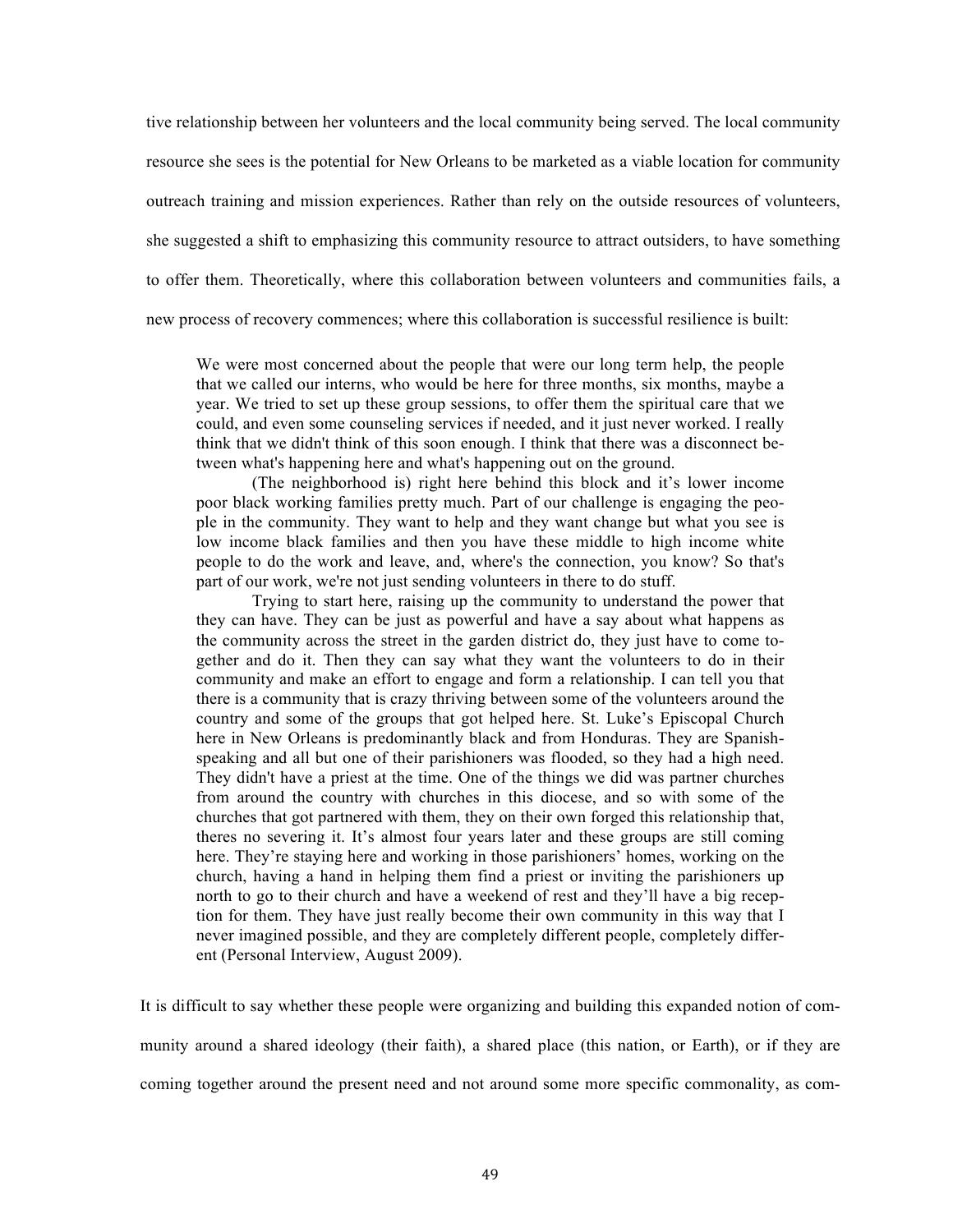tive relationship between her volunteers and the local community being served. The local community resource she sees is the potential for New Orleans to be marketed as a viable location for community outreach training and mission experiences. Rather than rely on the outside resources of volunteers, she suggested a shift to emphasizing this community resource to attract outsiders, to have something to offer them. Theoretically, where this collaboration between volunteers and communities fails, a new process of recovery commences; where this collaboration is successful resilience is built:

We were most concerned about the people that were our long term help, the people that we called our interns, who would be here for three months, six months, maybe a year. We tried to set up these group sessions, to offer them the spiritual care that we could, and even some counseling services if needed, and it just never worked. I really think that we didn't think of this soon enough. I think that there was a disconnect between what's happening here and what's happening out on the ground.

(The neighborhood is) right here behind this block and it's lower income poor black working families pretty much. Part of our challenge is engaging the people in the community. They want to help and they want change but what you see is low income black families and then you have these middle to high income white people to do the work and leave, and, where's the connection, you know? So that's part of our work, we're not just sending volunteers in there to do stuff.

Trying to start here, raising up the community to understand the power that they can have. They can be just as powerful and have a say about what happens as the community across the street in the garden district do, they just have to come together and do it. Then they can say what they want the volunteers to do in their community and make an effort to engage and form a relationship. I can tell you that there is a community that is crazy thriving between some of the volunteers around the country and some of the groups that got helped here. St. Luke's Episcopal Church here in New Orleans is predominantly black and from Honduras. They are Spanishspeaking and all but one of their parishioners was flooded, so they had a high need. They didn't have a priest at the time. One of the things we did was partner churches from around the country with churches in this diocese, and so with some of the churches that got partnered with them, they on their own forged this relationship that, theres no severing it. It's almost four years later and these groups are still coming here. They're staying here and working in those parishioners' homes, working on the church, having a hand in helping them find a priest or inviting the parishioners up north to go to their church and have a weekend of rest and they'll have a big reception for them. They have just really become their own community in this way that I never imagined possible, and they are completely different people, completely different (Personal Interview, August 2009).

It is difficult to say whether these people were organizing and building this expanded notion of community around a shared ideology (their faith), a shared place (this nation, or Earth), or if they are coming together around the present need and not around some more specific commonality, as com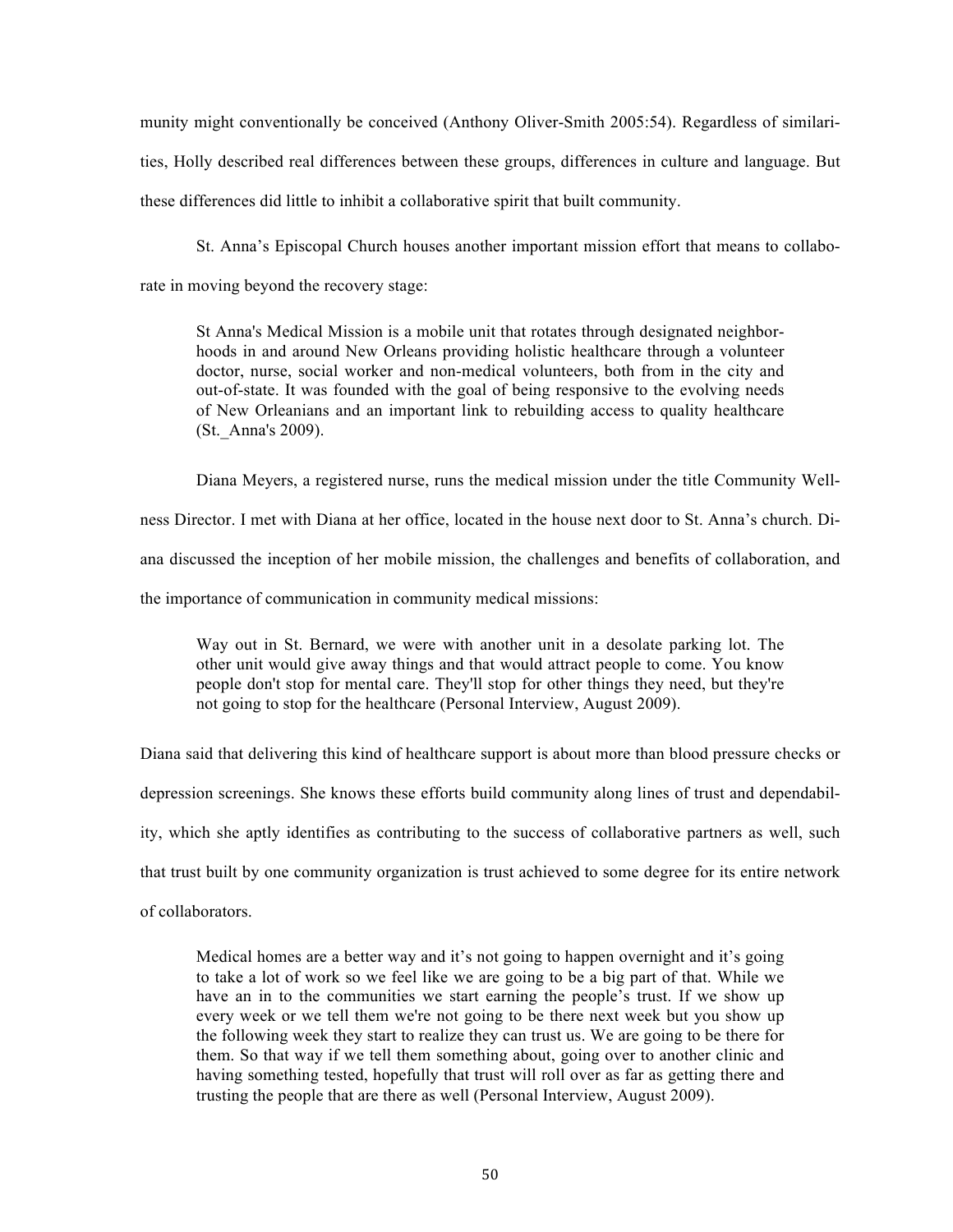munity might conventionally be conceived (Anthony Oliver-Smith 2005:54). Regardless of similarities, Holly described real differences between these groups, differences in culture and language. But these differences did little to inhibit a collaborative spirit that built community.

St. Anna's Episcopal Church houses another important mission effort that means to collabo-

rate in moving beyond the recovery stage:

St Anna's Medical Mission is a mobile unit that rotates through designated neighborhoods in and around New Orleans providing holistic healthcare through a volunteer doctor, nurse, social worker and non-medical volunteers, both from in the city and out-of-state. It was founded with the goal of being responsive to the evolving needs of New Orleanians and an important link to rebuilding access to quality healthcare (St.\_Anna's 2009).

Diana Meyers, a registered nurse, runs the medical mission under the title Community Wellness Director. I met with Diana at her office, located in the house next door to St. Anna's church. Diana discussed the inception of her mobile mission, the challenges and benefits of collaboration, and the importance of communication in community medical missions:

Way out in St. Bernard, we were with another unit in a desolate parking lot. The other unit would give away things and that would attract people to come. You know people don't stop for mental care. They'll stop for other things they need, but they're not going to stop for the healthcare (Personal Interview, August 2009).

Diana said that delivering this kind of healthcare support is about more than blood pressure checks or depression screenings. She knows these efforts build community along lines of trust and dependability, which she aptly identifies as contributing to the success of collaborative partners as well, such that trust built by one community organization is trust achieved to some degree for its entire network of collaborators.

Medical homes are a better way and it's not going to happen overnight and it's going to take a lot of work so we feel like we are going to be a big part of that. While we have an in to the communities we start earning the people's trust. If we show up every week or we tell them we're not going to be there next week but you show up the following week they start to realize they can trust us. We are going to be there for them. So that way if we tell them something about, going over to another clinic and having something tested, hopefully that trust will roll over as far as getting there and trusting the people that are there as well (Personal Interview, August 2009).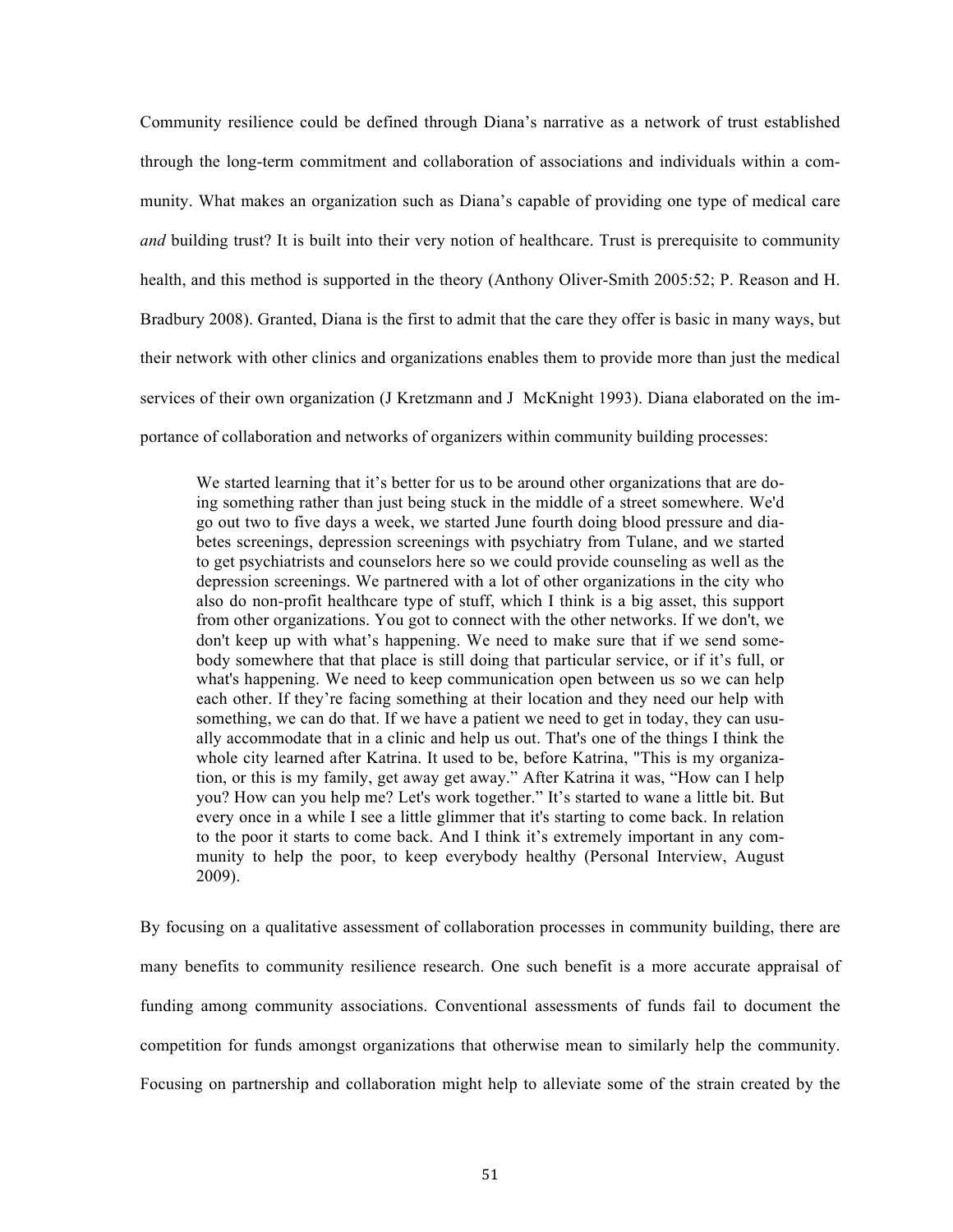Community resilience could be defined through Diana's narrative as a network of trust established through the long-term commitment and collaboration of associations and individuals within a community. What makes an organization such as Diana's capable of providing one type of medical care *and* building trust? It is built into their very notion of healthcare. Trust is prerequisite to community health, and this method is supported in the theory (Anthony Oliver-Smith 2005:52; P. Reason and H. Bradbury 2008). Granted, Diana is the first to admit that the care they offer is basic in many ways, but their network with other clinics and organizations enables them to provide more than just the medical services of their own organization (J Kretzmann and J McKnight 1993). Diana elaborated on the importance of collaboration and networks of organizers within community building processes:

We started learning that it's better for us to be around other organizations that are doing something rather than just being stuck in the middle of a street somewhere. We'd go out two to five days a week, we started June fourth doing blood pressure and diabetes screenings, depression screenings with psychiatry from Tulane, and we started to get psychiatrists and counselors here so we could provide counseling as well as the depression screenings. We partnered with a lot of other organizations in the city who also do non-profit healthcare type of stuff, which I think is a big asset, this support from other organizations. You got to connect with the other networks. If we don't, we don't keep up with what's happening. We need to make sure that if we send somebody somewhere that that place is still doing that particular service, or if it's full, or what's happening. We need to keep communication open between us so we can help each other. If they're facing something at their location and they need our help with something, we can do that. If we have a patient we need to get in today, they can usually accommodate that in a clinic and help us out. That's one of the things I think the whole city learned after Katrina. It used to be, before Katrina, "This is my organization, or this is my family, get away get away." After Katrina it was, "How can I help you? How can you help me? Let's work together." It's started to wane a little bit. But every once in a while I see a little glimmer that it's starting to come back. In relation to the poor it starts to come back. And I think it's extremely important in any community to help the poor, to keep everybody healthy (Personal Interview, August 2009).

By focusing on a qualitative assessment of collaboration processes in community building, there are many benefits to community resilience research. One such benefit is a more accurate appraisal of funding among community associations. Conventional assessments of funds fail to document the competition for funds amongst organizations that otherwise mean to similarly help the community. Focusing on partnership and collaboration might help to alleviate some of the strain created by the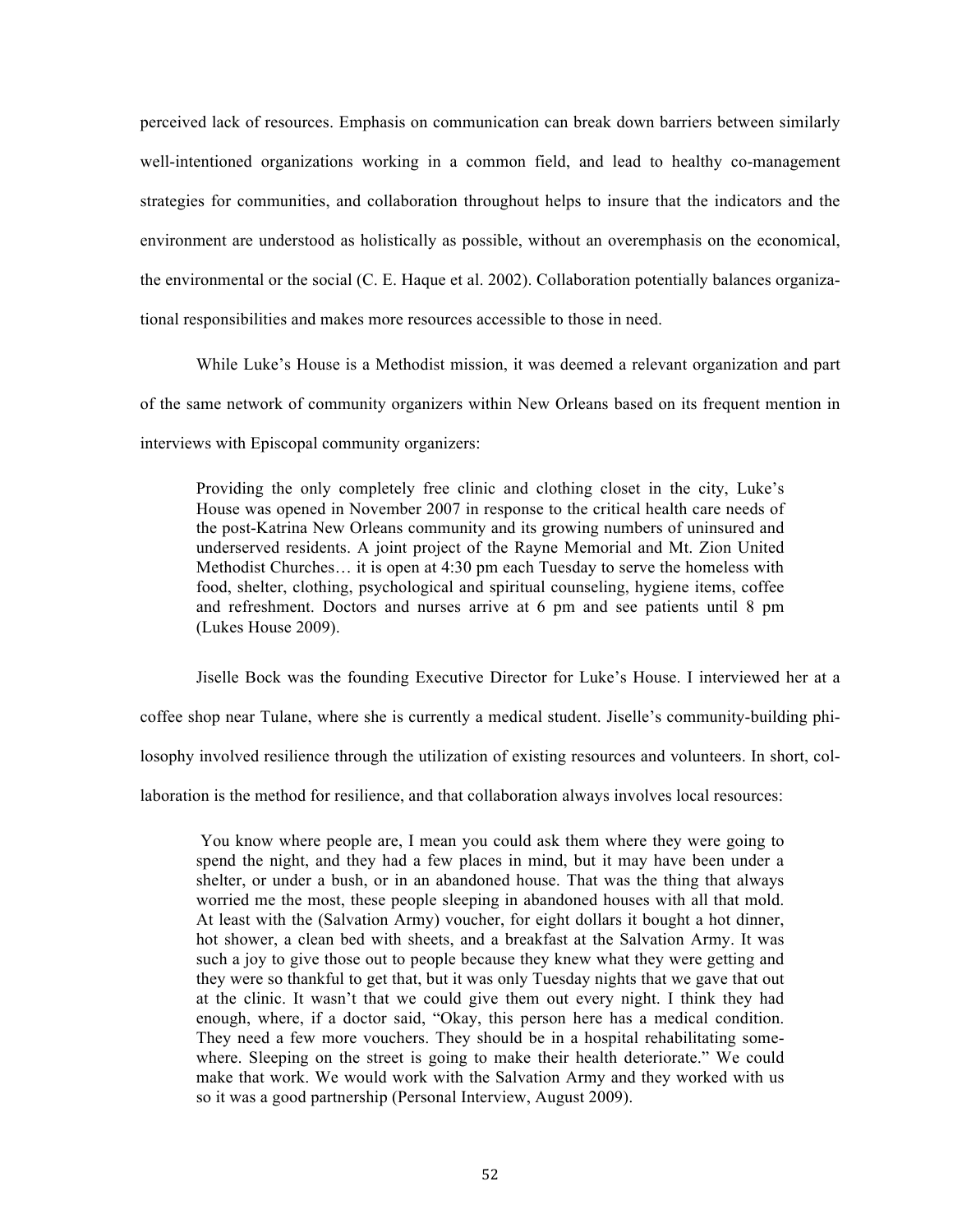perceived lack of resources. Emphasis on communication can break down barriers between similarly well-intentioned organizations working in a common field, and lead to healthy co-management strategies for communities, and collaboration throughout helps to insure that the indicators and the environment are understood as holistically as possible, without an overemphasis on the economical, the environmental or the social (C. E. Haque et al. 2002). Collaboration potentially balances organizational responsibilities and makes more resources accessible to those in need.

While Luke's House is a Methodist mission, it was deemed a relevant organization and part of the same network of community organizers within New Orleans based on its frequent mention in interviews with Episcopal community organizers:

Providing the only completely free clinic and clothing closet in the city, Luke's House was opened in November 2007 in response to the critical health care needs of the post-Katrina New Orleans community and its growing numbers of uninsured and underserved residents. A joint project of the Rayne Memorial and Mt. Zion United Methodist Churches… it is open at 4:30 pm each Tuesday to serve the homeless with food, shelter, clothing, psychological and spiritual counseling, hygiene items, coffee and refreshment. Doctors and nurses arrive at 6 pm and see patients until 8 pm (Lukes House 2009).

Jiselle Bock was the founding Executive Director for Luke's House. I interviewed her at a coffee shop near Tulane, where she is currently a medical student. Jiselle's community-building philosophy involved resilience through the utilization of existing resources and volunteers. In short, collaboration is the method for resilience, and that collaboration always involves local resources:

You know where people are, I mean you could ask them where they were going to spend the night, and they had a few places in mind, but it may have been under a shelter, or under a bush, or in an abandoned house. That was the thing that always worried me the most, these people sleeping in abandoned houses with all that mold. At least with the (Salvation Army) voucher, for eight dollars it bought a hot dinner, hot shower, a clean bed with sheets, and a breakfast at the Salvation Army. It was such a joy to give those out to people because they knew what they were getting and they were so thankful to get that, but it was only Tuesday nights that we gave that out at the clinic. It wasn't that we could give them out every night. I think they had enough, where, if a doctor said, "Okay, this person here has a medical condition. They need a few more vouchers. They should be in a hospital rehabilitating somewhere. Sleeping on the street is going to make their health deteriorate." We could make that work. We would work with the Salvation Army and they worked with us so it was a good partnership (Personal Interview, August 2009).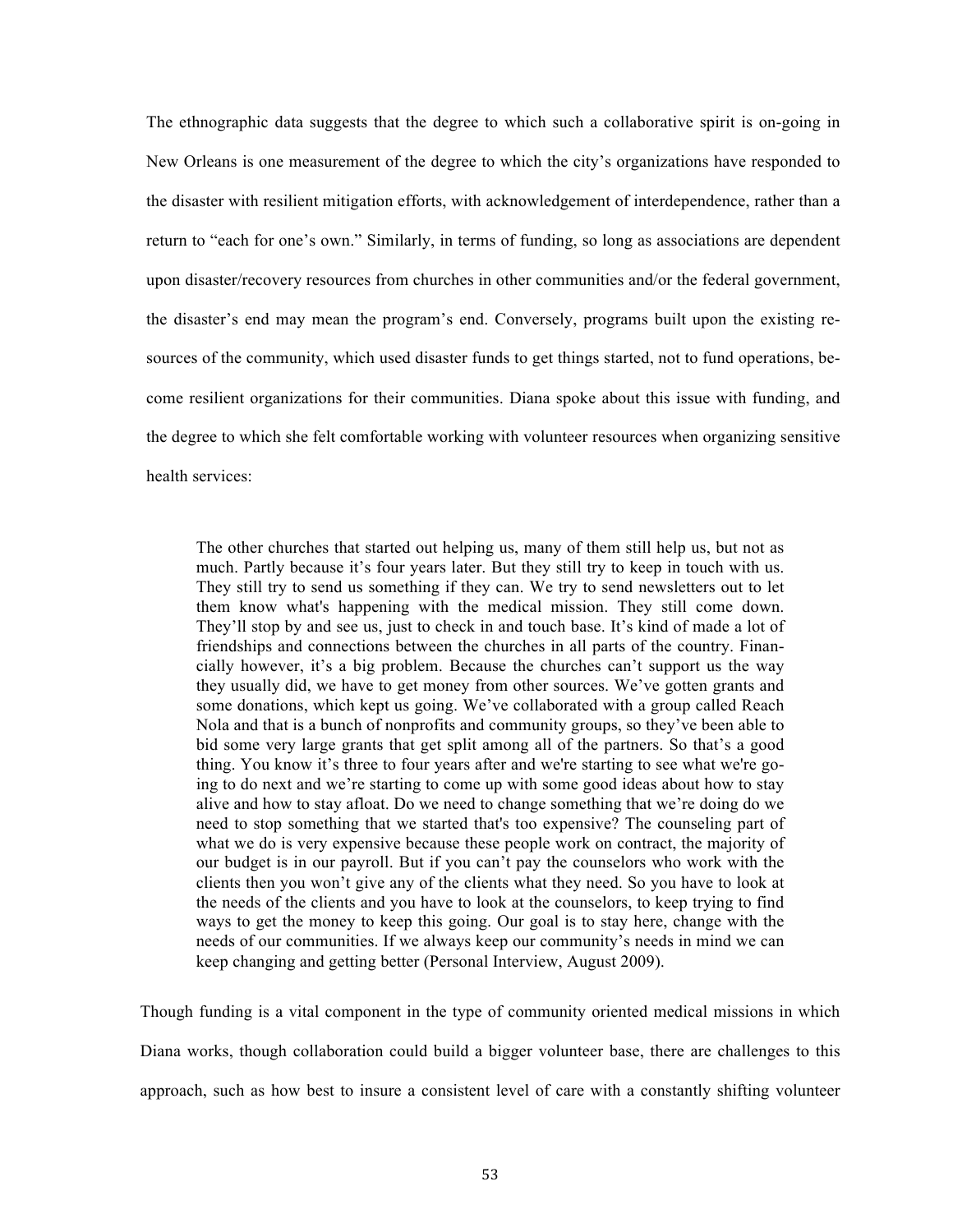The ethnographic data suggests that the degree to which such a collaborative spirit is on-going in New Orleans is one measurement of the degree to which the city's organizations have responded to the disaster with resilient mitigation efforts, with acknowledgement of interdependence, rather than a return to "each for one's own." Similarly, in terms of funding, so long as associations are dependent upon disaster/recovery resources from churches in other communities and/or the federal government, the disaster's end may mean the program's end. Conversely, programs built upon the existing resources of the community, which used disaster funds to get things started, not to fund operations, become resilient organizations for their communities. Diana spoke about this issue with funding, and the degree to which she felt comfortable working with volunteer resources when organizing sensitive health services:

The other churches that started out helping us, many of them still help us, but not as much. Partly because it's four years later. But they still try to keep in touch with us. They still try to send us something if they can. We try to send newsletters out to let them know what's happening with the medical mission. They still come down. They'll stop by and see us, just to check in and touch base. It's kind of made a lot of friendships and connections between the churches in all parts of the country. Financially however, it's a big problem. Because the churches can't support us the way they usually did, we have to get money from other sources. We've gotten grants and some donations, which kept us going. We've collaborated with a group called Reach Nola and that is a bunch of nonprofits and community groups, so they've been able to bid some very large grants that get split among all of the partners. So that's a good thing. You know it's three to four years after and we're starting to see what we're going to do next and we're starting to come up with some good ideas about how to stay alive and how to stay afloat. Do we need to change something that we're doing do we need to stop something that we started that's too expensive? The counseling part of what we do is very expensive because these people work on contract, the majority of our budget is in our payroll. But if you can't pay the counselors who work with the clients then you won't give any of the clients what they need. So you have to look at the needs of the clients and you have to look at the counselors, to keep trying to find ways to get the money to keep this going. Our goal is to stay here, change with the needs of our communities. If we always keep our community's needs in mind we can keep changing and getting better (Personal Interview, August 2009).

Though funding is a vital component in the type of community oriented medical missions in which Diana works, though collaboration could build a bigger volunteer base, there are challenges to this approach, such as how best to insure a consistent level of care with a constantly shifting volunteer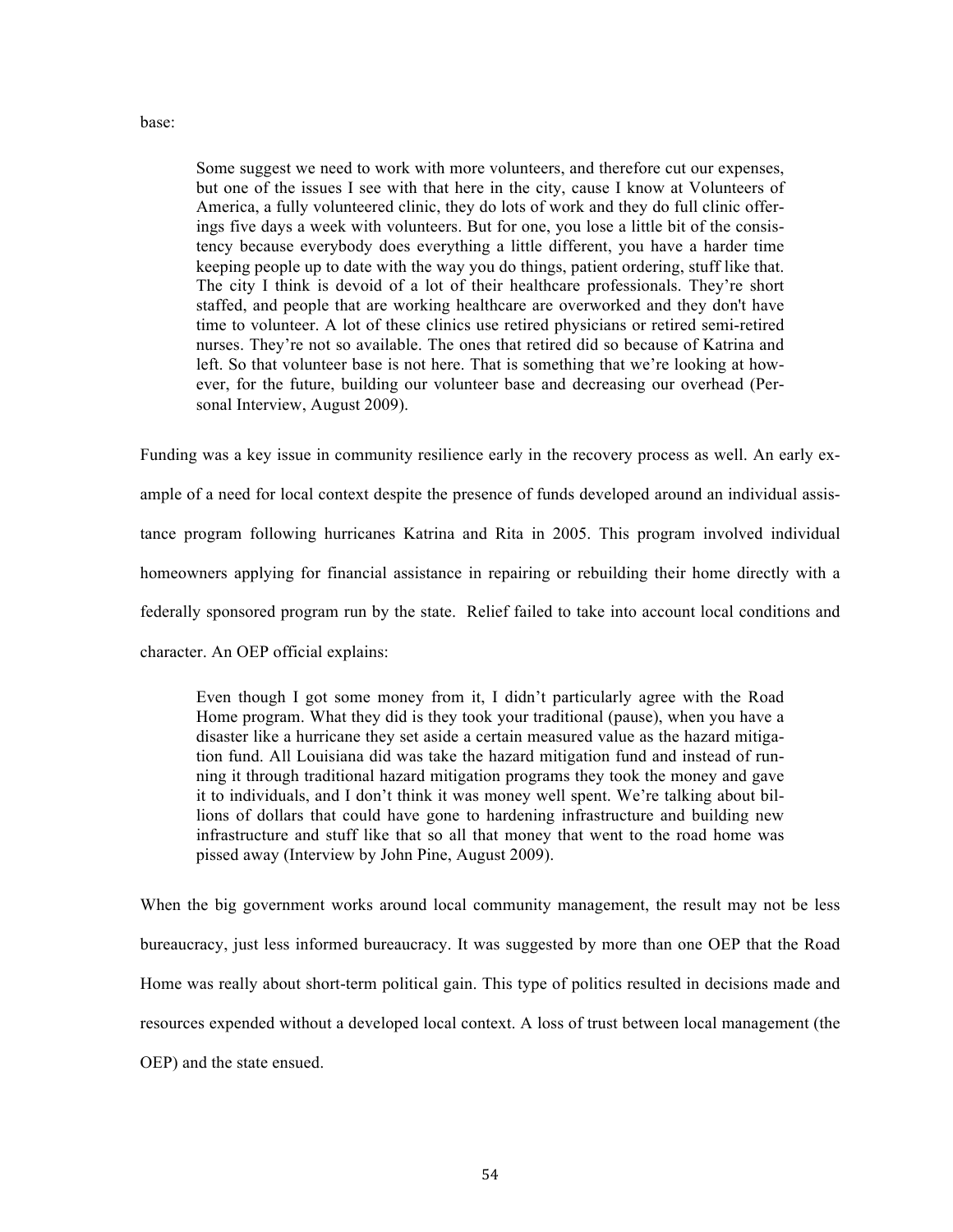#### base:

Some suggest we need to work with more volunteers, and therefore cut our expenses, but one of the issues I see with that here in the city, cause I know at Volunteers of America, a fully volunteered clinic, they do lots of work and they do full clinic offerings five days a week with volunteers. But for one, you lose a little bit of the consistency because everybody does everything a little different, you have a harder time keeping people up to date with the way you do things, patient ordering, stuff like that. The city I think is devoid of a lot of their healthcare professionals. They're short staffed, and people that are working healthcare are overworked and they don't have time to volunteer. A lot of these clinics use retired physicians or retired semi-retired nurses. They're not so available. The ones that retired did so because of Katrina and left. So that volunteer base is not here. That is something that we're looking at however, for the future, building our volunteer base and decreasing our overhead (Personal Interview, August 2009).

Funding was a key issue in community resilience early in the recovery process as well. An early example of a need for local context despite the presence of funds developed around an individual assistance program following hurricanes Katrina and Rita in 2005. This program involved individual homeowners applying for financial assistance in repairing or rebuilding their home directly with a federally sponsored program run by the state. Relief failed to take into account local conditions and character. An OEP official explains:

Even though I got some money from it, I didn't particularly agree with the Road Home program. What they did is they took your traditional (pause), when you have a disaster like a hurricane they set aside a certain measured value as the hazard mitigation fund. All Louisiana did was take the hazard mitigation fund and instead of running it through traditional hazard mitigation programs they took the money and gave it to individuals, and I don't think it was money well spent. We're talking about billions of dollars that could have gone to hardening infrastructure and building new infrastructure and stuff like that so all that money that went to the road home was pissed away (Interview by John Pine, August 2009).

When the big government works around local community management, the result may not be less bureaucracy, just less informed bureaucracy. It was suggested by more than one OEP that the Road Home was really about short-term political gain. This type of politics resulted in decisions made and resources expended without a developed local context. A loss of trust between local management (the OEP) and the state ensued.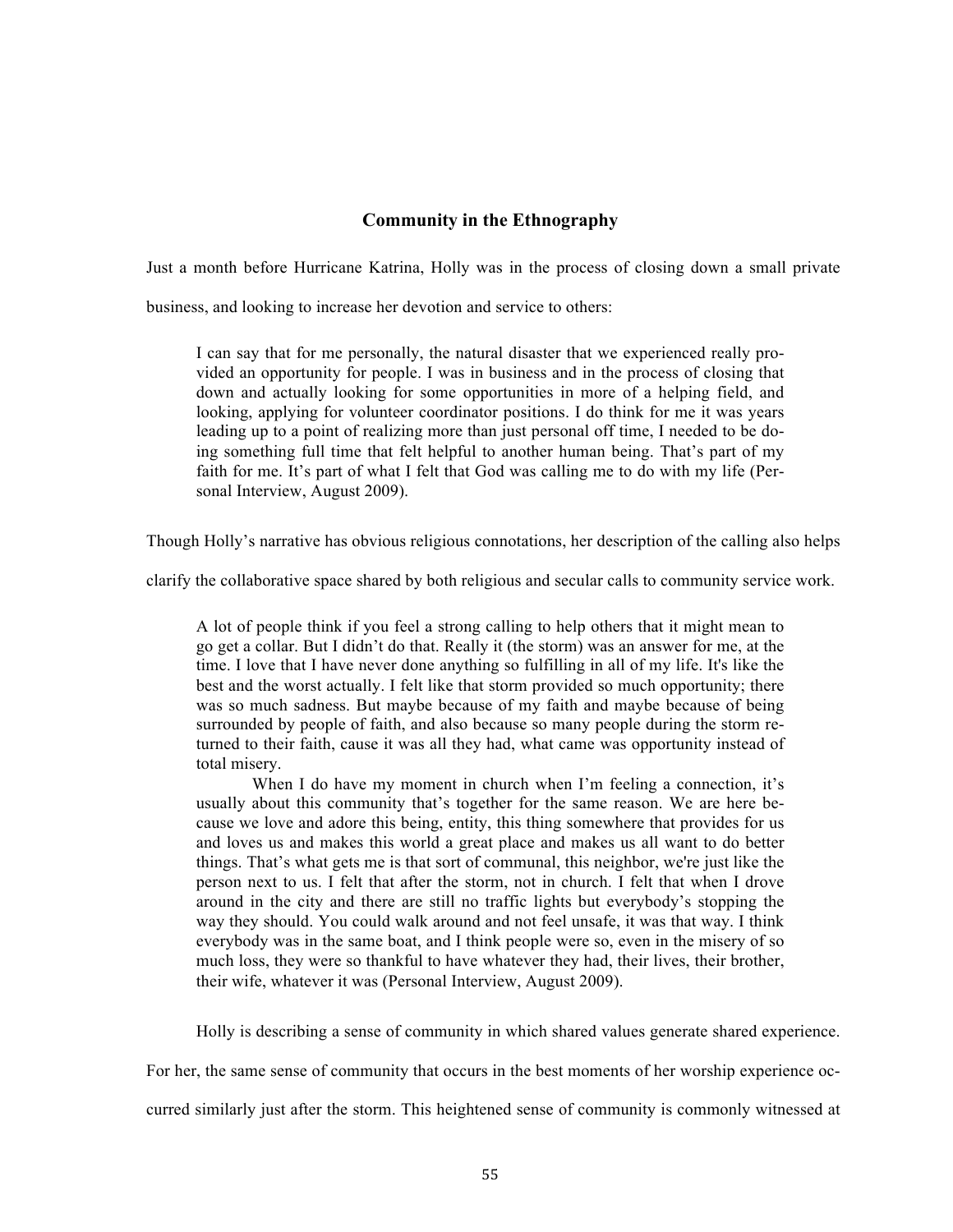# **Community in the Ethnography**

Just a month before Hurricane Katrina, Holly was in the process of closing down a small private

business, and looking to increase her devotion and service to others:

I can say that for me personally, the natural disaster that we experienced really provided an opportunity for people. I was in business and in the process of closing that down and actually looking for some opportunities in more of a helping field, and looking, applying for volunteer coordinator positions. I do think for me it was years leading up to a point of realizing more than just personal off time, I needed to be doing something full time that felt helpful to another human being. That's part of my faith for me. It's part of what I felt that God was calling me to do with my life (Personal Interview, August 2009).

Though Holly's narrative has obvious religious connotations, her description of the calling also helps

clarify the collaborative space shared by both religious and secular calls to community service work.

A lot of people think if you feel a strong calling to help others that it might mean to go get a collar. But I didn't do that. Really it (the storm) was an answer for me, at the time. I love that I have never done anything so fulfilling in all of my life. It's like the best and the worst actually. I felt like that storm provided so much opportunity; there was so much sadness. But maybe because of my faith and maybe because of being surrounded by people of faith, and also because so many people during the storm returned to their faith, cause it was all they had, what came was opportunity instead of total misery.

When I do have my moment in church when I'm feeling a connection, it's usually about this community that's together for the same reason. We are here because we love and adore this being, entity, this thing somewhere that provides for us and loves us and makes this world a great place and makes us all want to do better things. That's what gets me is that sort of communal, this neighbor, we're just like the person next to us. I felt that after the storm, not in church. I felt that when I drove around in the city and there are still no traffic lights but everybody's stopping the way they should. You could walk around and not feel unsafe, it was that way. I think everybody was in the same boat, and I think people were so, even in the misery of so much loss, they were so thankful to have whatever they had, their lives, their brother, their wife, whatever it was (Personal Interview, August 2009).

Holly is describing a sense of community in which shared values generate shared experience.

For her, the same sense of community that occurs in the best moments of her worship experience oc-

curred similarly just after the storm. This heightened sense of community is commonly witnessed at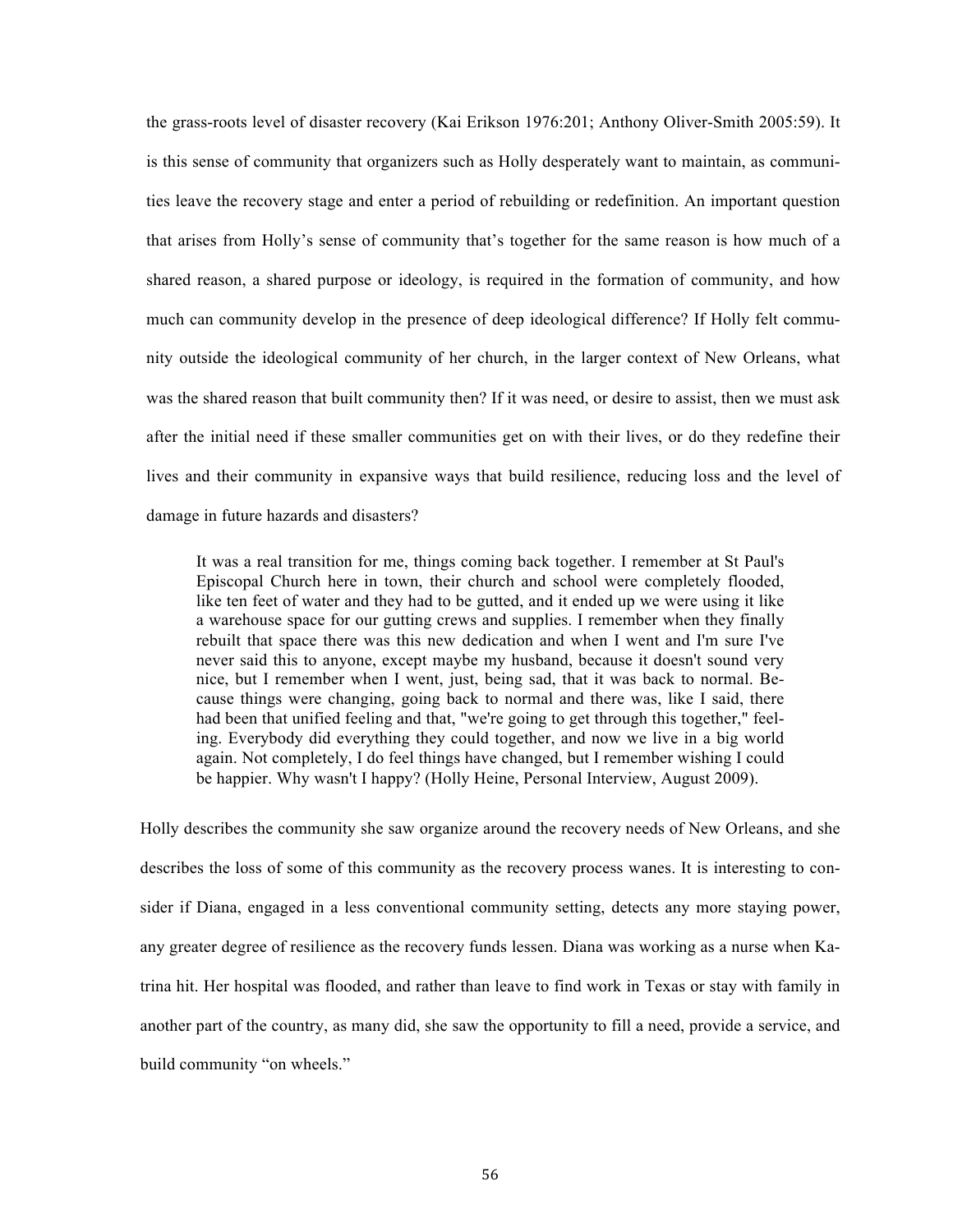the grass-roots level of disaster recovery (Kai Erikson 1976:201; Anthony Oliver-Smith 2005:59). It is this sense of community that organizers such as Holly desperately want to maintain, as communities leave the recovery stage and enter a period of rebuilding or redefinition. An important question that arises from Holly's sense of community that's together for the same reason is how much of a shared reason, a shared purpose or ideology, is required in the formation of community, and how much can community develop in the presence of deep ideological difference? If Holly felt community outside the ideological community of her church, in the larger context of New Orleans, what was the shared reason that built community then? If it was need, or desire to assist, then we must ask after the initial need if these smaller communities get on with their lives, or do they redefine their lives and their community in expansive ways that build resilience, reducing loss and the level of damage in future hazards and disasters?

It was a real transition for me, things coming back together. I remember at St Paul's Episcopal Church here in town, their church and school were completely flooded, like ten feet of water and they had to be gutted, and it ended up we were using it like a warehouse space for our gutting crews and supplies. I remember when they finally rebuilt that space there was this new dedication and when I went and I'm sure I've never said this to anyone, except maybe my husband, because it doesn't sound very nice, but I remember when I went, just, being sad, that it was back to normal. Because things were changing, going back to normal and there was, like I said, there had been that unified feeling and that, "we're going to get through this together," feeling. Everybody did everything they could together, and now we live in a big world again. Not completely, I do feel things have changed, but I remember wishing I could be happier. Why wasn't I happy? (Holly Heine, Personal Interview, August 2009).

Holly describes the community she saw organize around the recovery needs of New Orleans, and she describes the loss of some of this community as the recovery process wanes. It is interesting to consider if Diana, engaged in a less conventional community setting, detects any more staying power, any greater degree of resilience as the recovery funds lessen. Diana was working as a nurse when Katrina hit. Her hospital was flooded, and rather than leave to find work in Texas or stay with family in another part of the country, as many did, she saw the opportunity to fill a need, provide a service, and build community "on wheels."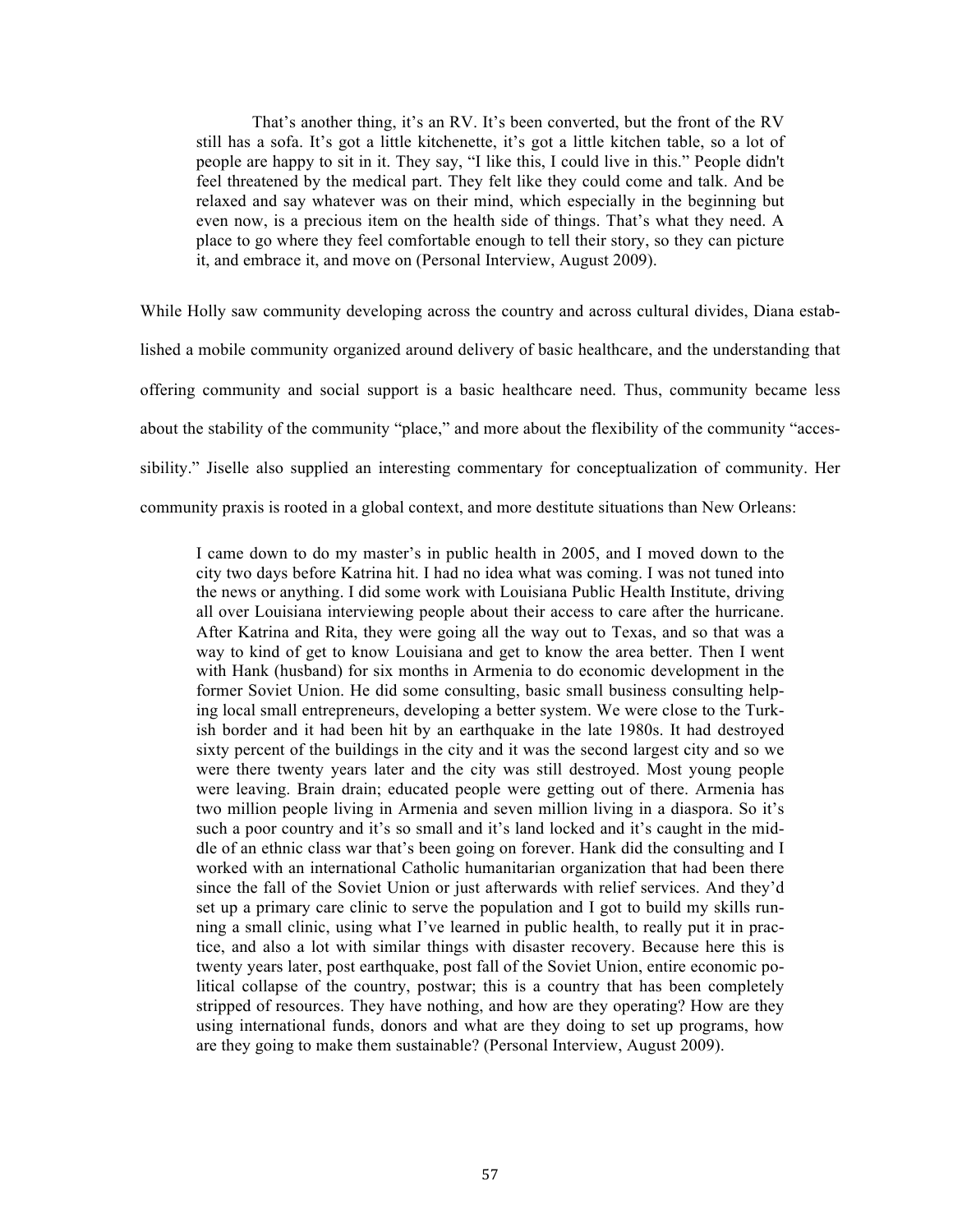That's another thing, it's an RV. It's been converted, but the front of the RV still has a sofa. It's got a little kitchenette, it's got a little kitchen table, so a lot of people are happy to sit in it. They say, "I like this, I could live in this." People didn't feel threatened by the medical part. They felt like they could come and talk. And be relaxed and say whatever was on their mind, which especially in the beginning but even now, is a precious item on the health side of things. That's what they need. A place to go where they feel comfortable enough to tell their story, so they can picture it, and embrace it, and move on (Personal Interview, August 2009).

While Holly saw community developing across the country and across cultural divides, Diana established a mobile community organized around delivery of basic healthcare, and the understanding that offering community and social support is a basic healthcare need. Thus, community became less about the stability of the community "place," and more about the flexibility of the community "accessibility." Jiselle also supplied an interesting commentary for conceptualization of community. Her community praxis is rooted in a global context, and more destitute situations than New Orleans:

I came down to do my master's in public health in 2005, and I moved down to the city two days before Katrina hit. I had no idea what was coming. I was not tuned into the news or anything. I did some work with Louisiana Public Health Institute, driving all over Louisiana interviewing people about their access to care after the hurricane. After Katrina and Rita, they were going all the way out to Texas, and so that was a way to kind of get to know Louisiana and get to know the area better. Then I went with Hank (husband) for six months in Armenia to do economic development in the former Soviet Union. He did some consulting, basic small business consulting helping local small entrepreneurs, developing a better system. We were close to the Turkish border and it had been hit by an earthquake in the late 1980s. It had destroyed sixty percent of the buildings in the city and it was the second largest city and so we were there twenty years later and the city was still destroyed. Most young people were leaving. Brain drain; educated people were getting out of there. Armenia has two million people living in Armenia and seven million living in a diaspora. So it's such a poor country and it's so small and it's land locked and it's caught in the middle of an ethnic class war that's been going on forever. Hank did the consulting and I worked with an international Catholic humanitarian organization that had been there since the fall of the Soviet Union or just afterwards with relief services. And they'd set up a primary care clinic to serve the population and I got to build my skills running a small clinic, using what I've learned in public health, to really put it in practice, and also a lot with similar things with disaster recovery. Because here this is twenty years later, post earthquake, post fall of the Soviet Union, entire economic political collapse of the country, postwar; this is a country that has been completely stripped of resources. They have nothing, and how are they operating? How are they using international funds, donors and what are they doing to set up programs, how are they going to make them sustainable? (Personal Interview, August 2009).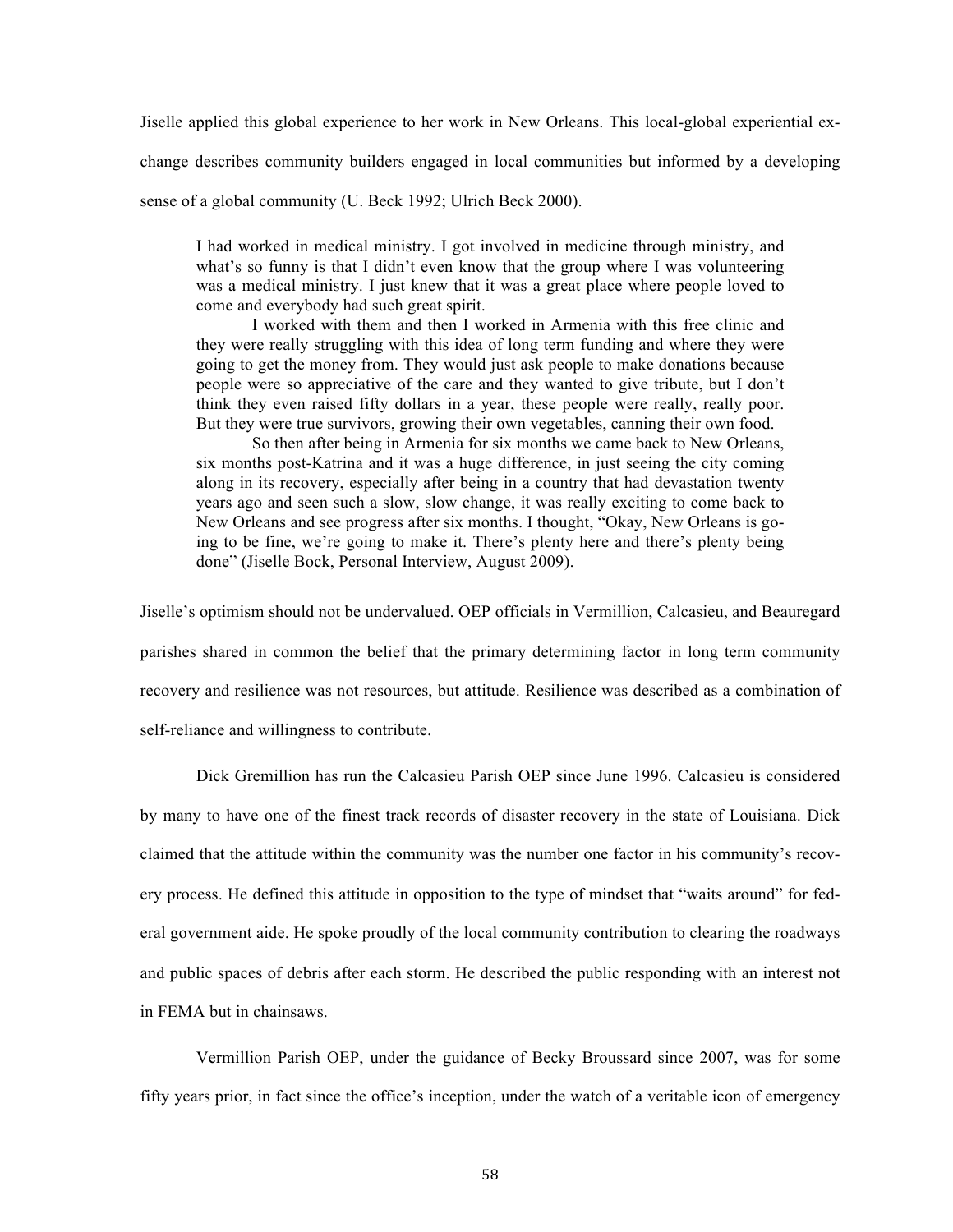Jiselle applied this global experience to her work in New Orleans. This local-global experiential ex-

change describes community builders engaged in local communities but informed by a developing

sense of a global community (U. Beck 1992; Ulrich Beck 2000).

I had worked in medical ministry. I got involved in medicine through ministry, and what's so funny is that I didn't even know that the group where I was volunteering was a medical ministry. I just knew that it was a great place where people loved to come and everybody had such great spirit.

I worked with them and then I worked in Armenia with this free clinic and they were really struggling with this idea of long term funding and where they were going to get the money from. They would just ask people to make donations because people were so appreciative of the care and they wanted to give tribute, but I don't think they even raised fifty dollars in a year, these people were really, really poor. But they were true survivors, growing their own vegetables, canning their own food.

So then after being in Armenia for six months we came back to New Orleans, six months post-Katrina and it was a huge difference, in just seeing the city coming along in its recovery, especially after being in a country that had devastation twenty years ago and seen such a slow, slow change, it was really exciting to come back to New Orleans and see progress after six months. I thought, "Okay, New Orleans is going to be fine, we're going to make it. There's plenty here and there's plenty being done" (Jiselle Bock, Personal Interview, August 2009).

Jiselle's optimism should not be undervalued. OEP officials in Vermillion, Calcasieu, and Beauregard parishes shared in common the belief that the primary determining factor in long term community recovery and resilience was not resources, but attitude. Resilience was described as a combination of self-reliance and willingness to contribute.

Dick Gremillion has run the Calcasieu Parish OEP since June 1996. Calcasieu is considered by many to have one of the finest track records of disaster recovery in the state of Louisiana. Dick claimed that the attitude within the community was the number one factor in his community's recovery process. He defined this attitude in opposition to the type of mindset that "waits around" for federal government aide. He spoke proudly of the local community contribution to clearing the roadways and public spaces of debris after each storm. He described the public responding with an interest not in FEMA but in chainsaws.

Vermillion Parish OEP, under the guidance of Becky Broussard since 2007, was for some fifty years prior, in fact since the office's inception, under the watch of a veritable icon of emergency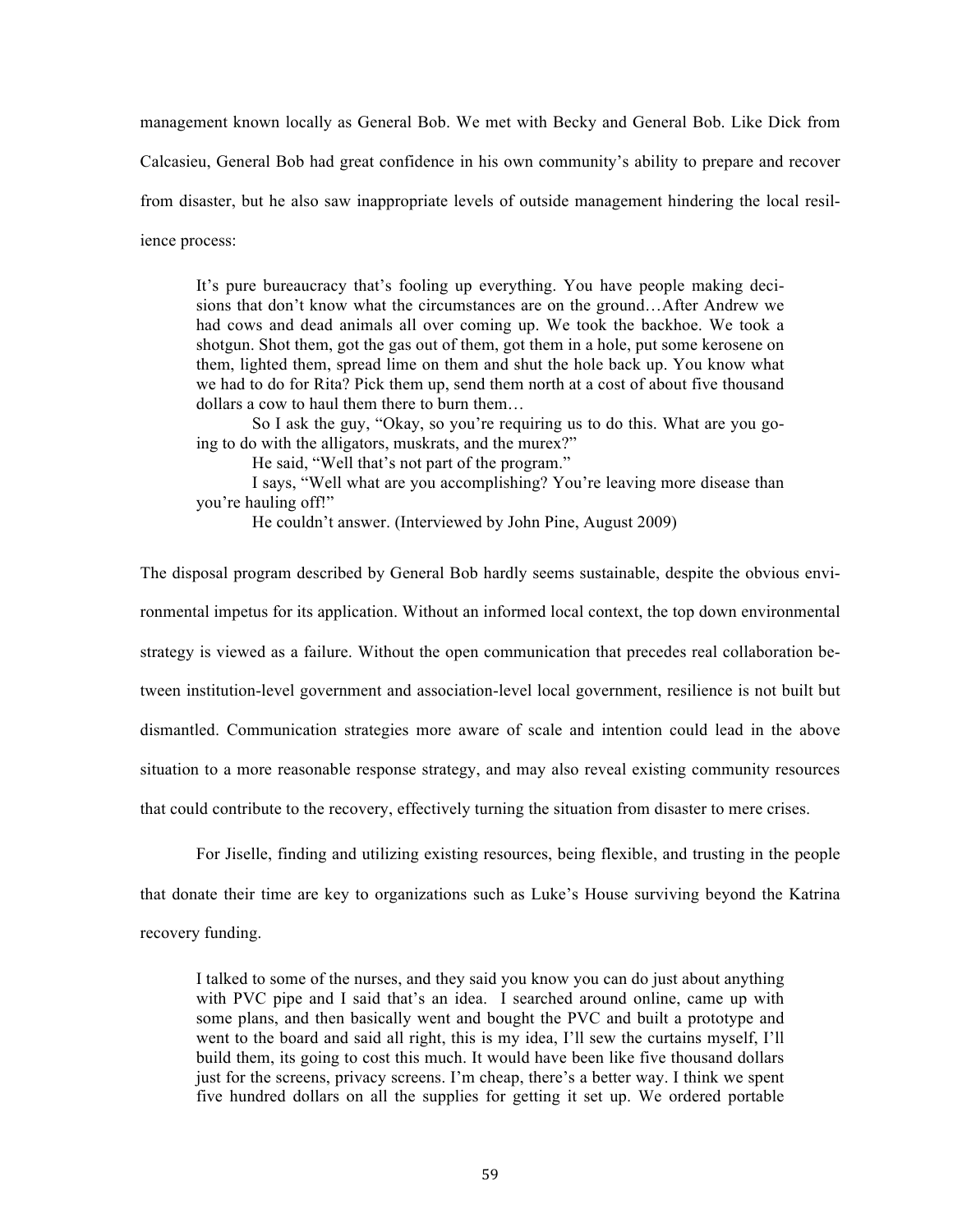management known locally as General Bob. We met with Becky and General Bob. Like Dick from

Calcasieu, General Bob had great confidence in his own community's ability to prepare and recover

from disaster, but he also saw inappropriate levels of outside management hindering the local resil-

ience process:

It's pure bureaucracy that's fooling up everything. You have people making decisions that don't know what the circumstances are on the ground…After Andrew we had cows and dead animals all over coming up. We took the backhoe. We took a shotgun. Shot them, got the gas out of them, got them in a hole, put some kerosene on them, lighted them, spread lime on them and shut the hole back up. You know what we had to do for Rita? Pick them up, send them north at a cost of about five thousand dollars a cow to haul them there to burn them…

So I ask the guy, "Okay, so you're requiring us to do this. What are you going to do with the alligators, muskrats, and the murex?"

He said, "Well that's not part of the program."

I says, "Well what are you accomplishing? You're leaving more disease than you're hauling off!"

He couldn't answer. (Interviewed by John Pine, August 2009)

The disposal program described by General Bob hardly seems sustainable, despite the obvious environmental impetus for its application. Without an informed local context, the top down environmental strategy is viewed as a failure. Without the open communication that precedes real collaboration between institution-level government and association-level local government, resilience is not built but dismantled. Communication strategies more aware of scale and intention could lead in the above situation to a more reasonable response strategy, and may also reveal existing community resources that could contribute to the recovery, effectively turning the situation from disaster to mere crises.

For Jiselle, finding and utilizing existing resources, being flexible, and trusting in the people that donate their time are key to organizations such as Luke's House surviving beyond the Katrina recovery funding.

I talked to some of the nurses, and they said you know you can do just about anything with PVC pipe and I said that's an idea. I searched around online, came up with some plans, and then basically went and bought the PVC and built a prototype and went to the board and said all right, this is my idea, I'll sew the curtains myself, I'll build them, its going to cost this much. It would have been like five thousand dollars just for the screens, privacy screens. I'm cheap, there's a better way. I think we spent five hundred dollars on all the supplies for getting it set up. We ordered portable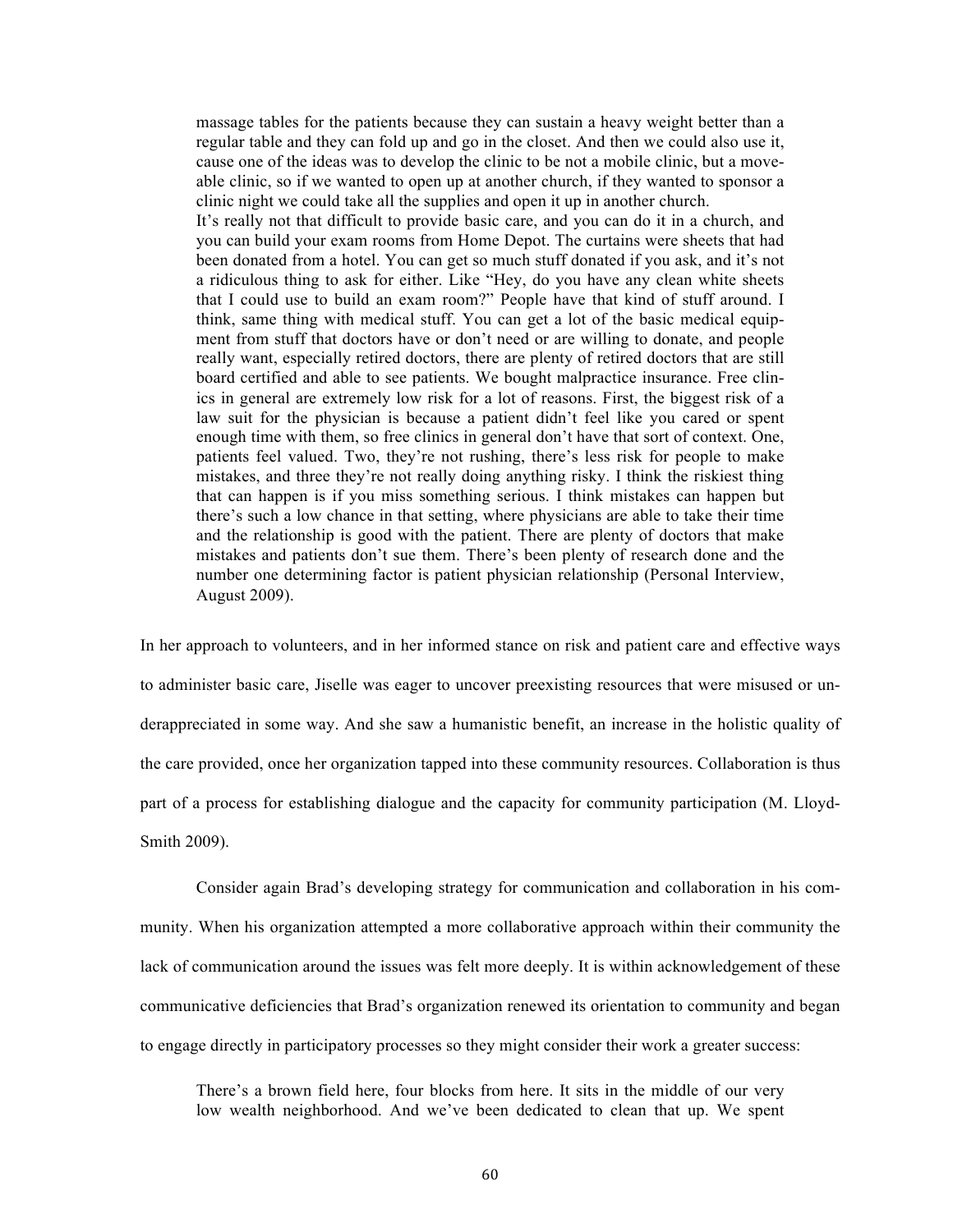massage tables for the patients because they can sustain a heavy weight better than a regular table and they can fold up and go in the closet. And then we could also use it, cause one of the ideas was to develop the clinic to be not a mobile clinic, but a moveable clinic, so if we wanted to open up at another church, if they wanted to sponsor a clinic night we could take all the supplies and open it up in another church.

It's really not that difficult to provide basic care, and you can do it in a church, and you can build your exam rooms from Home Depot. The curtains were sheets that had been donated from a hotel. You can get so much stuff donated if you ask, and it's not a ridiculous thing to ask for either. Like "Hey, do you have any clean white sheets that I could use to build an exam room?" People have that kind of stuff around. I think, same thing with medical stuff. You can get a lot of the basic medical equipment from stuff that doctors have or don't need or are willing to donate, and people really want, especially retired doctors, there are plenty of retired doctors that are still board certified and able to see patients. We bought malpractice insurance. Free clinics in general are extremely low risk for a lot of reasons. First, the biggest risk of a law suit for the physician is because a patient didn't feel like you cared or spent enough time with them, so free clinics in general don't have that sort of context. One, patients feel valued. Two, they're not rushing, there's less risk for people to make mistakes, and three they're not really doing anything risky. I think the riskiest thing that can happen is if you miss something serious. I think mistakes can happen but there's such a low chance in that setting, where physicians are able to take their time and the relationship is good with the patient. There are plenty of doctors that make mistakes and patients don't sue them. There's been plenty of research done and the number one determining factor is patient physician relationship (Personal Interview, August 2009).

In her approach to volunteers, and in her informed stance on risk and patient care and effective ways to administer basic care, Jiselle was eager to uncover preexisting resources that were misused or underappreciated in some way. And she saw a humanistic benefit, an increase in the holistic quality of the care provided, once her organization tapped into these community resources. Collaboration is thus part of a process for establishing dialogue and the capacity for community participation (M. Lloyd-Smith 2009).

Consider again Brad's developing strategy for communication and collaboration in his community. When his organization attempted a more collaborative approach within their community the lack of communication around the issues was felt more deeply. It is within acknowledgement of these communicative deficiencies that Brad's organization renewed its orientation to community and began to engage directly in participatory processes so they might consider their work a greater success:

There's a brown field here, four blocks from here. It sits in the middle of our very low wealth neighborhood. And we've been dedicated to clean that up. We spent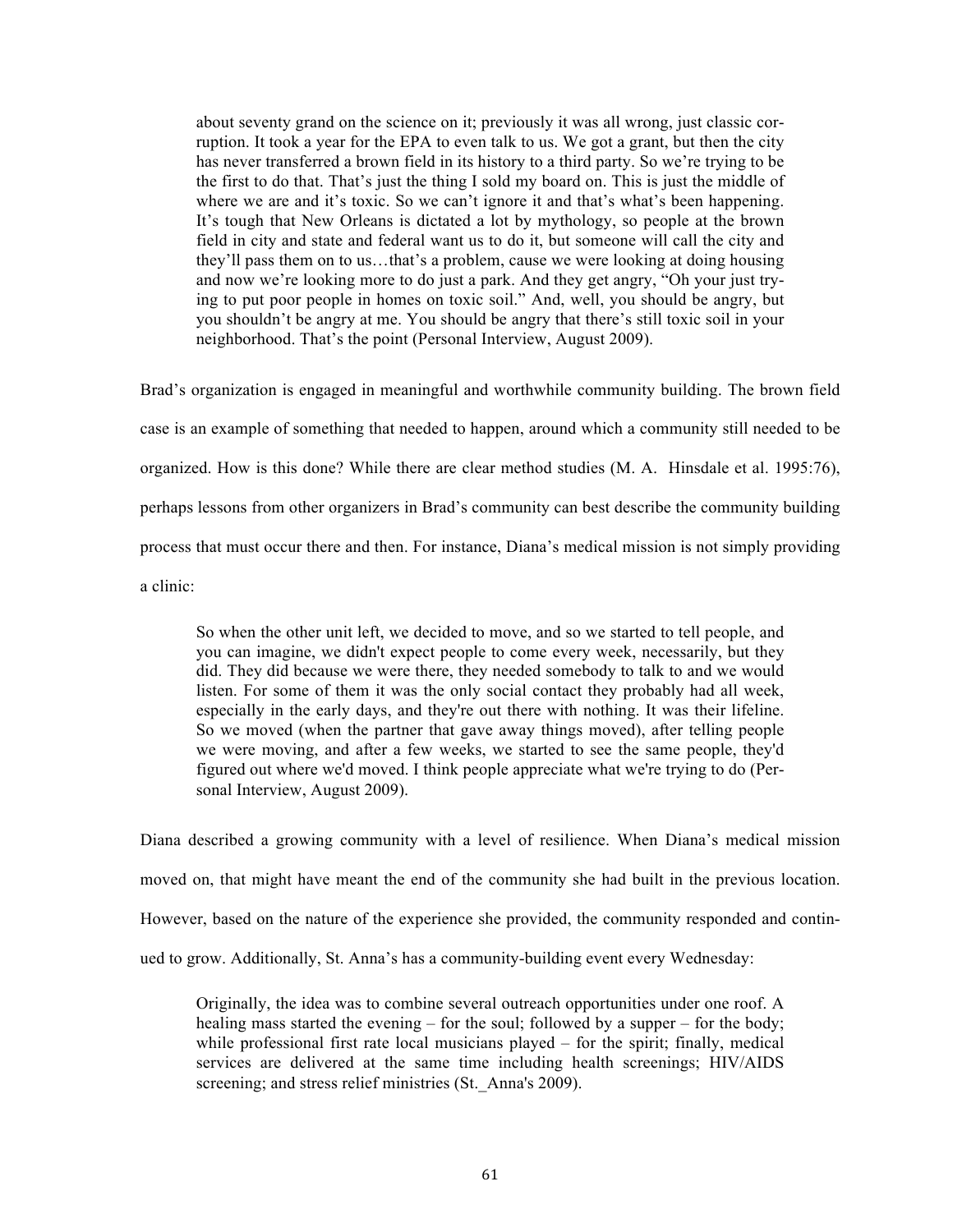about seventy grand on the science on it; previously it was all wrong, just classic corruption. It took a year for the EPA to even talk to us. We got a grant, but then the city has never transferred a brown field in its history to a third party. So we're trying to be the first to do that. That's just the thing I sold my board on. This is just the middle of where we are and it's toxic. So we can't ignore it and that's what's been happening. It's tough that New Orleans is dictated a lot by mythology, so people at the brown field in city and state and federal want us to do it, but someone will call the city and they'll pass them on to us…that's a problem, cause we were looking at doing housing and now we're looking more to do just a park. And they get angry, "Oh your just trying to put poor people in homes on toxic soil." And, well, you should be angry, but you shouldn't be angry at me. You should be angry that there's still toxic soil in your neighborhood. That's the point (Personal Interview, August 2009).

Brad's organization is engaged in meaningful and worthwhile community building. The brown field case is an example of something that needed to happen, around which a community still needed to be organized. How is this done? While there are clear method studies (M. A. Hinsdale et al. 1995:76), perhaps lessons from other organizers in Brad's community can best describe the community building process that must occur there and then. For instance, Diana's medical mission is not simply providing a clinic:

So when the other unit left, we decided to move, and so we started to tell people, and you can imagine, we didn't expect people to come every week, necessarily, but they did. They did because we were there, they needed somebody to talk to and we would listen. For some of them it was the only social contact they probably had all week, especially in the early days, and they're out there with nothing. It was their lifeline. So we moved (when the partner that gave away things moved), after telling people we were moving, and after a few weeks, we started to see the same people, they'd figured out where we'd moved. I think people appreciate what we're trying to do (Personal Interview, August 2009).

Diana described a growing community with a level of resilience. When Diana's medical mission moved on, that might have meant the end of the community she had built in the previous location. However, based on the nature of the experience she provided, the community responded and continued to grow. Additionally, St. Anna's has a community-building event every Wednesday:

Originally, the idea was to combine several outreach opportunities under one roof. A healing mass started the evening – for the soul; followed by a supper – for the body; while professional first rate local musicians played – for the spirit; finally, medical services are delivered at the same time including health screenings; HIV/AIDS screening; and stress relief ministries (St. Anna's 2009).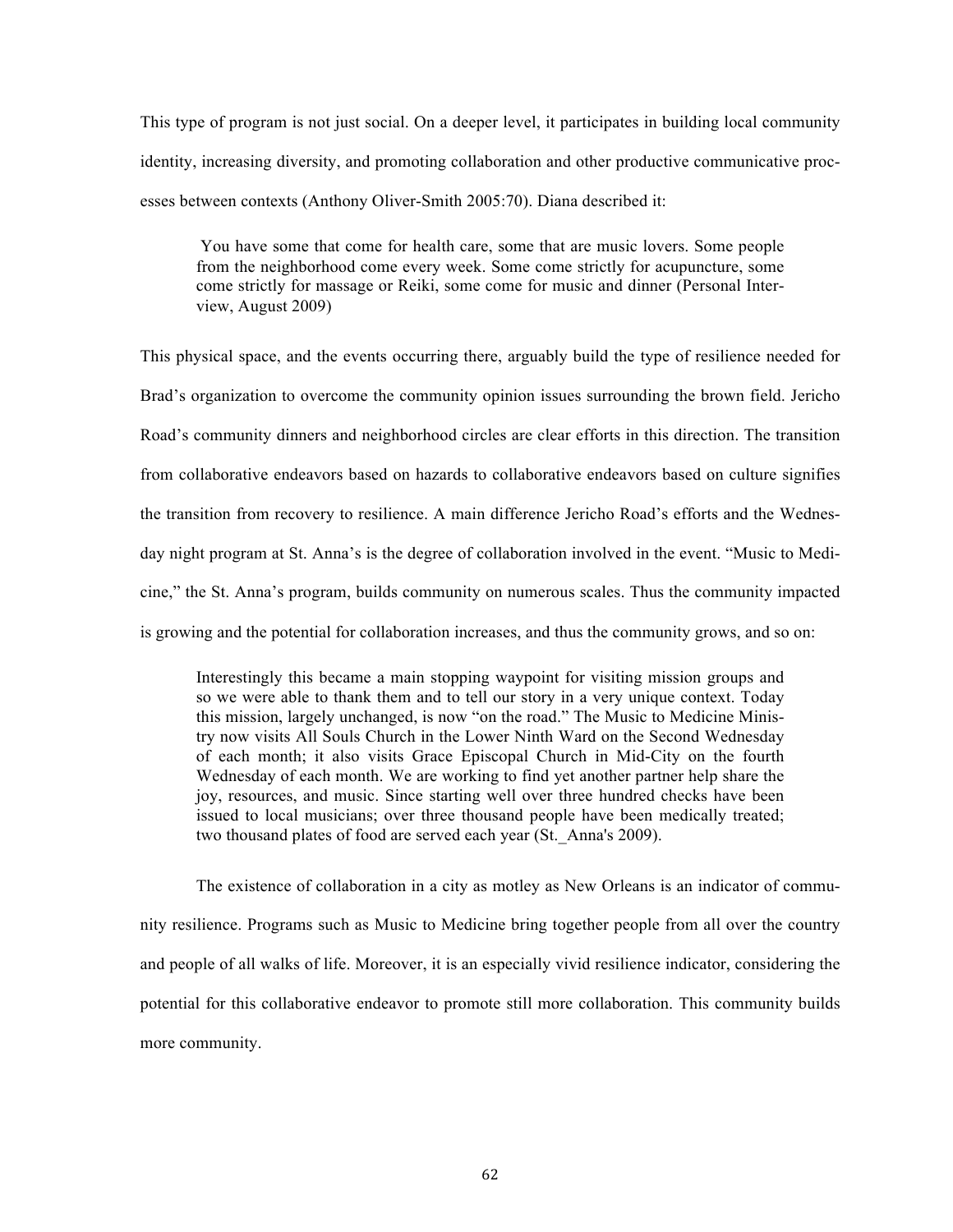This type of program is not just social. On a deeper level, it participates in building local community identity, increasing diversity, and promoting collaboration and other productive communicative processes between contexts (Anthony Oliver-Smith 2005:70). Diana described it:

You have some that come for health care, some that are music lovers. Some people from the neighborhood come every week. Some come strictly for acupuncture, some come strictly for massage or Reiki, some come for music and dinner (Personal Interview, August 2009)

This physical space, and the events occurring there, arguably build the type of resilience needed for Brad's organization to overcome the community opinion issues surrounding the brown field. Jericho Road's community dinners and neighborhood circles are clear efforts in this direction. The transition from collaborative endeavors based on hazards to collaborative endeavors based on culture signifies the transition from recovery to resilience. A main difference Jericho Road's efforts and the Wednesday night program at St. Anna's is the degree of collaboration involved in the event. "Music to Medicine," the St. Anna's program, builds community on numerous scales. Thus the community impacted is growing and the potential for collaboration increases, and thus the community grows, and so on:

Interestingly this became a main stopping waypoint for visiting mission groups and so we were able to thank them and to tell our story in a very unique context. Today this mission, largely unchanged, is now "on the road." The Music to Medicine Ministry now visits All Souls Church in the Lower Ninth Ward on the Second Wednesday of each month; it also visits Grace Episcopal Church in Mid-City on the fourth Wednesday of each month. We are working to find yet another partner help share the joy, resources, and music. Since starting well over three hundred checks have been issued to local musicians; over three thousand people have been medically treated; two thousand plates of food are served each year (St.\_Anna's 2009).

The existence of collaboration in a city as motley as New Orleans is an indicator of community resilience. Programs such as Music to Medicine bring together people from all over the country and people of all walks of life. Moreover, it is an especially vivid resilience indicator, considering the potential for this collaborative endeavor to promote still more collaboration. This community builds more community.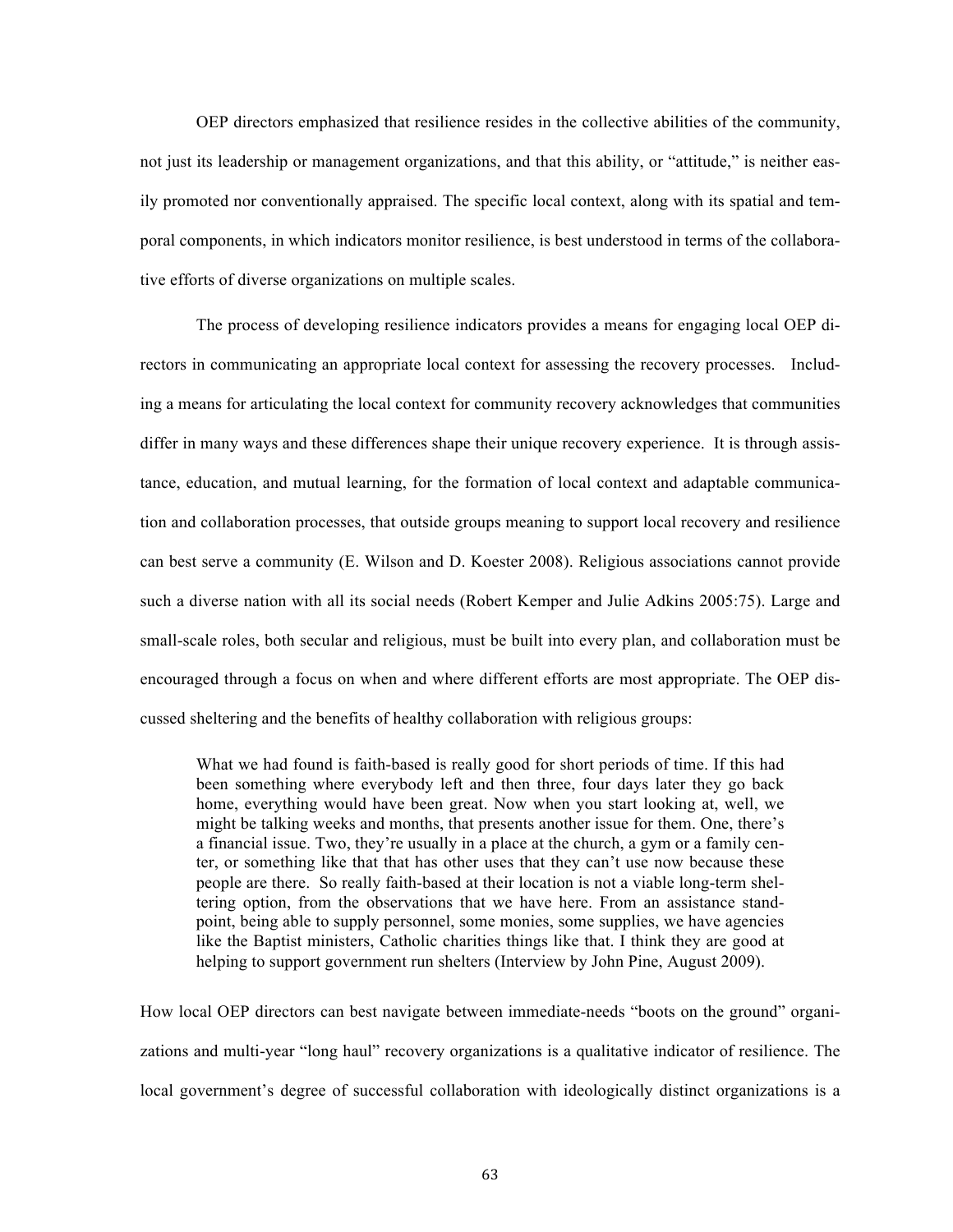OEP directors emphasized that resilience resides in the collective abilities of the community, not just its leadership or management organizations, and that this ability, or "attitude," is neither easily promoted nor conventionally appraised. The specific local context, along with its spatial and temporal components, in which indicators monitor resilience, is best understood in terms of the collaborative efforts of diverse organizations on multiple scales.

The process of developing resilience indicators provides a means for engaging local OEP directors in communicating an appropriate local context for assessing the recovery processes. Including a means for articulating the local context for community recovery acknowledges that communities differ in many ways and these differences shape their unique recovery experience. It is through assistance, education, and mutual learning, for the formation of local context and adaptable communication and collaboration processes, that outside groups meaning to support local recovery and resilience can best serve a community (E. Wilson and D. Koester 2008). Religious associations cannot provide such a diverse nation with all its social needs (Robert Kemper and Julie Adkins 2005:75). Large and small-scale roles, both secular and religious, must be built into every plan, and collaboration must be encouraged through a focus on when and where different efforts are most appropriate. The OEP discussed sheltering and the benefits of healthy collaboration with religious groups:

What we had found is faith-based is really good for short periods of time. If this had been something where everybody left and then three, four days later they go back home, everything would have been great. Now when you start looking at, well, we might be talking weeks and months, that presents another issue for them. One, there's a financial issue. Two, they're usually in a place at the church, a gym or a family center, or something like that that has other uses that they can't use now because these people are there. So really faith-based at their location is not a viable long-term sheltering option, from the observations that we have here. From an assistance standpoint, being able to supply personnel, some monies, some supplies, we have agencies like the Baptist ministers, Catholic charities things like that. I think they are good at helping to support government run shelters (Interview by John Pine, August 2009).

How local OEP directors can best navigate between immediate-needs "boots on the ground" organizations and multi-year "long haul" recovery organizations is a qualitative indicator of resilience. The local government's degree of successful collaboration with ideologically distinct organizations is a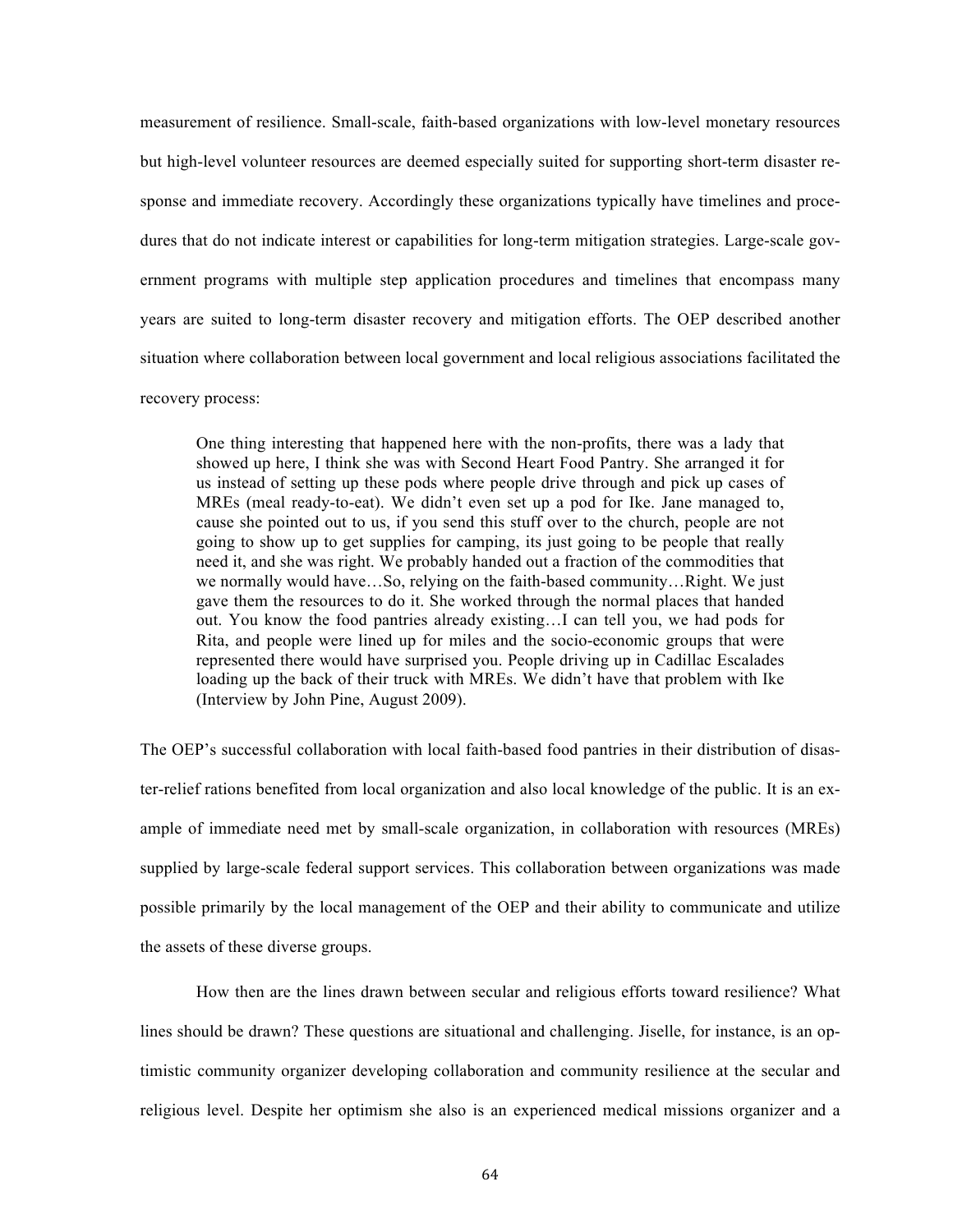measurement of resilience. Small-scale, faith-based organizations with low-level monetary resources but high-level volunteer resources are deemed especially suited for supporting short-term disaster response and immediate recovery. Accordingly these organizations typically have timelines and procedures that do not indicate interest or capabilities for long-term mitigation strategies. Large-scale government programs with multiple step application procedures and timelines that encompass many years are suited to long-term disaster recovery and mitigation efforts. The OEP described another situation where collaboration between local government and local religious associations facilitated the recovery process:

One thing interesting that happened here with the non-profits, there was a lady that showed up here, I think she was with Second Heart Food Pantry. She arranged it for us instead of setting up these pods where people drive through and pick up cases of MREs (meal ready-to-eat). We didn't even set up a pod for Ike. Jane managed to, cause she pointed out to us, if you send this stuff over to the church, people are not going to show up to get supplies for camping, its just going to be people that really need it, and she was right. We probably handed out a fraction of the commodities that we normally would have…So, relying on the faith-based community…Right. We just gave them the resources to do it. She worked through the normal places that handed out. You know the food pantries already existing…I can tell you, we had pods for Rita, and people were lined up for miles and the socio-economic groups that were represented there would have surprised you. People driving up in Cadillac Escalades loading up the back of their truck with MREs. We didn't have that problem with Ike (Interview by John Pine, August 2009).

The OEP's successful collaboration with local faith-based food pantries in their distribution of disaster-relief rations benefited from local organization and also local knowledge of the public. It is an example of immediate need met by small-scale organization, in collaboration with resources (MREs) supplied by large-scale federal support services. This collaboration between organizations was made possible primarily by the local management of the OEP and their ability to communicate and utilize the assets of these diverse groups.

How then are the lines drawn between secular and religious efforts toward resilience? What lines should be drawn? These questions are situational and challenging. Jiselle, for instance, is an optimistic community organizer developing collaboration and community resilience at the secular and religious level. Despite her optimism she also is an experienced medical missions organizer and a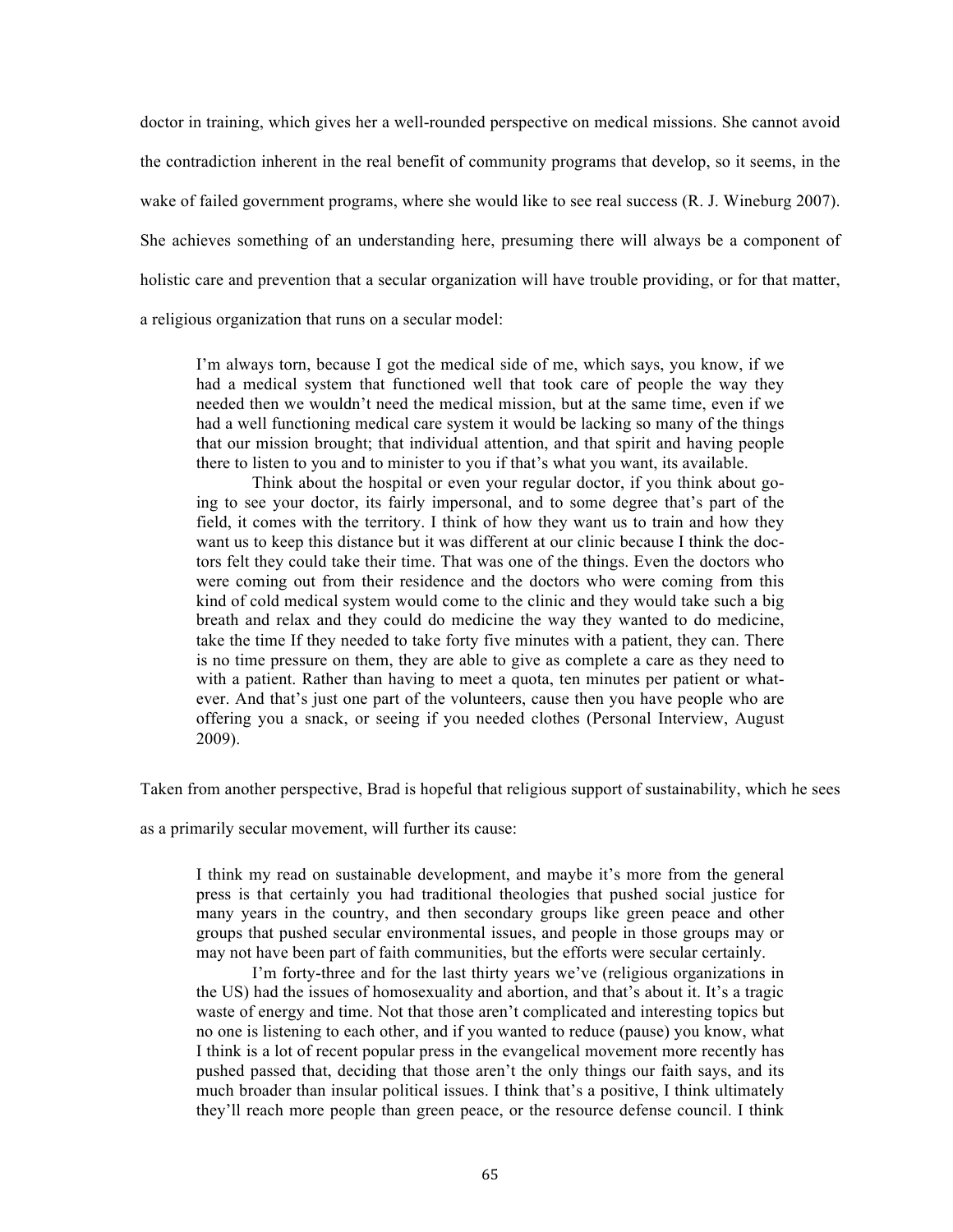doctor in training, which gives her a well-rounded perspective on medical missions. She cannot avoid the contradiction inherent in the real benefit of community programs that develop, so it seems, in the wake of failed government programs, where she would like to see real success (R. J. Wineburg 2007). She achieves something of an understanding here, presuming there will always be a component of holistic care and prevention that a secular organization will have trouble providing, or for that matter, a religious organization that runs on a secular model:

I'm always torn, because I got the medical side of me, which says, you know, if we had a medical system that functioned well that took care of people the way they needed then we wouldn't need the medical mission, but at the same time, even if we had a well functioning medical care system it would be lacking so many of the things that our mission brought; that individual attention, and that spirit and having people there to listen to you and to minister to you if that's what you want, its available.

Think about the hospital or even your regular doctor, if you think about going to see your doctor, its fairly impersonal, and to some degree that's part of the field, it comes with the territory. I think of how they want us to train and how they want us to keep this distance but it was different at our clinic because I think the doctors felt they could take their time. That was one of the things. Even the doctors who were coming out from their residence and the doctors who were coming from this kind of cold medical system would come to the clinic and they would take such a big breath and relax and they could do medicine the way they wanted to do medicine, take the time If they needed to take forty five minutes with a patient, they can. There is no time pressure on them, they are able to give as complete a care as they need to with a patient. Rather than having to meet a quota, ten minutes per patient or whatever. And that's just one part of the volunteers, cause then you have people who are offering you a snack, or seeing if you needed clothes (Personal Interview, August 2009).

Taken from another perspective, Brad is hopeful that religious support of sustainability, which he sees

as a primarily secular movement, will further its cause:

I think my read on sustainable development, and maybe it's more from the general press is that certainly you had traditional theologies that pushed social justice for many years in the country, and then secondary groups like green peace and other groups that pushed secular environmental issues, and people in those groups may or may not have been part of faith communities, but the efforts were secular certainly.

I'm forty-three and for the last thirty years we've (religious organizations in the US) had the issues of homosexuality and abortion, and that's about it. It's a tragic waste of energy and time. Not that those aren't complicated and interesting topics but no one is listening to each other, and if you wanted to reduce (pause) you know, what I think is a lot of recent popular press in the evangelical movement more recently has pushed passed that, deciding that those aren't the only things our faith says, and its much broader than insular political issues. I think that's a positive, I think ultimately they'll reach more people than green peace, or the resource defense council. I think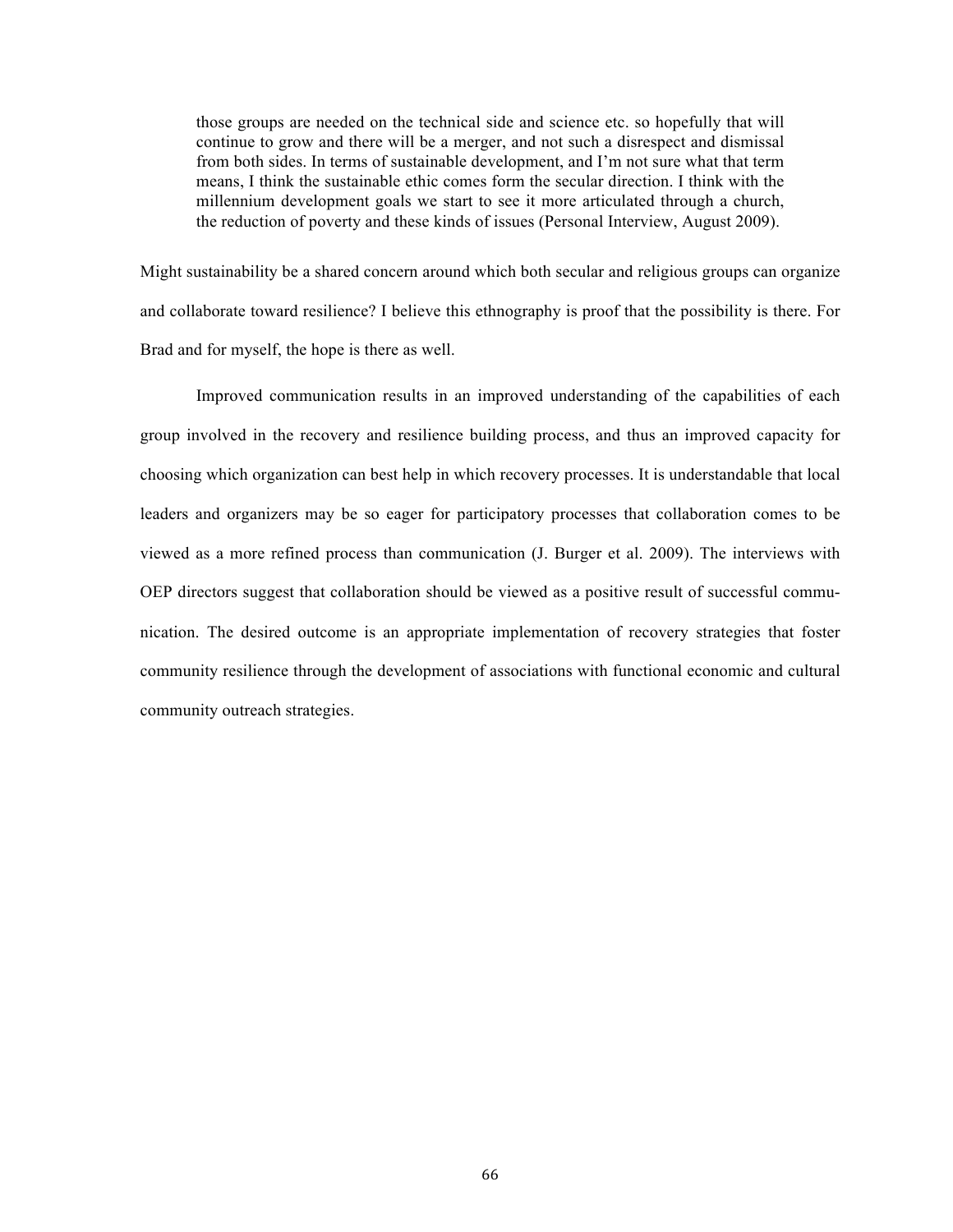those groups are needed on the technical side and science etc. so hopefully that will continue to grow and there will be a merger, and not such a disrespect and dismissal from both sides. In terms of sustainable development, and I'm not sure what that term means, I think the sustainable ethic comes form the secular direction. I think with the millennium development goals we start to see it more articulated through a church, the reduction of poverty and these kinds of issues (Personal Interview, August 2009).

Might sustainability be a shared concern around which both secular and religious groups can organize and collaborate toward resilience? I believe this ethnography is proof that the possibility is there. For Brad and for myself, the hope is there as well.

Improved communication results in an improved understanding of the capabilities of each group involved in the recovery and resilience building process, and thus an improved capacity for choosing which organization can best help in which recovery processes. It is understandable that local leaders and organizers may be so eager for participatory processes that collaboration comes to be viewed as a more refined process than communication (J. Burger et al. 2009). The interviews with OEP directors suggest that collaboration should be viewed as a positive result of successful communication. The desired outcome is an appropriate implementation of recovery strategies that foster community resilience through the development of associations with functional economic and cultural community outreach strategies.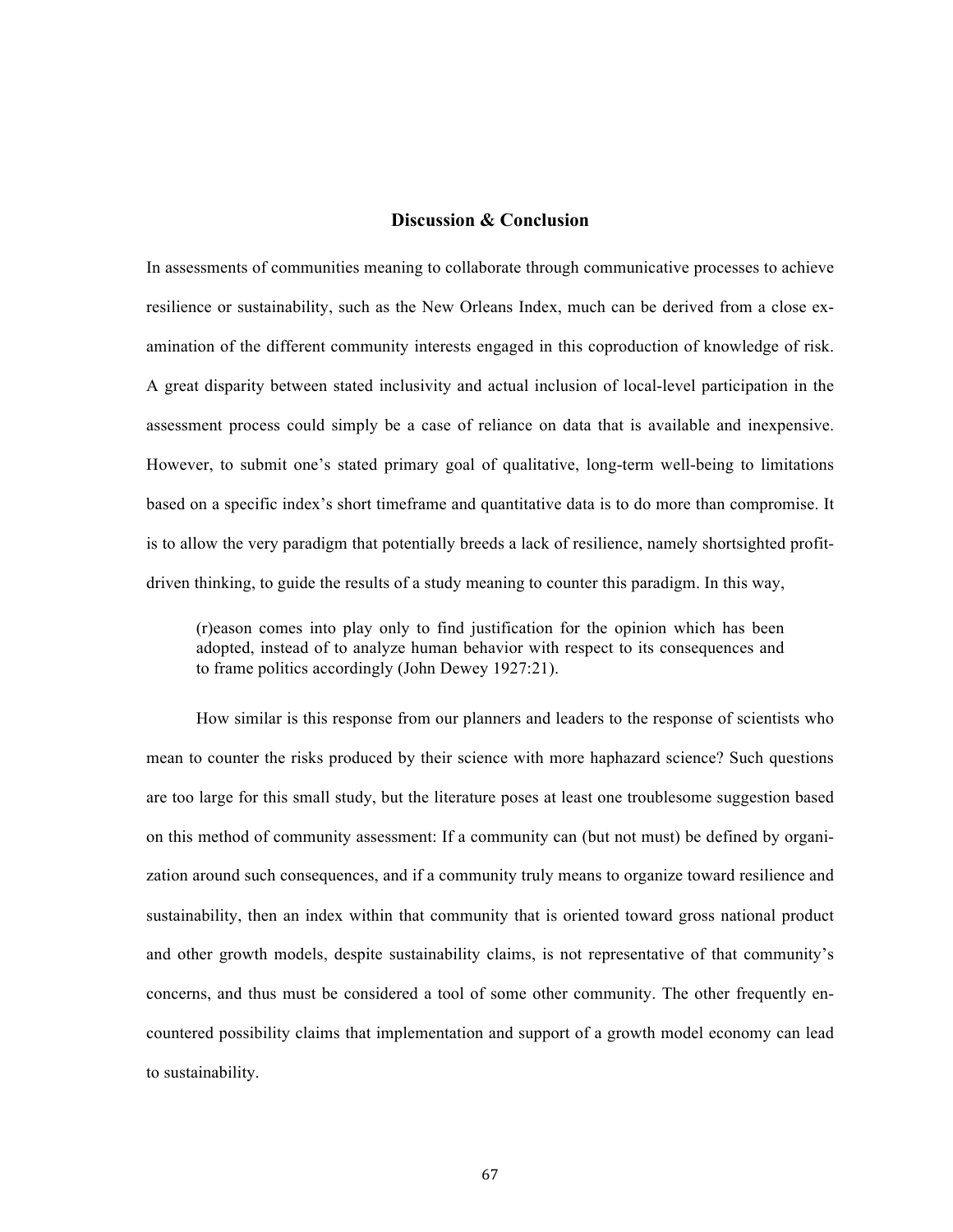## **Discussion & Conclusion**

In assessments of communities meaning to collaborate through communicative processes to achieve resilience or sustainability, such as the New Orleans Index, much can be derived from a close examination of the different community interests engaged in this coproduction of knowledge of risk. A great disparity between stated inclusivity and actual inclusion of local-level participation in the assessment process could simply be a case of reliance on data that is available and inexpensive. However, to submit one's stated primary goal of qualitative, long-term well-being to limitations based on a specific index's short timeframe and quantitative data is to do more than compromise. It is to allow the very paradigm that potentially breeds a lack of resilience, namely shortsighted profitdriven thinking, to guide the results of a study meaning to counter this paradigm. In this way,

(r)eason comes into play only to find justification for the opinion which has been adopted, instead of to analyze human behavior with respect to its consequences and to frame politics accordingly (John Dewey 1927:21).

How similar is this response from our planners and leaders to the response of scientists who mean to counter the risks produced by their science with more haphazard science? Such questions are too large for this small study, but the literature poses at least one troublesome suggestion based on this method of community assessment: If a community can (but not must) be defined by organization around such consequences, and if a community truly means to organize toward resilience and sustainability, then an index within that community that is oriented toward gross national product and other growth models, despite sustainability claims, is not representative of that community's concerns, and thus must be considered a tool of some other community. The other frequently encountered possibility claims that implementation and support of a growth model economy can lead to sustainability.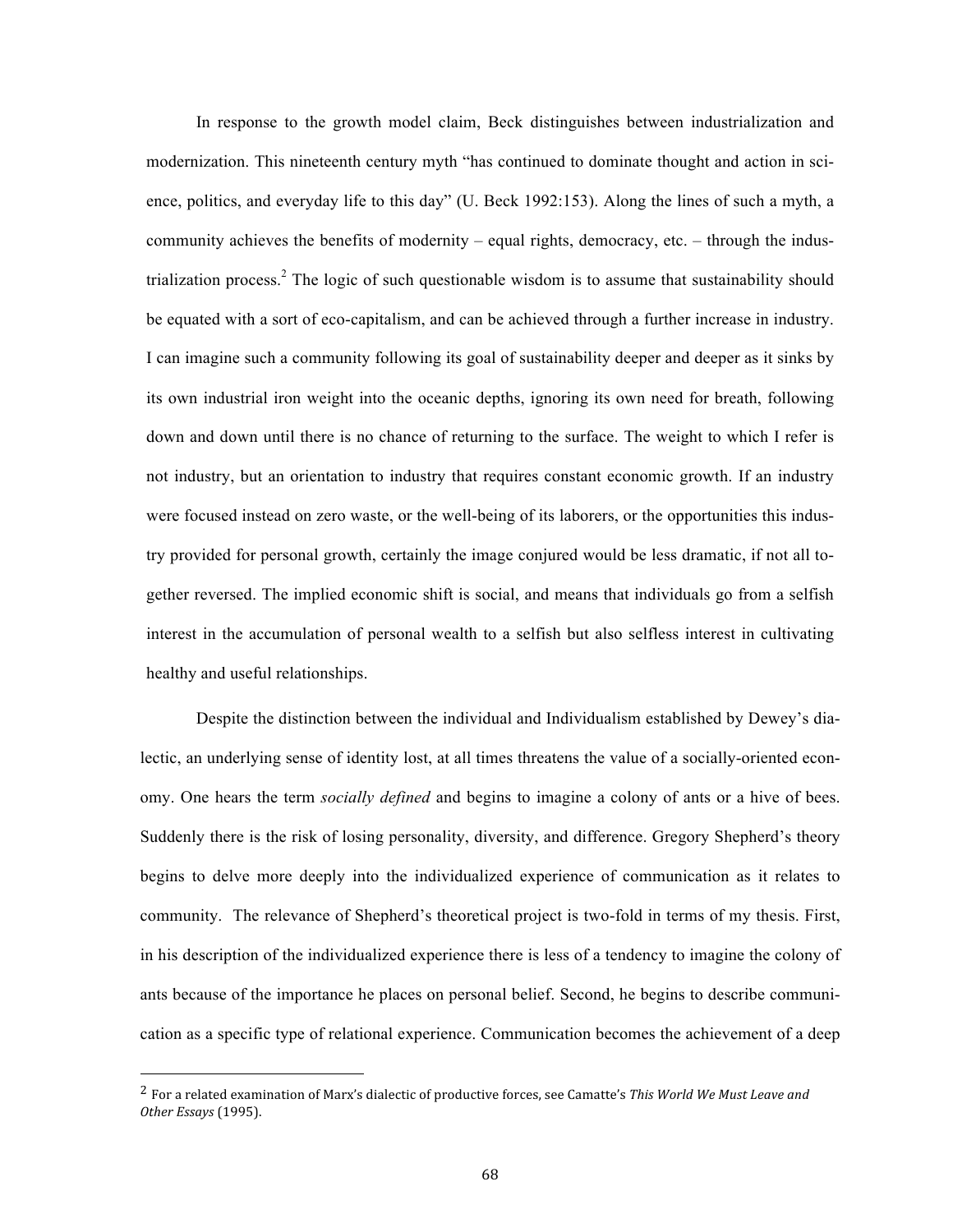In response to the growth model claim, Beck distinguishes between industrialization and modernization. This nineteenth century myth "has continued to dominate thought and action in science, politics, and everyday life to this day" (U. Beck 1992:153). Along the lines of such a myth, a community achieves the benefits of modernity – equal rights, democracy, etc. – through the industrialization process.<sup>2</sup> The logic of such questionable wisdom is to assume that sustainability should be equated with a sort of eco-capitalism, and can be achieved through a further increase in industry. I can imagine such a community following its goal of sustainability deeper and deeper as it sinks by its own industrial iron weight into the oceanic depths, ignoring its own need for breath, following down and down until there is no chance of returning to the surface. The weight to which I refer is not industry, but an orientation to industry that requires constant economic growth. If an industry were focused instead on zero waste, or the well-being of its laborers, or the opportunities this industry provided for personal growth, certainly the image conjured would be less dramatic, if not all together reversed. The implied economic shift is social, and means that individuals go from a selfish interest in the accumulation of personal wealth to a selfish but also selfless interest in cultivating healthy and useful relationships.

Despite the distinction between the individual and Individualism established by Dewey's dialectic, an underlying sense of identity lost, at all times threatens the value of a socially-oriented economy. One hears the term *socially defined* and begins to imagine a colony of ants or a hive of bees. Suddenly there is the risk of losing personality, diversity, and difference. Gregory Shepherd's theory begins to delve more deeply into the individualized experience of communication as it relates to community. The relevance of Shepherd's theoretical project is two-fold in terms of my thesis. First, in his description of the individualized experience there is less of a tendency to imagine the colony of ants because of the importance he places on personal belief. Second, he begins to describe communication as a specific type of relational experience. Communication becomes the achievement of a deep

<sup>2</sup> For a related examination of Marx's dialectic of productive forces, see Camatte's *This World We Must Leave and Other Essays* (1995).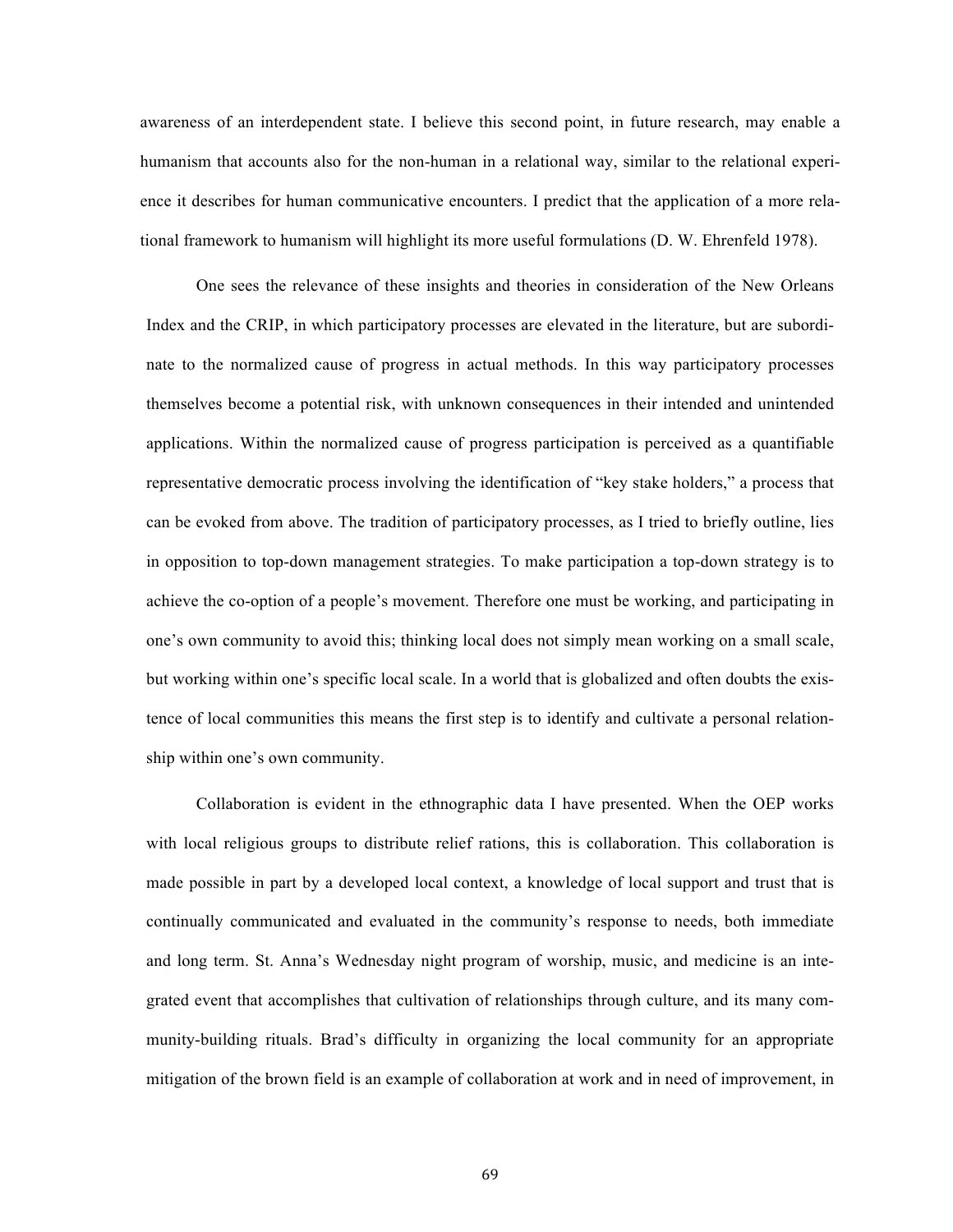awareness of an interdependent state. I believe this second point, in future research, may enable a humanism that accounts also for the non-human in a relational way, similar to the relational experience it describes for human communicative encounters. I predict that the application of a more relational framework to humanism will highlight its more useful formulations (D. W. Ehrenfeld 1978).

One sees the relevance of these insights and theories in consideration of the New Orleans Index and the CRIP, in which participatory processes are elevated in the literature, but are subordinate to the normalized cause of progress in actual methods. In this way participatory processes themselves become a potential risk, with unknown consequences in their intended and unintended applications. Within the normalized cause of progress participation is perceived as a quantifiable representative democratic process involving the identification of "key stake holders," a process that can be evoked from above. The tradition of participatory processes, as I tried to briefly outline, lies in opposition to top-down management strategies. To make participation a top-down strategy is to achieve the co-option of a people's movement. Therefore one must be working, and participating in one's own community to avoid this; thinking local does not simply mean working on a small scale, but working within one's specific local scale. In a world that is globalized and often doubts the existence of local communities this means the first step is to identify and cultivate a personal relationship within one's own community.

Collaboration is evident in the ethnographic data I have presented. When the OEP works with local religious groups to distribute relief rations, this is collaboration. This collaboration is made possible in part by a developed local context, a knowledge of local support and trust that is continually communicated and evaluated in the community's response to needs, both immediate and long term. St. Anna's Wednesday night program of worship, music, and medicine is an integrated event that accomplishes that cultivation of relationships through culture, and its many community-building rituals. Brad's difficulty in organizing the local community for an appropriate mitigation of the brown field is an example of collaboration at work and in need of improvement, in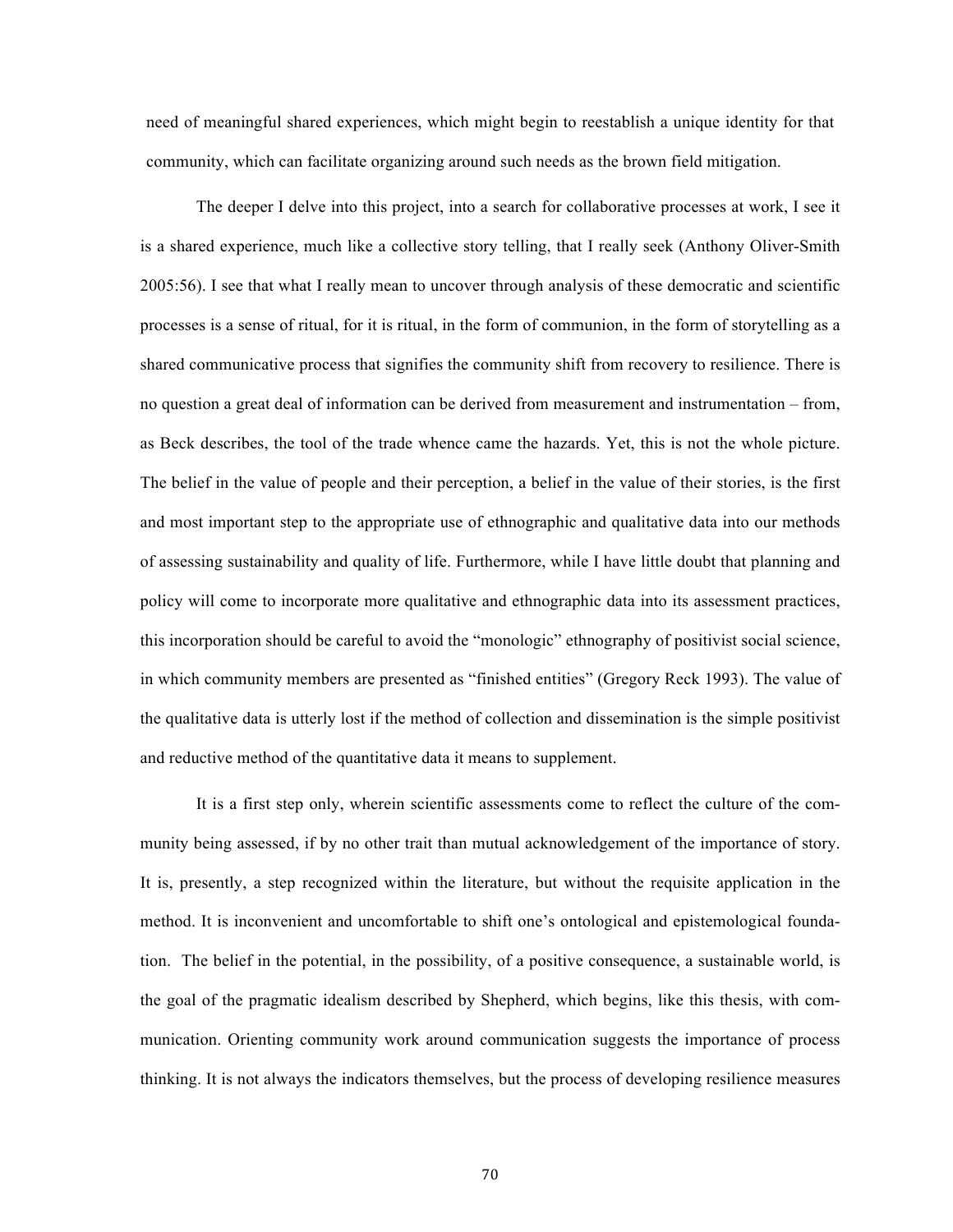need of meaningful shared experiences, which might begin to reestablish a unique identity for that community, which can facilitate organizing around such needs as the brown field mitigation.

The deeper I delve into this project, into a search for collaborative processes at work, I see it is a shared experience, much like a collective story telling, that I really seek (Anthony Oliver-Smith 2005:56). I see that what I really mean to uncover through analysis of these democratic and scientific processes is a sense of ritual, for it is ritual, in the form of communion, in the form of storytelling as a shared communicative process that signifies the community shift from recovery to resilience. There is no question a great deal of information can be derived from measurement and instrumentation – from, as Beck describes, the tool of the trade whence came the hazards. Yet, this is not the whole picture. The belief in the value of people and their perception, a belief in the value of their stories, is the first and most important step to the appropriate use of ethnographic and qualitative data into our methods of assessing sustainability and quality of life. Furthermore, while I have little doubt that planning and policy will come to incorporate more qualitative and ethnographic data into its assessment practices, this incorporation should be careful to avoid the "monologic" ethnography of positivist social science, in which community members are presented as "finished entities" (Gregory Reck 1993). The value of the qualitative data is utterly lost if the method of collection and dissemination is the simple positivist and reductive method of the quantitative data it means to supplement.

It is a first step only, wherein scientific assessments come to reflect the culture of the community being assessed, if by no other trait than mutual acknowledgement of the importance of story. It is, presently, a step recognized within the literature, but without the requisite application in the method. It is inconvenient and uncomfortable to shift one's ontological and epistemological foundation. The belief in the potential, in the possibility, of a positive consequence, a sustainable world, is the goal of the pragmatic idealism described by Shepherd, which begins, like this thesis, with communication. Orienting community work around communication suggests the importance of process thinking. It is not always the indicators themselves, but the process of developing resilience measures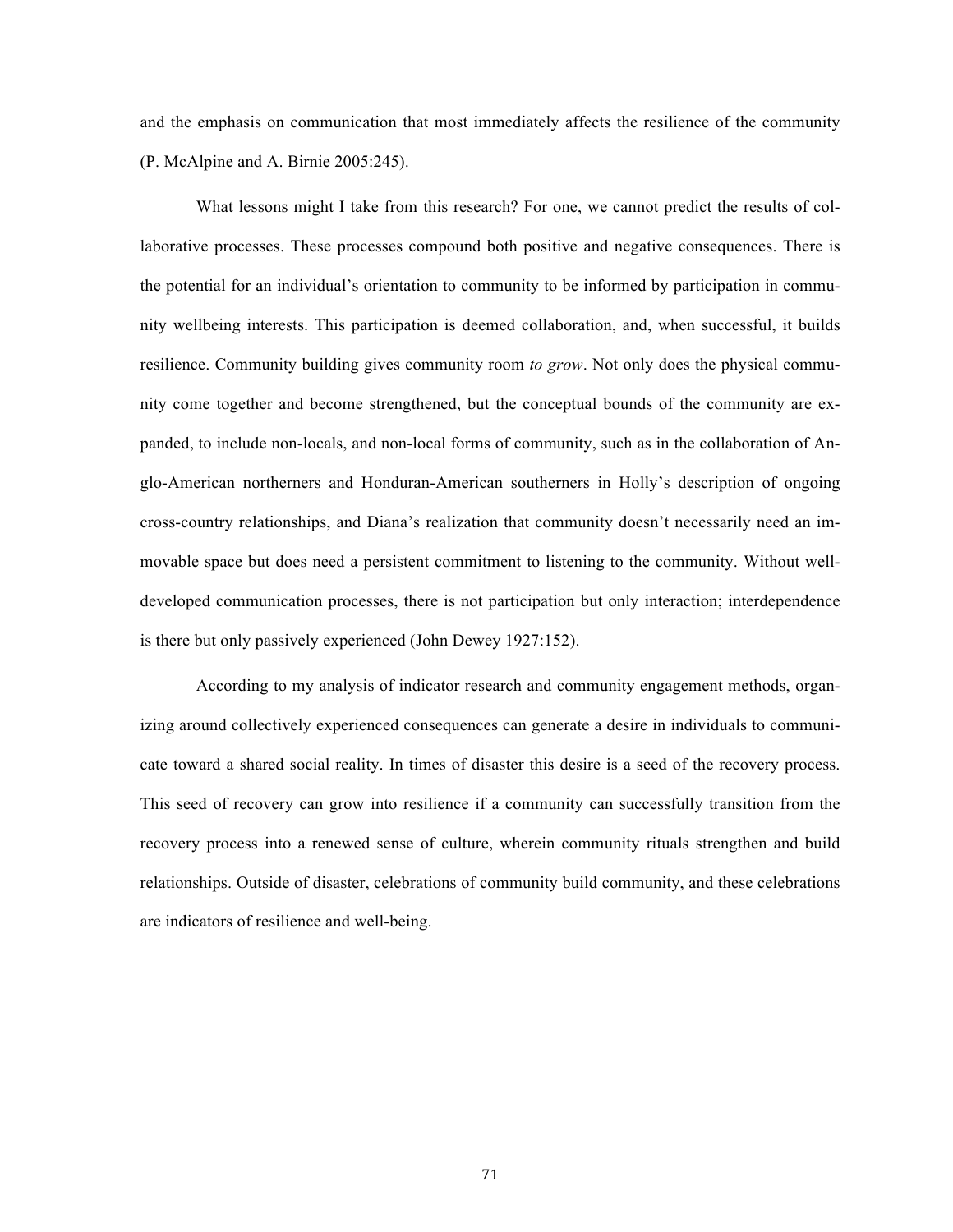and the emphasis on communication that most immediately affects the resilience of the community (P. McAlpine and A. Birnie 2005:245).

What lessons might I take from this research? For one, we cannot predict the results of collaborative processes. These processes compound both positive and negative consequences. There is the potential for an individual's orientation to community to be informed by participation in community wellbeing interests. This participation is deemed collaboration, and, when successful, it builds resilience. Community building gives community room *to grow*. Not only does the physical community come together and become strengthened, but the conceptual bounds of the community are expanded, to include non-locals, and non-local forms of community, such as in the collaboration of Anglo-American northerners and Honduran-American southerners in Holly's description of ongoing cross-country relationships, and Diana's realization that community doesn't necessarily need an immovable space but does need a persistent commitment to listening to the community. Without welldeveloped communication processes, there is not participation but only interaction; interdependence is there but only passively experienced (John Dewey 1927:152).

According to my analysis of indicator research and community engagement methods, organizing around collectively experienced consequences can generate a desire in individuals to communicate toward a shared social reality. In times of disaster this desire is a seed of the recovery process. This seed of recovery can grow into resilience if a community can successfully transition from the recovery process into a renewed sense of culture, wherein community rituals strengthen and build relationships. Outside of disaster, celebrations of community build community, and these celebrations are indicators of resilience and well-being.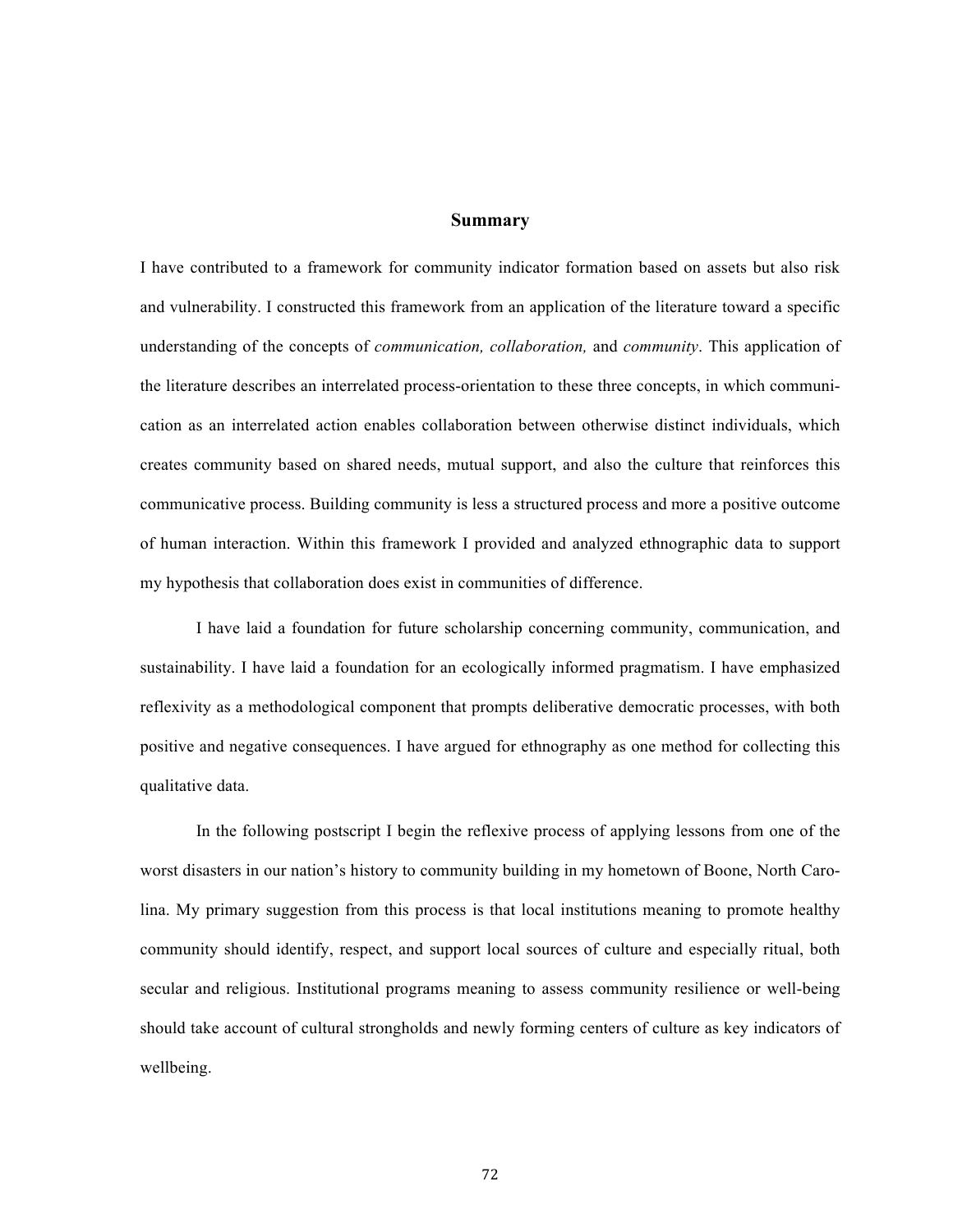#### **Summary**

I have contributed to a framework for community indicator formation based on assets but also risk and vulnerability. I constructed this framework from an application of the literature toward a specific understanding of the concepts of *communication, collaboration,* and *community*. This application of the literature describes an interrelated process-orientation to these three concepts, in which communication as an interrelated action enables collaboration between otherwise distinct individuals, which creates community based on shared needs, mutual support, and also the culture that reinforces this communicative process. Building community is less a structured process and more a positive outcome of human interaction. Within this framework I provided and analyzed ethnographic data to support my hypothesis that collaboration does exist in communities of difference.

I have laid a foundation for future scholarship concerning community, communication, and sustainability. I have laid a foundation for an ecologically informed pragmatism. I have emphasized reflexivity as a methodological component that prompts deliberative democratic processes, with both positive and negative consequences. I have argued for ethnography as one method for collecting this qualitative data.

In the following postscript I begin the reflexive process of applying lessons from one of the worst disasters in our nation's history to community building in my hometown of Boone, North Carolina. My primary suggestion from this process is that local institutions meaning to promote healthy community should identify, respect, and support local sources of culture and especially ritual, both secular and religious. Institutional programs meaning to assess community resilience or well-being should take account of cultural strongholds and newly forming centers of culture as key indicators of wellbeing.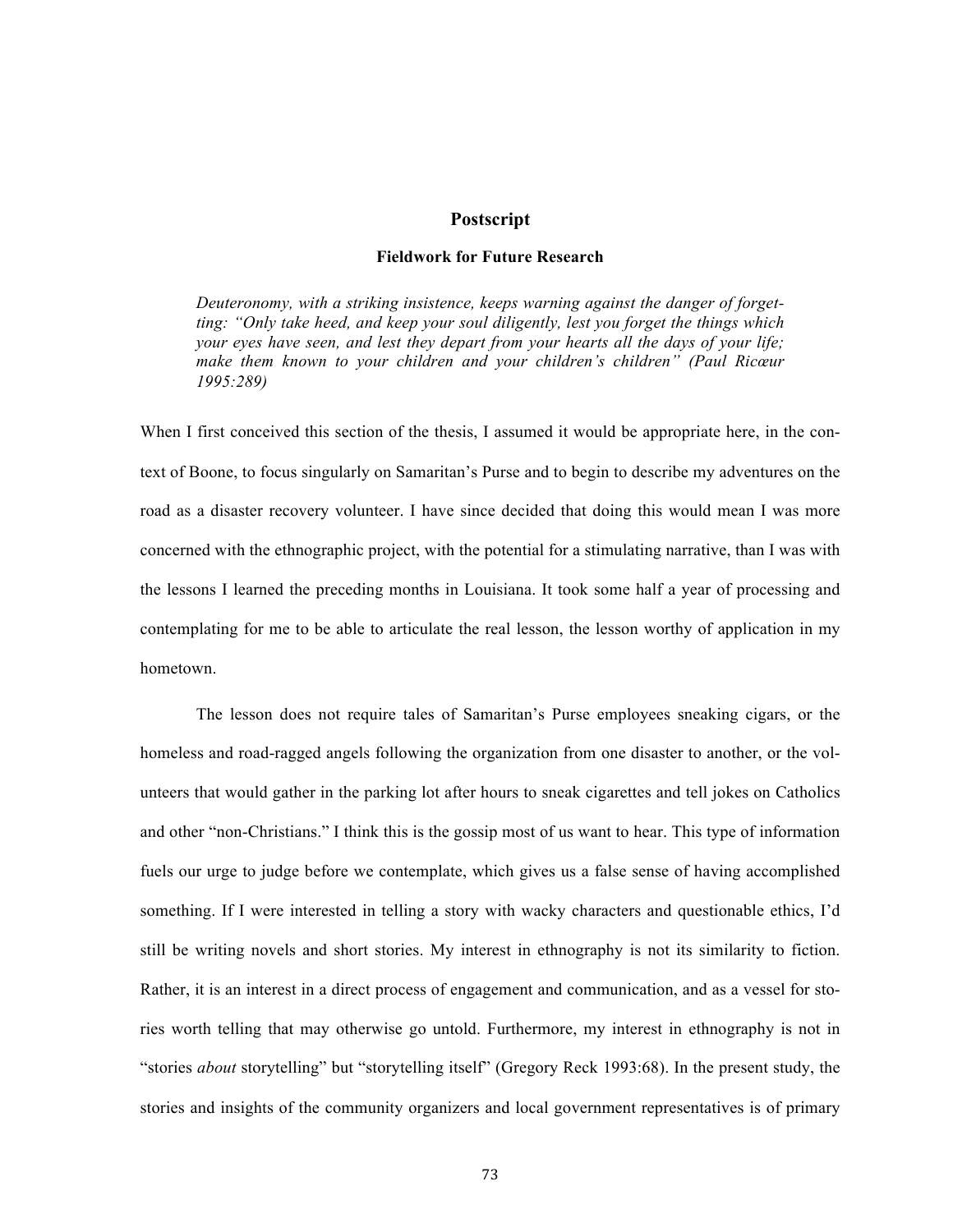### **Postscript**

# **Fieldwork for Future Research**

*Deuteronomy, with a striking insistence, keeps warning against the danger of forgetting: "Only take heed, and keep your soul diligently, lest you forget the things which your eyes have seen, and lest they depart from your hearts all the days of your life; make them known to your children and your children's children" (Paul Ricœur 1995:289)*

When I first conceived this section of the thesis, I assumed it would be appropriate here, in the context of Boone, to focus singularly on Samaritan's Purse and to begin to describe my adventures on the road as a disaster recovery volunteer. I have since decided that doing this would mean I was more concerned with the ethnographic project, with the potential for a stimulating narrative, than I was with the lessons I learned the preceding months in Louisiana. It took some half a year of processing and contemplating for me to be able to articulate the real lesson, the lesson worthy of application in my hometown.

The lesson does not require tales of Samaritan's Purse employees sneaking cigars, or the homeless and road-ragged angels following the organization from one disaster to another, or the volunteers that would gather in the parking lot after hours to sneak cigarettes and tell jokes on Catholics and other "non-Christians." I think this is the gossip most of us want to hear. This type of information fuels our urge to judge before we contemplate, which gives us a false sense of having accomplished something. If I were interested in telling a story with wacky characters and questionable ethics, I'd still be writing novels and short stories. My interest in ethnography is not its similarity to fiction. Rather, it is an interest in a direct process of engagement and communication, and as a vessel for stories worth telling that may otherwise go untold. Furthermore, my interest in ethnography is not in "stories *about* storytelling" but "storytelling itself" (Gregory Reck 1993:68). In the present study, the stories and insights of the community organizers and local government representatives is of primary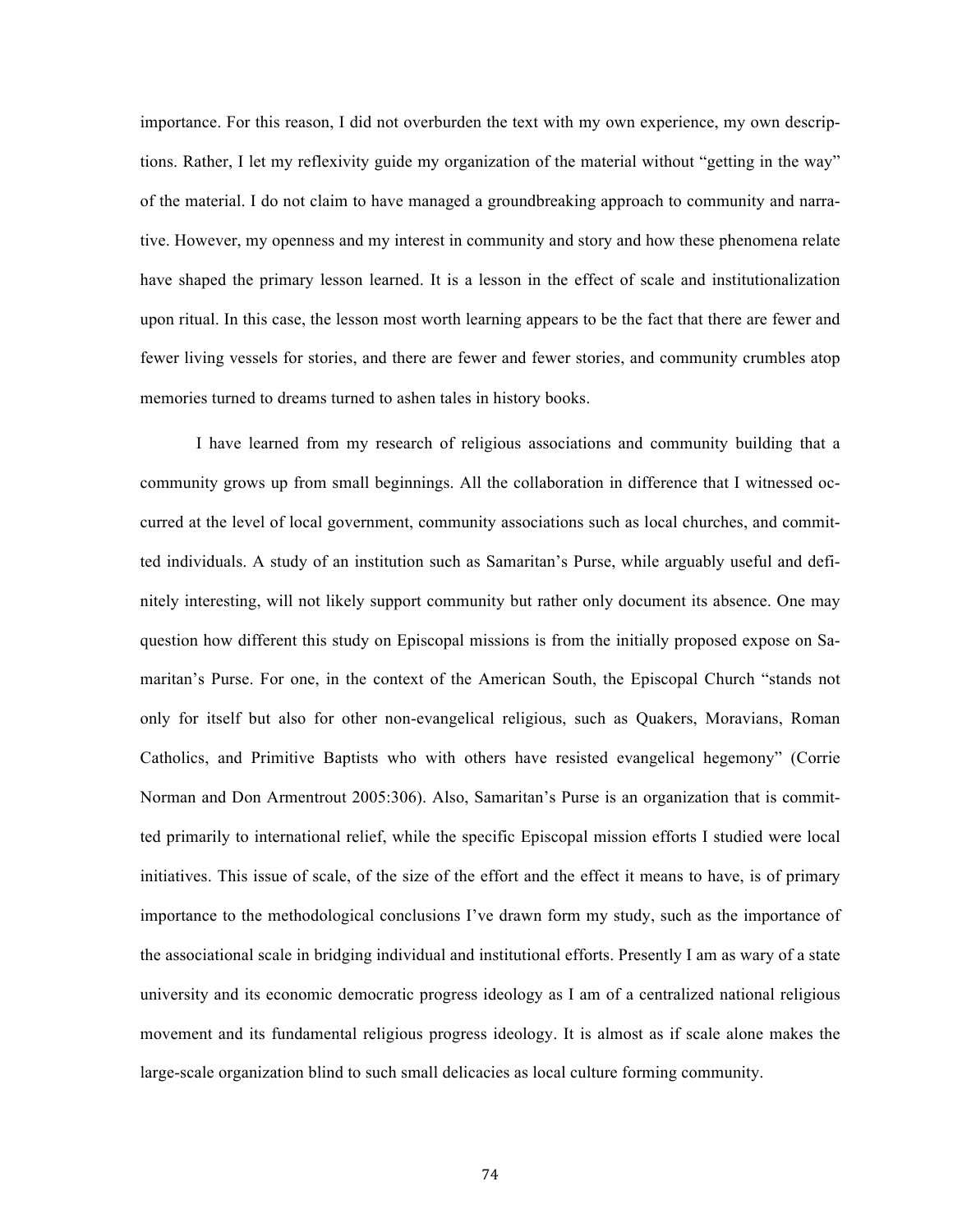importance. For this reason, I did not overburden the text with my own experience, my own descriptions. Rather, I let my reflexivity guide my organization of the material without "getting in the way" of the material. I do not claim to have managed a groundbreaking approach to community and narrative. However, my openness and my interest in community and story and how these phenomena relate have shaped the primary lesson learned. It is a lesson in the effect of scale and institutionalization upon ritual. In this case, the lesson most worth learning appears to be the fact that there are fewer and fewer living vessels for stories, and there are fewer and fewer stories, and community crumbles atop memories turned to dreams turned to ashen tales in history books.

I have learned from my research of religious associations and community building that a community grows up from small beginnings. All the collaboration in difference that I witnessed occurred at the level of local government, community associations such as local churches, and committed individuals. A study of an institution such as Samaritan's Purse, while arguably useful and definitely interesting, will not likely support community but rather only document its absence. One may question how different this study on Episcopal missions is from the initially proposed expose on Samaritan's Purse. For one, in the context of the American South, the Episcopal Church "stands not only for itself but also for other non-evangelical religious, such as Quakers, Moravians, Roman Catholics, and Primitive Baptists who with others have resisted evangelical hegemony" (Corrie Norman and Don Armentrout 2005:306). Also, Samaritan's Purse is an organization that is committed primarily to international relief, while the specific Episcopal mission efforts I studied were local initiatives. This issue of scale, of the size of the effort and the effect it means to have, is of primary importance to the methodological conclusions I've drawn form my study, such as the importance of the associational scale in bridging individual and institutional efforts. Presently I am as wary of a state university and its economic democratic progress ideology as I am of a centralized national religious movement and its fundamental religious progress ideology. It is almost as if scale alone makes the large-scale organization blind to such small delicacies as local culture forming community.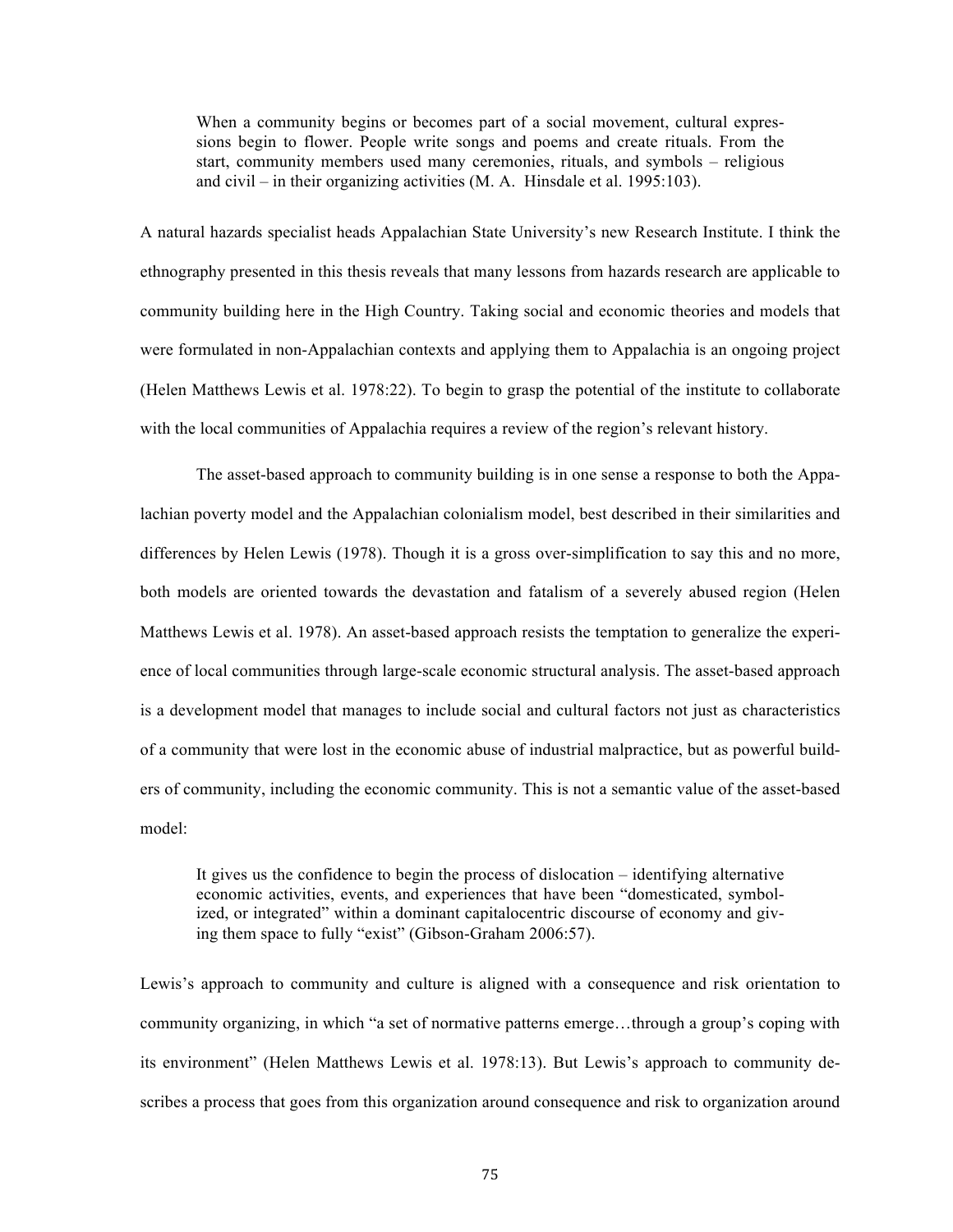When a community begins or becomes part of a social movement, cultural expressions begin to flower. People write songs and poems and create rituals. From the start, community members used many ceremonies, rituals, and symbols – religious and civil – in their organizing activities (M. A. Hinsdale et al. 1995:103).

A natural hazards specialist heads Appalachian State University's new Research Institute. I think the ethnography presented in this thesis reveals that many lessons from hazards research are applicable to community building here in the High Country. Taking social and economic theories and models that were formulated in non-Appalachian contexts and applying them to Appalachia is an ongoing project (Helen Matthews Lewis et al. 1978:22). To begin to grasp the potential of the institute to collaborate with the local communities of Appalachia requires a review of the region's relevant history.

The asset-based approach to community building is in one sense a response to both the Appalachian poverty model and the Appalachian colonialism model, best described in their similarities and differences by Helen Lewis (1978). Though it is a gross over-simplification to say this and no more, both models are oriented towards the devastation and fatalism of a severely abused region (Helen Matthews Lewis et al. 1978). An asset-based approach resists the temptation to generalize the experience of local communities through large-scale economic structural analysis. The asset-based approach is a development model that manages to include social and cultural factors not just as characteristics of a community that were lost in the economic abuse of industrial malpractice, but as powerful builders of community, including the economic community. This is not a semantic value of the asset-based model:

It gives us the confidence to begin the process of dislocation – identifying alternative economic activities, events, and experiences that have been "domesticated, symbolized, or integrated" within a dominant capitalocentric discourse of economy and giving them space to fully "exist" (Gibson-Graham 2006:57).

Lewis's approach to community and culture is aligned with a consequence and risk orientation to community organizing, in which "a set of normative patterns emerge…through a group's coping with its environment" (Helen Matthews Lewis et al. 1978:13). But Lewis's approach to community describes a process that goes from this organization around consequence and risk to organization around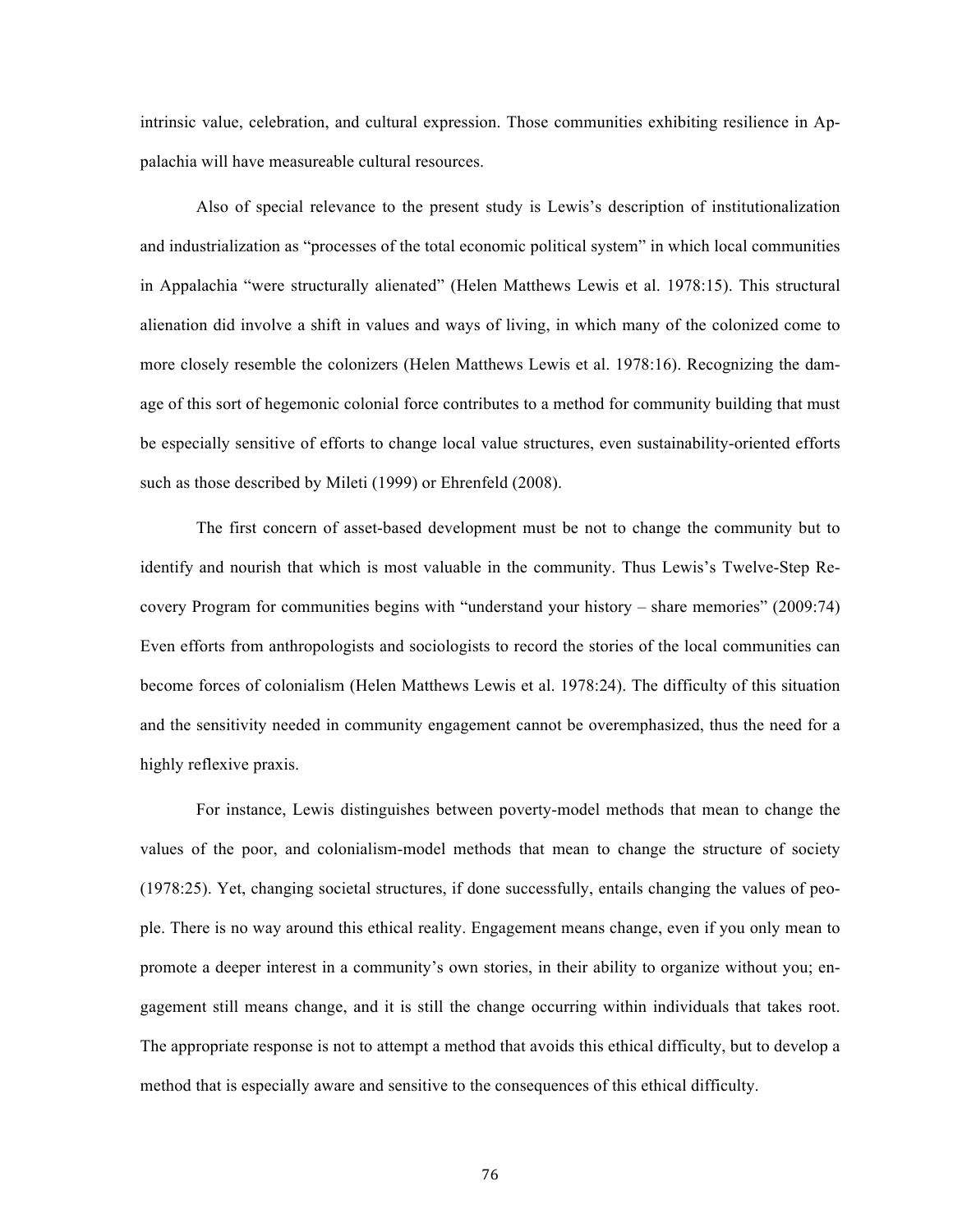intrinsic value, celebration, and cultural expression. Those communities exhibiting resilience in Appalachia will have measureable cultural resources.

Also of special relevance to the present study is Lewis's description of institutionalization and industrialization as "processes of the total economic political system" in which local communities in Appalachia "were structurally alienated" (Helen Matthews Lewis et al. 1978:15). This structural alienation did involve a shift in values and ways of living, in which many of the colonized come to more closely resemble the colonizers (Helen Matthews Lewis et al. 1978:16). Recognizing the damage of this sort of hegemonic colonial force contributes to a method for community building that must be especially sensitive of efforts to change local value structures, even sustainability-oriented efforts such as those described by Mileti (1999) or Ehrenfeld (2008).

The first concern of asset-based development must be not to change the community but to identify and nourish that which is most valuable in the community. Thus Lewis's Twelve-Step Recovery Program for communities begins with "understand your history – share memories" (2009:74) Even efforts from anthropologists and sociologists to record the stories of the local communities can become forces of colonialism (Helen Matthews Lewis et al. 1978:24). The difficulty of this situation and the sensitivity needed in community engagement cannot be overemphasized, thus the need for a highly reflexive praxis.

For instance, Lewis distinguishes between poverty-model methods that mean to change the values of the poor, and colonialism-model methods that mean to change the structure of society (1978:25). Yet, changing societal structures, if done successfully, entails changing the values of people. There is no way around this ethical reality. Engagement means change, even if you only mean to promote a deeper interest in a community's own stories, in their ability to organize without you; engagement still means change, and it is still the change occurring within individuals that takes root. The appropriate response is not to attempt a method that avoids this ethical difficulty, but to develop a method that is especially aware and sensitive to the consequences of this ethical difficulty.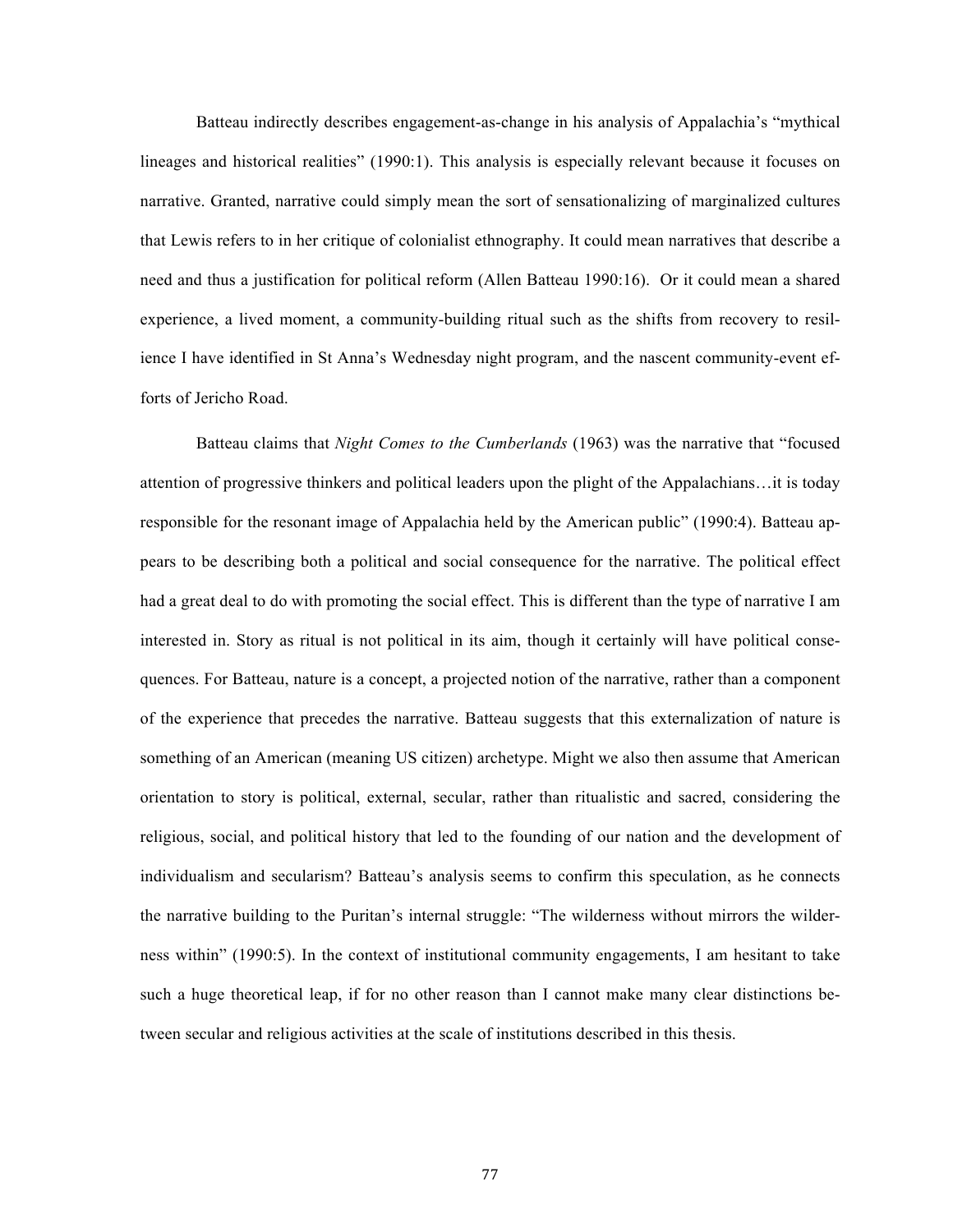Batteau indirectly describes engagement-as-change in his analysis of Appalachia's "mythical lineages and historical realities" (1990:1). This analysis is especially relevant because it focuses on narrative. Granted, narrative could simply mean the sort of sensationalizing of marginalized cultures that Lewis refers to in her critique of colonialist ethnography. It could mean narratives that describe a need and thus a justification for political reform (Allen Batteau 1990:16). Or it could mean a shared experience, a lived moment, a community-building ritual such as the shifts from recovery to resilience I have identified in St Anna's Wednesday night program, and the nascent community-event efforts of Jericho Road.

Batteau claims that *Night Comes to the Cumberlands* (1963) was the narrative that "focused attention of progressive thinkers and political leaders upon the plight of the Appalachians…it is today responsible for the resonant image of Appalachia held by the American public" (1990:4). Batteau appears to be describing both a political and social consequence for the narrative. The political effect had a great deal to do with promoting the social effect. This is different than the type of narrative I am interested in. Story as ritual is not political in its aim, though it certainly will have political consequences. For Batteau, nature is a concept, a projected notion of the narrative, rather than a component of the experience that precedes the narrative. Batteau suggests that this externalization of nature is something of an American (meaning US citizen) archetype. Might we also then assume that American orientation to story is political, external, secular, rather than ritualistic and sacred, considering the religious, social, and political history that led to the founding of our nation and the development of individualism and secularism? Batteau's analysis seems to confirm this speculation, as he connects the narrative building to the Puritan's internal struggle: "The wilderness without mirrors the wilderness within" (1990:5). In the context of institutional community engagements, I am hesitant to take such a huge theoretical leap, if for no other reason than I cannot make many clear distinctions between secular and religious activities at the scale of institutions described in this thesis.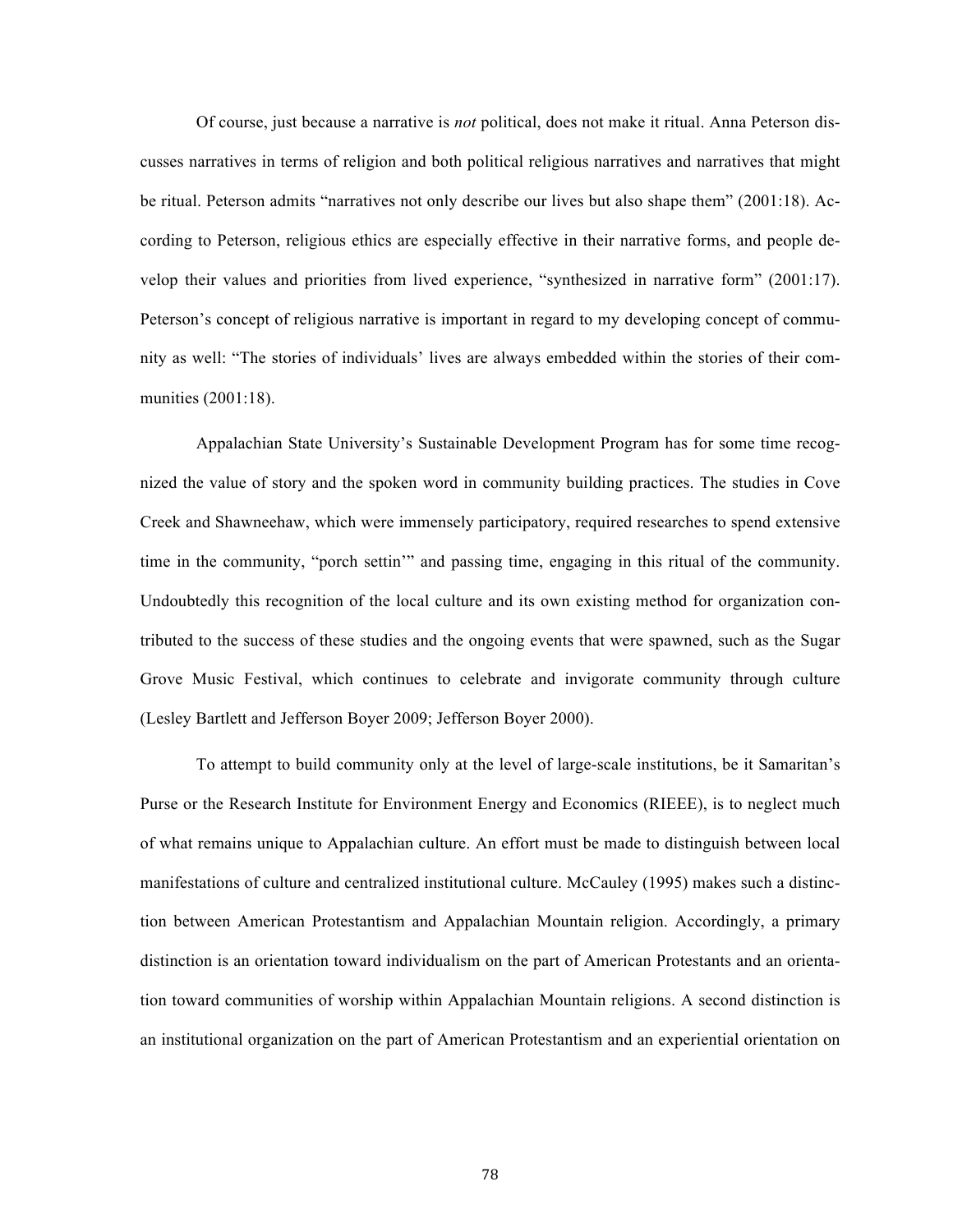Of course, just because a narrative is *not* political, does not make it ritual. Anna Peterson discusses narratives in terms of religion and both political religious narratives and narratives that might be ritual. Peterson admits "narratives not only describe our lives but also shape them" (2001:18). According to Peterson, religious ethics are especially effective in their narrative forms, and people develop their values and priorities from lived experience, "synthesized in narrative form" (2001:17). Peterson's concept of religious narrative is important in regard to my developing concept of community as well: "The stories of individuals' lives are always embedded within the stories of their communities (2001:18).

Appalachian State University's Sustainable Development Program has for some time recognized the value of story and the spoken word in community building practices. The studies in Cove Creek and Shawneehaw, which were immensely participatory, required researches to spend extensive time in the community, "porch settin'" and passing time, engaging in this ritual of the community. Undoubtedly this recognition of the local culture and its own existing method for organization contributed to the success of these studies and the ongoing events that were spawned, such as the Sugar Grove Music Festival, which continues to celebrate and invigorate community through culture (Lesley Bartlett and Jefferson Boyer 2009; Jefferson Boyer 2000).

To attempt to build community only at the level of large-scale institutions, be it Samaritan's Purse or the Research Institute for Environment Energy and Economics (RIEEE), is to neglect much of what remains unique to Appalachian culture. An effort must be made to distinguish between local manifestations of culture and centralized institutional culture. McCauley (1995) makes such a distinction between American Protestantism and Appalachian Mountain religion. Accordingly, a primary distinction is an orientation toward individualism on the part of American Protestants and an orientation toward communities of worship within Appalachian Mountain religions. A second distinction is an institutional organization on the part of American Protestantism and an experiential orientation on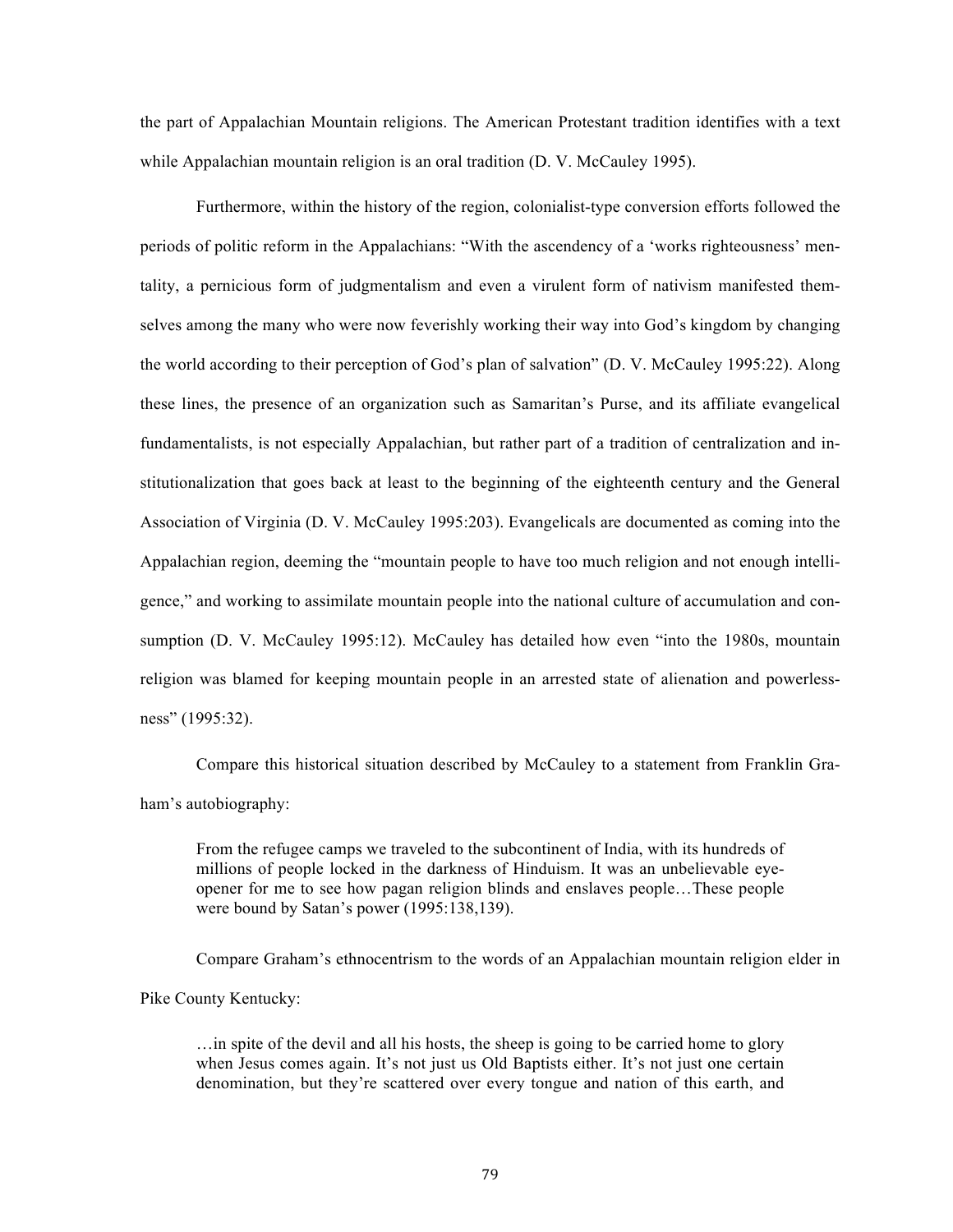the part of Appalachian Mountain religions. The American Protestant tradition identifies with a text while Appalachian mountain religion is an oral tradition (D. V. McCauley 1995).

Furthermore, within the history of the region, colonialist-type conversion efforts followed the periods of politic reform in the Appalachians: "With the ascendency of a 'works righteousness' mentality, a pernicious form of judgmentalism and even a virulent form of nativism manifested themselves among the many who were now feverishly working their way into God's kingdom by changing the world according to their perception of God's plan of salvation" (D. V. McCauley 1995:22). Along these lines, the presence of an organization such as Samaritan's Purse, and its affiliate evangelical fundamentalists, is not especially Appalachian, but rather part of a tradition of centralization and institutionalization that goes back at least to the beginning of the eighteenth century and the General Association of Virginia (D. V. McCauley 1995:203). Evangelicals are documented as coming into the Appalachian region, deeming the "mountain people to have too much religion and not enough intelligence," and working to assimilate mountain people into the national culture of accumulation and consumption (D. V. McCauley 1995:12). McCauley has detailed how even "into the 1980s, mountain religion was blamed for keeping mountain people in an arrested state of alienation and powerlessness" (1995:32).

Compare this historical situation described by McCauley to a statement from Franklin Graham's autobiography:

From the refugee camps we traveled to the subcontinent of India, with its hundreds of millions of people locked in the darkness of Hinduism. It was an unbelievable eyeopener for me to see how pagan religion blinds and enslaves people…These people were bound by Satan's power (1995:138,139).

Compare Graham's ethnocentrism to the words of an Appalachian mountain religion elder in Pike County Kentucky:

…in spite of the devil and all his hosts, the sheep is going to be carried home to glory when Jesus comes again. It's not just us Old Baptists either. It's not just one certain denomination, but they're scattered over every tongue and nation of this earth, and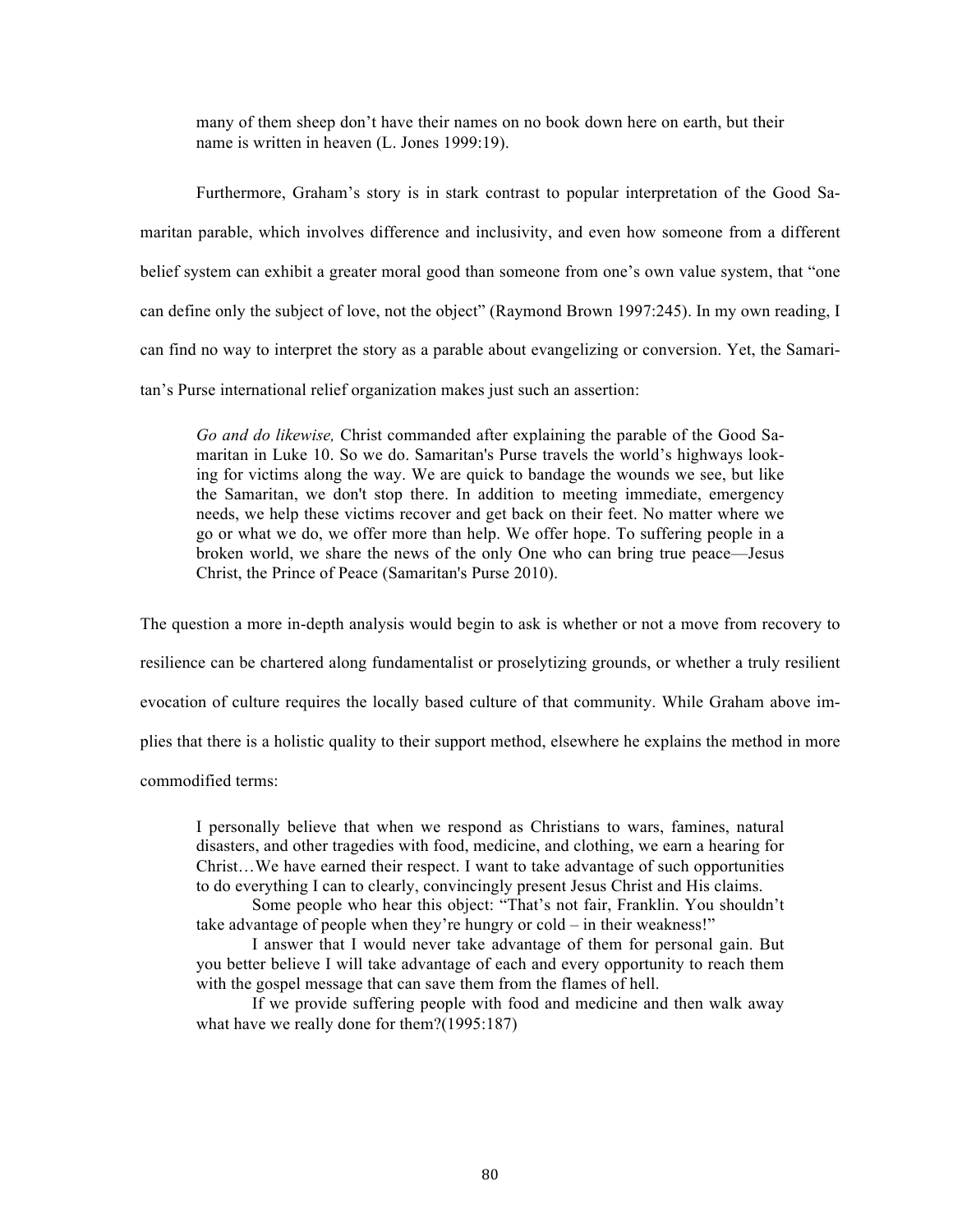many of them sheep don't have their names on no book down here on earth, but their name is written in heaven (L. Jones 1999:19).

Furthermore, Graham's story is in stark contrast to popular interpretation of the Good Samaritan parable, which involves difference and inclusivity, and even how someone from a different belief system can exhibit a greater moral good than someone from one's own value system, that "one can define only the subject of love, not the object" (Raymond Brown 1997:245). In my own reading, I can find no way to interpret the story as a parable about evangelizing or conversion. Yet, the Samaritan's Purse international relief organization makes just such an assertion:

*Go and do likewise,* Christ commanded after explaining the parable of the Good Samaritan in Luke 10. So we do. Samaritan's Purse travels the world's highways looking for victims along the way. We are quick to bandage the wounds we see, but like the Samaritan, we don't stop there. In addition to meeting immediate, emergency needs, we help these victims recover and get back on their feet. No matter where we go or what we do, we offer more than help. We offer hope. To suffering people in a broken world, we share the news of the only One who can bring true peace—Jesus Christ, the Prince of Peace (Samaritan's Purse 2010).

The question a more in-depth analysis would begin to ask is whether or not a move from recovery to resilience can be chartered along fundamentalist or proselytizing grounds, or whether a truly resilient evocation of culture requires the locally based culture of that community. While Graham above implies that there is a holistic quality to their support method, elsewhere he explains the method in more commodified terms:

I personally believe that when we respond as Christians to wars, famines, natural disasters, and other tragedies with food, medicine, and clothing, we earn a hearing for Christ…We have earned their respect. I want to take advantage of such opportunities to do everything I can to clearly, convincingly present Jesus Christ and His claims.

Some people who hear this object: "That's not fair, Franklin. You shouldn't take advantage of people when they're hungry or cold – in their weakness!"

I answer that I would never take advantage of them for personal gain. But you better believe I will take advantage of each and every opportunity to reach them with the gospel message that can save them from the flames of hell.

If we provide suffering people with food and medicine and then walk away what have we really done for them?(1995:187)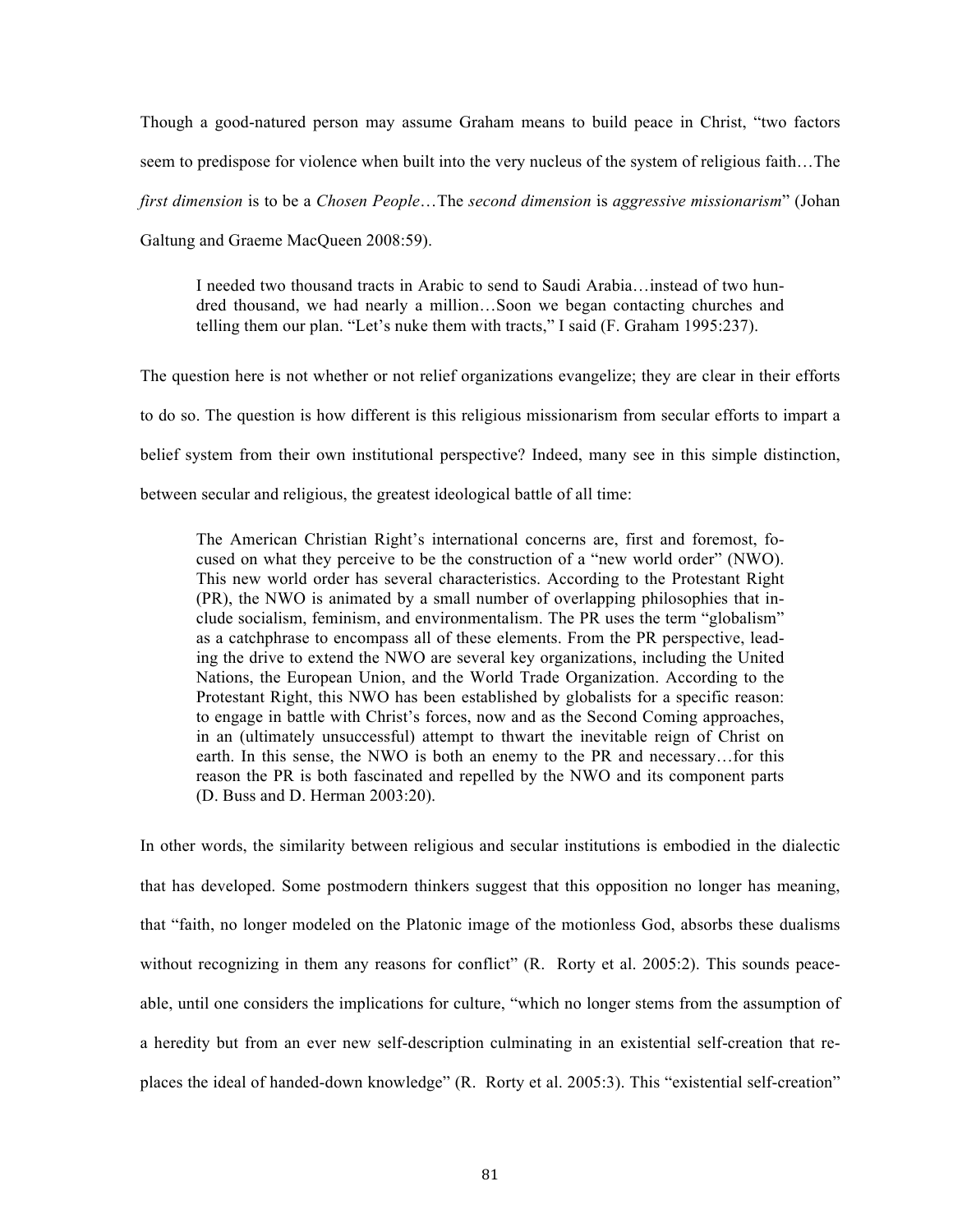Though a good-natured person may assume Graham means to build peace in Christ, "two factors seem to predispose for violence when built into the very nucleus of the system of religious faith…The *first dimension* is to be a *Chosen People*…The *second dimension* is *aggressive missionarism*" (Johan Galtung and Graeme MacQueen 2008:59).

I needed two thousand tracts in Arabic to send to Saudi Arabia…instead of two hundred thousand, we had nearly a million…Soon we began contacting churches and telling them our plan. "Let's nuke them with tracts," I said (F. Graham 1995:237).

The question here is not whether or not relief organizations evangelize; they are clear in their efforts to do so. The question is how different is this religious missionarism from secular efforts to impart a belief system from their own institutional perspective? Indeed, many see in this simple distinction, between secular and religious, the greatest ideological battle of all time:

The American Christian Right's international concerns are, first and foremost, focused on what they perceive to be the construction of a "new world order" (NWO). This new world order has several characteristics. According to the Protestant Right (PR), the NWO is animated by a small number of overlapping philosophies that include socialism, feminism, and environmentalism. The PR uses the term "globalism" as a catchphrase to encompass all of these elements. From the PR perspective, leading the drive to extend the NWO are several key organizations, including the United Nations, the European Union, and the World Trade Organization. According to the Protestant Right, this NWO has been established by globalists for a specific reason: to engage in battle with Christ's forces, now and as the Second Coming approaches, in an (ultimately unsuccessful) attempt to thwart the inevitable reign of Christ on earth. In this sense, the NWO is both an enemy to the PR and necessary…for this reason the PR is both fascinated and repelled by the NWO and its component parts (D. Buss and D. Herman 2003:20).

In other words, the similarity between religious and secular institutions is embodied in the dialectic that has developed. Some postmodern thinkers suggest that this opposition no longer has meaning, that "faith, no longer modeled on the Platonic image of the motionless God, absorbs these dualisms without recognizing in them any reasons for conflict" (R. Rorty et al. 2005:2). This sounds peaceable, until one considers the implications for culture, "which no longer stems from the assumption of a heredity but from an ever new self-description culminating in an existential self-creation that replaces the ideal of handed-down knowledge" (R. Rorty et al. 2005:3). This "existential self-creation"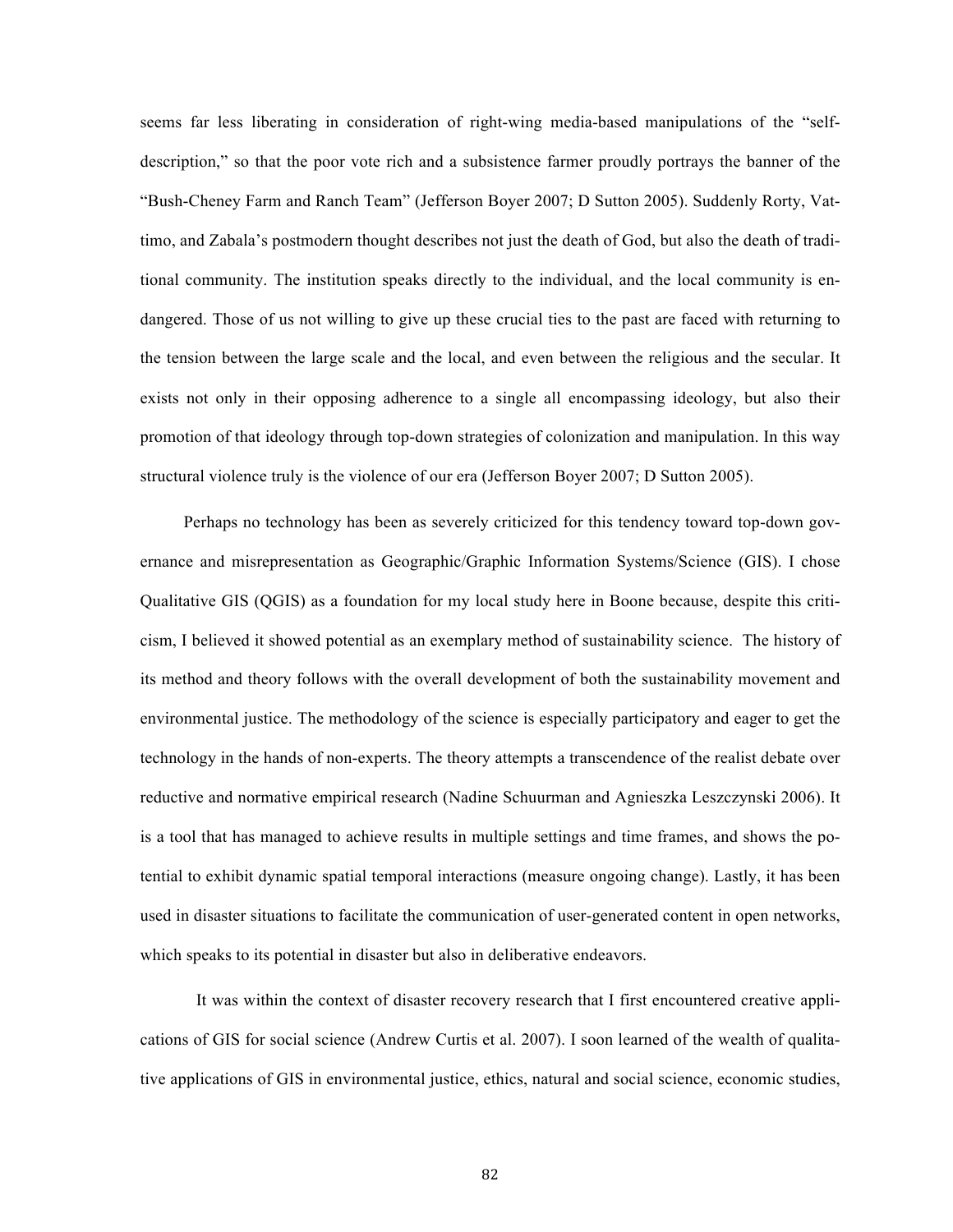seems far less liberating in consideration of right-wing media-based manipulations of the "selfdescription," so that the poor vote rich and a subsistence farmer proudly portrays the banner of the "Bush-Cheney Farm and Ranch Team" (Jefferson Boyer 2007; D Sutton 2005). Suddenly Rorty, Vattimo, and Zabala's postmodern thought describes not just the death of God, but also the death of traditional community. The institution speaks directly to the individual, and the local community is endangered. Those of us not willing to give up these crucial ties to the past are faced with returning to the tension between the large scale and the local, and even between the religious and the secular. It exists not only in their opposing adherence to a single all encompassing ideology, but also their promotion of that ideology through top-down strategies of colonization and manipulation. In this way structural violence truly is the violence of our era (Jefferson Boyer 2007; D Sutton 2005).

Perhaps no technology has been as severely criticized for this tendency toward top-down governance and misrepresentation as Geographic/Graphic Information Systems/Science (GIS). I chose Qualitative GIS (QGIS) as a foundation for my local study here in Boone because, despite this criticism, I believed it showed potential as an exemplary method of sustainability science. The history of its method and theory follows with the overall development of both the sustainability movement and environmental justice. The methodology of the science is especially participatory and eager to get the technology in the hands of non-experts. The theory attempts a transcendence of the realist debate over reductive and normative empirical research (Nadine Schuurman and Agnieszka Leszczynski 2006). It is a tool that has managed to achieve results in multiple settings and time frames, and shows the potential to exhibit dynamic spatial temporal interactions (measure ongoing change). Lastly, it has been used in disaster situations to facilitate the communication of user-generated content in open networks, which speaks to its potential in disaster but also in deliberative endeavors.

It was within the context of disaster recovery research that I first encountered creative applications of GIS for social science (Andrew Curtis et al. 2007). I soon learned of the wealth of qualitative applications of GIS in environmental justice, ethics, natural and social science, economic studies,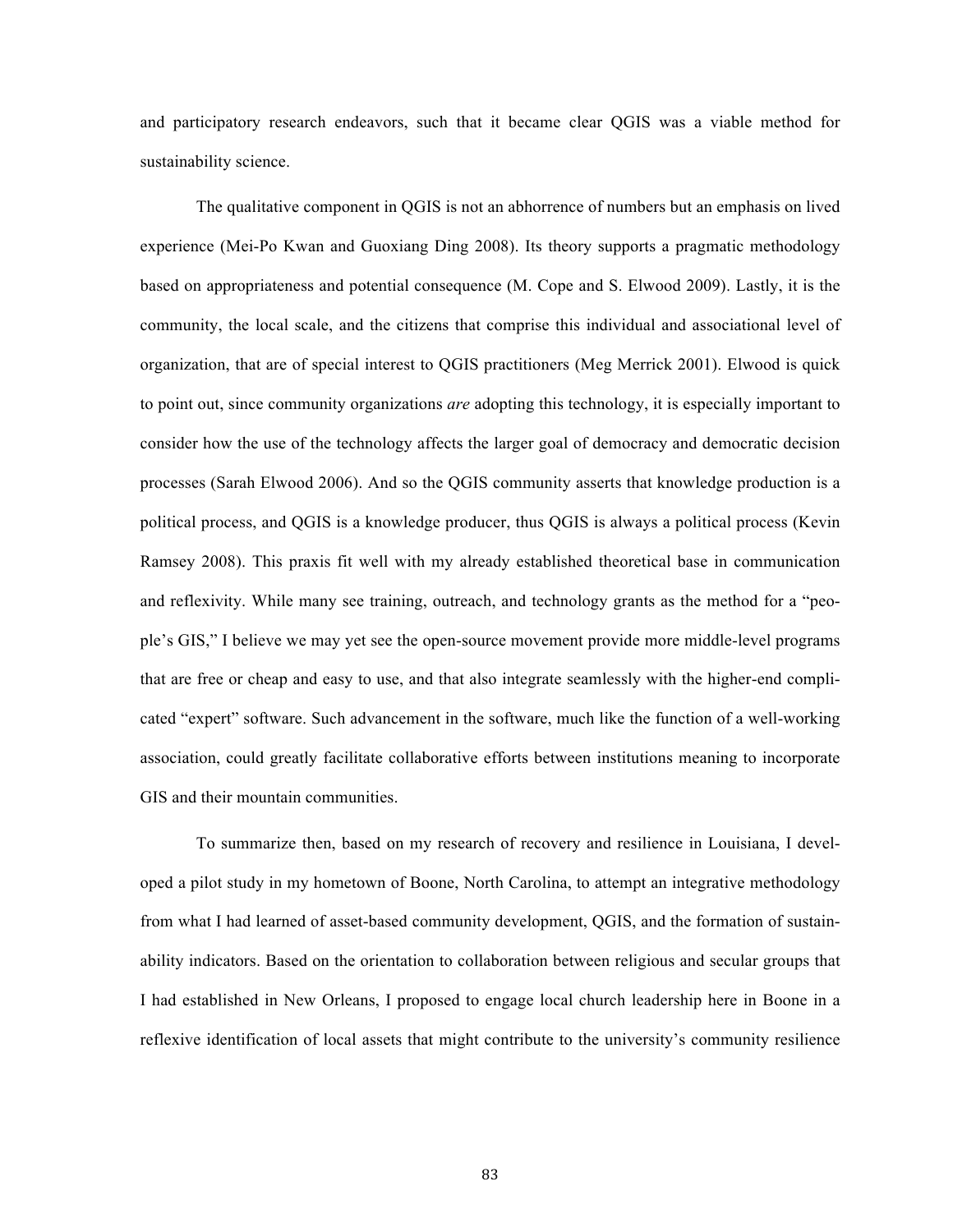and participatory research endeavors, such that it became clear QGIS was a viable method for sustainability science.

The qualitative component in QGIS is not an abhorrence of numbers but an emphasis on lived experience (Mei-Po Kwan and Guoxiang Ding 2008). Its theory supports a pragmatic methodology based on appropriateness and potential consequence (M. Cope and S. Elwood 2009). Lastly, it is the community, the local scale, and the citizens that comprise this individual and associational level of organization, that are of special interest to QGIS practitioners (Meg Merrick 2001). Elwood is quick to point out, since community organizations *are* adopting this technology, it is especially important to consider how the use of the technology affects the larger goal of democracy and democratic decision processes (Sarah Elwood 2006). And so the QGIS community asserts that knowledge production is a political process, and QGIS is a knowledge producer, thus QGIS is always a political process (Kevin Ramsey 2008). This praxis fit well with my already established theoretical base in communication and reflexivity. While many see training, outreach, and technology grants as the method for a "people's GIS," I believe we may yet see the open-source movement provide more middle-level programs that are free or cheap and easy to use, and that also integrate seamlessly with the higher-end complicated "expert" software. Such advancement in the software, much like the function of a well-working association, could greatly facilitate collaborative efforts between institutions meaning to incorporate GIS and their mountain communities.

To summarize then, based on my research of recovery and resilience in Louisiana, I developed a pilot study in my hometown of Boone, North Carolina, to attempt an integrative methodology from what I had learned of asset-based community development, QGIS, and the formation of sustainability indicators. Based on the orientation to collaboration between religious and secular groups that I had established in New Orleans, I proposed to engage local church leadership here in Boone in a reflexive identification of local assets that might contribute to the university's community resilience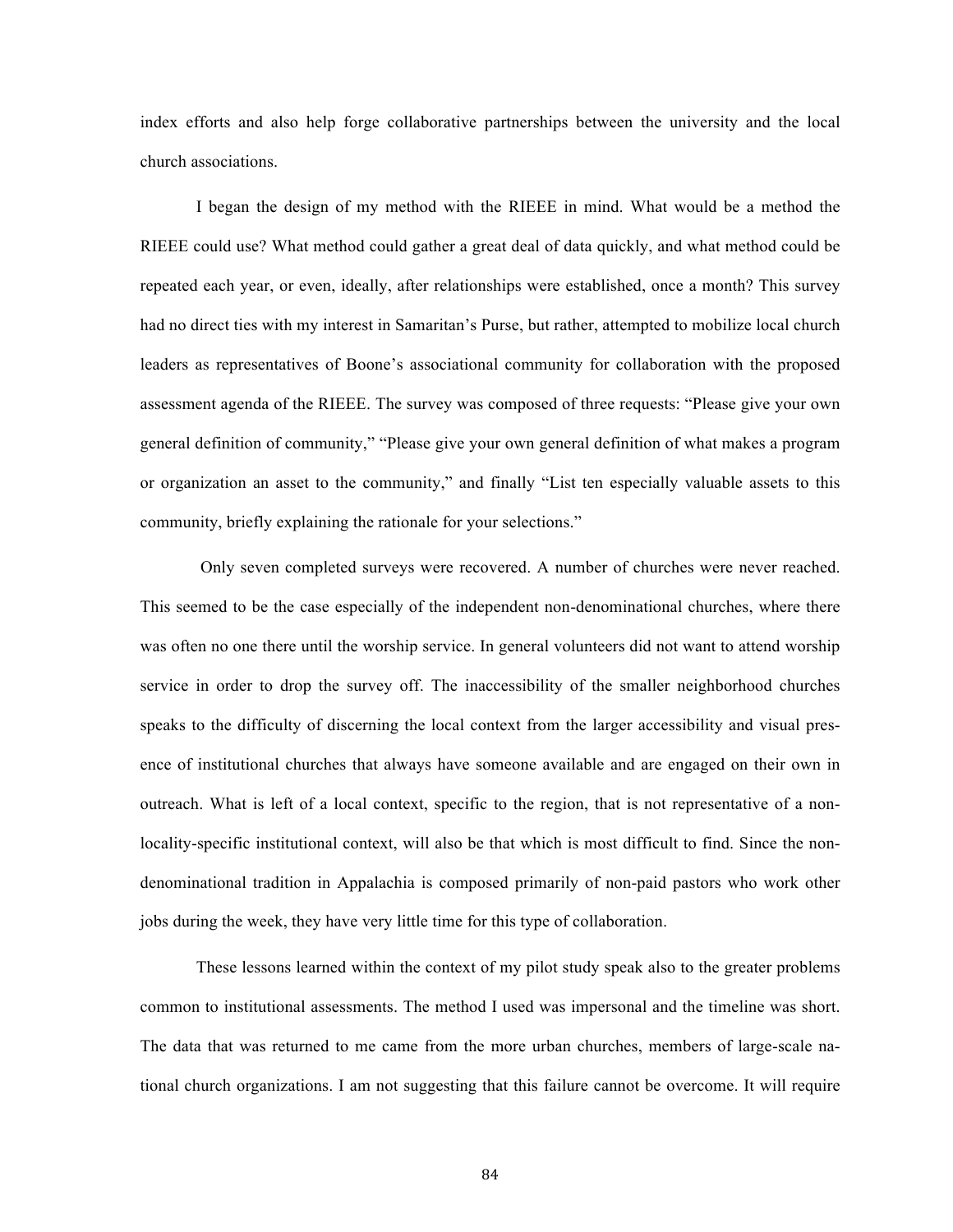index efforts and also help forge collaborative partnerships between the university and the local church associations.

I began the design of my method with the RIEEE in mind. What would be a method the RIEEE could use? What method could gather a great deal of data quickly, and what method could be repeated each year, or even, ideally, after relationships were established, once a month? This survey had no direct ties with my interest in Samaritan's Purse, but rather, attempted to mobilize local church leaders as representatives of Boone's associational community for collaboration with the proposed assessment agenda of the RIEEE. The survey was composed of three requests: "Please give your own general definition of community," "Please give your own general definition of what makes a program or organization an asset to the community," and finally "List ten especially valuable assets to this community, briefly explaining the rationale for your selections."

Only seven completed surveys were recovered. A number of churches were never reached. This seemed to be the case especially of the independent non-denominational churches, where there was often no one there until the worship service. In general volunteers did not want to attend worship service in order to drop the survey off. The inaccessibility of the smaller neighborhood churches speaks to the difficulty of discerning the local context from the larger accessibility and visual presence of institutional churches that always have someone available and are engaged on their own in outreach. What is left of a local context, specific to the region, that is not representative of a nonlocality-specific institutional context, will also be that which is most difficult to find. Since the nondenominational tradition in Appalachia is composed primarily of non-paid pastors who work other jobs during the week, they have very little time for this type of collaboration.

These lessons learned within the context of my pilot study speak also to the greater problems common to institutional assessments. The method I used was impersonal and the timeline was short. The data that was returned to me came from the more urban churches, members of large-scale national church organizations. I am not suggesting that this failure cannot be overcome. It will require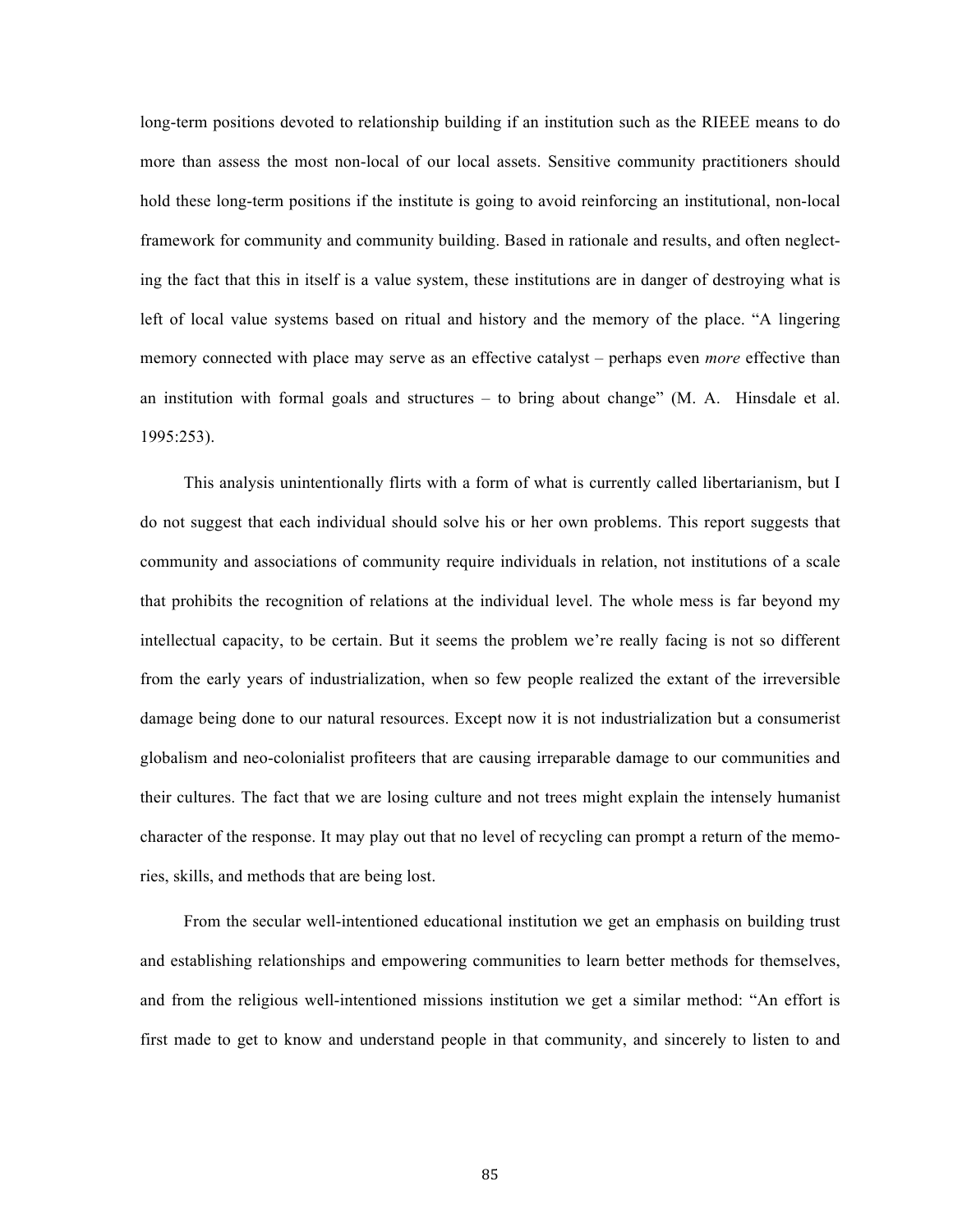long-term positions devoted to relationship building if an institution such as the RIEEE means to do more than assess the most non-local of our local assets. Sensitive community practitioners should hold these long-term positions if the institute is going to avoid reinforcing an institutional, non-local framework for community and community building. Based in rationale and results, and often neglecting the fact that this in itself is a value system, these institutions are in danger of destroying what is left of local value systems based on ritual and history and the memory of the place. "A lingering memory connected with place may serve as an effective catalyst – perhaps even *more* effective than an institution with formal goals and structures – to bring about change" (M. A. Hinsdale et al. 1995:253).

This analysis unintentionally flirts with a form of what is currently called libertarianism, but I do not suggest that each individual should solve his or her own problems. This report suggests that community and associations of community require individuals in relation, not institutions of a scale that prohibits the recognition of relations at the individual level. The whole mess is far beyond my intellectual capacity, to be certain. But it seems the problem we're really facing is not so different from the early years of industrialization, when so few people realized the extant of the irreversible damage being done to our natural resources. Except now it is not industrialization but a consumerist globalism and neo-colonialist profiteers that are causing irreparable damage to our communities and their cultures. The fact that we are losing culture and not trees might explain the intensely humanist character of the response. It may play out that no level of recycling can prompt a return of the memories, skills, and methods that are being lost.

From the secular well-intentioned educational institution we get an emphasis on building trust and establishing relationships and empowering communities to learn better methods for themselves, and from the religious well-intentioned missions institution we get a similar method: "An effort is first made to get to know and understand people in that community, and sincerely to listen to and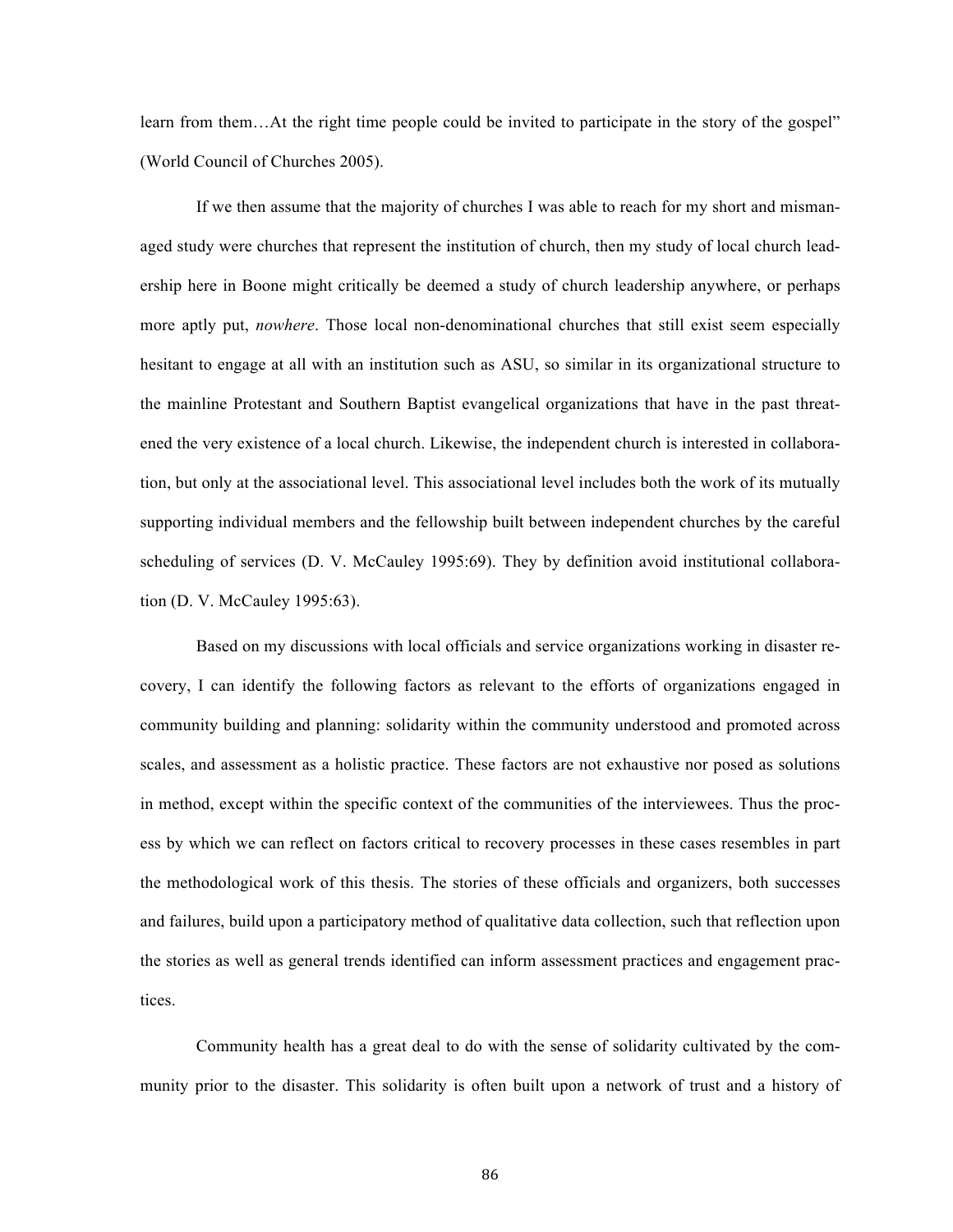learn from them…At the right time people could be invited to participate in the story of the gospel" (World Council of Churches 2005).

If we then assume that the majority of churches I was able to reach for my short and mismanaged study were churches that represent the institution of church, then my study of local church leadership here in Boone might critically be deemed a study of church leadership anywhere, or perhaps more aptly put, *nowhere*. Those local non-denominational churches that still exist seem especially hesitant to engage at all with an institution such as ASU, so similar in its organizational structure to the mainline Protestant and Southern Baptist evangelical organizations that have in the past threatened the very existence of a local church. Likewise, the independent church is interested in collaboration, but only at the associational level. This associational level includes both the work of its mutually supporting individual members and the fellowship built between independent churches by the careful scheduling of services (D. V. McCauley 1995:69). They by definition avoid institutional collaboration (D. V. McCauley 1995:63).

Based on my discussions with local officials and service organizations working in disaster recovery, I can identify the following factors as relevant to the efforts of organizations engaged in community building and planning: solidarity within the community understood and promoted across scales, and assessment as a holistic practice. These factors are not exhaustive nor posed as solutions in method, except within the specific context of the communities of the interviewees. Thus the process by which we can reflect on factors critical to recovery processes in these cases resembles in part the methodological work of this thesis. The stories of these officials and organizers, both successes and failures, build upon a participatory method of qualitative data collection, such that reflection upon the stories as well as general trends identified can inform assessment practices and engagement practices.

Community health has a great deal to do with the sense of solidarity cultivated by the community prior to the disaster. This solidarity is often built upon a network of trust and a history of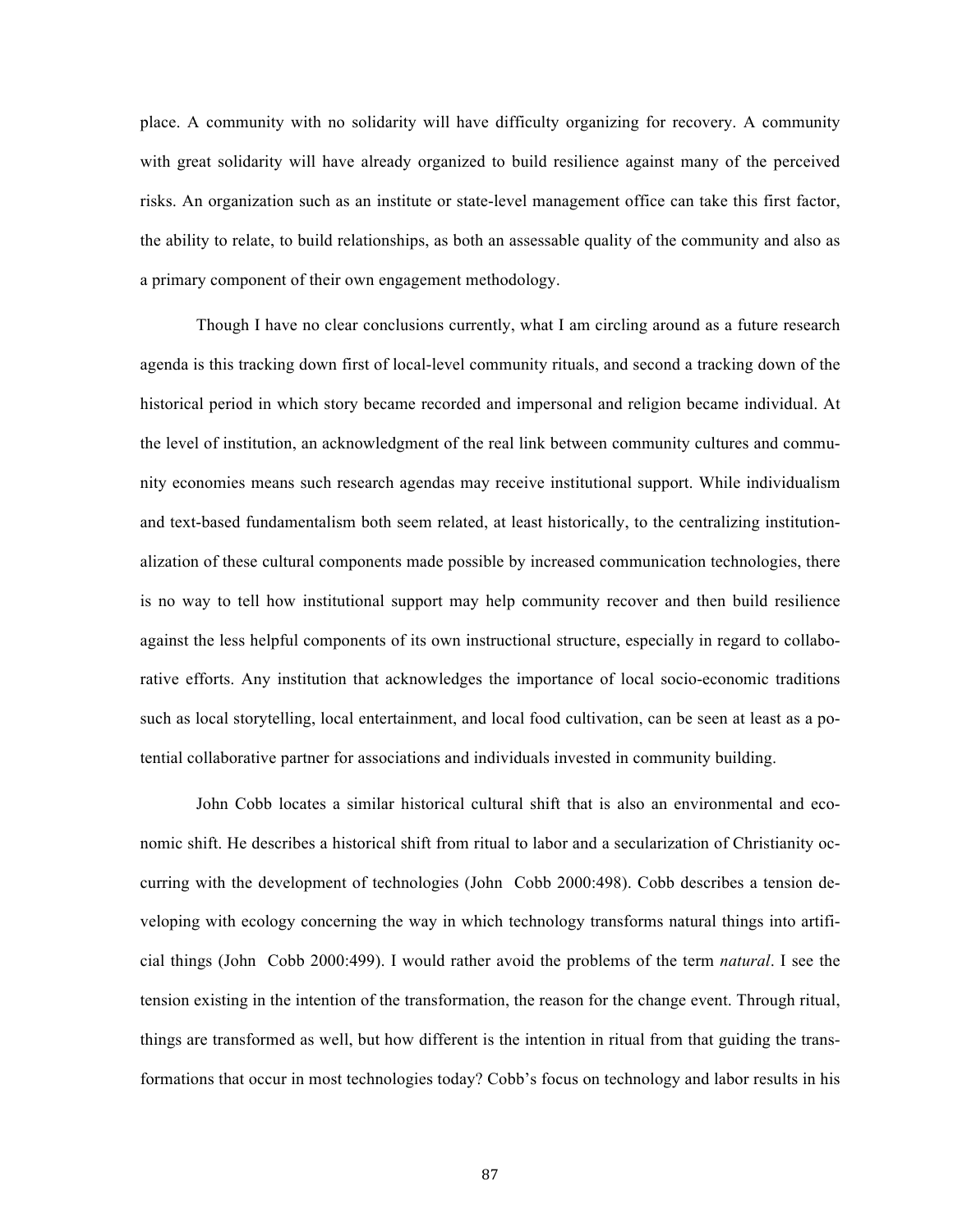place. A community with no solidarity will have difficulty organizing for recovery. A community with great solidarity will have already organized to build resilience against many of the perceived risks. An organization such as an institute or state-level management office can take this first factor, the ability to relate, to build relationships, as both an assessable quality of the community and also as a primary component of their own engagement methodology.

Though I have no clear conclusions currently, what I am circling around as a future research agenda is this tracking down first of local-level community rituals, and second a tracking down of the historical period in which story became recorded and impersonal and religion became individual. At the level of institution, an acknowledgment of the real link between community cultures and community economies means such research agendas may receive institutional support. While individualism and text-based fundamentalism both seem related, at least historically, to the centralizing institutionalization of these cultural components made possible by increased communication technologies, there is no way to tell how institutional support may help community recover and then build resilience against the less helpful components of its own instructional structure, especially in regard to collaborative efforts. Any institution that acknowledges the importance of local socio-economic traditions such as local storytelling, local entertainment, and local food cultivation, can be seen at least as a potential collaborative partner for associations and individuals invested in community building.

John Cobb locates a similar historical cultural shift that is also an environmental and economic shift. He describes a historical shift from ritual to labor and a secularization of Christianity occurring with the development of technologies (John Cobb 2000:498). Cobb describes a tension developing with ecology concerning the way in which technology transforms natural things into artificial things (John Cobb 2000:499). I would rather avoid the problems of the term *natural*. I see the tension existing in the intention of the transformation, the reason for the change event. Through ritual, things are transformed as well, but how different is the intention in ritual from that guiding the transformations that occur in most technologies today? Cobb's focus on technology and labor results in his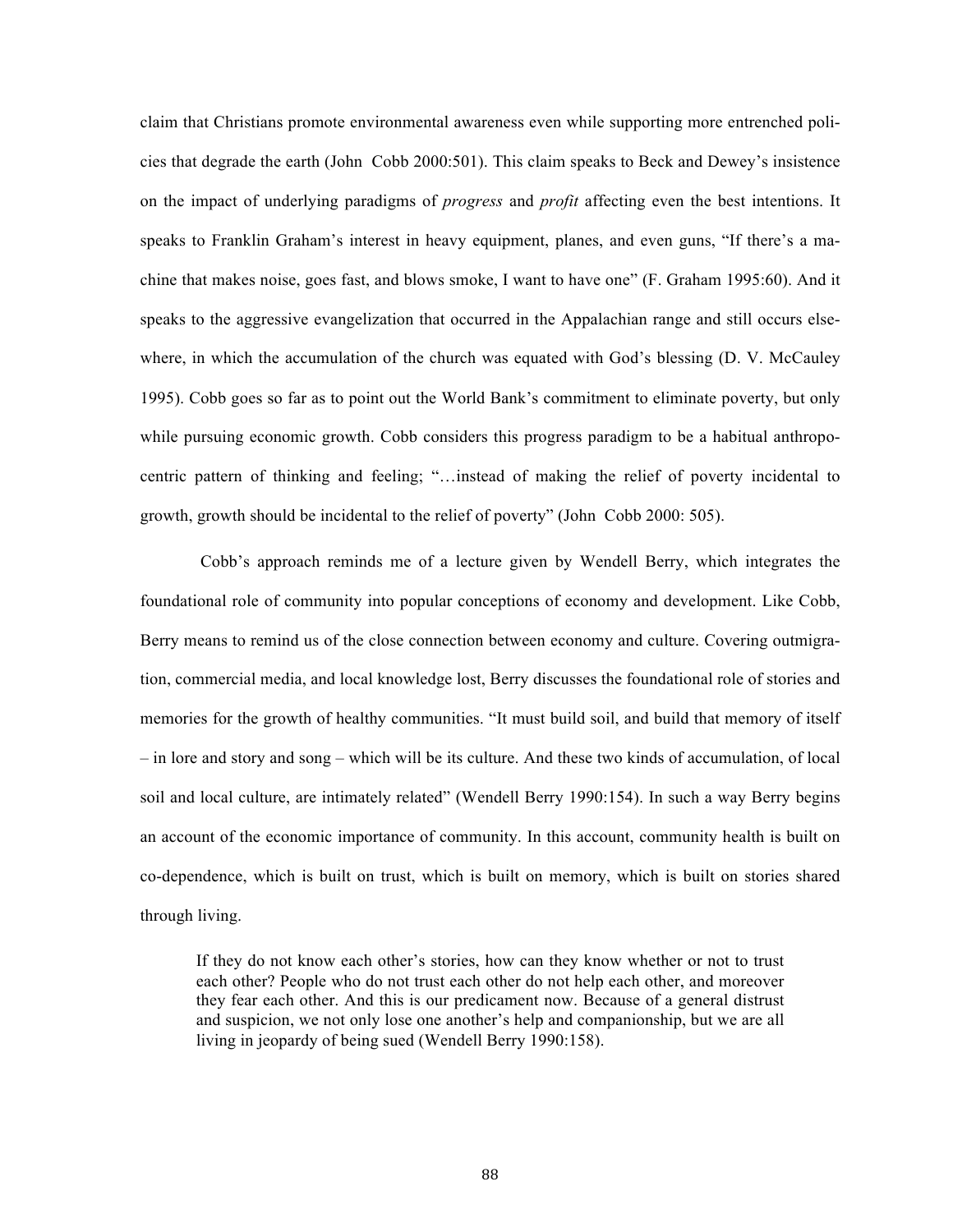claim that Christians promote environmental awareness even while supporting more entrenched policies that degrade the earth (John Cobb 2000:501). This claim speaks to Beck and Dewey's insistence on the impact of underlying paradigms of *progress* and *profit* affecting even the best intentions. It speaks to Franklin Graham's interest in heavy equipment, planes, and even guns, "If there's a machine that makes noise, goes fast, and blows smoke, I want to have one" (F. Graham 1995:60). And it speaks to the aggressive evangelization that occurred in the Appalachian range and still occurs elsewhere, in which the accumulation of the church was equated with God's blessing (D. V. McCauley 1995). Cobb goes so far as to point out the World Bank's commitment to eliminate poverty, but only while pursuing economic growth. Cobb considers this progress paradigm to be a habitual anthropocentric pattern of thinking and feeling; "…instead of making the relief of poverty incidental to growth, growth should be incidental to the relief of poverty" (John Cobb 2000: 505).

 Cobb's approach reminds me of a lecture given by Wendell Berry, which integrates the foundational role of community into popular conceptions of economy and development. Like Cobb, Berry means to remind us of the close connection between economy and culture. Covering outmigration, commercial media, and local knowledge lost, Berry discusses the foundational role of stories and memories for the growth of healthy communities. "It must build soil, and build that memory of itself – in lore and story and song – which will be its culture. And these two kinds of accumulation, of local soil and local culture, are intimately related" (Wendell Berry 1990:154). In such a way Berry begins an account of the economic importance of community. In this account, community health is built on co-dependence, which is built on trust, which is built on memory, which is built on stories shared through living.

If they do not know each other's stories, how can they know whether or not to trust each other? People who do not trust each other do not help each other, and moreover they fear each other. And this is our predicament now. Because of a general distrust and suspicion, we not only lose one another's help and companionship, but we are all living in jeopardy of being sued (Wendell Berry 1990:158).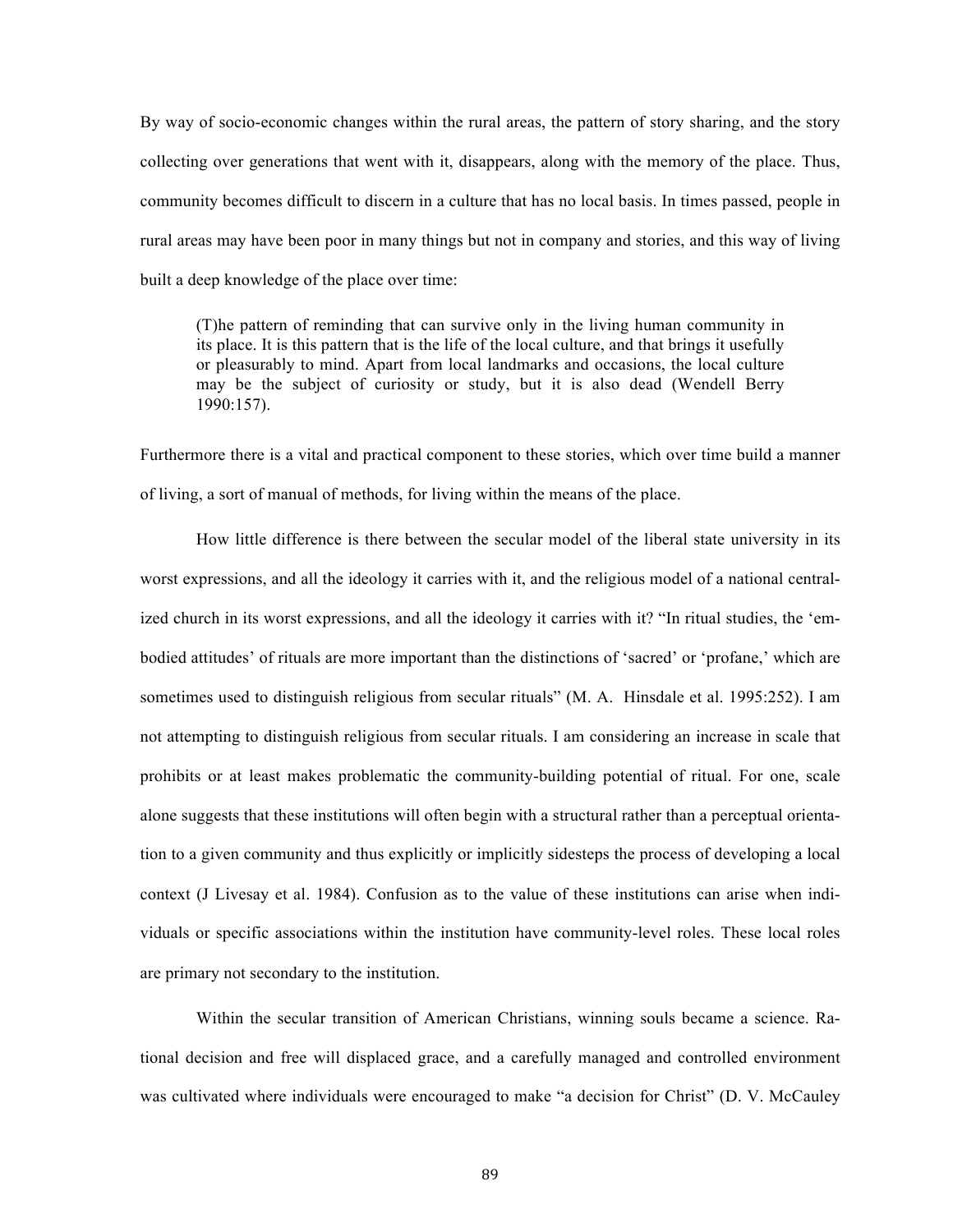By way of socio-economic changes within the rural areas, the pattern of story sharing, and the story collecting over generations that went with it, disappears, along with the memory of the place. Thus, community becomes difficult to discern in a culture that has no local basis. In times passed, people in rural areas may have been poor in many things but not in company and stories, and this way of living built a deep knowledge of the place over time:

(T)he pattern of reminding that can survive only in the living human community in its place. It is this pattern that is the life of the local culture, and that brings it usefully or pleasurably to mind. Apart from local landmarks and occasions, the local culture may be the subject of curiosity or study, but it is also dead (Wendell Berry 1990:157).

Furthermore there is a vital and practical component to these stories, which over time build a manner of living, a sort of manual of methods, for living within the means of the place.

How little difference is there between the secular model of the liberal state university in its worst expressions, and all the ideology it carries with it, and the religious model of a national centralized church in its worst expressions, and all the ideology it carries with it? "In ritual studies, the 'embodied attitudes' of rituals are more important than the distinctions of 'sacred' or 'profane,' which are sometimes used to distinguish religious from secular rituals" (M. A. Hinsdale et al. 1995:252). I am not attempting to distinguish religious from secular rituals. I am considering an increase in scale that prohibits or at least makes problematic the community-building potential of ritual. For one, scale alone suggests that these institutions will often begin with a structural rather than a perceptual orientation to a given community and thus explicitly or implicitly sidesteps the process of developing a local context (J Livesay et al. 1984). Confusion as to the value of these institutions can arise when individuals or specific associations within the institution have community-level roles. These local roles are primary not secondary to the institution.

Within the secular transition of American Christians, winning souls became a science. Rational decision and free will displaced grace, and a carefully managed and controlled environment was cultivated where individuals were encouraged to make "a decision for Christ" (D. V. McCauley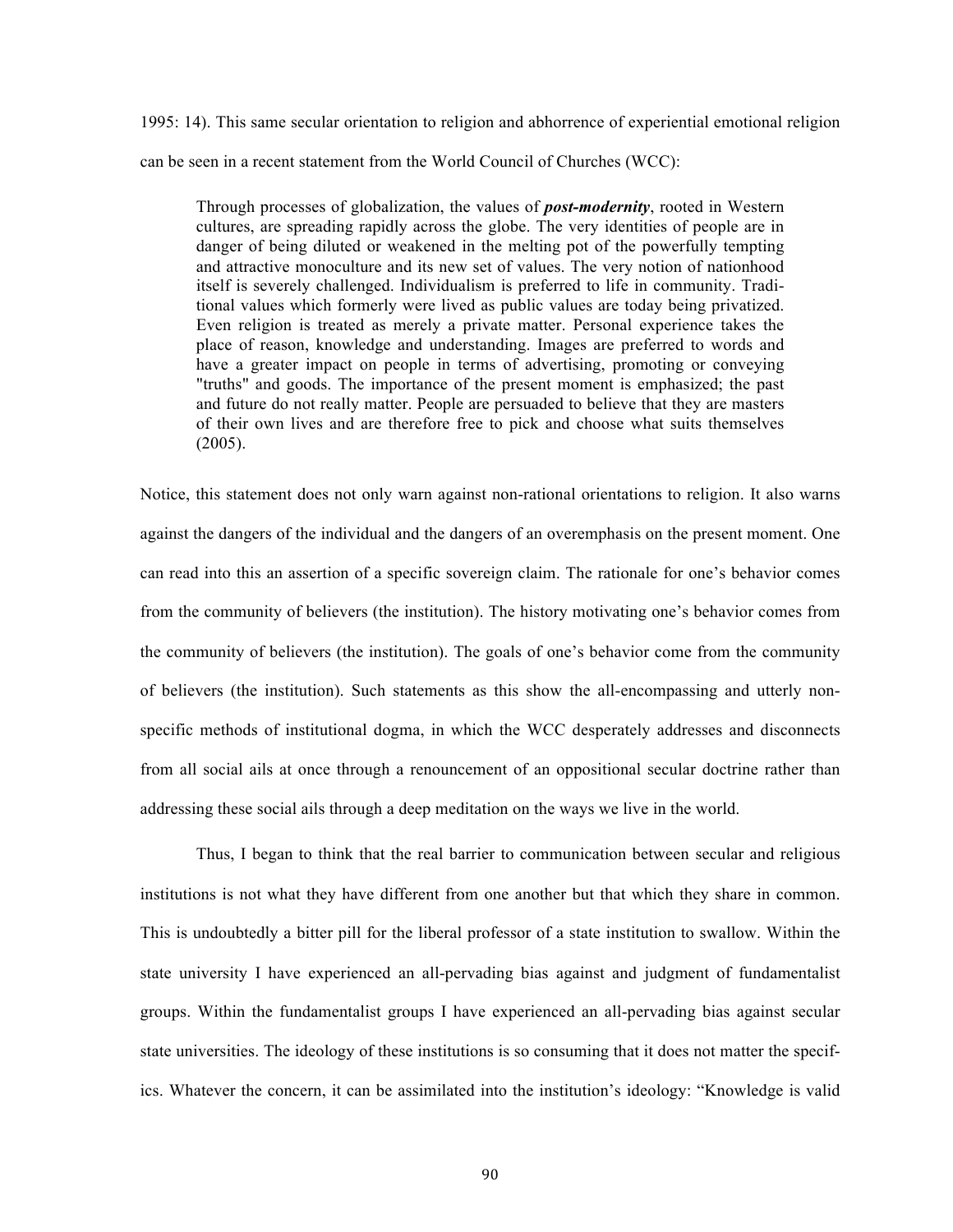1995: 14). This same secular orientation to religion and abhorrence of experiential emotional religion can be seen in a recent statement from the World Council of Churches (WCC):

Through processes of globalization, the values of *post-modernity*, rooted in Western cultures, are spreading rapidly across the globe. The very identities of people are in danger of being diluted or weakened in the melting pot of the powerfully tempting and attractive monoculture and its new set of values. The very notion of nationhood itself is severely challenged. Individualism is preferred to life in community. Traditional values which formerly were lived as public values are today being privatized. Even religion is treated as merely a private matter. Personal experience takes the place of reason, knowledge and understanding. Images are preferred to words and have a greater impact on people in terms of advertising, promoting or conveying "truths" and goods. The importance of the present moment is emphasized; the past and future do not really matter. People are persuaded to believe that they are masters of their own lives and are therefore free to pick and choose what suits themselves (2005).

Notice, this statement does not only warn against non-rational orientations to religion. It also warns against the dangers of the individual and the dangers of an overemphasis on the present moment. One can read into this an assertion of a specific sovereign claim. The rationale for one's behavior comes from the community of believers (the institution). The history motivating one's behavior comes from the community of believers (the institution). The goals of one's behavior come from the community of believers (the institution). Such statements as this show the all-encompassing and utterly nonspecific methods of institutional dogma, in which the WCC desperately addresses and disconnects from all social ails at once through a renouncement of an oppositional secular doctrine rather than addressing these social ails through a deep meditation on the ways we live in the world.

Thus, I began to think that the real barrier to communication between secular and religious institutions is not what they have different from one another but that which they share in common. This is undoubtedly a bitter pill for the liberal professor of a state institution to swallow. Within the state university I have experienced an all-pervading bias against and judgment of fundamentalist groups. Within the fundamentalist groups I have experienced an all-pervading bias against secular state universities. The ideology of these institutions is so consuming that it does not matter the specifics. Whatever the concern, it can be assimilated into the institution's ideology: "Knowledge is valid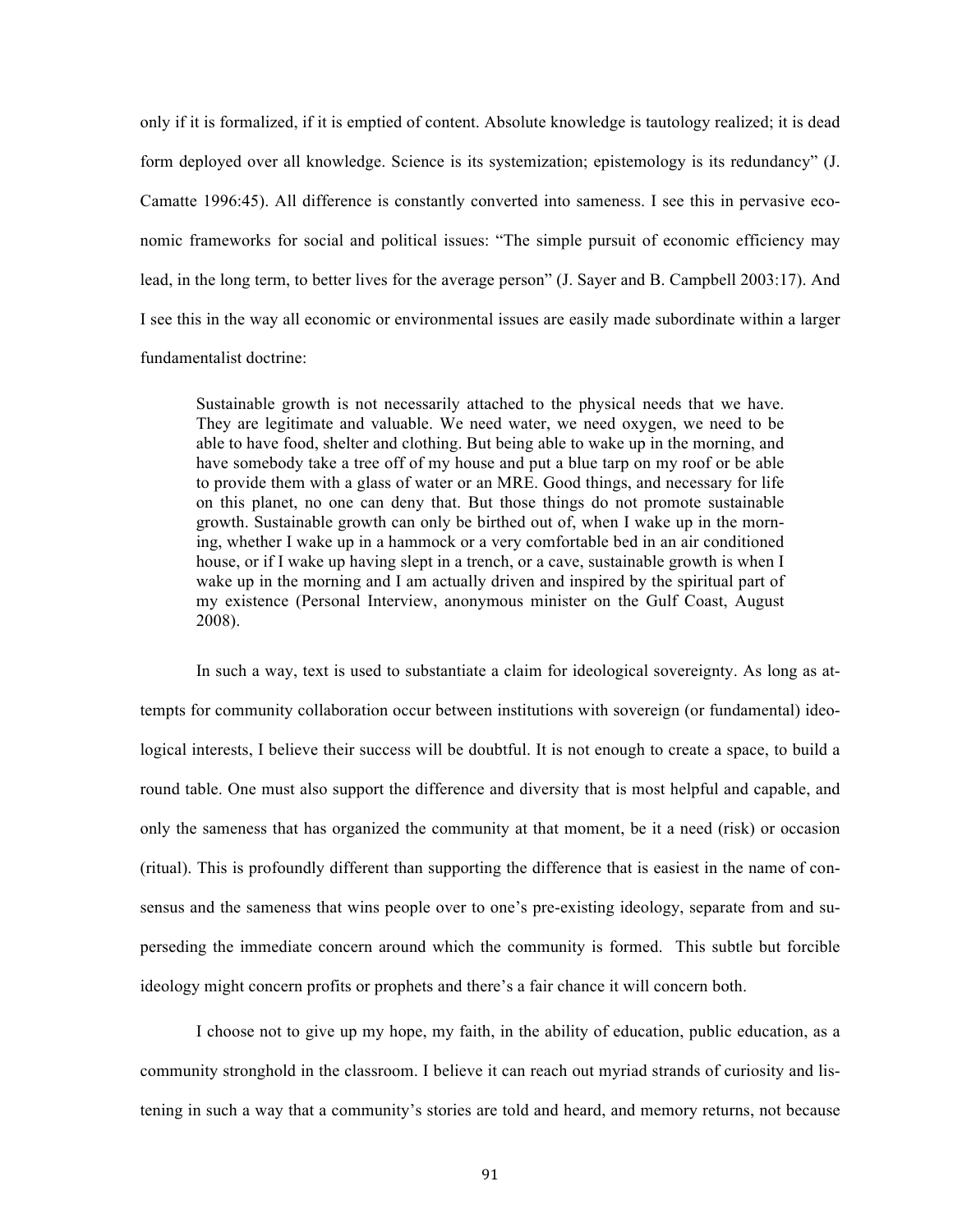only if it is formalized, if it is emptied of content. Absolute knowledge is tautology realized; it is dead form deployed over all knowledge. Science is its systemization; epistemology is its redundancy" (J. Camatte 1996:45). All difference is constantly converted into sameness. I see this in pervasive economic frameworks for social and political issues: "The simple pursuit of economic efficiency may lead, in the long term, to better lives for the average person" (J. Sayer and B. Campbell 2003:17). And I see this in the way all economic or environmental issues are easily made subordinate within a larger fundamentalist doctrine:

Sustainable growth is not necessarily attached to the physical needs that we have. They are legitimate and valuable. We need water, we need oxygen, we need to be able to have food, shelter and clothing. But being able to wake up in the morning, and have somebody take a tree off of my house and put a blue tarp on my roof or be able to provide them with a glass of water or an MRE. Good things, and necessary for life on this planet, no one can deny that. But those things do not promote sustainable growth. Sustainable growth can only be birthed out of, when I wake up in the morning, whether I wake up in a hammock or a very comfortable bed in an air conditioned house, or if I wake up having slept in a trench, or a cave, sustainable growth is when I wake up in the morning and I am actually driven and inspired by the spiritual part of my existence (Personal Interview, anonymous minister on the Gulf Coast, August 2008).

In such a way, text is used to substantiate a claim for ideological sovereignty. As long as attempts for community collaboration occur between institutions with sovereign (or fundamental) ideological interests, I believe their success will be doubtful. It is not enough to create a space, to build a round table. One must also support the difference and diversity that is most helpful and capable, and only the sameness that has organized the community at that moment, be it a need (risk) or occasion (ritual). This is profoundly different than supporting the difference that is easiest in the name of consensus and the sameness that wins people over to one's pre-existing ideology, separate from and superseding the immediate concern around which the community is formed. This subtle but forcible ideology might concern profits or prophets and there's a fair chance it will concern both.

I choose not to give up my hope, my faith, in the ability of education, public education, as a community stronghold in the classroom. I believe it can reach out myriad strands of curiosity and listening in such a way that a community's stories are told and heard, and memory returns, not because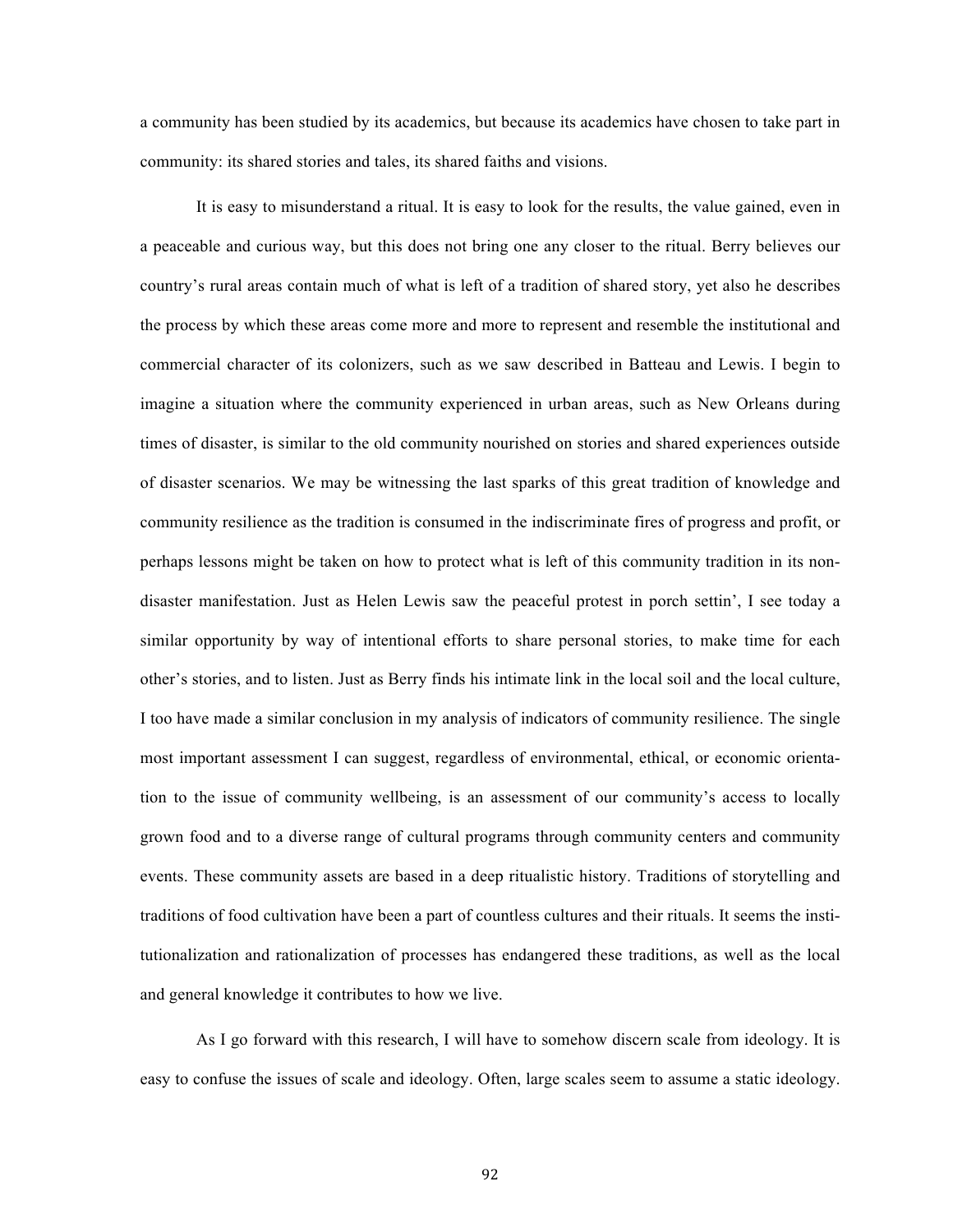a community has been studied by its academics, but because its academics have chosen to take part in community: its shared stories and tales, its shared faiths and visions.

It is easy to misunderstand a ritual. It is easy to look for the results, the value gained, even in a peaceable and curious way, but this does not bring one any closer to the ritual. Berry believes our country's rural areas contain much of what is left of a tradition of shared story, yet also he describes the process by which these areas come more and more to represent and resemble the institutional and commercial character of its colonizers, such as we saw described in Batteau and Lewis. I begin to imagine a situation where the community experienced in urban areas, such as New Orleans during times of disaster, is similar to the old community nourished on stories and shared experiences outside of disaster scenarios. We may be witnessing the last sparks of this great tradition of knowledge and community resilience as the tradition is consumed in the indiscriminate fires of progress and profit, or perhaps lessons might be taken on how to protect what is left of this community tradition in its nondisaster manifestation. Just as Helen Lewis saw the peaceful protest in porch settin', I see today a similar opportunity by way of intentional efforts to share personal stories, to make time for each other's stories, and to listen. Just as Berry finds his intimate link in the local soil and the local culture, I too have made a similar conclusion in my analysis of indicators of community resilience. The single most important assessment I can suggest, regardless of environmental, ethical, or economic orientation to the issue of community wellbeing, is an assessment of our community's access to locally grown food and to a diverse range of cultural programs through community centers and community events. These community assets are based in a deep ritualistic history. Traditions of storytelling and traditions of food cultivation have been a part of countless cultures and their rituals. It seems the institutionalization and rationalization of processes has endangered these traditions, as well as the local and general knowledge it contributes to how we live.

As I go forward with this research, I will have to somehow discern scale from ideology. It is easy to confuse the issues of scale and ideology. Often, large scales seem to assume a static ideology.

92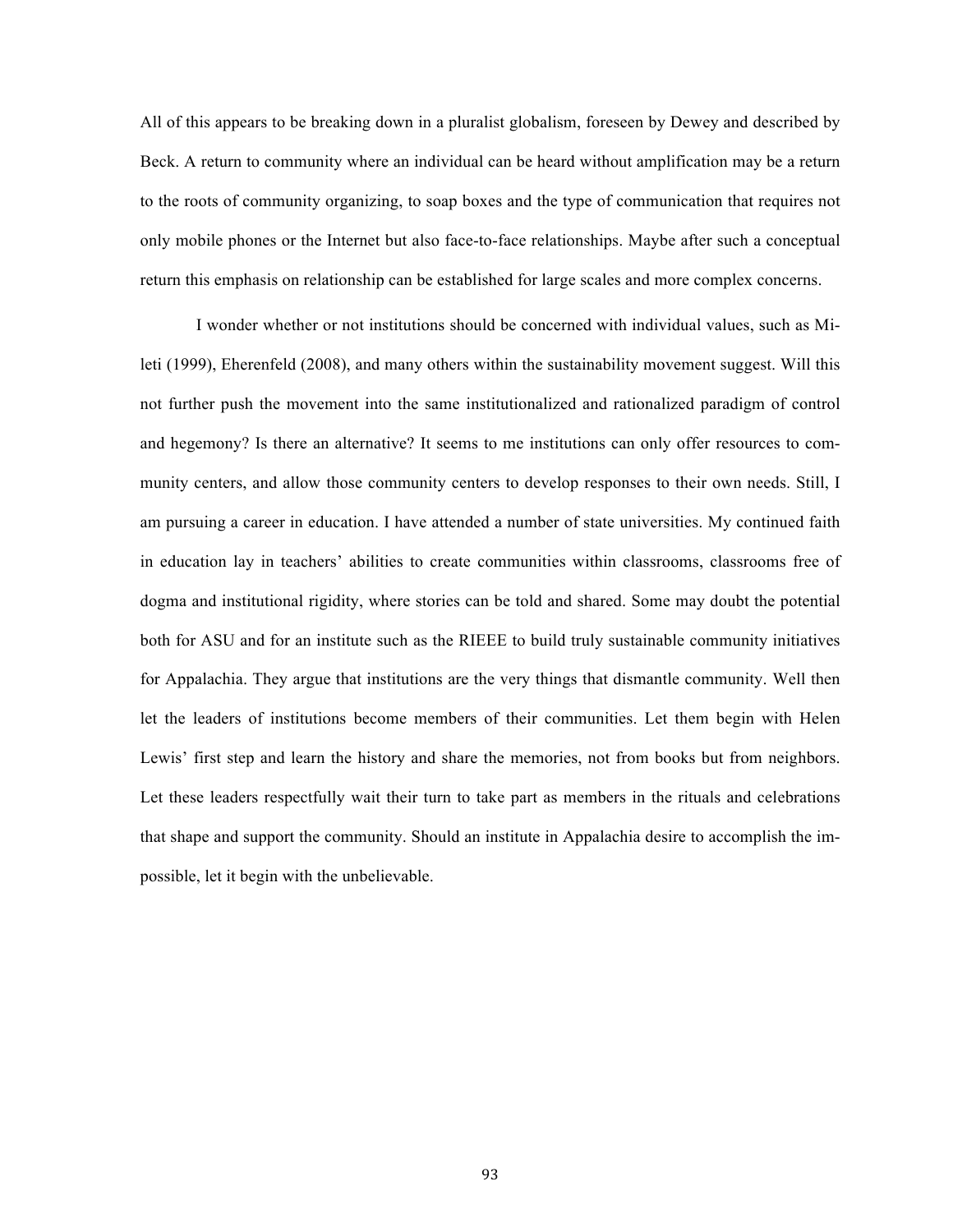All of this appears to be breaking down in a pluralist globalism, foreseen by Dewey and described by Beck. A return to community where an individual can be heard without amplification may be a return to the roots of community organizing, to soap boxes and the type of communication that requires not only mobile phones or the Internet but also face-to-face relationships. Maybe after such a conceptual return this emphasis on relationship can be established for large scales and more complex concerns.

I wonder whether or not institutions should be concerned with individual values, such as Mileti (1999), Eherenfeld (2008), and many others within the sustainability movement suggest. Will this not further push the movement into the same institutionalized and rationalized paradigm of control and hegemony? Is there an alternative? It seems to me institutions can only offer resources to community centers, and allow those community centers to develop responses to their own needs. Still, I am pursuing a career in education. I have attended a number of state universities. My continued faith in education lay in teachers' abilities to create communities within classrooms, classrooms free of dogma and institutional rigidity, where stories can be told and shared. Some may doubt the potential both for ASU and for an institute such as the RIEEE to build truly sustainable community initiatives for Appalachia. They argue that institutions are the very things that dismantle community. Well then let the leaders of institutions become members of their communities. Let them begin with Helen Lewis' first step and learn the history and share the memories, not from books but from neighbors. Let these leaders respectfully wait their turn to take part as members in the rituals and celebrations that shape and support the community. Should an institute in Appalachia desire to accomplish the impossible, let it begin with the unbelievable.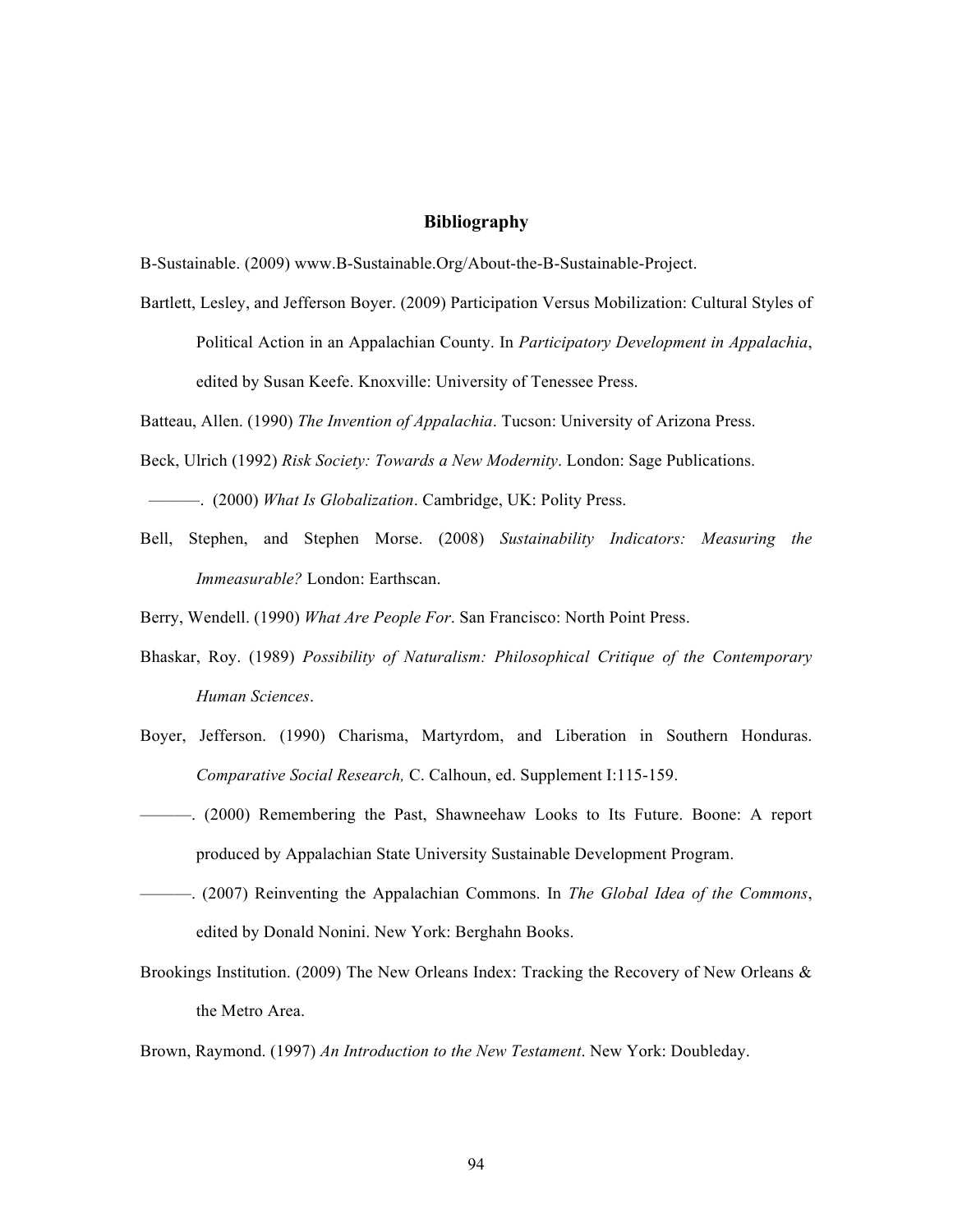# **Bibliography**

B-Sustainable. (2009) www.B-Sustainable.Org/About-the-B-Sustainable-Project.

- Bartlett, Lesley, and Jefferson Boyer. (2009) Participation Versus Mobilization: Cultural Styles of
	- Political Action in an Appalachian County. In *Participatory Development in Appalachia*, edited by Susan Keefe. Knoxville: University of Tenessee Press.

Batteau, Allen. (1990) *The Invention of Appalachia*. Tucson: University of Arizona Press.

- Beck, Ulrich (1992) *Risk Society: Towards a New Modernity*. London: Sage Publications.
- ———. (2000) *What Is Globalization*. Cambridge, UK: Polity Press.
- Bell, Stephen, and Stephen Morse. (2008) *Sustainability Indicators: Measuring the Immeasurable?* London: Earthscan.

Berry, Wendell. (1990) *What Are People For*. San Francisco: North Point Press.

- Bhaskar, Roy. (1989) *Possibility of Naturalism: Philosophical Critique of the Contemporary Human Sciences*.
- Boyer, Jefferson. (1990) Charisma, Martyrdom, and Liberation in Southern Honduras. *Comparative Social Research,* C. Calhoun, ed. Supplement I:115-159.
- ———. (2000) Remembering the Past, Shawneehaw Looks to Its Future. Boone: A report produced by Appalachian State University Sustainable Development Program.
- ———. (2007) Reinventing the Appalachian Commons. In *The Global Idea of the Commons*, edited by Donald Nonini. New York: Berghahn Books.
- Brookings Institution. (2009) The New Orleans Index: Tracking the Recovery of New Orleans & the Metro Area.

Brown, Raymond. (1997) *An Introduction to the New Testament*. New York: Doubleday.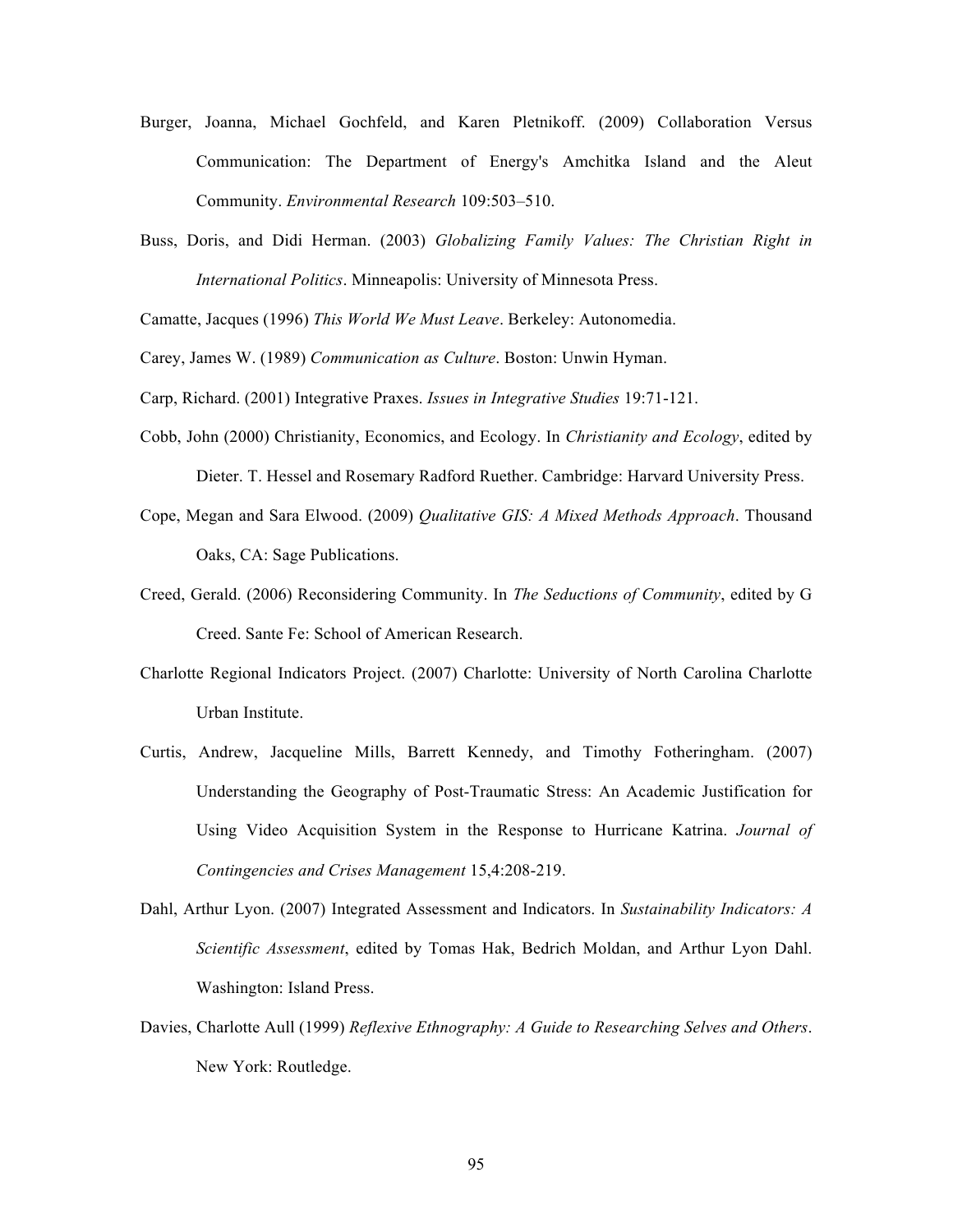- Burger, Joanna, Michael Gochfeld, and Karen Pletnikoff. (2009) Collaboration Versus Communication: The Department of Energy's Amchitka Island and the Aleut Community. *Environmental Research* 109:503–510.
- Buss, Doris, and Didi Herman. (2003) *Globalizing Family Values: The Christian Right in International Politics*. Minneapolis: University of Minnesota Press.

Camatte, Jacques (1996) *This World We Must Leave*. Berkeley: Autonomedia.

Carey, James W. (1989) *Communication as Culture*. Boston: Unwin Hyman.

Carp, Richard. (2001) Integrative Praxes. *Issues in Integrative Studies* 19:71-121.

- Cobb, John (2000) Christianity, Economics, and Ecology. In *Christianity and Ecology*, edited by Dieter. T. Hessel and Rosemary Radford Ruether. Cambridge: Harvard University Press.
- Cope, Megan and Sara Elwood. (2009) *Qualitative GIS: A Mixed Methods Approach*. Thousand Oaks, CA: Sage Publications.
- Creed, Gerald. (2006) Reconsidering Community. In *The Seductions of Community*, edited by G Creed. Sante Fe: School of American Research.
- Charlotte Regional Indicators Project. (2007) Charlotte: University of North Carolina Charlotte Urban Institute.
- Curtis, Andrew, Jacqueline Mills, Barrett Kennedy, and Timothy Fotheringham. (2007) Understanding the Geography of Post-Traumatic Stress: An Academic Justification for Using Video Acquisition System in the Response to Hurricane Katrina. *Journal of Contingencies and Crises Management* 15,4:208-219.
- Dahl, Arthur Lyon. (2007) Integrated Assessment and Indicators. In *Sustainability Indicators: A Scientific Assessment*, edited by Tomas Hak, Bedrich Moldan, and Arthur Lyon Dahl. Washington: Island Press.
- Davies, Charlotte Aull (1999) *Reflexive Ethnography: A Guide to Researching Selves and Others*. New York: Routledge.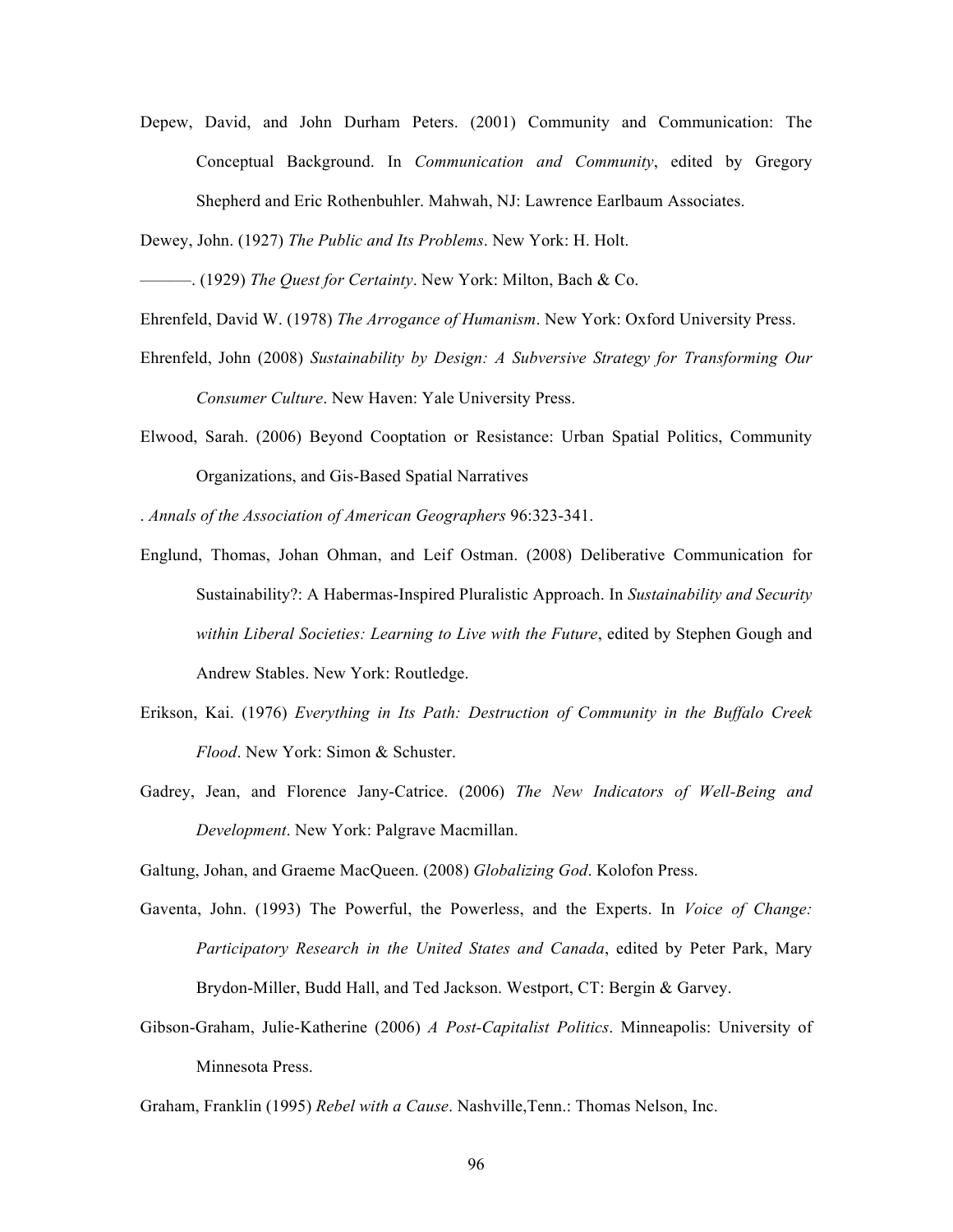Depew, David, and John Durham Peters. (2001) Community and Communication: The Conceptual Background. In *Communication and Community*, edited by Gregory Shepherd and Eric Rothenbuhler. Mahwah, NJ: Lawrence Earlbaum Associates.

Dewey, John. (1927) *The Public and Its Problems*. New York: H. Holt.

———. (1929) *The Quest for Certainty*. New York: Milton, Bach & Co.

Ehrenfeld, David W. (1978) *The Arrogance of Humanism*. New York: Oxford University Press.

- Ehrenfeld, John (2008) *Sustainability by Design: A Subversive Strategy for Transforming Our Consumer Culture*. New Haven: Yale University Press.
- Elwood, Sarah. (2006) Beyond Cooptation or Resistance: Urban Spatial Politics, Community Organizations, and Gis-Based Spatial Narratives

. *Annals of the Association of American Geographers* 96:323-341.

- Englund, Thomas, Johan Ohman, and Leif Ostman. (2008) Deliberative Communication for Sustainability?: A Habermas-Inspired Pluralistic Approach. In *Sustainability and Security within Liberal Societies: Learning to Live with the Future*, edited by Stephen Gough and Andrew Stables. New York: Routledge.
- Erikson, Kai. (1976) *Everything in Its Path: Destruction of Community in the Buffalo Creek Flood*. New York: Simon & Schuster.
- Gadrey, Jean, and Florence Jany-Catrice. (2006) *The New Indicators of Well-Being and Development*. New York: Palgrave Macmillan.

Galtung, Johan, and Graeme MacQueen. (2008) *Globalizing God*. Kolofon Press.

- Gaventa, John. (1993) The Powerful, the Powerless, and the Experts. In *Voice of Change: Participatory Research in the United States and Canada*, edited by Peter Park, Mary Brydon-Miller, Budd Hall, and Ted Jackson. Westport, CT: Bergin & Garvey.
- Gibson-Graham, Julie-Katherine (2006) *A Post-Capitalist Politics*. Minneapolis: University of Minnesota Press.

Graham, Franklin (1995) *Rebel with a Cause*. Nashville,Tenn.: Thomas Nelson, Inc.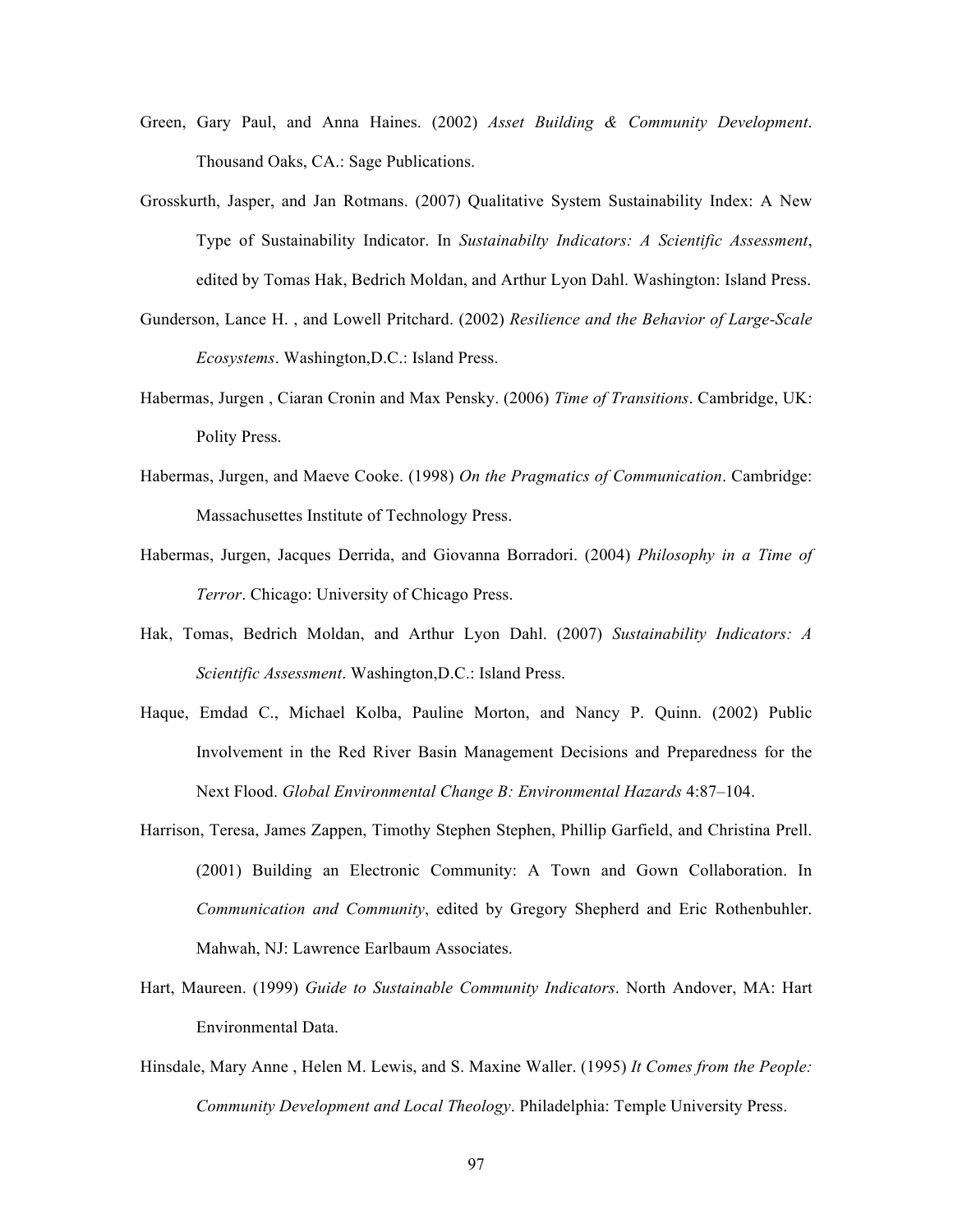- Green, Gary Paul, and Anna Haines. (2002) *Asset Building & Community Development*. Thousand Oaks, CA.: Sage Publications.
- Grosskurth, Jasper, and Jan Rotmans. (2007) Qualitative System Sustainability Index: A New Type of Sustainability Indicator. In *Sustainabilty Indicators: A Scientific Assessment*, edited by Tomas Hak, Bedrich Moldan, and Arthur Lyon Dahl. Washington: Island Press.
- Gunderson, Lance H. , and Lowell Pritchard. (2002) *Resilience and the Behavior of Large-Scale Ecosystems*. Washington,D.C.: Island Press.
- Habermas, Jurgen , Ciaran Cronin and Max Pensky. (2006) *Time of Transitions*. Cambridge, UK: Polity Press.
- Habermas, Jurgen, and Maeve Cooke. (1998) *On the Pragmatics of Communication*. Cambridge: Massachusettes Institute of Technology Press.
- Habermas, Jurgen, Jacques Derrida, and Giovanna Borradori. (2004) *Philosophy in a Time of Terror*. Chicago: University of Chicago Press.
- Hak, Tomas, Bedrich Moldan, and Arthur Lyon Dahl. (2007) *Sustainability Indicators: A Scientific Assessment*. Washington,D.C.: Island Press.
- Haque, Emdad C., Michael Kolba, Pauline Morton, and Nancy P. Quinn. (2002) Public Involvement in the Red River Basin Management Decisions and Preparedness for the Next Flood. *Global Environmental Change B: Environmental Hazards* 4:87–104.
- Harrison, Teresa, James Zappen, Timothy Stephen Stephen, Phillip Garfield, and Christina Prell. (2001) Building an Electronic Community: A Town and Gown Collaboration. In *Communication and Community*, edited by Gregory Shepherd and Eric Rothenbuhler. Mahwah, NJ: Lawrence Earlbaum Associates.
- Hart, Maureen. (1999) *Guide to Sustainable Community Indicators*. North Andover, MA: Hart Environmental Data.
- Hinsdale, Mary Anne , Helen M. Lewis, and S. Maxine Waller. (1995) *It Comes from the People: Community Development and Local Theology*. Philadelphia: Temple University Press.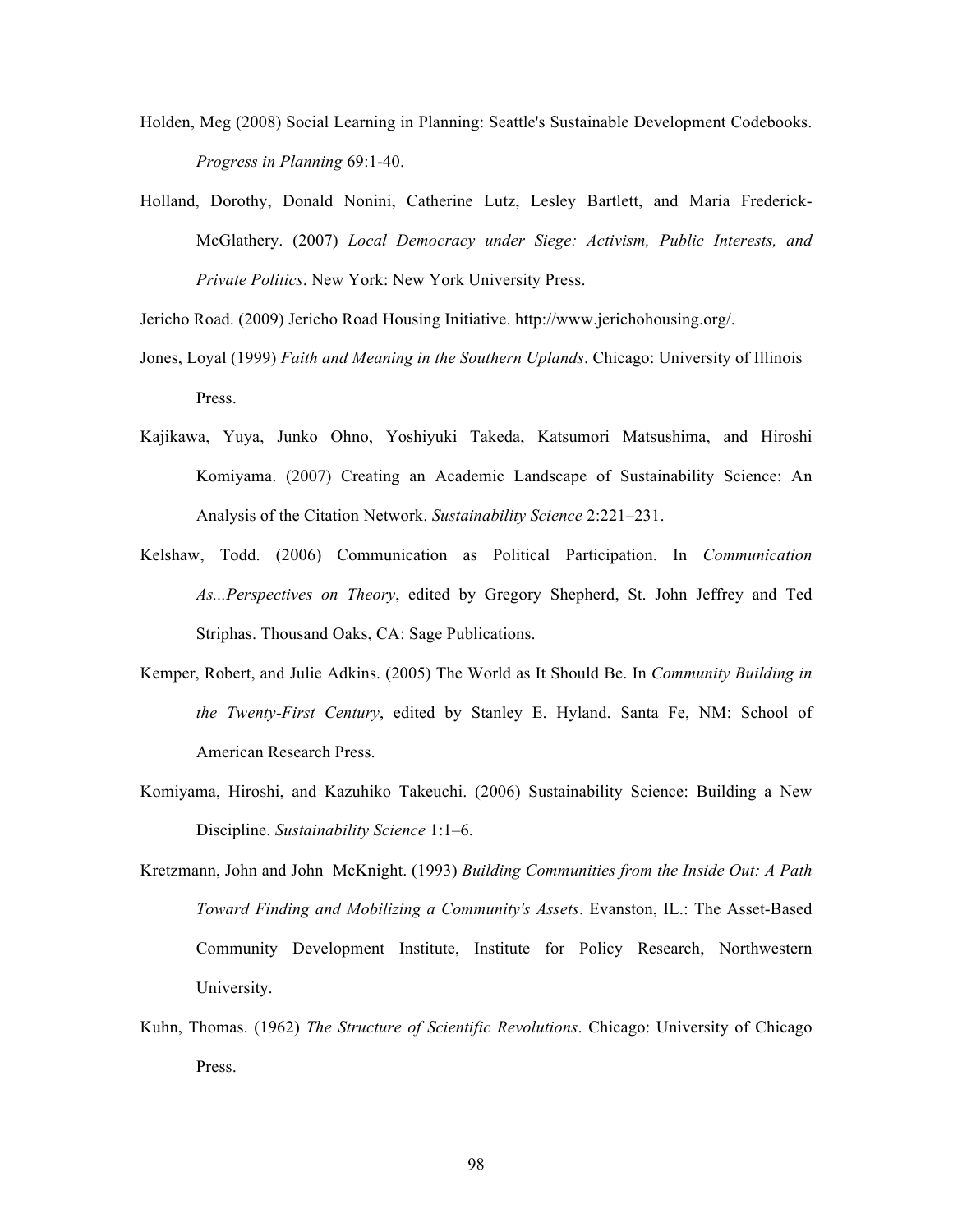- Holden, Meg (2008) Social Learning in Planning: Seattle's Sustainable Development Codebooks. *Progress in Planning* 69:1-40.
- Holland, Dorothy, Donald Nonini, Catherine Lutz, Lesley Bartlett, and Maria Frederick-McGlathery. (2007) *Local Democracy under Siege: Activism, Public Interests, and Private Politics*. New York: New York University Press.

Jericho Road. (2009) Jericho Road Housing Initiative. http://www.jerichohousing.org/.

- Jones, Loyal (1999) *Faith and Meaning in the Southern Uplands*. Chicago: University of Illinois Press.
- Kajikawa, Yuya, Junko Ohno, Yoshiyuki Takeda, Katsumori Matsushima, and Hiroshi Komiyama. (2007) Creating an Academic Landscape of Sustainability Science: An Analysis of the Citation Network. *Sustainability Science* 2:221–231.
- Kelshaw, Todd. (2006) Communication as Political Participation. In *Communication As...Perspectives on Theory*, edited by Gregory Shepherd, St. John Jeffrey and Ted Striphas. Thousand Oaks, CA: Sage Publications.
- Kemper, Robert, and Julie Adkins. (2005) The World as It Should Be. In *Community Building in the Twenty-First Century*, edited by Stanley E. Hyland. Santa Fe, NM: School of American Research Press.
- Komiyama, Hiroshi, and Kazuhiko Takeuchi. (2006) Sustainability Science: Building a New Discipline. *Sustainability Science* 1:1–6.
- Kretzmann, John and John McKnight. (1993) *Building Communities from the Inside Out: A Path Toward Finding and Mobilizing a Community's Assets*. Evanston, IL.: The Asset-Based Community Development Institute, Institute for Policy Research, Northwestern University.
- Kuhn, Thomas. (1962) *The Structure of Scientific Revolutions*. Chicago: University of Chicago Press.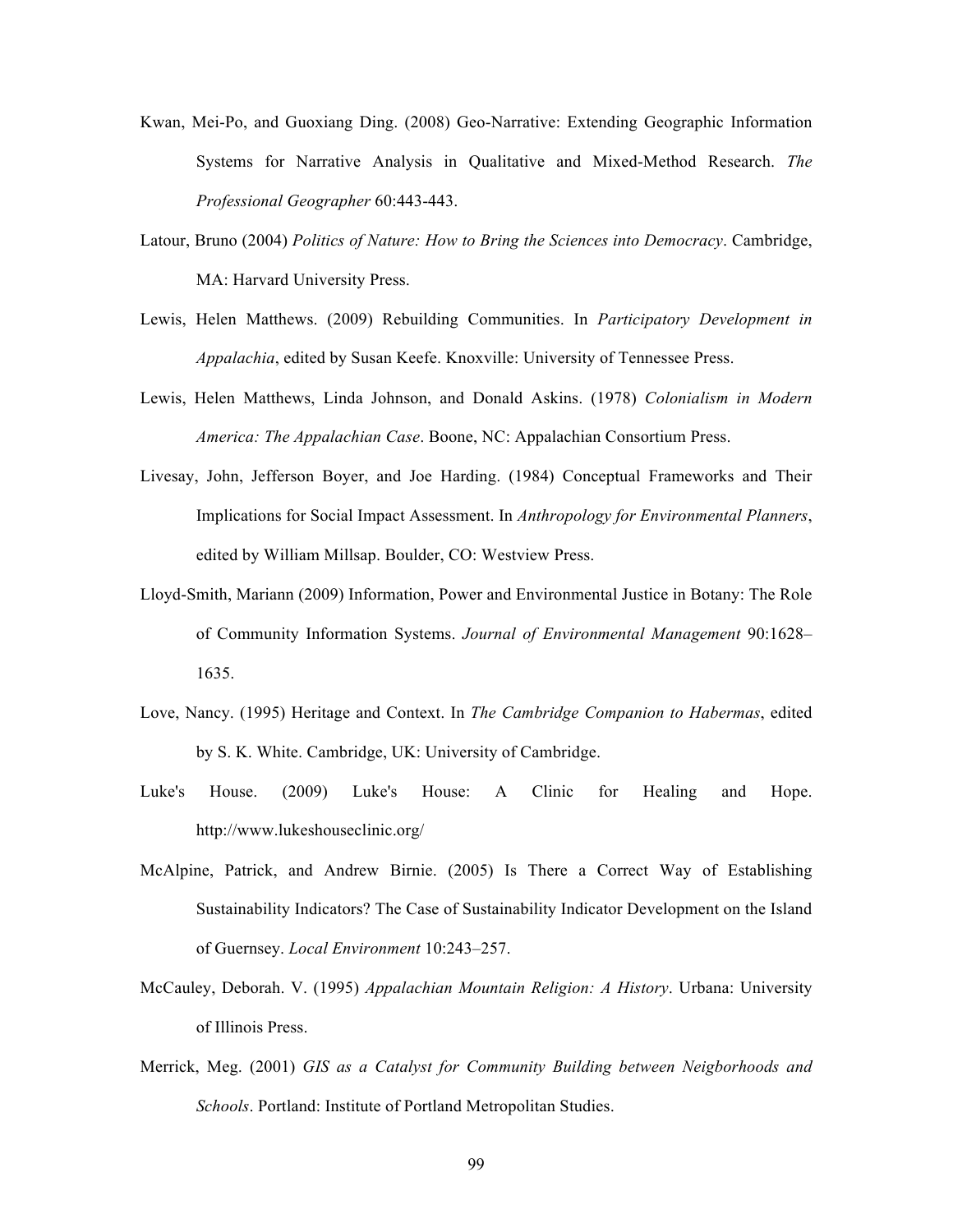- Kwan, Mei-Po, and Guoxiang Ding. (2008) Geo-Narrative: Extending Geographic Information Systems for Narrative Analysis in Qualitative and Mixed-Method Research. *The Professional Geographer* 60:443-443.
- Latour, Bruno (2004) *Politics of Nature: How to Bring the Sciences into Democracy*. Cambridge, MA: Harvard University Press.
- Lewis, Helen Matthews. (2009) Rebuilding Communities. In *Participatory Development in Appalachia*, edited by Susan Keefe. Knoxville: University of Tennessee Press.
- Lewis, Helen Matthews, Linda Johnson, and Donald Askins. (1978) *Colonialism in Modern America: The Appalachian Case*. Boone, NC: Appalachian Consortium Press.
- Livesay, John, Jefferson Boyer, and Joe Harding. (1984) Conceptual Frameworks and Their Implications for Social Impact Assessment. In *Anthropology for Environmental Planners*, edited by William Millsap. Boulder, CO: Westview Press.
- Lloyd-Smith, Mariann (2009) Information, Power and Environmental Justice in Botany: The Role of Community Information Systems. *Journal of Environmental Management* 90:1628– 1635.
- Love, Nancy. (1995) Heritage and Context. In *The Cambridge Companion to Habermas*, edited by S. K. White. Cambridge, UK: University of Cambridge.
- Luke's House. (2009) Luke's House: A Clinic for Healing and Hope. http://www.lukeshouseclinic.org/
- McAlpine, Patrick, and Andrew Birnie. (2005) Is There a Correct Way of Establishing Sustainability Indicators? The Case of Sustainability Indicator Development on the Island of Guernsey. *Local Environment* 10:243–257.
- McCauley, Deborah. V. (1995) *Appalachian Mountain Religion: A History*. Urbana: University of Illinois Press.
- Merrick, Meg. (2001) *GIS as a Catalyst for Community Building between Neigborhoods and Schools*. Portland: Institute of Portland Metropolitan Studies.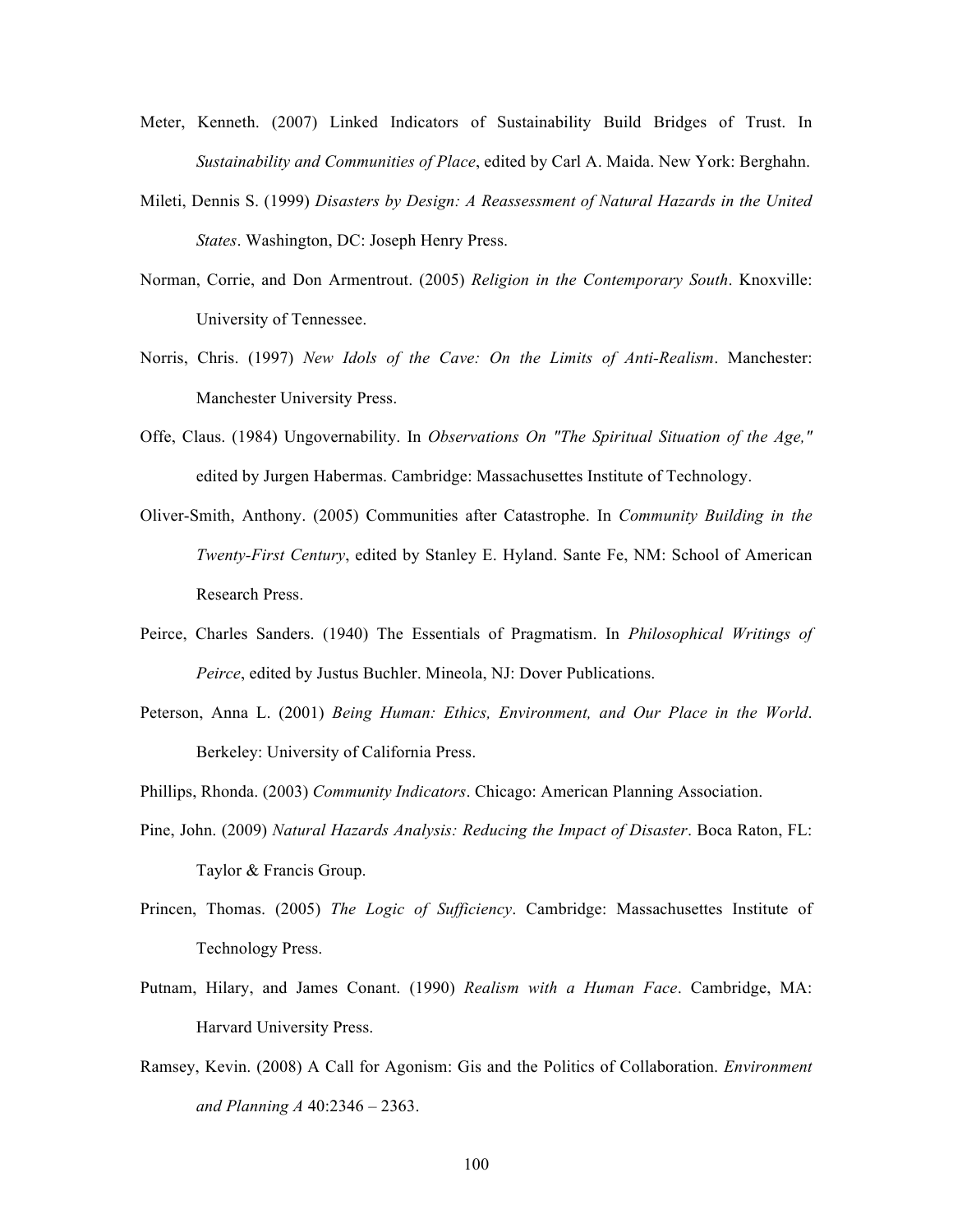- Meter, Kenneth. (2007) Linked Indicators of Sustainability Build Bridges of Trust. In *Sustainability and Communities of Place*, edited by Carl A. Maida. New York: Berghahn.
- Mileti, Dennis S. (1999) *Disasters by Design: A Reassessment of Natural Hazards in the United States*. Washington, DC: Joseph Henry Press.
- Norman, Corrie, and Don Armentrout. (2005) *Religion in the Contemporary South*. Knoxville: University of Tennessee.
- Norris, Chris. (1997) *New Idols of the Cave: On the Limits of Anti-Realism*. Manchester: Manchester University Press.
- Offe, Claus. (1984) Ungovernability. In *Observations On "The Spiritual Situation of the Age,"* edited by Jurgen Habermas. Cambridge: Massachusettes Institute of Technology.
- Oliver-Smith, Anthony. (2005) Communities after Catastrophe. In *Community Building in the Twenty-First Century*, edited by Stanley E. Hyland. Sante Fe, NM: School of American Research Press.
- Peirce, Charles Sanders. (1940) The Essentials of Pragmatism. In *Philosophical Writings of Peirce*, edited by Justus Buchler. Mineola, NJ: Dover Publications.
- Peterson, Anna L. (2001) *Being Human: Ethics, Environment, and Our Place in the World*. Berkeley: University of California Press.
- Phillips, Rhonda. (2003) *Community Indicators*. Chicago: American Planning Association.
- Pine, John. (2009) *Natural Hazards Analysis: Reducing the Impact of Disaster*. Boca Raton, FL: Taylor & Francis Group.
- Princen, Thomas. (2005) *The Logic of Sufficiency*. Cambridge: Massachusettes Institute of Technology Press.
- Putnam, Hilary, and James Conant. (1990) *Realism with a Human Face*. Cambridge, MA: Harvard University Press.
- Ramsey, Kevin. (2008) A Call for Agonism: Gis and the Politics of Collaboration. *Environment and Planning A* 40:2346 – 2363.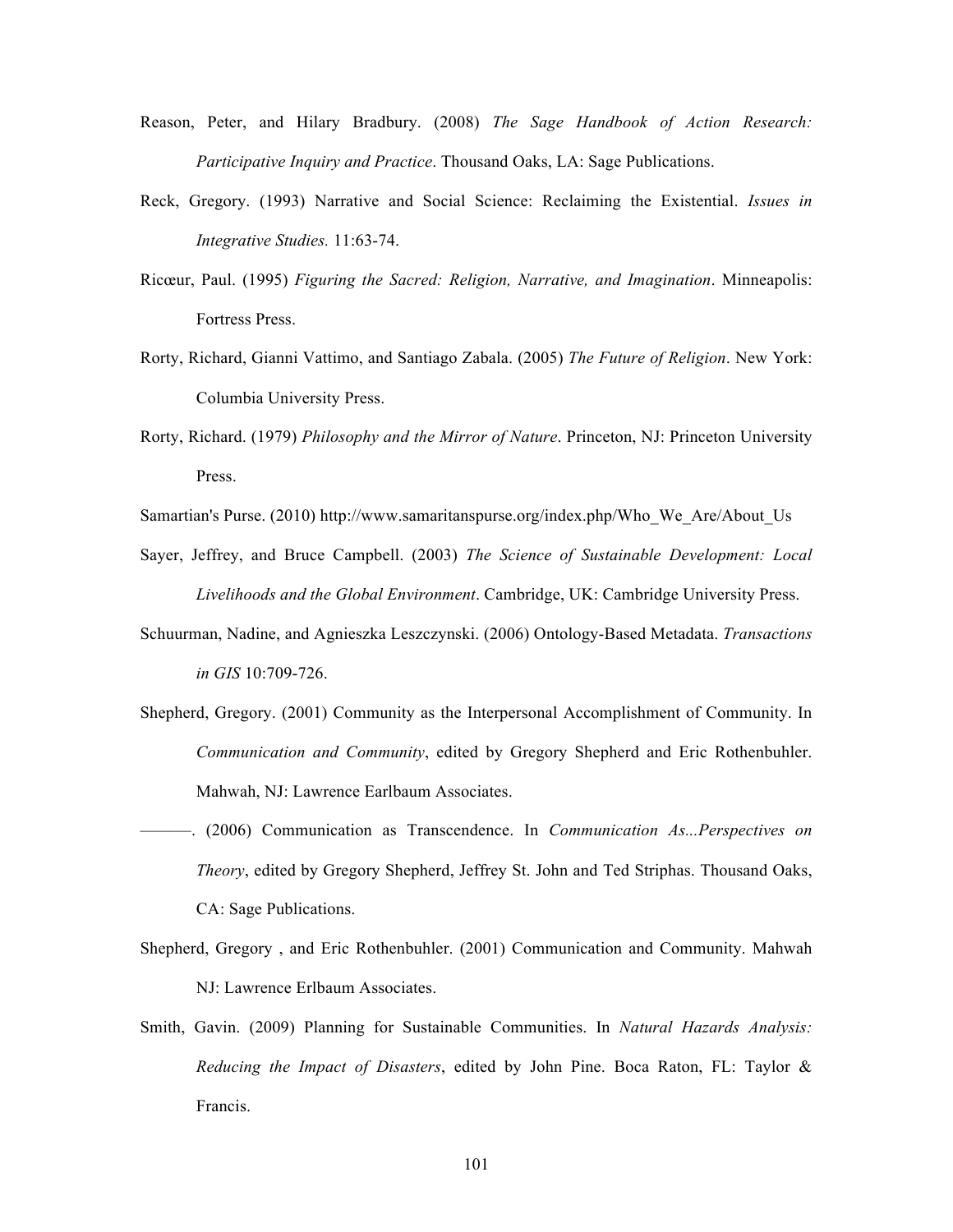- Reason, Peter, and Hilary Bradbury. (2008) *The Sage Handbook of Action Research: Participative Inquiry and Practice*. Thousand Oaks, LA: Sage Publications.
- Reck, Gregory. (1993) Narrative and Social Science: Reclaiming the Existential. *Issues in Integrative Studies.* 11:63-74.
- Ricœur, Paul. (1995) *Figuring the Sacred: Religion, Narrative, and Imagination*. Minneapolis: Fortress Press.
- Rorty, Richard, Gianni Vattimo, and Santiago Zabala. (2005) *The Future of Religion*. New York: Columbia University Press.
- Rorty, Richard. (1979) *Philosophy and the Mirror of Nature*. Princeton, NJ: Princeton University Press.
- Samartian's Purse. (2010) http://www.samaritanspurse.org/index.php/Who\_We\_Are/About\_Us
- Sayer, Jeffrey, and Bruce Campbell. (2003) *The Science of Sustainable Development: Local Livelihoods and the Global Environment*. Cambridge, UK: Cambridge University Press.
- Schuurman, Nadine, and Agnieszka Leszczynski. (2006) Ontology-Based Metadata. *Transactions in GIS* 10:709-726.
- Shepherd, Gregory. (2001) Community as the Interpersonal Accomplishment of Community. In *Communication and Community*, edited by Gregory Shepherd and Eric Rothenbuhler. Mahwah, NJ: Lawrence Earlbaum Associates.
- ———. (2006) Communication as Transcendence. In *Communication As...Perspectives on Theory*, edited by Gregory Shepherd, Jeffrey St. John and Ted Striphas. Thousand Oaks, CA: Sage Publications.
- Shepherd, Gregory , and Eric Rothenbuhler. (2001) Communication and Community. Mahwah NJ: Lawrence Erlbaum Associates.
- Smith, Gavin. (2009) Planning for Sustainable Communities. In *Natural Hazards Analysis: Reducing the Impact of Disasters*, edited by John Pine. Boca Raton, FL: Taylor & Francis.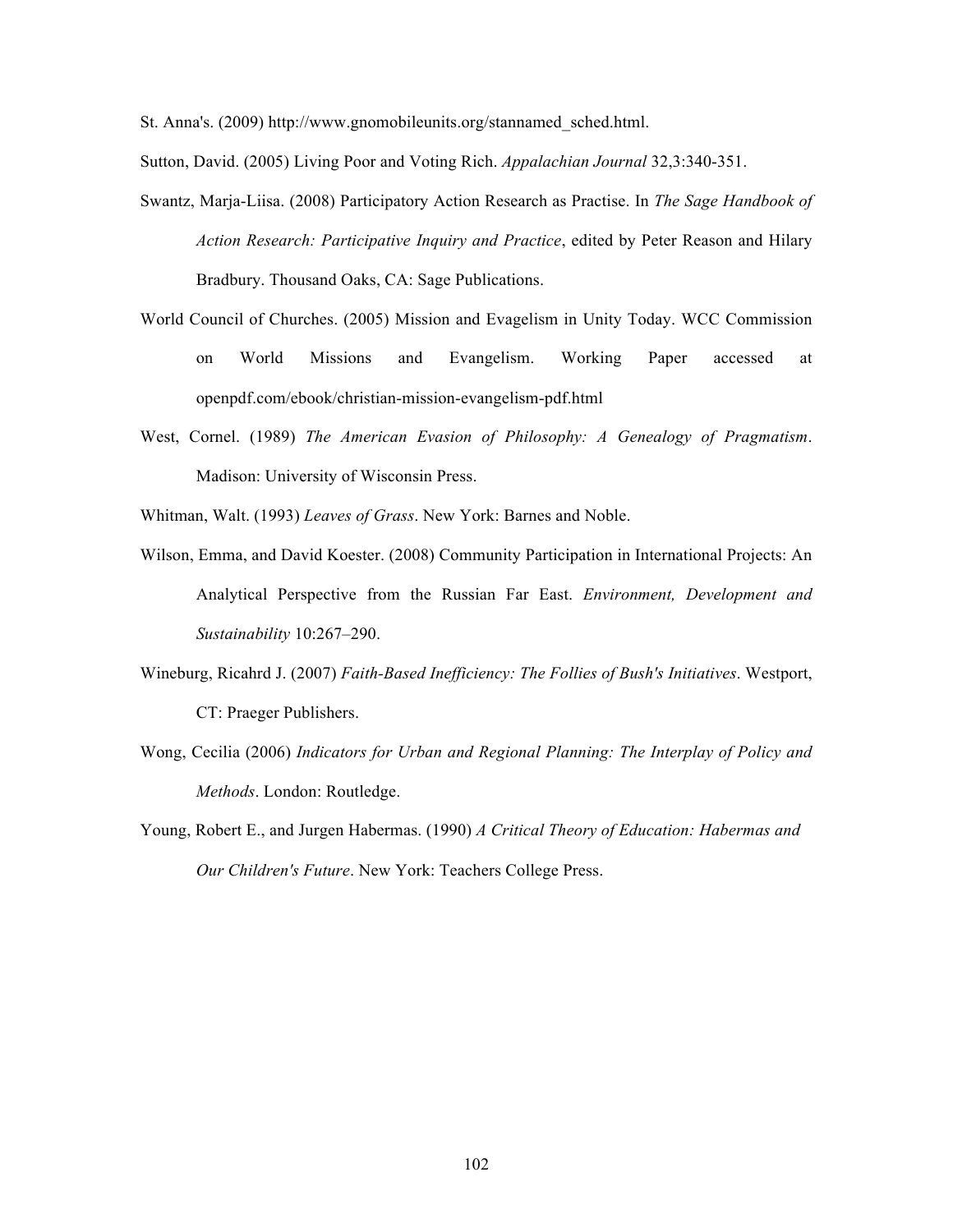St. Anna's. (2009) http://www.gnomobileunits.org/stannamed\_sched.html.

Sutton, David. (2005) Living Poor and Voting Rich. *Appalachian Journal* 32,3:340-351.

- Swantz, Marja-Liisa. (2008) Participatory Action Research as Practise. In *The Sage Handbook of Action Research: Participative Inquiry and Practice*, edited by Peter Reason and Hilary Bradbury. Thousand Oaks, CA: Sage Publications.
- World Council of Churches. (2005) Mission and Evagelism in Unity Today. WCC Commission on World Missions and Evangelism. Working Paper accessed at openpdf.com/ebook/christian-mission-evangelism-pdf.html
- West, Cornel. (1989) *The American Evasion of Philosophy: A Genealogy of Pragmatism*. Madison: University of Wisconsin Press.
- Whitman, Walt. (1993) *Leaves of Grass*. New York: Barnes and Noble.
- Wilson, Emma, and David Koester. (2008) Community Participation in International Projects: An Analytical Perspective from the Russian Far East. *Environment, Development and Sustainability* 10:267–290.
- Wineburg, Ricahrd J. (2007) *Faith-Based Inefficiency: The Follies of Bush's Initiatives*. Westport, CT: Praeger Publishers.
- Wong, Cecilia (2006) *Indicators for Urban and Regional Planning: The Interplay of Policy and Methods*. London: Routledge.
- Young, Robert E., and Jurgen Habermas. (1990) *A Critical Theory of Education: Habermas and Our Children's Future*. New York: Teachers College Press.